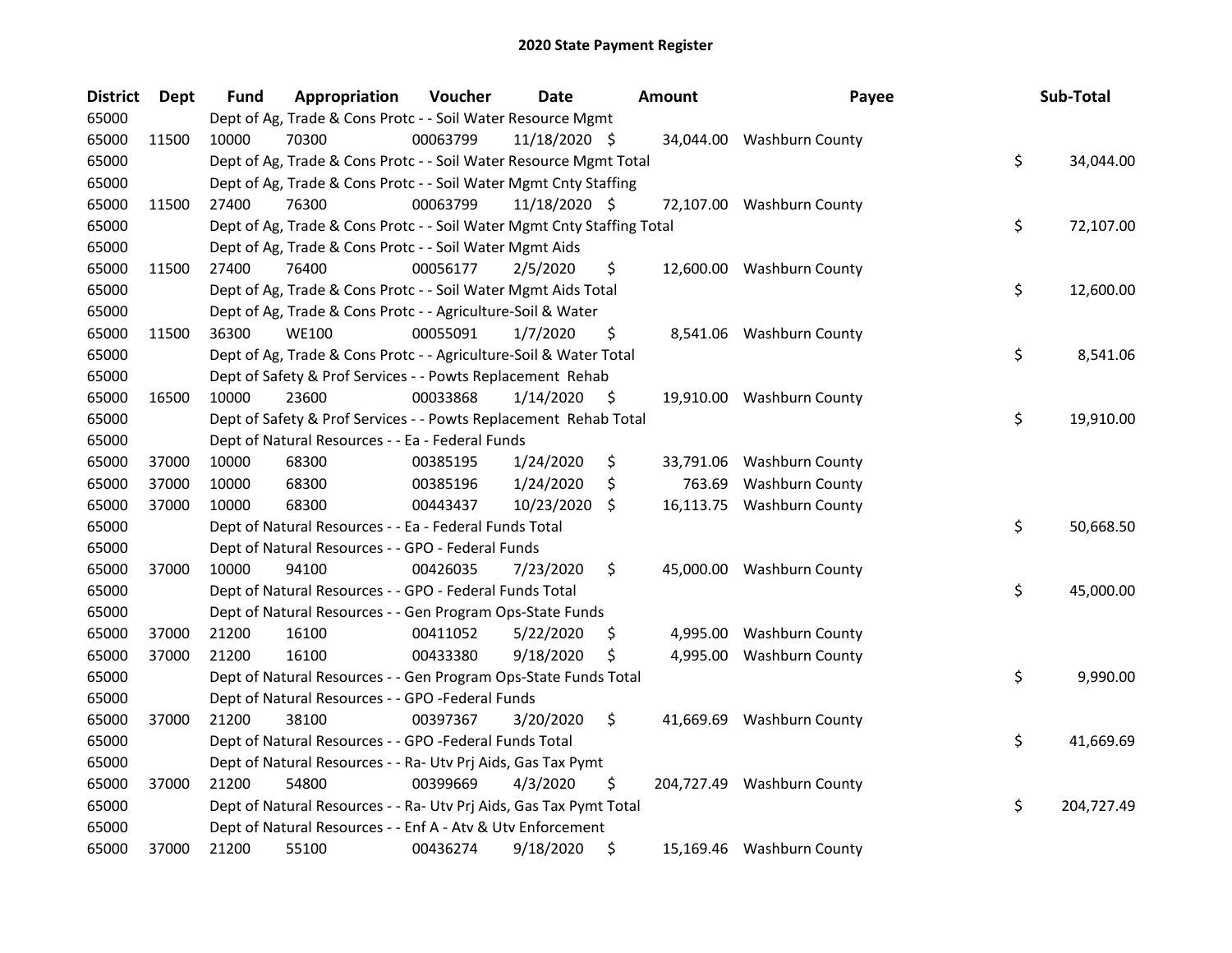| <b>District</b> | <b>Dept</b> | <b>Fund</b> | Appropriation                                                          | Voucher  | <b>Date</b>   | <b>Amount</b>  | Payee                      | Sub-Total        |
|-----------------|-------------|-------------|------------------------------------------------------------------------|----------|---------------|----------------|----------------------------|------------------|
| 65000           |             |             | Dept of Ag, Trade & Cons Protc - - Soil Water Resource Mgmt            |          |               |                |                            |                  |
| 65000           | 11500       | 10000       | 70300                                                                  | 00063799 | 11/18/2020 \$ |                | 34,044.00 Washburn County  |                  |
| 65000           |             |             | Dept of Ag, Trade & Cons Protc - - Soil Water Resource Mgmt Total      |          |               |                |                            | \$<br>34,044.00  |
| 65000           |             |             | Dept of Ag, Trade & Cons Protc - - Soil Water Mgmt Cnty Staffing       |          |               |                |                            |                  |
| 65000           | 11500       | 27400       | 76300                                                                  | 00063799 | 11/18/2020 \$ |                | 72,107.00 Washburn County  |                  |
| 65000           |             |             | Dept of Ag, Trade & Cons Protc - - Soil Water Mgmt Cnty Staffing Total |          |               |                |                            | \$<br>72,107.00  |
| 65000           |             |             | Dept of Ag, Trade & Cons Protc - - Soil Water Mgmt Aids                |          |               |                |                            |                  |
| 65000           | 11500       | 27400       | 76400                                                                  | 00056177 | 2/5/2020      | \$             | 12,600.00 Washburn County  |                  |
| 65000           |             |             | Dept of Ag, Trade & Cons Protc - - Soil Water Mgmt Aids Total          |          |               |                |                            | \$<br>12,600.00  |
| 65000           |             |             | Dept of Ag, Trade & Cons Protc - - Agriculture-Soil & Water            |          |               |                |                            |                  |
| 65000           | 11500       | 36300       | <b>WE100</b>                                                           | 00055091 | 1/7/2020      | \$             | 8,541.06 Washburn County   |                  |
| 65000           |             |             | Dept of Ag, Trade & Cons Protc - - Agriculture-Soil & Water Total      |          |               |                |                            | \$<br>8,541.06   |
| 65000           |             |             | Dept of Safety & Prof Services - - Powts Replacement Rehab             |          |               |                |                            |                  |
| 65000           | 16500       | 10000       | 23600                                                                  | 00033868 | 1/14/2020     | \$             | 19,910.00 Washburn County  |                  |
| 65000           |             |             | Dept of Safety & Prof Services - - Powts Replacement Rehab Total       |          |               |                |                            | \$<br>19,910.00  |
| 65000           |             |             | Dept of Natural Resources - - Ea - Federal Funds                       |          |               |                |                            |                  |
| 65000           | 37000       | 10000       | 68300                                                                  | 00385195 | 1/24/2020     | \$             | 33,791.06 Washburn County  |                  |
| 65000           | 37000       | 10000       | 68300                                                                  | 00385196 | 1/24/2020     | \$<br>763.69   | <b>Washburn County</b>     |                  |
| 65000           | 37000       | 10000       | 68300                                                                  | 00443437 | 10/23/2020    | \$             | 16,113.75 Washburn County  |                  |
| 65000           |             |             | Dept of Natural Resources - - Ea - Federal Funds Total                 |          |               |                |                            | \$<br>50,668.50  |
| 65000           |             |             | Dept of Natural Resources - - GPO - Federal Funds                      |          |               |                |                            |                  |
| 65000           | 37000       | 10000       | 94100                                                                  | 00426035 | 7/23/2020     | \$             | 45,000.00 Washburn County  |                  |
| 65000           |             |             | Dept of Natural Resources - - GPO - Federal Funds Total                |          |               |                |                            | \$<br>45,000.00  |
| 65000           |             |             | Dept of Natural Resources - - Gen Program Ops-State Funds              |          |               |                |                            |                  |
| 65000           | 37000       | 21200       | 16100                                                                  | 00411052 | 5/22/2020     | \$<br>4,995.00 | <b>Washburn County</b>     |                  |
| 65000           | 37000       | 21200       | 16100                                                                  | 00433380 | 9/18/2020     | \$<br>4,995.00 | <b>Washburn County</b>     |                  |
| 65000           |             |             | Dept of Natural Resources - - Gen Program Ops-State Funds Total        |          |               |                |                            | \$<br>9,990.00   |
| 65000           |             |             | Dept of Natural Resources - - GPO -Federal Funds                       |          |               |                |                            |                  |
| 65000           | 37000       | 21200       | 38100                                                                  | 00397367 | 3/20/2020     | \$             | 41,669.69 Washburn County  |                  |
| 65000           |             |             | Dept of Natural Resources - - GPO -Federal Funds Total                 |          |               |                |                            | \$<br>41,669.69  |
| 65000           |             |             | Dept of Natural Resources - - Ra- Utv Prj Aids, Gas Tax Pymt           |          |               |                |                            |                  |
| 65000           | 37000       | 21200       | 54800                                                                  | 00399669 | 4/3/2020      | \$             | 204,727.49 Washburn County |                  |
| 65000           |             |             | Dept of Natural Resources - - Ra- Utv Prj Aids, Gas Tax Pymt Total     |          |               |                |                            | \$<br>204,727.49 |
| 65000           |             |             | Dept of Natural Resources - - Enf A - Atv & Utv Enforcement            |          |               |                |                            |                  |
| 65000           | 37000       | 21200       | 55100                                                                  | 00436274 | 9/18/2020     | \$             | 15,169.46 Washburn County  |                  |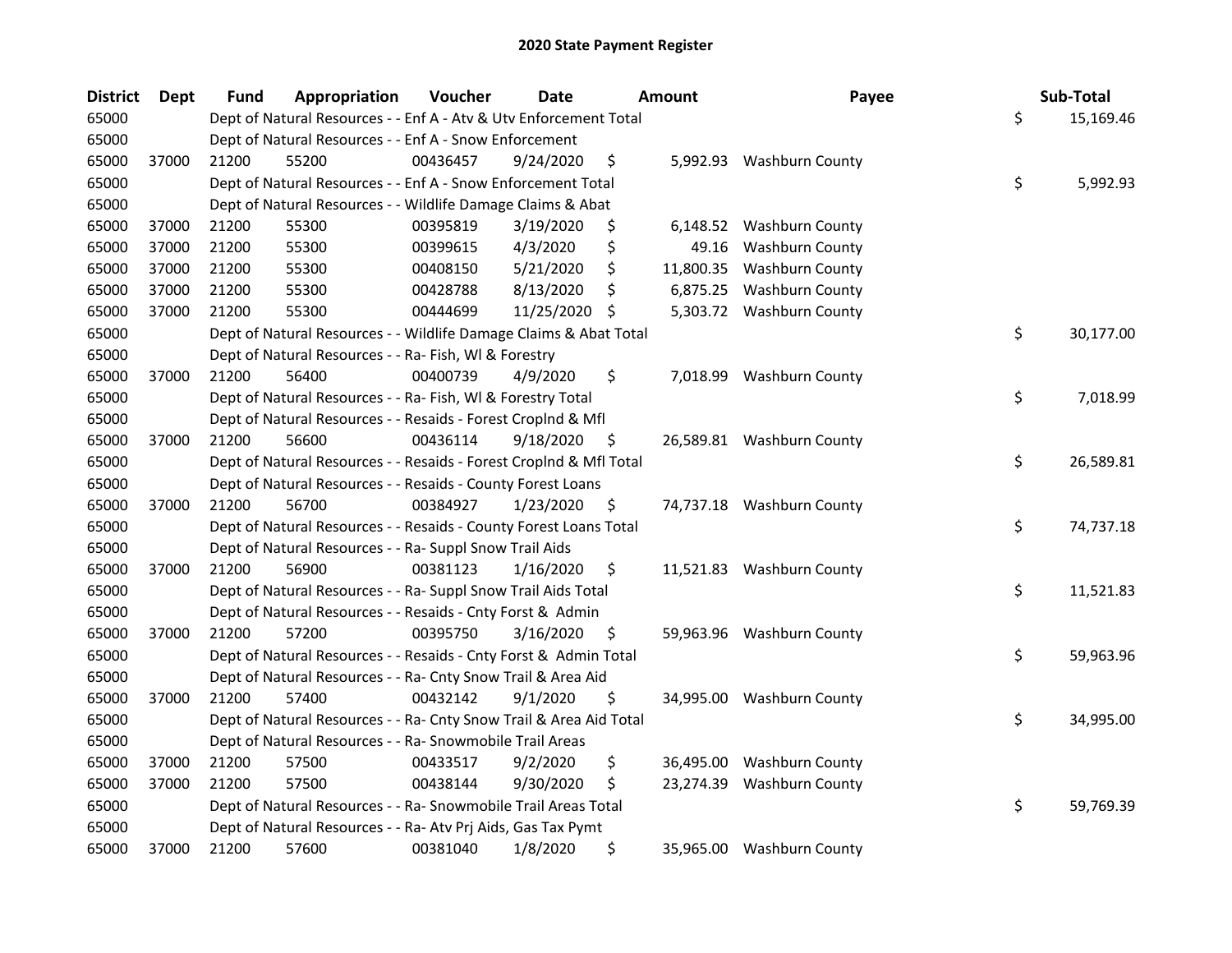| <b>District</b> | <b>Dept</b> | <b>Fund</b> | Appropriation                                                      | Voucher  | <b>Date</b>   |     | <b>Amount</b> | Payee                     | Sub-Total       |
|-----------------|-------------|-------------|--------------------------------------------------------------------|----------|---------------|-----|---------------|---------------------------|-----------------|
| 65000           |             |             | Dept of Natural Resources - - Enf A - Atv & Utv Enforcement Total  |          |               |     |               |                           | \$<br>15,169.46 |
| 65000           |             |             | Dept of Natural Resources - - Enf A - Snow Enforcement             |          |               |     |               |                           |                 |
| 65000           | 37000       | 21200       | 55200                                                              | 00436457 | 9/24/2020     | \$  |               | 5,992.93 Washburn County  |                 |
| 65000           |             |             | Dept of Natural Resources - - Enf A - Snow Enforcement Total       |          |               |     |               |                           | \$<br>5,992.93  |
| 65000           |             |             | Dept of Natural Resources - - Wildlife Damage Claims & Abat        |          |               |     |               |                           |                 |
| 65000           | 37000       | 21200       | 55300                                                              | 00395819 | 3/19/2020     | \$  |               | 6,148.52 Washburn County  |                 |
| 65000           | 37000       | 21200       | 55300                                                              | 00399615 | 4/3/2020      | \$  | 49.16         | <b>Washburn County</b>    |                 |
| 65000           | 37000       | 21200       | 55300                                                              | 00408150 | 5/21/2020     | \$  | 11,800.35     | <b>Washburn County</b>    |                 |
| 65000           | 37000       | 21200       | 55300                                                              | 00428788 | 8/13/2020     | \$  | 6,875.25      | <b>Washburn County</b>    |                 |
| 65000           | 37000       | 21200       | 55300                                                              | 00444699 | 11/25/2020 \$ |     |               | 5,303.72 Washburn County  |                 |
| 65000           |             |             | Dept of Natural Resources - - Wildlife Damage Claims & Abat Total  |          |               |     |               |                           | \$<br>30,177.00 |
| 65000           |             |             | Dept of Natural Resources - - Ra- Fish, WI & Forestry              |          |               |     |               |                           |                 |
| 65000           | 37000       | 21200       | 56400                                                              | 00400739 | 4/9/2020      | \$  |               | 7,018.99 Washburn County  |                 |
| 65000           |             |             | Dept of Natural Resources - - Ra- Fish, WI & Forestry Total        |          |               |     |               |                           | \$<br>7,018.99  |
| 65000           |             |             | Dept of Natural Resources - - Resaids - Forest Croplnd & Mfl       |          |               |     |               |                           |                 |
| 65000           | 37000       | 21200       | 56600                                                              | 00436114 | 9/18/2020     | \$. |               | 26,589.81 Washburn County |                 |
| 65000           |             |             | Dept of Natural Resources - - Resaids - Forest CropInd & Mfl Total |          |               |     |               |                           | \$<br>26,589.81 |
| 65000           |             |             | Dept of Natural Resources - - Resaids - County Forest Loans        |          |               |     |               |                           |                 |
| 65000           | 37000       | 21200       | 56700                                                              | 00384927 | 1/23/2020     | \$  |               | 74,737.18 Washburn County |                 |
| 65000           |             |             | Dept of Natural Resources - - Resaids - County Forest Loans Total  |          |               |     |               |                           | \$<br>74,737.18 |
| 65000           |             |             | Dept of Natural Resources - - Ra- Suppl Snow Trail Aids            |          |               |     |               |                           |                 |
| 65000           | 37000       | 21200       | 56900                                                              | 00381123 | 1/16/2020     | \$  |               | 11,521.83 Washburn County |                 |
| 65000           |             |             | Dept of Natural Resources - - Ra- Suppl Snow Trail Aids Total      |          |               |     |               |                           | \$<br>11,521.83 |
| 65000           |             |             | Dept of Natural Resources - - Resaids - Cnty Forst & Admin         |          |               |     |               |                           |                 |
| 65000           | 37000       | 21200       | 57200                                                              | 00395750 | 3/16/2020     | \$  |               | 59,963.96 Washburn County |                 |
| 65000           |             |             | Dept of Natural Resources - - Resaids - Cnty Forst & Admin Total   |          |               |     |               |                           | \$<br>59,963.96 |
| 65000           |             |             | Dept of Natural Resources - - Ra- Cnty Snow Trail & Area Aid       |          |               |     |               |                           |                 |
| 65000           | 37000       | 21200       | 57400                                                              | 00432142 | 9/1/2020      | \$  |               | 34,995.00 Washburn County |                 |
| 65000           |             |             | Dept of Natural Resources - - Ra- Cnty Snow Trail & Area Aid Total |          |               |     |               |                           | \$<br>34,995.00 |
| 65000           |             |             | Dept of Natural Resources - - Ra- Snowmobile Trail Areas           |          |               |     |               |                           |                 |
| 65000           | 37000       | 21200       | 57500                                                              | 00433517 | 9/2/2020      | \$  | 36,495.00     | <b>Washburn County</b>    |                 |
| 65000           | 37000       | 21200       | 57500                                                              | 00438144 | 9/30/2020     | \$  | 23,274.39     | <b>Washburn County</b>    |                 |
| 65000           |             |             | Dept of Natural Resources - - Ra- Snowmobile Trail Areas Total     |          |               |     |               |                           | \$<br>59,769.39 |
| 65000           |             |             | Dept of Natural Resources - - Ra- Atv Prj Aids, Gas Tax Pymt       |          |               |     |               |                           |                 |
| 65000           | 37000       | 21200       | 57600                                                              | 00381040 | 1/8/2020      | \$  |               | 35,965.00 Washburn County |                 |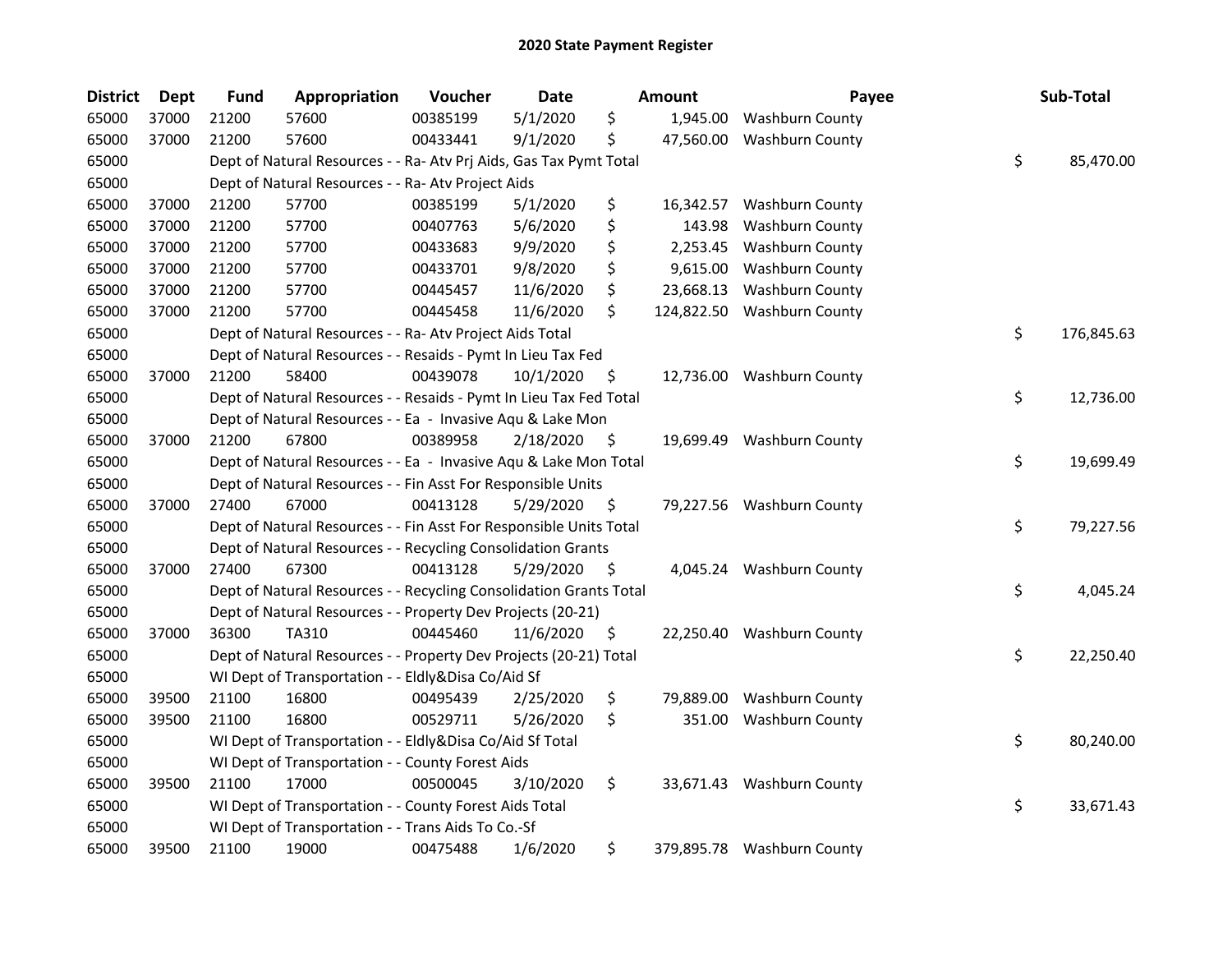| <b>District</b> | Dept  | <b>Fund</b> | Appropriation                                                      | Voucher  | Date      |      | Amount    | Payee                      | Sub-Total        |
|-----------------|-------|-------------|--------------------------------------------------------------------|----------|-----------|------|-----------|----------------------------|------------------|
| 65000           | 37000 | 21200       | 57600                                                              | 00385199 | 5/1/2020  | \$   | 1,945.00  | Washburn County            |                  |
| 65000           | 37000 | 21200       | 57600                                                              | 00433441 | 9/1/2020  | \$   | 47,560.00 | <b>Washburn County</b>     |                  |
| 65000           |       |             | Dept of Natural Resources - - Ra- Atv Prj Aids, Gas Tax Pymt Total |          |           |      |           |                            | \$<br>85,470.00  |
| 65000           |       |             | Dept of Natural Resources - - Ra- Atv Project Aids                 |          |           |      |           |                            |                  |
| 65000           | 37000 | 21200       | 57700                                                              | 00385199 | 5/1/2020  | \$   | 16,342.57 | Washburn County            |                  |
| 65000           | 37000 | 21200       | 57700                                                              | 00407763 | 5/6/2020  | \$   | 143.98    | <b>Washburn County</b>     |                  |
| 65000           | 37000 | 21200       | 57700                                                              | 00433683 | 9/9/2020  | \$   | 2,253.45  | <b>Washburn County</b>     |                  |
| 65000           | 37000 | 21200       | 57700                                                              | 00433701 | 9/8/2020  | \$   | 9,615.00  | Washburn County            |                  |
| 65000           | 37000 | 21200       | 57700                                                              | 00445457 | 11/6/2020 | \$   | 23,668.13 | <b>Washburn County</b>     |                  |
| 65000           | 37000 | 21200       | 57700                                                              | 00445458 | 11/6/2020 | \$   |           | 124,822.50 Washburn County |                  |
| 65000           |       |             | Dept of Natural Resources - - Ra- Atv Project Aids Total           |          |           |      |           |                            | \$<br>176,845.63 |
| 65000           |       |             | Dept of Natural Resources - - Resaids - Pymt In Lieu Tax Fed       |          |           |      |           |                            |                  |
| 65000           | 37000 | 21200       | 58400                                                              | 00439078 | 10/1/2020 | Ş    |           | 12,736.00 Washburn County  |                  |
| 65000           |       |             | Dept of Natural Resources - - Resaids - Pymt In Lieu Tax Fed Total |          |           |      |           |                            | \$<br>12,736.00  |
| 65000           |       |             | Dept of Natural Resources - - Ea - Invasive Aqu & Lake Mon         |          |           |      |           |                            |                  |
| 65000           | 37000 | 21200       | 67800                                                              | 00389958 | 2/18/2020 | \$,  | 19,699.49 | Washburn County            |                  |
| 65000           |       |             | Dept of Natural Resources - - Ea - Invasive Aqu & Lake Mon Total   |          |           |      |           |                            | \$<br>19,699.49  |
| 65000           |       |             | Dept of Natural Resources - - Fin Asst For Responsible Units       |          |           |      |           |                            |                  |
| 65000           | 37000 | 27400       | 67000                                                              | 00413128 | 5/29/2020 | \$   |           | 79,227.56 Washburn County  |                  |
| 65000           |       |             | Dept of Natural Resources - - Fin Asst For Responsible Units Total |          |           |      |           |                            | \$<br>79,227.56  |
| 65000           |       |             | Dept of Natural Resources - - Recycling Consolidation Grants       |          |           |      |           |                            |                  |
| 65000           | 37000 | 27400       | 67300                                                              | 00413128 | 5/29/2020 | - \$ |           | 4,045.24 Washburn County   |                  |
| 65000           |       |             | Dept of Natural Resources - - Recycling Consolidation Grants Total |          |           |      |           |                            | \$<br>4,045.24   |
| 65000           |       |             | Dept of Natural Resources - - Property Dev Projects (20-21)        |          |           |      |           |                            |                  |
| 65000           | 37000 | 36300       | TA310                                                              | 00445460 | 11/6/2020 | \$   |           | 22,250.40 Washburn County  |                  |
| 65000           |       |             | Dept of Natural Resources - - Property Dev Projects (20-21) Total  |          |           |      |           |                            | \$<br>22,250.40  |
| 65000           |       |             | WI Dept of Transportation - - Eldly&Disa Co/Aid Sf                 |          |           |      |           |                            |                  |
| 65000           | 39500 | 21100       | 16800                                                              | 00495439 | 2/25/2020 | \$   | 79,889.00 | Washburn County            |                  |
| 65000           | 39500 | 21100       | 16800                                                              | 00529711 | 5/26/2020 | \$   | 351.00    | <b>Washburn County</b>     |                  |
| 65000           |       |             | WI Dept of Transportation - - Eldly&Disa Co/Aid Sf Total           |          |           |      |           |                            | \$<br>80,240.00  |
| 65000           |       |             | WI Dept of Transportation - - County Forest Aids                   |          |           |      |           |                            |                  |
| 65000           | 39500 | 21100       | 17000                                                              | 00500045 | 3/10/2020 | \$   |           | 33,671.43 Washburn County  |                  |
| 65000           |       |             | WI Dept of Transportation - - County Forest Aids Total             |          |           |      |           |                            | \$<br>33,671.43  |
| 65000           |       |             | WI Dept of Transportation - - Trans Aids To Co.-Sf                 |          |           |      |           |                            |                  |
| 65000           | 39500 | 21100       | 19000                                                              | 00475488 | 1/6/2020  | \$   |           | 379,895.78 Washburn County |                  |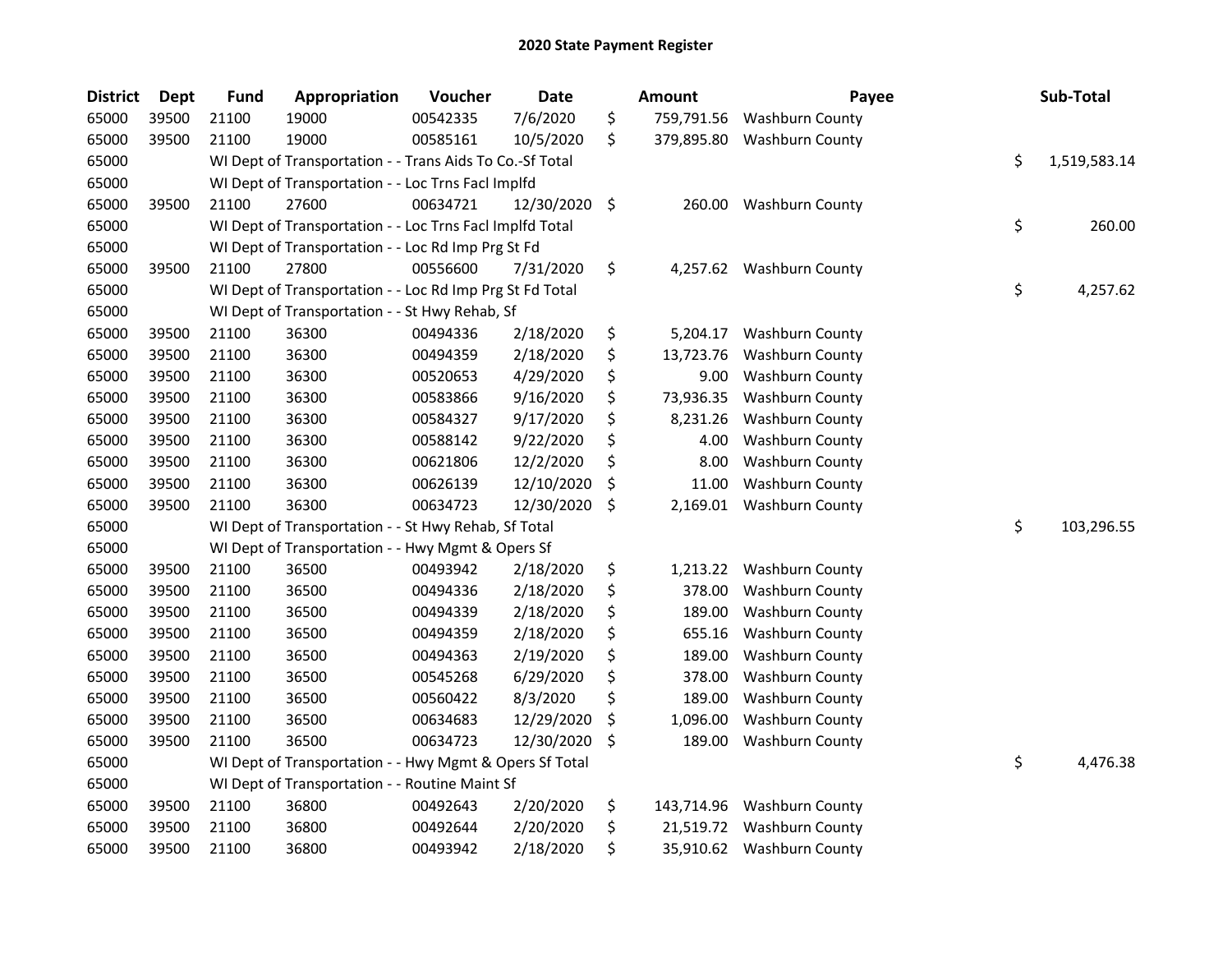| <b>District</b> | <b>Dept</b> | <b>Fund</b> | Appropriation                                            | Voucher  | <b>Date</b> | <b>Amount</b>    | Payee                     | Sub-Total          |
|-----------------|-------------|-------------|----------------------------------------------------------|----------|-------------|------------------|---------------------------|--------------------|
| 65000           | 39500       | 21100       | 19000                                                    | 00542335 | 7/6/2020    | \$<br>759,791.56 | <b>Washburn County</b>    |                    |
| 65000           | 39500       | 21100       | 19000                                                    | 00585161 | 10/5/2020   | \$<br>379,895.80 | <b>Washburn County</b>    |                    |
| 65000           |             |             | WI Dept of Transportation - - Trans Aids To Co.-Sf Total |          |             |                  |                           | \$<br>1,519,583.14 |
| 65000           |             |             | WI Dept of Transportation - - Loc Trns Facl Implfd       |          |             |                  |                           |                    |
| 65000           | 39500       | 21100       | 27600                                                    | 00634721 | 12/30/2020  | \$<br>260.00     | <b>Washburn County</b>    |                    |
| 65000           |             |             | WI Dept of Transportation - - Loc Trns Facl Implfd Total |          |             |                  |                           | \$<br>260.00       |
| 65000           |             |             | WI Dept of Transportation - - Loc Rd Imp Prg St Fd       |          |             |                  |                           |                    |
| 65000           | 39500       | 21100       | 27800                                                    | 00556600 | 7/31/2020   | \$               | 4,257.62 Washburn County  |                    |
| 65000           |             |             | WI Dept of Transportation - - Loc Rd Imp Prg St Fd Total |          |             |                  |                           | \$<br>4,257.62     |
| 65000           |             |             | WI Dept of Transportation - - St Hwy Rehab, Sf           |          |             |                  |                           |                    |
| 65000           | 39500       | 21100       | 36300                                                    | 00494336 | 2/18/2020   | \$<br>5,204.17   | Washburn County           |                    |
| 65000           | 39500       | 21100       | 36300                                                    | 00494359 | 2/18/2020   | \$<br>13,723.76  | Washburn County           |                    |
| 65000           | 39500       | 21100       | 36300                                                    | 00520653 | 4/29/2020   | \$<br>9.00       | <b>Washburn County</b>    |                    |
| 65000           | 39500       | 21100       | 36300                                                    | 00583866 | 9/16/2020   | \$<br>73,936.35  | <b>Washburn County</b>    |                    |
| 65000           | 39500       | 21100       | 36300                                                    | 00584327 | 9/17/2020   | \$<br>8,231.26   | Washburn County           |                    |
| 65000           | 39500       | 21100       | 36300                                                    | 00588142 | 9/22/2020   | \$<br>4.00       | <b>Washburn County</b>    |                    |
| 65000           | 39500       | 21100       | 36300                                                    | 00621806 | 12/2/2020   | \$<br>8.00       | Washburn County           |                    |
| 65000           | 39500       | 21100       | 36300                                                    | 00626139 | 12/10/2020  | \$<br>11.00      | <b>Washburn County</b>    |                    |
| 65000           | 39500       | 21100       | 36300                                                    | 00634723 | 12/30/2020  | \$<br>2,169.01   | <b>Washburn County</b>    |                    |
| 65000           |             |             | WI Dept of Transportation - - St Hwy Rehab, Sf Total     |          |             |                  |                           | \$<br>103,296.55   |
| 65000           |             |             | WI Dept of Transportation - - Hwy Mgmt & Opers Sf        |          |             |                  |                           |                    |
| 65000           | 39500       | 21100       | 36500                                                    | 00493942 | 2/18/2020   | \$<br>1,213.22   | <b>Washburn County</b>    |                    |
| 65000           | 39500       | 21100       | 36500                                                    | 00494336 | 2/18/2020   | \$<br>378.00     | <b>Washburn County</b>    |                    |
| 65000           | 39500       | 21100       | 36500                                                    | 00494339 | 2/18/2020   | \$<br>189.00     | <b>Washburn County</b>    |                    |
| 65000           | 39500       | 21100       | 36500                                                    | 00494359 | 2/18/2020   | \$<br>655.16     | Washburn County           |                    |
| 65000           | 39500       | 21100       | 36500                                                    | 00494363 | 2/19/2020   | \$<br>189.00     | <b>Washburn County</b>    |                    |
| 65000           | 39500       | 21100       | 36500                                                    | 00545268 | 6/29/2020   | \$<br>378.00     | <b>Washburn County</b>    |                    |
| 65000           | 39500       | 21100       | 36500                                                    | 00560422 | 8/3/2020    | \$<br>189.00     | Washburn County           |                    |
| 65000           | 39500       | 21100       | 36500                                                    | 00634683 | 12/29/2020  | \$<br>1,096.00   | <b>Washburn County</b>    |                    |
| 65000           | 39500       | 21100       | 36500                                                    | 00634723 | 12/30/2020  | \$<br>189.00     | <b>Washburn County</b>    |                    |
| 65000           |             |             | WI Dept of Transportation - - Hwy Mgmt & Opers Sf Total  |          |             |                  |                           | \$<br>4,476.38     |
| 65000           |             |             | WI Dept of Transportation - - Routine Maint Sf           |          |             |                  |                           |                    |
| 65000           | 39500       | 21100       | 36800                                                    | 00492643 | 2/20/2020   | \$<br>143,714.96 | <b>Washburn County</b>    |                    |
| 65000           | 39500       | 21100       | 36800                                                    | 00492644 | 2/20/2020   | \$<br>21,519.72  | <b>Washburn County</b>    |                    |
| 65000           | 39500       | 21100       | 36800                                                    | 00493942 | 2/18/2020   | \$               | 35,910.62 Washburn County |                    |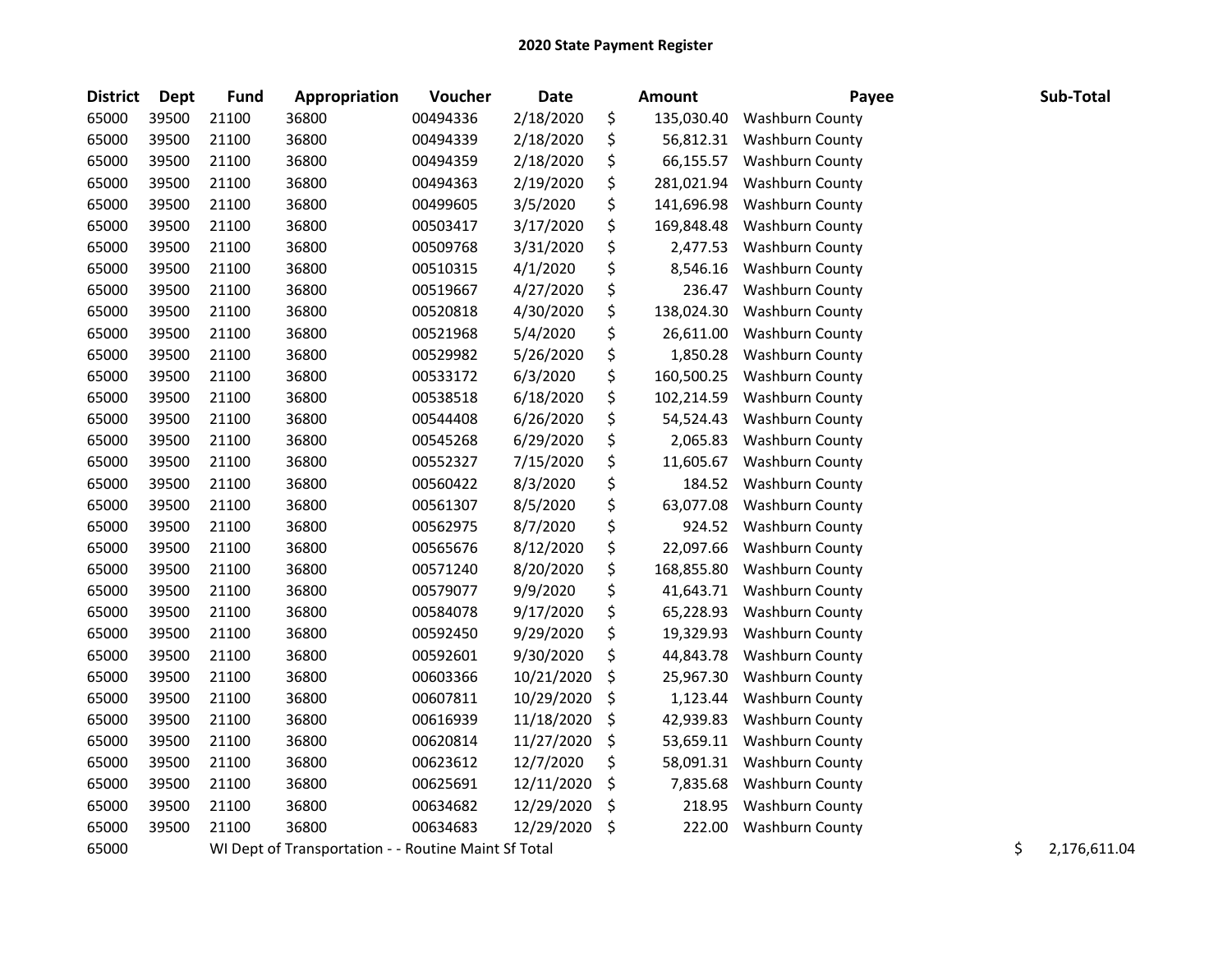| <b>District</b> | Dept  | <b>Fund</b> | Appropriation                                        | Voucher  | <b>Date</b> | <b>Amount</b>    | Payee                  | Sub-Total          |
|-----------------|-------|-------------|------------------------------------------------------|----------|-------------|------------------|------------------------|--------------------|
| 65000           | 39500 | 21100       | 36800                                                | 00494336 | 2/18/2020   | \$<br>135,030.40 | Washburn County        |                    |
| 65000           | 39500 | 21100       | 36800                                                | 00494339 | 2/18/2020   | \$<br>56,812.31  | <b>Washburn County</b> |                    |
| 65000           | 39500 | 21100       | 36800                                                | 00494359 | 2/18/2020   | \$<br>66,155.57  | <b>Washburn County</b> |                    |
| 65000           | 39500 | 21100       | 36800                                                | 00494363 | 2/19/2020   | \$<br>281,021.94 | Washburn County        |                    |
| 65000           | 39500 | 21100       | 36800                                                | 00499605 | 3/5/2020    | \$<br>141,696.98 | Washburn County        |                    |
| 65000           | 39500 | 21100       | 36800                                                | 00503417 | 3/17/2020   | \$<br>169,848.48 | Washburn County        |                    |
| 65000           | 39500 | 21100       | 36800                                                | 00509768 | 3/31/2020   | \$<br>2,477.53   | <b>Washburn County</b> |                    |
| 65000           | 39500 | 21100       | 36800                                                | 00510315 | 4/1/2020    | \$<br>8,546.16   | <b>Washburn County</b> |                    |
| 65000           | 39500 | 21100       | 36800                                                | 00519667 | 4/27/2020   | \$<br>236.47     | <b>Washburn County</b> |                    |
| 65000           | 39500 | 21100       | 36800                                                | 00520818 | 4/30/2020   | \$<br>138,024.30 | Washburn County        |                    |
| 65000           | 39500 | 21100       | 36800                                                | 00521968 | 5/4/2020    | \$<br>26,611.00  | <b>Washburn County</b> |                    |
| 65000           | 39500 | 21100       | 36800                                                | 00529982 | 5/26/2020   | \$<br>1,850.28   | Washburn County        |                    |
| 65000           | 39500 | 21100       | 36800                                                | 00533172 | 6/3/2020    | \$<br>160,500.25 | Washburn County        |                    |
| 65000           | 39500 | 21100       | 36800                                                | 00538518 | 6/18/2020   | \$<br>102,214.59 | Washburn County        |                    |
| 65000           | 39500 | 21100       | 36800                                                | 00544408 | 6/26/2020   | \$<br>54,524.43  | Washburn County        |                    |
| 65000           | 39500 | 21100       | 36800                                                | 00545268 | 6/29/2020   | \$<br>2,065.83   | Washburn County        |                    |
| 65000           | 39500 | 21100       | 36800                                                | 00552327 | 7/15/2020   | \$<br>11,605.67  | Washburn County        |                    |
| 65000           | 39500 | 21100       | 36800                                                | 00560422 | 8/3/2020    | \$<br>184.52     | <b>Washburn County</b> |                    |
| 65000           | 39500 | 21100       | 36800                                                | 00561307 | 8/5/2020    | \$<br>63,077.08  | <b>Washburn County</b> |                    |
| 65000           | 39500 | 21100       | 36800                                                | 00562975 | 8/7/2020    | \$<br>924.52     | Washburn County        |                    |
| 65000           | 39500 | 21100       | 36800                                                | 00565676 | 8/12/2020   | \$<br>22,097.66  | <b>Washburn County</b> |                    |
| 65000           | 39500 | 21100       | 36800                                                | 00571240 | 8/20/2020   | \$<br>168,855.80 | Washburn County        |                    |
| 65000           | 39500 | 21100       | 36800                                                | 00579077 | 9/9/2020    | \$<br>41,643.71  | <b>Washburn County</b> |                    |
| 65000           | 39500 | 21100       | 36800                                                | 00584078 | 9/17/2020   | \$<br>65,228.93  | Washburn County        |                    |
| 65000           | 39500 | 21100       | 36800                                                | 00592450 | 9/29/2020   | \$<br>19,329.93  | Washburn County        |                    |
| 65000           | 39500 | 21100       | 36800                                                | 00592601 | 9/30/2020   | \$<br>44,843.78  | Washburn County        |                    |
| 65000           | 39500 | 21100       | 36800                                                | 00603366 | 10/21/2020  | \$<br>25,967.30  | Washburn County        |                    |
| 65000           | 39500 | 21100       | 36800                                                | 00607811 | 10/29/2020  | \$<br>1,123.44   | <b>Washburn County</b> |                    |
| 65000           | 39500 | 21100       | 36800                                                | 00616939 | 11/18/2020  | \$<br>42,939.83  | Washburn County        |                    |
| 65000           | 39500 | 21100       | 36800                                                | 00620814 | 11/27/2020  | \$<br>53,659.11  | Washburn County        |                    |
| 65000           | 39500 | 21100       | 36800                                                | 00623612 | 12/7/2020   | \$<br>58,091.31  | <b>Washburn County</b> |                    |
| 65000           | 39500 | 21100       | 36800                                                | 00625691 | 12/11/2020  | \$<br>7,835.68   | Washburn County        |                    |
| 65000           | 39500 | 21100       | 36800                                                | 00634682 | 12/29/2020  | \$<br>218.95     | <b>Washburn County</b> |                    |
| 65000           | 39500 | 21100       | 36800                                                | 00634683 | 12/29/2020  | \$<br>222.00     | Washburn County        |                    |
| 65000           |       |             | WI Dept of Transportation - - Routine Maint Sf Total |          |             |                  |                        | \$<br>2,176,611.04 |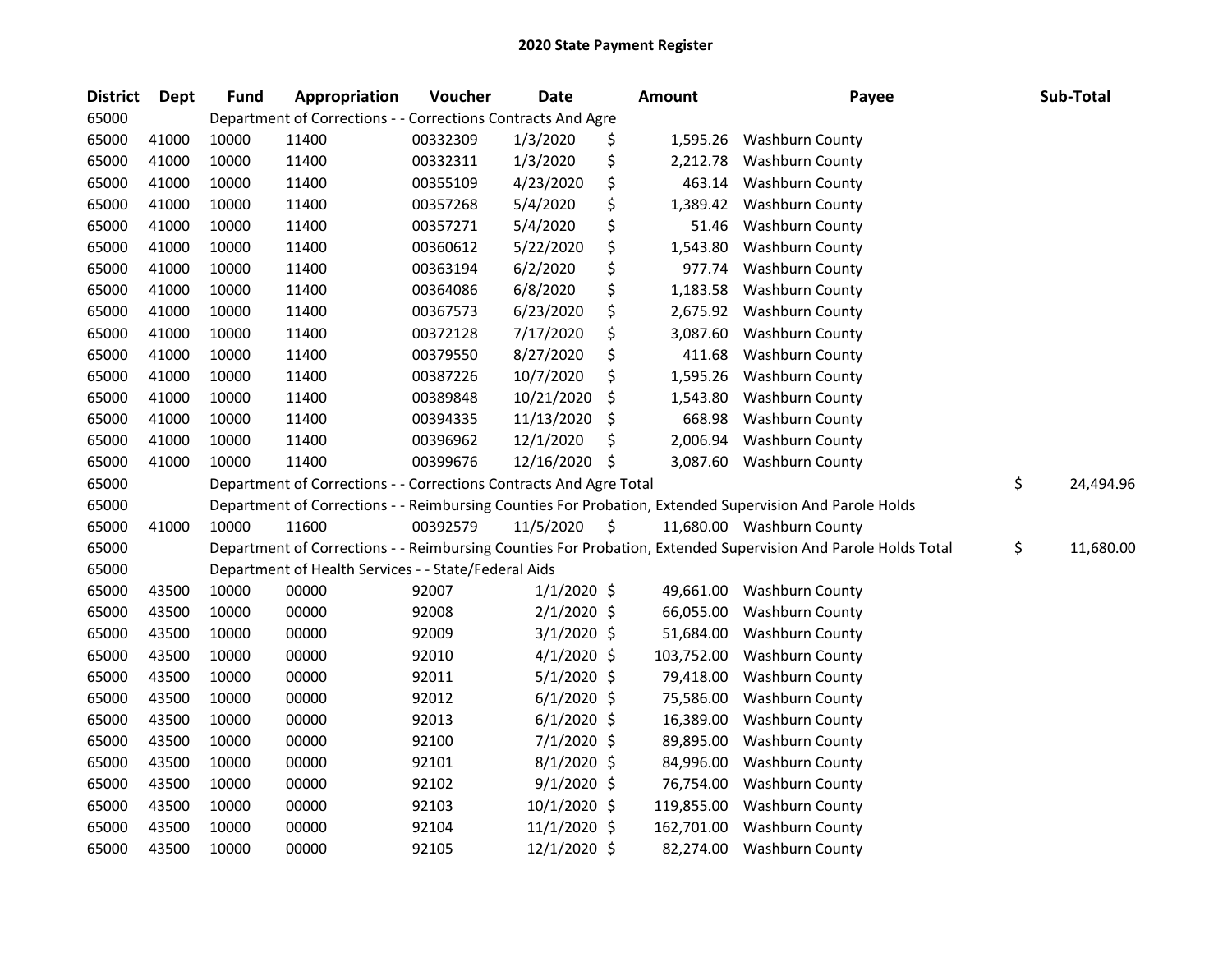| <b>District</b> | Dept  | <b>Fund</b> | Appropriation                                                      | Voucher  | <b>Date</b>   |    | Amount     | Payee                                                                                                         | Sub-Total       |
|-----------------|-------|-------------|--------------------------------------------------------------------|----------|---------------|----|------------|---------------------------------------------------------------------------------------------------------------|-----------------|
| 65000           |       |             | Department of Corrections - - Corrections Contracts And Agre       |          |               |    |            |                                                                                                               |                 |
| 65000           | 41000 | 10000       | 11400                                                              | 00332309 | 1/3/2020      | \$ | 1,595.26   | <b>Washburn County</b>                                                                                        |                 |
| 65000           | 41000 | 10000       | 11400                                                              | 00332311 | 1/3/2020      | \$ | 2,212.78   | <b>Washburn County</b>                                                                                        |                 |
| 65000           | 41000 | 10000       | 11400                                                              | 00355109 | 4/23/2020     | \$ | 463.14     | <b>Washburn County</b>                                                                                        |                 |
| 65000           | 41000 | 10000       | 11400                                                              | 00357268 | 5/4/2020      | \$ | 1,389.42   | Washburn County                                                                                               |                 |
| 65000           | 41000 | 10000       | 11400                                                              | 00357271 | 5/4/2020      | \$ | 51.46      | <b>Washburn County</b>                                                                                        |                 |
| 65000           | 41000 | 10000       | 11400                                                              | 00360612 | 5/22/2020     | \$ | 1,543.80   | <b>Washburn County</b>                                                                                        |                 |
| 65000           | 41000 | 10000       | 11400                                                              | 00363194 | 6/2/2020      | \$ | 977.74     | <b>Washburn County</b>                                                                                        |                 |
| 65000           | 41000 | 10000       | 11400                                                              | 00364086 | 6/8/2020      | \$ | 1,183.58   | Washburn County                                                                                               |                 |
| 65000           | 41000 | 10000       | 11400                                                              | 00367573 | 6/23/2020     | \$ | 2,675.92   | Washburn County                                                                                               |                 |
| 65000           | 41000 | 10000       | 11400                                                              | 00372128 | 7/17/2020     | \$ | 3,087.60   | Washburn County                                                                                               |                 |
| 65000           | 41000 | 10000       | 11400                                                              | 00379550 | 8/27/2020     | \$ | 411.68     | Washburn County                                                                                               |                 |
| 65000           | 41000 | 10000       | 11400                                                              | 00387226 | 10/7/2020     | \$ | 1,595.26   | Washburn County                                                                                               |                 |
| 65000           | 41000 | 10000       | 11400                                                              | 00389848 | 10/21/2020    | \$ | 1,543.80   | Washburn County                                                                                               |                 |
| 65000           | 41000 | 10000       | 11400                                                              | 00394335 | 11/13/2020    | \$ | 668.98     | Washburn County                                                                                               |                 |
| 65000           | 41000 | 10000       | 11400                                                              | 00396962 | 12/1/2020     | \$ | 2,006.94   | Washburn County                                                                                               |                 |
| 65000           | 41000 | 10000       | 11400                                                              | 00399676 | 12/16/2020    | S  | 3,087.60   | Washburn County                                                                                               |                 |
| 65000           |       |             | Department of Corrections - - Corrections Contracts And Agre Total |          |               |    |            |                                                                                                               | \$<br>24,494.96 |
| 65000           |       |             |                                                                    |          |               |    |            | Department of Corrections - - Reimbursing Counties For Probation, Extended Supervision And Parole Holds       |                 |
| 65000           | 41000 | 10000       | 11600                                                              | 00392579 | 11/5/2020     | \$ |            | 11,680.00 Washburn County                                                                                     |                 |
| 65000           |       |             |                                                                    |          |               |    |            | Department of Corrections - - Reimbursing Counties For Probation, Extended Supervision And Parole Holds Total | \$<br>11,680.00 |
| 65000           |       |             | Department of Health Services - - State/Federal Aids               |          |               |    |            |                                                                                                               |                 |
| 65000           | 43500 | 10000       | 00000                                                              | 92007    | $1/1/2020$ \$ |    | 49,661.00  | <b>Washburn County</b>                                                                                        |                 |
| 65000           | 43500 | 10000       | 00000                                                              | 92008    | $2/1/2020$ \$ |    | 66,055.00  | <b>Washburn County</b>                                                                                        |                 |
| 65000           | 43500 | 10000       | 00000                                                              | 92009    | $3/1/2020$ \$ |    | 51,684.00  | <b>Washburn County</b>                                                                                        |                 |
| 65000           | 43500 | 10000       | 00000                                                              | 92010    | $4/1/2020$ \$ |    | 103,752.00 | Washburn County                                                                                               |                 |
| 65000           | 43500 | 10000       | 00000                                                              | 92011    | $5/1/2020$ \$ |    | 79,418.00  | Washburn County                                                                                               |                 |
| 65000           | 43500 | 10000       | 00000                                                              | 92012    | $6/1/2020$ \$ |    | 75,586.00  | <b>Washburn County</b>                                                                                        |                 |
| 65000           | 43500 | 10000       | 00000                                                              | 92013    | $6/1/2020$ \$ |    | 16,389.00  | <b>Washburn County</b>                                                                                        |                 |
| 65000           | 43500 | 10000       | 00000                                                              | 92100    | 7/1/2020 \$   |    | 89,895.00  | Washburn County                                                                                               |                 |
| 65000           | 43500 | 10000       | 00000                                                              | 92101    | 8/1/2020 \$   |    | 84,996.00  | Washburn County                                                                                               |                 |
| 65000           | 43500 | 10000       | 00000                                                              | 92102    | $9/1/2020$ \$ |    | 76,754.00  | <b>Washburn County</b>                                                                                        |                 |
| 65000           | 43500 | 10000       | 00000                                                              | 92103    | 10/1/2020 \$  |    | 119,855.00 | Washburn County                                                                                               |                 |
| 65000           | 43500 | 10000       | 00000                                                              | 92104    | 11/1/2020 \$  |    | 162,701.00 | <b>Washburn County</b>                                                                                        |                 |
| 65000           | 43500 | 10000       | 00000                                                              | 92105    | 12/1/2020 \$  |    | 82,274.00  | <b>Washburn County</b>                                                                                        |                 |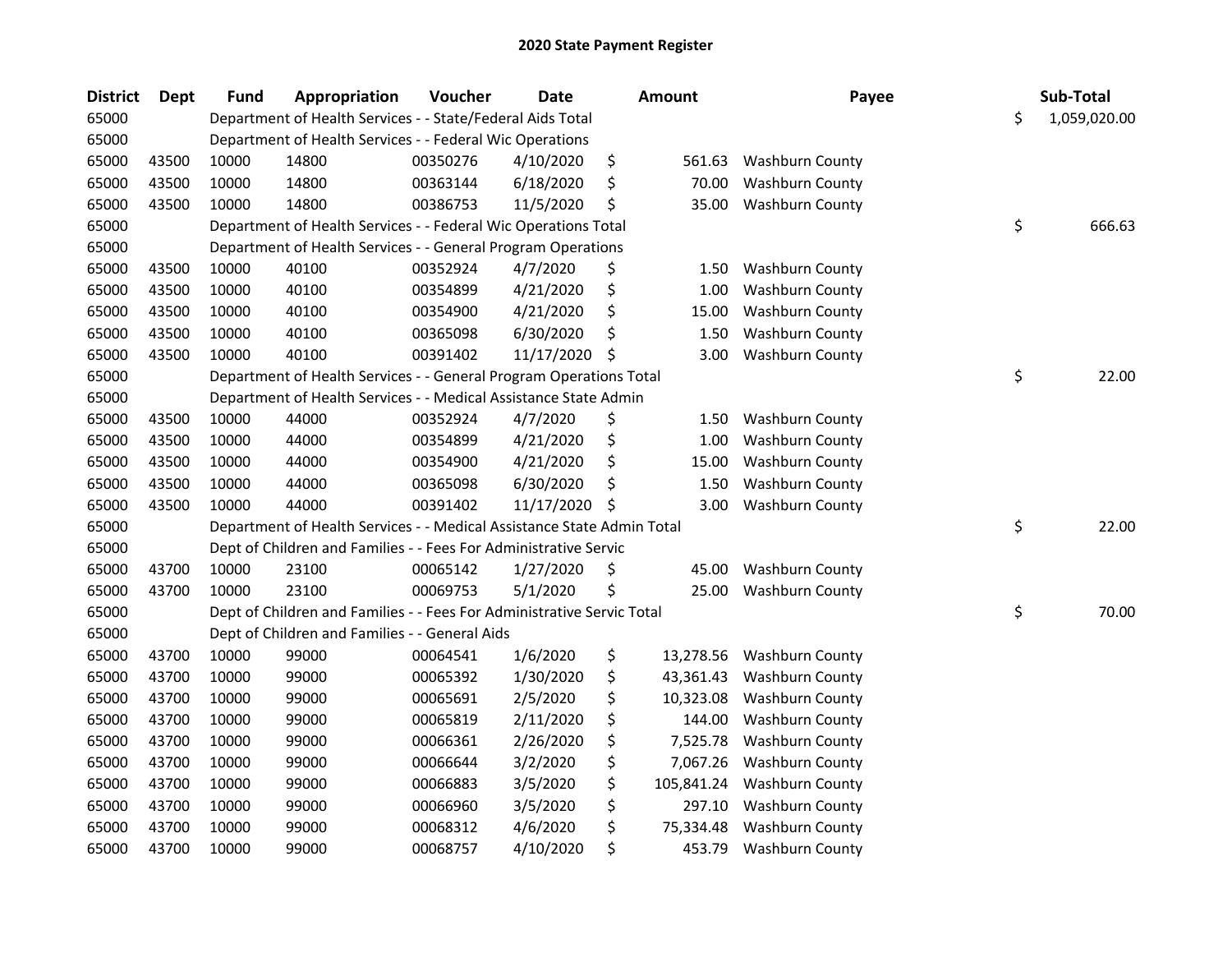| <b>District</b> | <b>Dept</b> | <b>Fund</b> | Appropriation                                                          | Voucher  | <b>Date</b> | <b>Amount</b>    | Payee                  | Sub-Total          |
|-----------------|-------------|-------------|------------------------------------------------------------------------|----------|-------------|------------------|------------------------|--------------------|
| 65000           |             |             | Department of Health Services - - State/Federal Aids Total             |          |             |                  |                        | \$<br>1,059,020.00 |
| 65000           |             |             | Department of Health Services - - Federal Wic Operations               |          |             |                  |                        |                    |
| 65000           | 43500       | 10000       | 14800                                                                  | 00350276 | 4/10/2020   | \$<br>561.63     | <b>Washburn County</b> |                    |
| 65000           | 43500       | 10000       | 14800                                                                  | 00363144 | 6/18/2020   | \$<br>70.00      | <b>Washburn County</b> |                    |
| 65000           | 43500       | 10000       | 14800                                                                  | 00386753 | 11/5/2020   | \$<br>35.00      | <b>Washburn County</b> |                    |
| 65000           |             |             | Department of Health Services - - Federal Wic Operations Total         |          |             |                  |                        | \$<br>666.63       |
| 65000           |             |             | Department of Health Services - - General Program Operations           |          |             |                  |                        |                    |
| 65000           | 43500       | 10000       | 40100                                                                  | 00352924 | 4/7/2020    | \$<br>1.50       | <b>Washburn County</b> |                    |
| 65000           | 43500       | 10000       | 40100                                                                  | 00354899 | 4/21/2020   | \$<br>1.00       | <b>Washburn County</b> |                    |
| 65000           | 43500       | 10000       | 40100                                                                  | 00354900 | 4/21/2020   | \$<br>15.00      | <b>Washburn County</b> |                    |
| 65000           | 43500       | 10000       | 40100                                                                  | 00365098 | 6/30/2020   | \$<br>1.50       | <b>Washburn County</b> |                    |
| 65000           | 43500       | 10000       | 40100                                                                  | 00391402 | 11/17/2020  | \$<br>3.00       | <b>Washburn County</b> |                    |
| 65000           |             |             | Department of Health Services - - General Program Operations Total     |          |             |                  |                        | \$<br>22.00        |
| 65000           |             |             | Department of Health Services - - Medical Assistance State Admin       |          |             |                  |                        |                    |
| 65000           | 43500       | 10000       | 44000                                                                  | 00352924 | 4/7/2020    | \$<br>1.50       | Washburn County        |                    |
| 65000           | 43500       | 10000       | 44000                                                                  | 00354899 | 4/21/2020   | \$<br>1.00       | <b>Washburn County</b> |                    |
| 65000           | 43500       | 10000       | 44000                                                                  | 00354900 | 4/21/2020   | \$<br>15.00      | <b>Washburn County</b> |                    |
| 65000           | 43500       | 10000       | 44000                                                                  | 00365098 | 6/30/2020   | \$<br>1.50       | <b>Washburn County</b> |                    |
| 65000           | 43500       | 10000       | 44000                                                                  | 00391402 | 11/17/2020  | \$<br>3.00       | <b>Washburn County</b> |                    |
| 65000           |             |             | Department of Health Services - - Medical Assistance State Admin Total |          |             |                  |                        | \$<br>22.00        |
| 65000           |             |             | Dept of Children and Families - - Fees For Administrative Servic       |          |             |                  |                        |                    |
| 65000           | 43700       | 10000       | 23100                                                                  | 00065142 | 1/27/2020   | \$<br>45.00      | Washburn County        |                    |
| 65000           | 43700       | 10000       | 23100                                                                  | 00069753 | 5/1/2020    | \$<br>25.00      | <b>Washburn County</b> |                    |
| 65000           |             |             | Dept of Children and Families - - Fees For Administrative Servic Total |          |             |                  |                        | \$<br>70.00        |
| 65000           |             |             | Dept of Children and Families - - General Aids                         |          |             |                  |                        |                    |
| 65000           | 43700       | 10000       | 99000                                                                  | 00064541 | 1/6/2020    | \$<br>13,278.56  | Washburn County        |                    |
| 65000           | 43700       | 10000       | 99000                                                                  | 00065392 | 1/30/2020   | \$<br>43,361.43  | Washburn County        |                    |
| 65000           | 43700       | 10000       | 99000                                                                  | 00065691 | 2/5/2020    | \$<br>10,323.08  | <b>Washburn County</b> |                    |
| 65000           | 43700       | 10000       | 99000                                                                  | 00065819 | 2/11/2020   | \$<br>144.00     | <b>Washburn County</b> |                    |
| 65000           | 43700       | 10000       | 99000                                                                  | 00066361 | 2/26/2020   | \$<br>7,525.78   | Washburn County        |                    |
| 65000           | 43700       | 10000       | 99000                                                                  | 00066644 | 3/2/2020    | \$<br>7,067.26   | <b>Washburn County</b> |                    |
| 65000           | 43700       | 10000       | 99000                                                                  | 00066883 | 3/5/2020    | \$<br>105,841.24 | Washburn County        |                    |
| 65000           | 43700       | 10000       | 99000                                                                  | 00066960 | 3/5/2020    | \$<br>297.10     | Washburn County        |                    |
| 65000           | 43700       | 10000       | 99000                                                                  | 00068312 | 4/6/2020    | \$<br>75,334.48  | <b>Washburn County</b> |                    |
| 65000           | 43700       | 10000       | 99000                                                                  | 00068757 | 4/10/2020   | \$<br>453.79     | <b>Washburn County</b> |                    |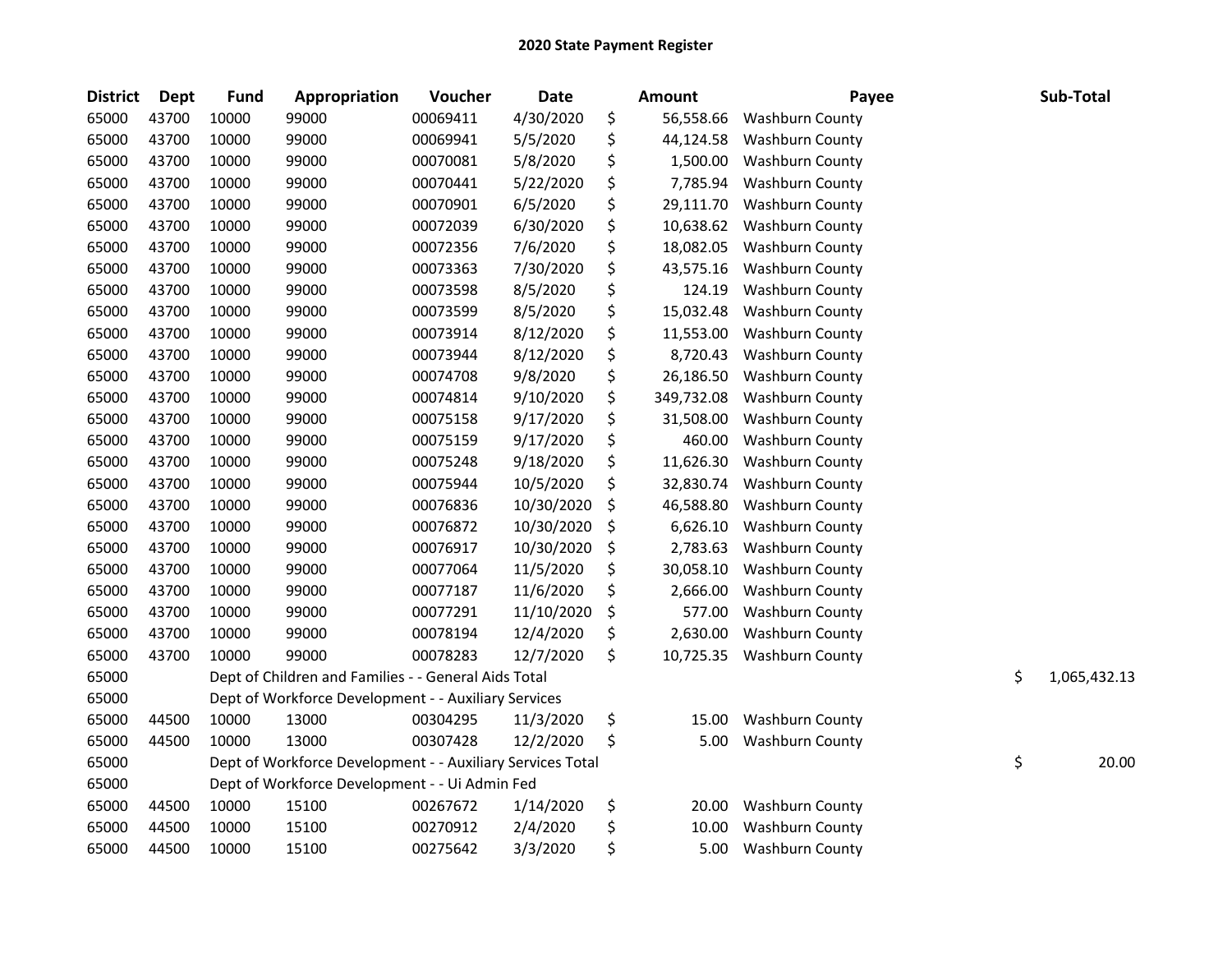| <b>District</b> | <b>Dept</b> | <b>Fund</b> | Appropriation                                              | Voucher  | Date       | <b>Amount</b>    | Payee                  | Sub-Total          |
|-----------------|-------------|-------------|------------------------------------------------------------|----------|------------|------------------|------------------------|--------------------|
| 65000           | 43700       | 10000       | 99000                                                      | 00069411 | 4/30/2020  | \$<br>56,558.66  | Washburn County        |                    |
| 65000           | 43700       | 10000       | 99000                                                      | 00069941 | 5/5/2020   | \$<br>44,124.58  | <b>Washburn County</b> |                    |
| 65000           | 43700       | 10000       | 99000                                                      | 00070081 | 5/8/2020   | \$<br>1,500.00   | <b>Washburn County</b> |                    |
| 65000           | 43700       | 10000       | 99000                                                      | 00070441 | 5/22/2020  | \$<br>7,785.94   | <b>Washburn County</b> |                    |
| 65000           | 43700       | 10000       | 99000                                                      | 00070901 | 6/5/2020   | \$<br>29,111.70  | <b>Washburn County</b> |                    |
| 65000           | 43700       | 10000       | 99000                                                      | 00072039 | 6/30/2020  | \$<br>10,638.62  | <b>Washburn County</b> |                    |
| 65000           | 43700       | 10000       | 99000                                                      | 00072356 | 7/6/2020   | \$<br>18,082.05  | <b>Washburn County</b> |                    |
| 65000           | 43700       | 10000       | 99000                                                      | 00073363 | 7/30/2020  | \$<br>43,575.16  | <b>Washburn County</b> |                    |
| 65000           | 43700       | 10000       | 99000                                                      | 00073598 | 8/5/2020   | \$<br>124.19     | <b>Washburn County</b> |                    |
| 65000           | 43700       | 10000       | 99000                                                      | 00073599 | 8/5/2020   | \$<br>15,032.48  | <b>Washburn County</b> |                    |
| 65000           | 43700       | 10000       | 99000                                                      | 00073914 | 8/12/2020  | \$<br>11,553.00  | Washburn County        |                    |
| 65000           | 43700       | 10000       | 99000                                                      | 00073944 | 8/12/2020  | \$<br>8,720.43   | Washburn County        |                    |
| 65000           | 43700       | 10000       | 99000                                                      | 00074708 | 9/8/2020   | \$<br>26,186.50  | Washburn County        |                    |
| 65000           | 43700       | 10000       | 99000                                                      | 00074814 | 9/10/2020  | \$<br>349,732.08 | <b>Washburn County</b> |                    |
| 65000           | 43700       | 10000       | 99000                                                      | 00075158 | 9/17/2020  | \$<br>31,508.00  | Washburn County        |                    |
| 65000           | 43700       | 10000       | 99000                                                      | 00075159 | 9/17/2020  | \$<br>460.00     | Washburn County        |                    |
| 65000           | 43700       | 10000       | 99000                                                      | 00075248 | 9/18/2020  | \$<br>11,626.30  | Washburn County        |                    |
| 65000           | 43700       | 10000       | 99000                                                      | 00075944 | 10/5/2020  | \$<br>32,830.74  | <b>Washburn County</b> |                    |
| 65000           | 43700       | 10000       | 99000                                                      | 00076836 | 10/30/2020 | \$<br>46,588.80  | <b>Washburn County</b> |                    |
| 65000           | 43700       | 10000       | 99000                                                      | 00076872 | 10/30/2020 | \$<br>6,626.10   | Washburn County        |                    |
| 65000           | 43700       | 10000       | 99000                                                      | 00076917 | 10/30/2020 | \$<br>2,783.63   | <b>Washburn County</b> |                    |
| 65000           | 43700       | 10000       | 99000                                                      | 00077064 | 11/5/2020  | \$<br>30,058.10  | <b>Washburn County</b> |                    |
| 65000           | 43700       | 10000       | 99000                                                      | 00077187 | 11/6/2020  | \$<br>2,666.00   | <b>Washburn County</b> |                    |
| 65000           | 43700       | 10000       | 99000                                                      | 00077291 | 11/10/2020 | \$<br>577.00     | <b>Washburn County</b> |                    |
| 65000           | 43700       | 10000       | 99000                                                      | 00078194 | 12/4/2020  | \$<br>2,630.00   | <b>Washburn County</b> |                    |
| 65000           | 43700       | 10000       | 99000                                                      | 00078283 | 12/7/2020  | \$<br>10,725.35  | <b>Washburn County</b> |                    |
| 65000           |             |             | Dept of Children and Families - - General Aids Total       |          |            |                  |                        | \$<br>1,065,432.13 |
| 65000           |             |             | Dept of Workforce Development - - Auxiliary Services       |          |            |                  |                        |                    |
| 65000           | 44500       | 10000       | 13000                                                      | 00304295 | 11/3/2020  | \$<br>15.00      | <b>Washburn County</b> |                    |
| 65000           | 44500       | 10000       | 13000                                                      | 00307428 | 12/2/2020  | \$<br>5.00       | <b>Washburn County</b> |                    |
| 65000           |             |             | Dept of Workforce Development - - Auxiliary Services Total |          |            |                  |                        | \$<br>20.00        |
| 65000           |             |             | Dept of Workforce Development - - Ui Admin Fed             |          |            |                  |                        |                    |
| 65000           | 44500       | 10000       | 15100                                                      | 00267672 | 1/14/2020  | \$<br>20.00      | Washburn County        |                    |
| 65000           | 44500       | 10000       | 15100                                                      | 00270912 | 2/4/2020   | \$<br>10.00      | <b>Washburn County</b> |                    |
| 65000           | 44500       | 10000       | 15100                                                      | 00275642 | 3/3/2020   | \$<br>5.00       | <b>Washburn County</b> |                    |
|                 |             |             |                                                            |          |            |                  |                        |                    |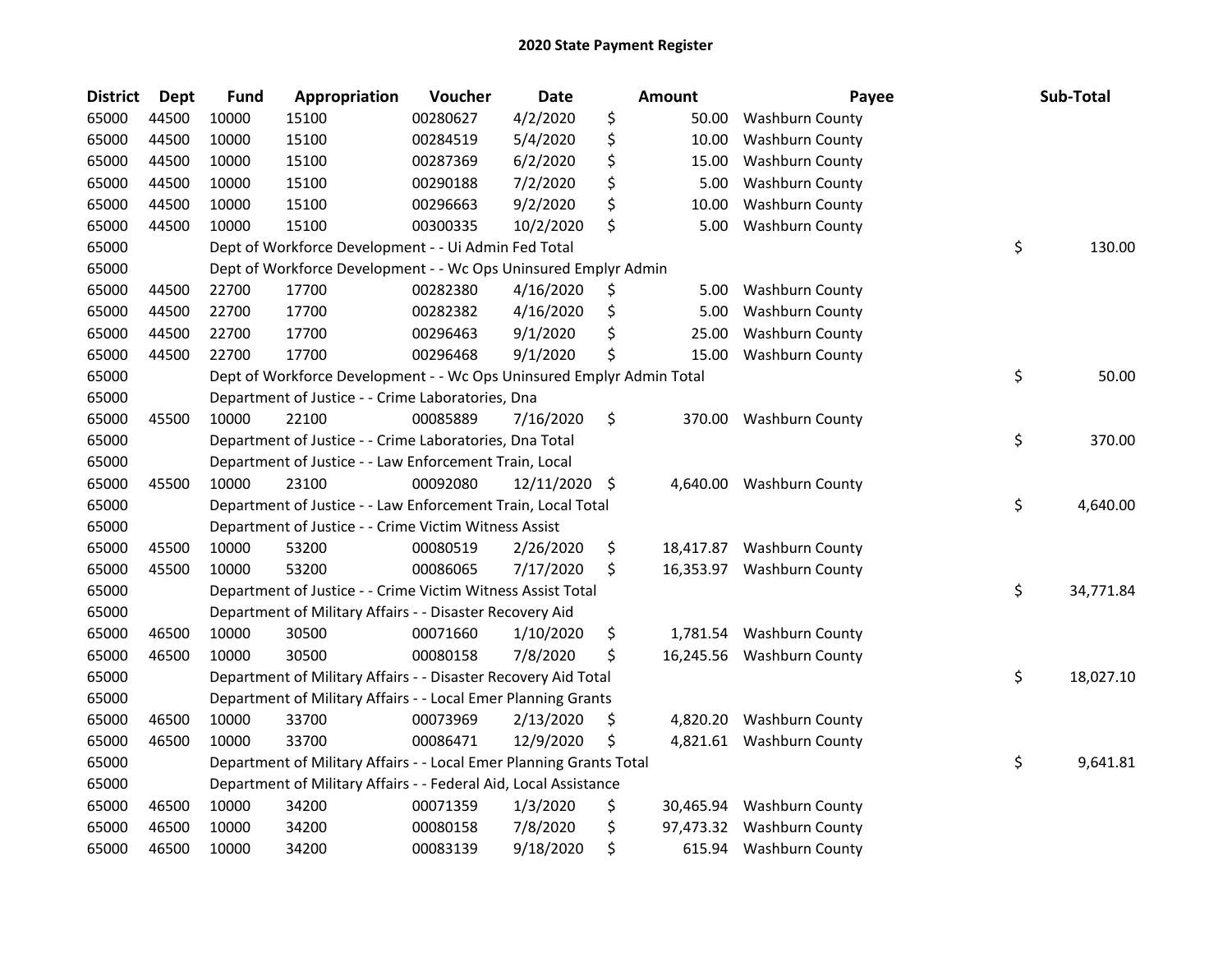| <b>District</b> | <b>Dept</b> | <b>Fund</b> | Appropriation                                                         | Voucher  | <b>Date</b> | Amount          | Payee                     | Sub-Total       |
|-----------------|-------------|-------------|-----------------------------------------------------------------------|----------|-------------|-----------------|---------------------------|-----------------|
| 65000           | 44500       | 10000       | 15100                                                                 | 00280627 | 4/2/2020    | \$<br>50.00     | <b>Washburn County</b>    |                 |
| 65000           | 44500       | 10000       | 15100                                                                 | 00284519 | 5/4/2020    | \$<br>10.00     | Washburn County           |                 |
| 65000           | 44500       | 10000       | 15100                                                                 | 00287369 | 6/2/2020    | \$<br>15.00     | <b>Washburn County</b>    |                 |
| 65000           | 44500       | 10000       | 15100                                                                 | 00290188 | 7/2/2020    | \$<br>5.00      | <b>Washburn County</b>    |                 |
| 65000           | 44500       | 10000       | 15100                                                                 | 00296663 | 9/2/2020    | \$<br>10.00     | <b>Washburn County</b>    |                 |
| 65000           | 44500       | 10000       | 15100                                                                 | 00300335 | 10/2/2020   | \$<br>5.00      | <b>Washburn County</b>    |                 |
| 65000           |             |             | Dept of Workforce Development - - Ui Admin Fed Total                  |          |             |                 |                           | \$<br>130.00    |
| 65000           |             |             | Dept of Workforce Development - - Wc Ops Uninsured Emplyr Admin       |          |             |                 |                           |                 |
| 65000           | 44500       | 22700       | 17700                                                                 | 00282380 | 4/16/2020   | \$<br>5.00      | <b>Washburn County</b>    |                 |
| 65000           | 44500       | 22700       | 17700                                                                 | 00282382 | 4/16/2020   | \$<br>5.00      | <b>Washburn County</b>    |                 |
| 65000           | 44500       | 22700       | 17700                                                                 | 00296463 | 9/1/2020    | \$<br>25.00     | <b>Washburn County</b>    |                 |
| 65000           | 44500       | 22700       | 17700                                                                 | 00296468 | 9/1/2020    | \$<br>15.00     | <b>Washburn County</b>    |                 |
| 65000           |             |             | Dept of Workforce Development - - Wc Ops Uninsured Emplyr Admin Total |          |             |                 |                           | \$<br>50.00     |
| 65000           |             |             | Department of Justice - - Crime Laboratories, Dna                     |          |             |                 |                           |                 |
| 65000           | 45500       | 10000       | 22100                                                                 | 00085889 | 7/16/2020   | \$<br>370.00    | <b>Washburn County</b>    |                 |
| 65000           |             |             | Department of Justice - - Crime Laboratories, Dna Total               |          |             |                 |                           | \$<br>370.00    |
| 65000           |             |             | Department of Justice - - Law Enforcement Train, Local                |          |             |                 |                           |                 |
| 65000           | 45500       | 10000       | 23100                                                                 | 00092080 | 12/11/2020  | \$<br>4,640.00  | <b>Washburn County</b>    |                 |
| 65000           |             |             | Department of Justice - - Law Enforcement Train, Local Total          |          |             |                 |                           | \$<br>4,640.00  |
| 65000           |             |             | Department of Justice - - Crime Victim Witness Assist                 |          |             |                 |                           |                 |
| 65000           | 45500       | 10000       | 53200                                                                 | 00080519 | 2/26/2020   | \$<br>18,417.87 | <b>Washburn County</b>    |                 |
| 65000           | 45500       | 10000       | 53200                                                                 | 00086065 | 7/17/2020   | \$              | 16,353.97 Washburn County |                 |
| 65000           |             |             | Department of Justice - - Crime Victim Witness Assist Total           |          |             |                 |                           | \$<br>34,771.84 |
| 65000           |             |             | Department of Military Affairs - - Disaster Recovery Aid              |          |             |                 |                           |                 |
| 65000           | 46500       | 10000       | 30500                                                                 | 00071660 | 1/10/2020   | \$<br>1,781.54  | Washburn County           |                 |
| 65000           | 46500       | 10000       | 30500                                                                 | 00080158 | 7/8/2020    | \$              | 16,245.56 Washburn County |                 |
| 65000           |             |             | Department of Military Affairs - - Disaster Recovery Aid Total        |          |             |                 |                           | \$<br>18,027.10 |
| 65000           |             |             | Department of Military Affairs - - Local Emer Planning Grants         |          |             |                 |                           |                 |
| 65000           | 46500       | 10000       | 33700                                                                 | 00073969 | 2/13/2020   | \$              | 4,820.20 Washburn County  |                 |
| 65000           | 46500       | 10000       | 33700                                                                 | 00086471 | 12/9/2020   | \$              | 4,821.61 Washburn County  |                 |
| 65000           |             |             | Department of Military Affairs - - Local Emer Planning Grants Total   |          |             |                 |                           | \$<br>9,641.81  |
| 65000           |             |             | Department of Military Affairs - - Federal Aid, Local Assistance      |          |             |                 |                           |                 |
| 65000           | 46500       | 10000       | 34200                                                                 | 00071359 | 1/3/2020    | \$              | 30,465.94 Washburn County |                 |
| 65000           | 46500       | 10000       | 34200                                                                 | 00080158 | 7/8/2020    | \$              | 97,473.32 Washburn County |                 |
| 65000           | 46500       | 10000       | 34200                                                                 | 00083139 | 9/18/2020   | \$              | 615.94 Washburn County    |                 |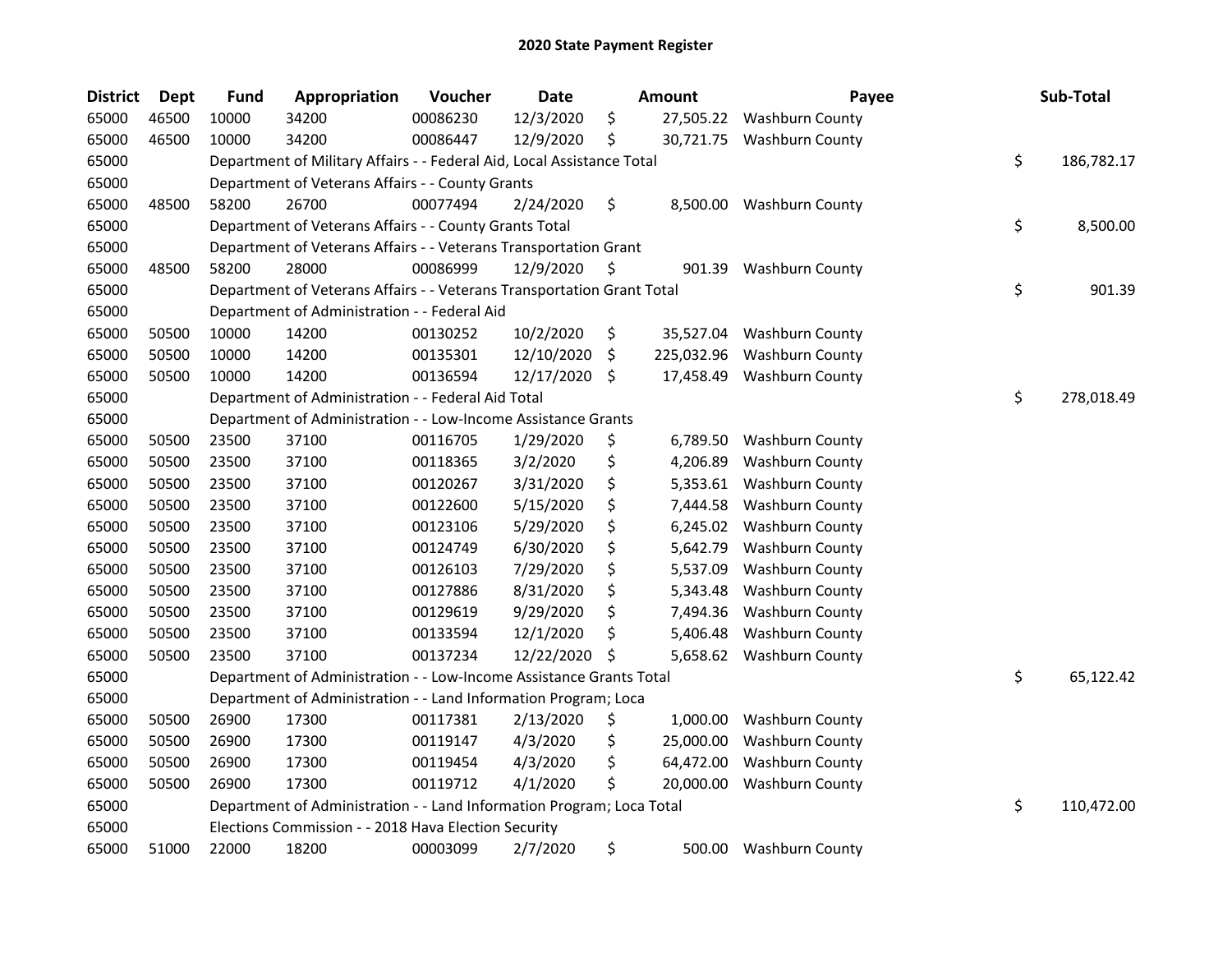| <b>District</b> | <b>Dept</b> | <b>Fund</b> | Appropriation                                                          | Voucher  | <b>Date</b> | Amount          | Payee                      | Sub-Total        |
|-----------------|-------------|-------------|------------------------------------------------------------------------|----------|-------------|-----------------|----------------------------|------------------|
| 65000           | 46500       | 10000       | 34200                                                                  | 00086230 | 12/3/2020   | \$<br>27,505.22 | <b>Washburn County</b>     |                  |
| 65000           | 46500       | 10000       | 34200                                                                  | 00086447 | 12/9/2020   | \$              | 30,721.75 Washburn County  |                  |
| 65000           |             |             | Department of Military Affairs - - Federal Aid, Local Assistance Total |          |             |                 |                            | \$<br>186,782.17 |
| 65000           |             |             | Department of Veterans Affairs - - County Grants                       |          |             |                 |                            |                  |
| 65000           | 48500       | 58200       | 26700                                                                  | 00077494 | 2/24/2020   | \$              | 8,500.00 Washburn County   |                  |
| 65000           |             |             | Department of Veterans Affairs - - County Grants Total                 |          |             |                 |                            | \$<br>8,500.00   |
| 65000           |             |             | Department of Veterans Affairs - - Veterans Transportation Grant       |          |             |                 |                            |                  |
| 65000           | 48500       | 58200       | 28000                                                                  | 00086999 | 12/9/2020   | \$<br>901.39    | <b>Washburn County</b>     |                  |
| 65000           |             |             | Department of Veterans Affairs - - Veterans Transportation Grant Total |          |             |                 |                            | \$<br>901.39     |
| 65000           |             |             | Department of Administration - - Federal Aid                           |          |             |                 |                            |                  |
| 65000           | 50500       | 10000       | 14200                                                                  | 00130252 | 10/2/2020   | \$              | 35,527.04 Washburn County  |                  |
| 65000           | 50500       | 10000       | 14200                                                                  | 00135301 | 12/10/2020  | \$              | 225,032.96 Washburn County |                  |
| 65000           | 50500       | 10000       | 14200                                                                  | 00136594 | 12/17/2020  | \$              | 17,458.49 Washburn County  |                  |
| 65000           |             |             | Department of Administration - - Federal Aid Total                     |          |             |                 |                            | \$<br>278,018.49 |
| 65000           |             |             | Department of Administration - - Low-Income Assistance Grants          |          |             |                 |                            |                  |
| 65000           | 50500       | 23500       | 37100                                                                  | 00116705 | 1/29/2020   | \$<br>6,789.50  | <b>Washburn County</b>     |                  |
| 65000           | 50500       | 23500       | 37100                                                                  | 00118365 | 3/2/2020    | \$<br>4,206.89  | Washburn County            |                  |
| 65000           | 50500       | 23500       | 37100                                                                  | 00120267 | 3/31/2020   | \$<br>5,353.61  | <b>Washburn County</b>     |                  |
| 65000           | 50500       | 23500       | 37100                                                                  | 00122600 | 5/15/2020   | \$<br>7,444.58  | <b>Washburn County</b>     |                  |
| 65000           | 50500       | 23500       | 37100                                                                  | 00123106 | 5/29/2020   | \$<br>6,245.02  | Washburn County            |                  |
| 65000           | 50500       | 23500       | 37100                                                                  | 00124749 | 6/30/2020   | \$<br>5,642.79  | Washburn County            |                  |
| 65000           | 50500       | 23500       | 37100                                                                  | 00126103 | 7/29/2020   | \$<br>5,537.09  | <b>Washburn County</b>     |                  |
| 65000           | 50500       | 23500       | 37100                                                                  | 00127886 | 8/31/2020   | \$<br>5,343.48  | Washburn County            |                  |
| 65000           | 50500       | 23500       | 37100                                                                  | 00129619 | 9/29/2020   | \$<br>7,494.36  | Washburn County            |                  |
| 65000           | 50500       | 23500       | 37100                                                                  | 00133594 | 12/1/2020   | \$<br>5,406.48  | Washburn County            |                  |
| 65000           | 50500       | 23500       | 37100                                                                  | 00137234 | 12/22/2020  | \$<br>5,658.62  | <b>Washburn County</b>     |                  |
| 65000           |             |             | Department of Administration - - Low-Income Assistance Grants Total    |          |             |                 |                            | \$<br>65,122.42  |
| 65000           |             |             | Department of Administration - - Land Information Program; Loca        |          |             |                 |                            |                  |
| 65000           | 50500       | 26900       | 17300                                                                  | 00117381 | 2/13/2020   | \$<br>1,000.00  | Washburn County            |                  |
| 65000           | 50500       | 26900       | 17300                                                                  | 00119147 | 4/3/2020    | \$<br>25,000.00 | Washburn County            |                  |
| 65000           | 50500       | 26900       | 17300                                                                  | 00119454 | 4/3/2020    | \$<br>64,472.00 | <b>Washburn County</b>     |                  |
| 65000           | 50500       | 26900       | 17300                                                                  | 00119712 | 4/1/2020    | \$<br>20,000.00 | <b>Washburn County</b>     |                  |
| 65000           |             |             | Department of Administration - - Land Information Program; Loca Total  |          |             |                 |                            | \$<br>110,472.00 |
| 65000           |             |             | Elections Commission - - 2018 Hava Election Security                   |          |             |                 |                            |                  |
| 65000           | 51000       | 22000       | 18200                                                                  | 00003099 | 2/7/2020    | \$<br>500.00    | <b>Washburn County</b>     |                  |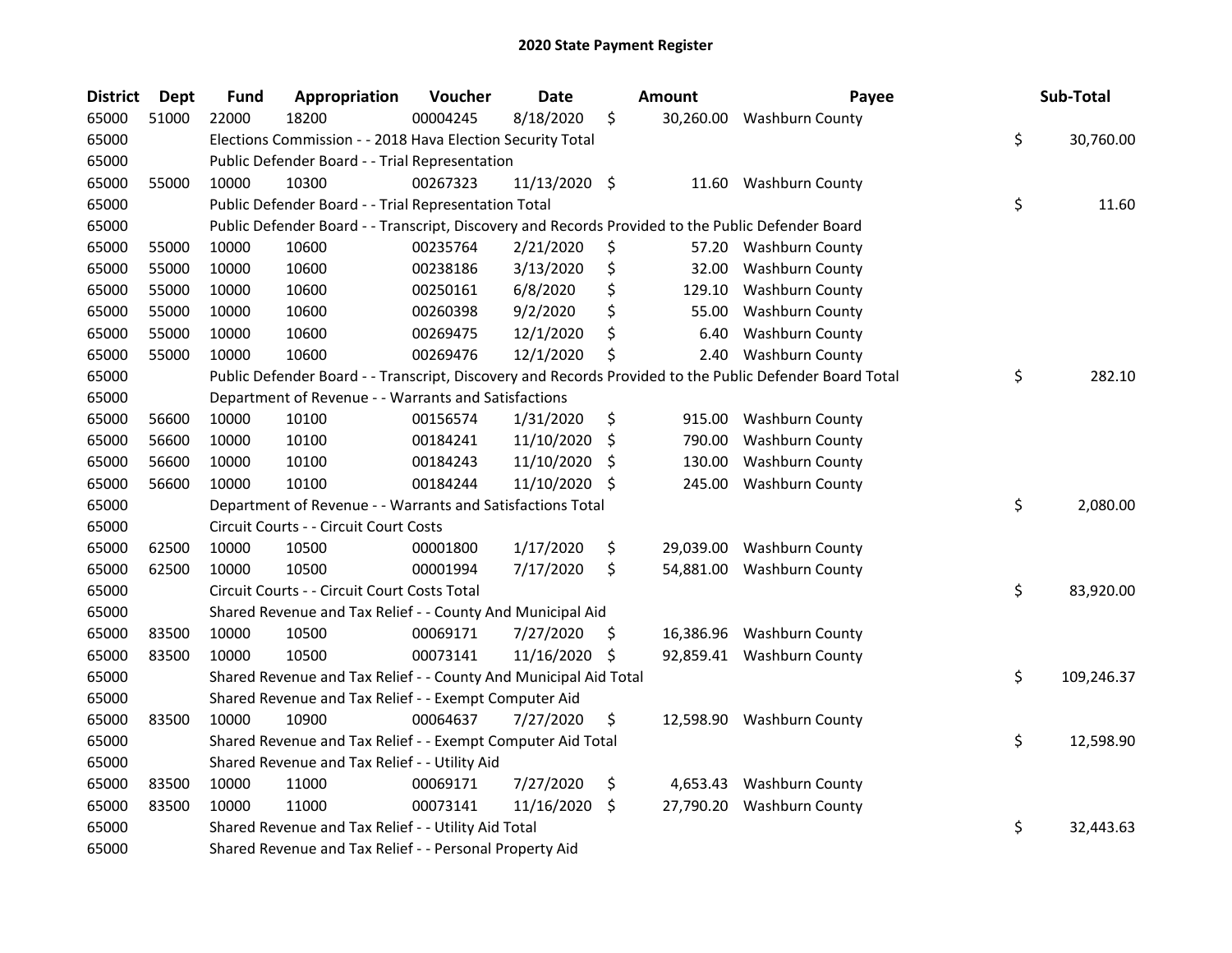| <b>District</b> | <b>Dept</b> | <b>Fund</b> | Appropriation                                                                                     | Voucher  | Date          |                    | Amount    | Payee                                                                                                   | Sub-Total        |
|-----------------|-------------|-------------|---------------------------------------------------------------------------------------------------|----------|---------------|--------------------|-----------|---------------------------------------------------------------------------------------------------------|------------------|
| 65000           | 51000       | 22000       | 18200                                                                                             | 00004245 | 8/18/2020     | \$                 | 30,260.00 | <b>Washburn County</b>                                                                                  |                  |
| 65000           |             |             | Elections Commission - - 2018 Hava Election Security Total                                        |          |               |                    |           |                                                                                                         | \$<br>30,760.00  |
| 65000           |             |             | Public Defender Board - - Trial Representation                                                    |          |               |                    |           |                                                                                                         |                  |
| 65000           | 55000       | 10000       | 10300                                                                                             | 00267323 | 11/13/2020 \$ |                    |           | 11.60 Washburn County                                                                                   |                  |
| 65000           |             |             | Public Defender Board - - Trial Representation Total                                              |          |               |                    |           |                                                                                                         | \$<br>11.60      |
| 65000           |             |             | Public Defender Board - - Transcript, Discovery and Records Provided to the Public Defender Board |          |               |                    |           |                                                                                                         |                  |
| 65000           | 55000       | 10000       | 10600                                                                                             | 00235764 | 2/21/2020     | \$                 |           | 57.20 Washburn County                                                                                   |                  |
| 65000           | 55000       | 10000       | 10600                                                                                             | 00238186 | 3/13/2020     | \$                 | 32.00     | <b>Washburn County</b>                                                                                  |                  |
| 65000           | 55000       | 10000       | 10600                                                                                             | 00250161 | 6/8/2020      | \$                 |           | 129.10 Washburn County                                                                                  |                  |
| 65000           | 55000       | 10000       | 10600                                                                                             | 00260398 | 9/2/2020      | \$                 |           | 55.00 Washburn County                                                                                   |                  |
| 65000           | 55000       | 10000       | 10600                                                                                             | 00269475 | 12/1/2020     | \$                 | 6.40      | <b>Washburn County</b>                                                                                  |                  |
| 65000           | 55000       | 10000       | 10600                                                                                             | 00269476 | 12/1/2020     | \$                 |           | 2.40 Washburn County                                                                                    |                  |
| 65000           |             |             |                                                                                                   |          |               |                    |           | Public Defender Board - - Transcript, Discovery and Records Provided to the Public Defender Board Total | \$<br>282.10     |
| 65000           |             |             | Department of Revenue - - Warrants and Satisfactions                                              |          |               |                    |           |                                                                                                         |                  |
| 65000           | 56600       | 10000       | 10100                                                                                             | 00156574 | 1/31/2020     | \$                 |           | 915.00 Washburn County                                                                                  |                  |
| 65000           | 56600       | 10000       | 10100                                                                                             | 00184241 | 11/10/2020    | S                  | 790.00    | Washburn County                                                                                         |                  |
| 65000           | 56600       | 10000       | 10100                                                                                             | 00184243 | 11/10/2020    | S                  | 130.00    | <b>Washburn County</b>                                                                                  |                  |
| 65000           | 56600       | 10000       | 10100                                                                                             | 00184244 | 11/10/2020    | -S                 | 245.00    | <b>Washburn County</b>                                                                                  |                  |
| 65000           |             |             | Department of Revenue - - Warrants and Satisfactions Total                                        |          |               |                    |           |                                                                                                         | \$<br>2,080.00   |
| 65000           |             |             | Circuit Courts - - Circuit Court Costs                                                            |          |               |                    |           |                                                                                                         |                  |
| 65000           | 62500       | 10000       | 10500                                                                                             | 00001800 | 1/17/2020     | \$                 |           | 29,039.00 Washburn County                                                                               |                  |
| 65000           | 62500       | 10000       | 10500                                                                                             | 00001994 | 7/17/2020     | \$                 |           | 54,881.00 Washburn County                                                                               |                  |
| 65000           |             |             | Circuit Courts - - Circuit Court Costs Total                                                      |          |               |                    |           |                                                                                                         | \$<br>83,920.00  |
| 65000           |             |             | Shared Revenue and Tax Relief - - County And Municipal Aid                                        |          |               |                    |           |                                                                                                         |                  |
| 65000           | 83500       | 10000       | 10500                                                                                             | 00069171 | 7/27/2020     | -S                 | 16,386.96 | Washburn County                                                                                         |                  |
| 65000           | 83500       | 10000       | 10500                                                                                             | 00073141 | 11/16/2020 \$ |                    |           | 92,859.41 Washburn County                                                                               |                  |
| 65000           |             |             | Shared Revenue and Tax Relief - - County And Municipal Aid Total                                  |          |               |                    |           |                                                                                                         | \$<br>109,246.37 |
| 65000           |             |             | Shared Revenue and Tax Relief - - Exempt Computer Aid                                             |          |               |                    |           |                                                                                                         |                  |
| 65000           | 83500       | 10000       | 10900                                                                                             | 00064637 | 7/27/2020     | \$                 |           | 12,598.90 Washburn County                                                                               |                  |
| 65000           |             |             | Shared Revenue and Tax Relief - - Exempt Computer Aid Total                                       |          |               |                    |           |                                                                                                         | \$<br>12,598.90  |
| 65000           |             |             | Shared Revenue and Tax Relief - - Utility Aid                                                     |          |               |                    |           |                                                                                                         |                  |
| 65000           | 83500       | 10000       | 11000                                                                                             | 00069171 | 7/27/2020     | \$                 |           | 4,653.43 Washburn County                                                                                |                  |
| 65000           | 83500       | 10000       | 11000                                                                                             | 00073141 | 11/16/2020    | $\ddot{\varsigma}$ |           | 27,790.20 Washburn County                                                                               |                  |
| 65000           |             |             | Shared Revenue and Tax Relief - - Utility Aid Total                                               |          |               |                    |           |                                                                                                         | \$<br>32,443.63  |
| 65000           |             |             | Shared Revenue and Tax Relief - - Personal Property Aid                                           |          |               |                    |           |                                                                                                         |                  |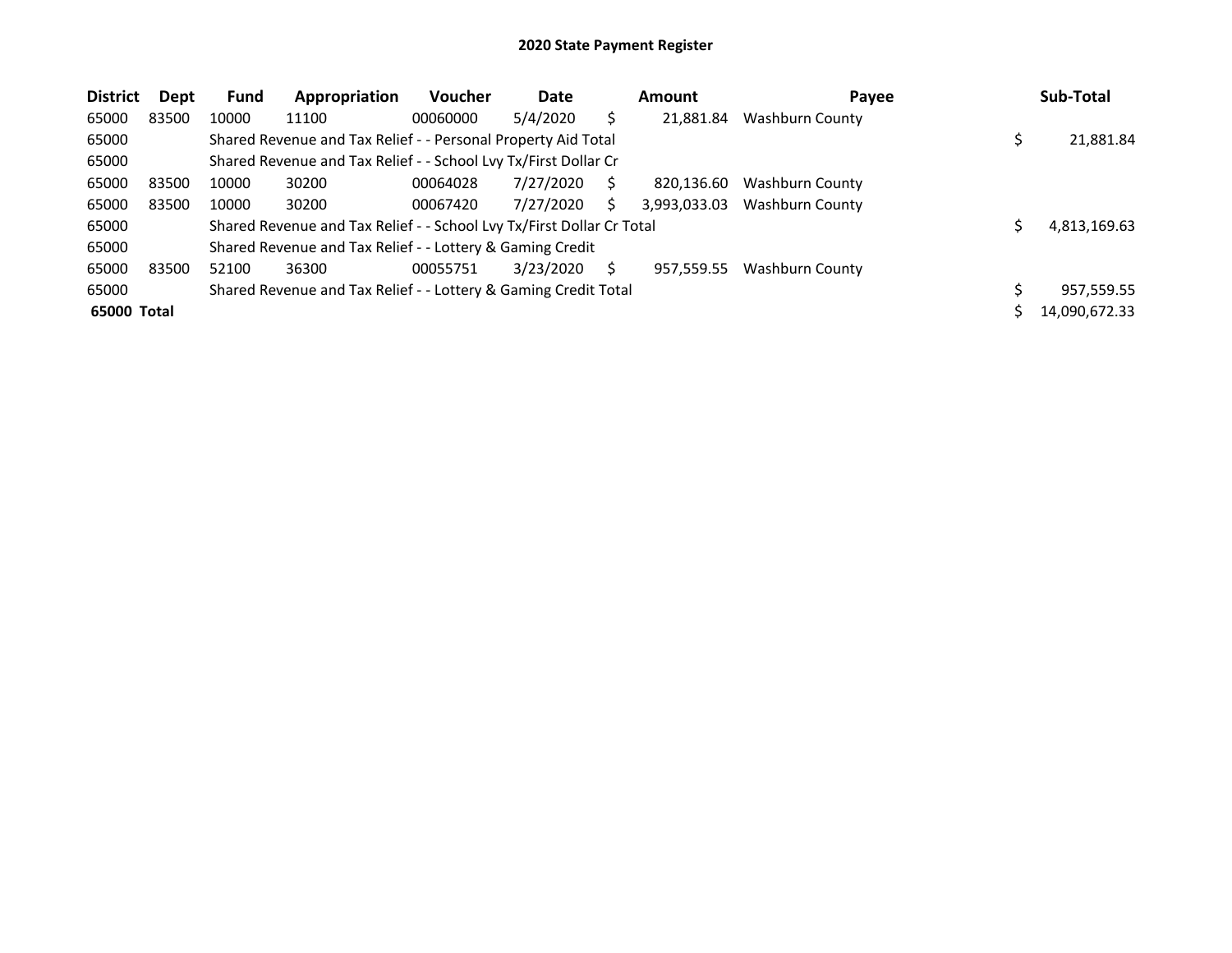| <b>District</b> | Dept  | <b>Fund</b> | Appropriation                                                         | <b>Voucher</b> | Date      |    | <b>Amount</b> | Payee                  | Sub-Total     |
|-----------------|-------|-------------|-----------------------------------------------------------------------|----------------|-----------|----|---------------|------------------------|---------------|
| 65000           | 83500 | 10000       | 11100                                                                 | 00060000       | 5/4/2020  |    | 21,881.84     | <b>Washburn County</b> |               |
| 65000           |       |             | Shared Revenue and Tax Relief - - Personal Property Aid Total         |                |           |    |               |                        | 21,881.84     |
| 65000           |       |             | Shared Revenue and Tax Relief - - School Lvy Tx/First Dollar Cr       |                |           |    |               |                        |               |
| 65000           | 83500 | 10000       | 30200                                                                 | 00064028       | 7/27/2020 | S  | 820.136.60    | <b>Washburn County</b> |               |
| 65000           | 83500 | 10000       | 30200                                                                 | 00067420       | 7/27/2020 | Ś  | 3,993,033.03  | <b>Washburn County</b> |               |
| 65000           |       |             | Shared Revenue and Tax Relief - - School Lvy Tx/First Dollar Cr Total |                |           |    |               |                        | 4,813,169.63  |
| 65000           |       |             | Shared Revenue and Tax Relief - - Lottery & Gaming Credit             |                |           |    |               |                        |               |
| 65000           | 83500 | 52100       | 36300                                                                 | 00055751       | 3/23/2020 | S. | 957,559.55    | <b>Washburn County</b> |               |
| 65000           |       |             | Shared Revenue and Tax Relief - - Lottery & Gaming Credit Total       |                |           |    |               |                        | 957,559.55    |
| 65000 Total     |       |             |                                                                       |                |           |    |               |                        | 14,090,672.33 |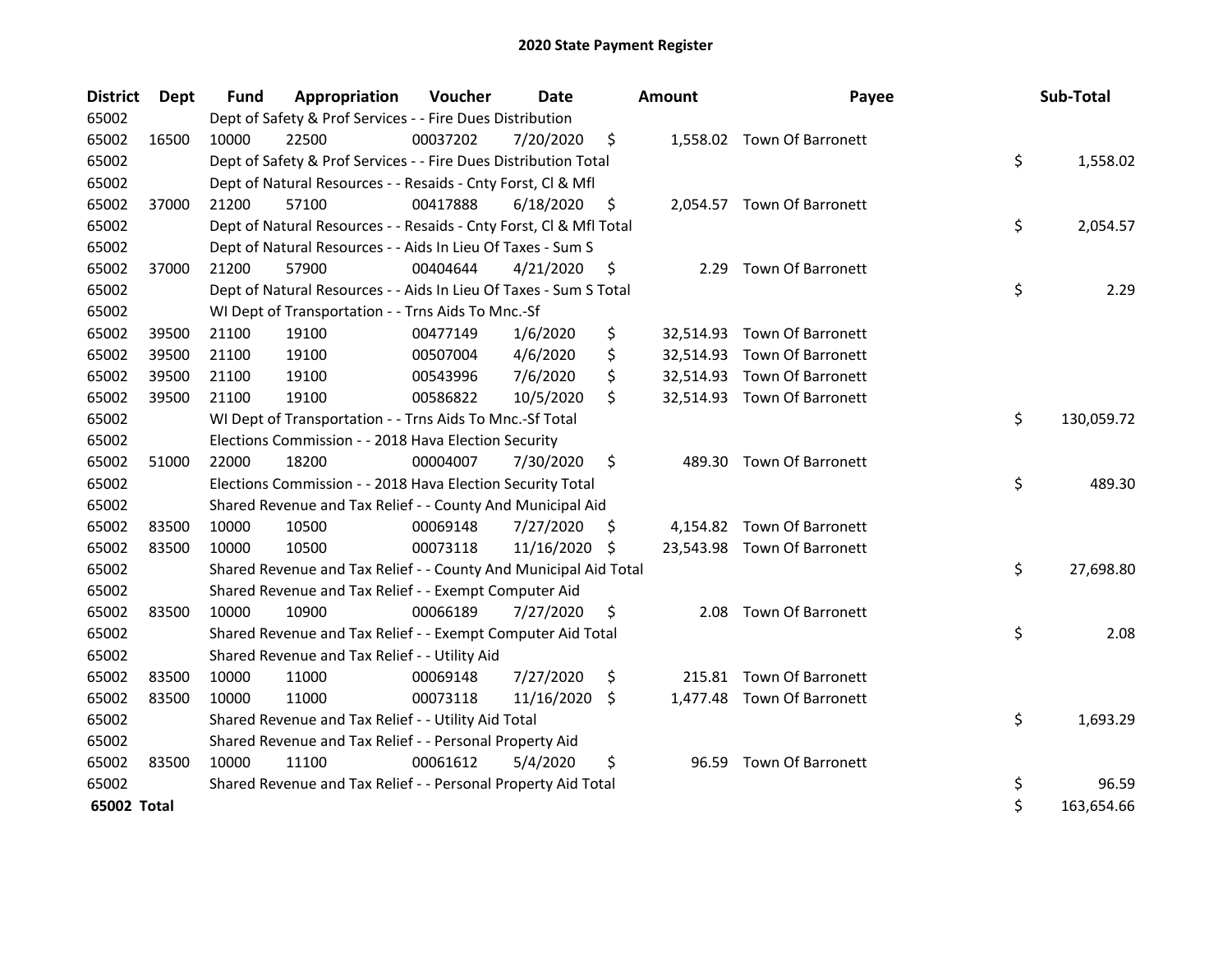| <b>District</b> | <b>Dept</b> | <b>Fund</b> | Appropriation                                                      | Voucher  | Date          |     | <b>Amount</b> | Payee                       | Sub-Total        |
|-----------------|-------------|-------------|--------------------------------------------------------------------|----------|---------------|-----|---------------|-----------------------------|------------------|
| 65002           |             |             | Dept of Safety & Prof Services - - Fire Dues Distribution          |          |               |     |               |                             |                  |
| 65002           | 16500       | 10000       | 22500                                                              | 00037202 | 7/20/2020     | \$  |               | 1,558.02 Town Of Barronett  |                  |
| 65002           |             |             | Dept of Safety & Prof Services - - Fire Dues Distribution Total    |          |               |     |               |                             | \$<br>1,558.02   |
| 65002           |             |             | Dept of Natural Resources - - Resaids - Cnty Forst, Cl & Mfl       |          |               |     |               |                             |                  |
| 65002           | 37000       | 21200       | 57100                                                              | 00417888 | 6/18/2020     | \$. |               | 2,054.57 Town Of Barronett  |                  |
| 65002           |             |             | Dept of Natural Resources - - Resaids - Cnty Forst, Cl & Mfl Total |          |               |     |               |                             | \$<br>2,054.57   |
| 65002           |             |             | Dept of Natural Resources - - Aids In Lieu Of Taxes - Sum S        |          |               |     |               |                             |                  |
| 65002           | 37000       | 21200       | 57900                                                              | 00404644 | 4/21/2020     | \$  | 2.29          | Town Of Barronett           |                  |
| 65002           |             |             | Dept of Natural Resources - - Aids In Lieu Of Taxes - Sum S Total  |          |               |     |               |                             | \$<br>2.29       |
| 65002           |             |             | WI Dept of Transportation - - Trns Aids To Mnc.-Sf                 |          |               |     |               |                             |                  |
| 65002           | 39500       | 21100       | 19100                                                              | 00477149 | 1/6/2020      | \$  |               | 32,514.93 Town Of Barronett |                  |
| 65002           | 39500       | 21100       | 19100                                                              | 00507004 | 4/6/2020      | \$  |               | 32,514.93 Town Of Barronett |                  |
| 65002           | 39500       | 21100       | 19100                                                              | 00543996 | 7/6/2020      | \$  |               | 32,514.93 Town Of Barronett |                  |
| 65002           | 39500       | 21100       | 19100                                                              | 00586822 | 10/5/2020     | \$  |               | 32,514.93 Town Of Barronett |                  |
| 65002           |             |             | WI Dept of Transportation - - Trns Aids To Mnc.-Sf Total           |          |               |     |               |                             | \$<br>130,059.72 |
| 65002           |             |             | Elections Commission - - 2018 Hava Election Security               |          |               |     |               |                             |                  |
| 65002           | 51000       | 22000       | 18200                                                              | 00004007 | 7/30/2020     | \$  |               | 489.30 Town Of Barronett    |                  |
| 65002           |             |             | Elections Commission - - 2018 Hava Election Security Total         |          |               |     |               |                             | \$<br>489.30     |
| 65002           |             |             | Shared Revenue and Tax Relief - - County And Municipal Aid         |          |               |     |               |                             |                  |
| 65002           | 83500       | 10000       | 10500                                                              | 00069148 | 7/27/2020     | \$. |               | 4,154.82 Town Of Barronett  |                  |
| 65002           | 83500       | 10000       | 10500                                                              | 00073118 | 11/16/2020 \$ |     |               | 23,543.98 Town Of Barronett |                  |
| 65002           |             |             | Shared Revenue and Tax Relief - - County And Municipal Aid Total   |          |               |     |               |                             | \$<br>27,698.80  |
| 65002           |             |             | Shared Revenue and Tax Relief - - Exempt Computer Aid              |          |               |     |               |                             |                  |
| 65002           | 83500       | 10000       | 10900                                                              | 00066189 | 7/27/2020     | \$. | 2.08          | <b>Town Of Barronett</b>    |                  |
| 65002           |             |             | Shared Revenue and Tax Relief - - Exempt Computer Aid Total        |          |               |     |               |                             | \$<br>2.08       |
| 65002           |             |             | Shared Revenue and Tax Relief - - Utility Aid                      |          |               |     |               |                             |                  |
| 65002           | 83500       | 10000       | 11000                                                              | 00069148 | 7/27/2020     | \$  |               | 215.81 Town Of Barronett    |                  |
| 65002           | 83500       | 10000       | 11000                                                              | 00073118 | 11/16/2020 \$ |     |               | 1,477.48 Town Of Barronett  |                  |
| 65002           |             |             | Shared Revenue and Tax Relief - - Utility Aid Total                |          |               |     |               |                             | \$<br>1,693.29   |
| 65002           |             |             | Shared Revenue and Tax Relief - - Personal Property Aid            |          |               |     |               |                             |                  |
| 65002           | 83500       | 10000       | 11100                                                              | 00061612 | 5/4/2020      | \$  | 96.59         | <b>Town Of Barronett</b>    |                  |
| 65002           |             |             | Shared Revenue and Tax Relief - - Personal Property Aid Total      |          |               |     |               |                             | \$<br>96.59      |
| 65002 Total     |             |             |                                                                    |          |               |     |               |                             | \$<br>163,654.66 |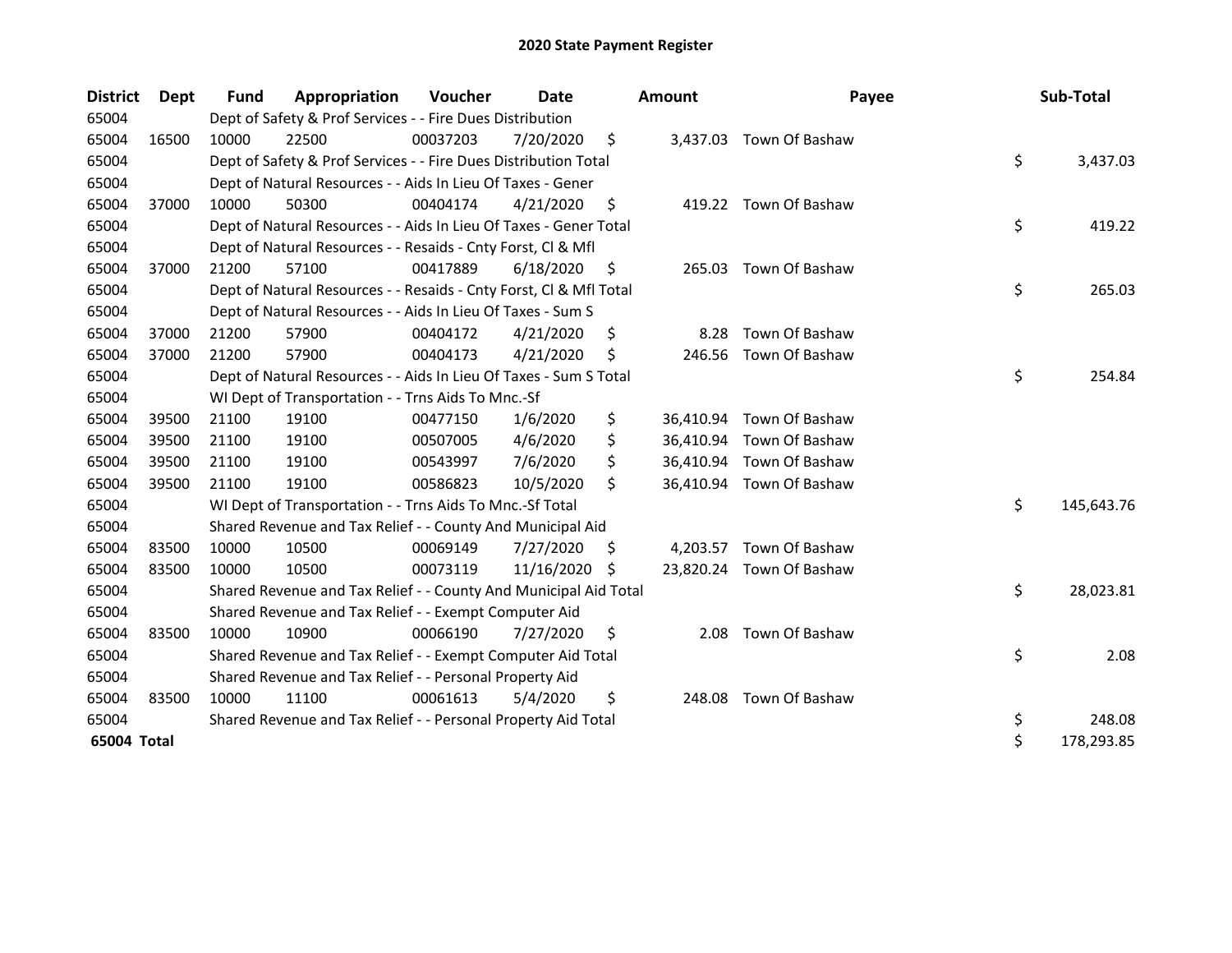| <b>District</b> | Dept  | <b>Fund</b> | Appropriation                                                      | Voucher  | Date       |     | <b>Amount</b> | Payee                    | Sub-Total        |
|-----------------|-------|-------------|--------------------------------------------------------------------|----------|------------|-----|---------------|--------------------------|------------------|
| 65004           |       |             | Dept of Safety & Prof Services - - Fire Dues Distribution          |          |            |     |               |                          |                  |
| 65004           | 16500 | 10000       | 22500                                                              | 00037203 | 7/20/2020  | \$  |               | 3,437.03 Town Of Bashaw  |                  |
| 65004           |       |             | Dept of Safety & Prof Services - - Fire Dues Distribution Total    |          |            |     |               |                          | \$<br>3,437.03   |
| 65004           |       |             | Dept of Natural Resources - - Aids In Lieu Of Taxes - Gener        |          |            |     |               |                          |                  |
| 65004           | 37000 | 10000       | 50300                                                              | 00404174 | 4/21/2020  | \$  |               | 419.22 Town Of Bashaw    |                  |
| 65004           |       |             | Dept of Natural Resources - - Aids In Lieu Of Taxes - Gener Total  |          |            |     |               |                          | \$<br>419.22     |
| 65004           |       |             | Dept of Natural Resources - - Resaids - Cnty Forst, Cl & Mfl       |          |            |     |               |                          |                  |
| 65004           | 37000 | 21200       | 57100                                                              | 00417889 | 6/18/2020  | \$  | 265.03        | Town Of Bashaw           |                  |
| 65004           |       |             | Dept of Natural Resources - - Resaids - Cnty Forst, Cl & Mfl Total |          |            |     |               |                          | \$<br>265.03     |
| 65004           |       |             | Dept of Natural Resources - - Aids In Lieu Of Taxes - Sum S        |          |            |     |               |                          |                  |
| 65004           | 37000 | 21200       | 57900                                                              | 00404172 | 4/21/2020  | \$  | 8.28          | Town Of Bashaw           |                  |
| 65004           | 37000 | 21200       | 57900                                                              | 00404173 | 4/21/2020  | \$  | 246.56        | Town Of Bashaw           |                  |
| 65004           |       |             | Dept of Natural Resources - - Aids In Lieu Of Taxes - Sum S Total  |          |            |     |               |                          | \$<br>254.84     |
| 65004           |       |             | WI Dept of Transportation - - Trns Aids To Mnc.-Sf                 |          |            |     |               |                          |                  |
| 65004           | 39500 | 21100       | 19100                                                              | 00477150 | 1/6/2020   | \$  |               | 36,410.94 Town Of Bashaw |                  |
| 65004           | 39500 | 21100       | 19100                                                              | 00507005 | 4/6/2020   | \$  |               | 36,410.94 Town Of Bashaw |                  |
| 65004           | 39500 | 21100       | 19100                                                              | 00543997 | 7/6/2020   | \$  |               | 36,410.94 Town Of Bashaw |                  |
| 65004           | 39500 | 21100       | 19100                                                              | 00586823 | 10/5/2020  | Ŝ.  |               | 36,410.94 Town Of Bashaw |                  |
| 65004           |       |             | WI Dept of Transportation - - Trns Aids To Mnc.-Sf Total           |          |            |     |               |                          | \$<br>145,643.76 |
| 65004           |       |             | Shared Revenue and Tax Relief - - County And Municipal Aid         |          |            |     |               |                          |                  |
| 65004           | 83500 | 10000       | 10500                                                              | 00069149 | 7/27/2020  | \$. |               | 4,203.57 Town Of Bashaw  |                  |
| 65004           | 83500 | 10000       | 10500                                                              | 00073119 | 11/16/2020 | S   |               | 23,820.24 Town Of Bashaw |                  |
| 65004           |       |             | Shared Revenue and Tax Relief - - County And Municipal Aid Total   |          |            |     |               |                          | \$<br>28,023.81  |
| 65004           |       |             | Shared Revenue and Tax Relief - - Exempt Computer Aid              |          |            |     |               |                          |                  |
| 65004           | 83500 | 10000       | 10900                                                              | 00066190 | 7/27/2020  | \$  | 2.08          | Town Of Bashaw           |                  |
| 65004           |       |             | Shared Revenue and Tax Relief - - Exempt Computer Aid Total        |          |            |     |               |                          | \$<br>2.08       |
| 65004           |       |             | Shared Revenue and Tax Relief - - Personal Property Aid            |          |            |     |               |                          |                  |
| 65004           | 83500 | 10000       | 11100                                                              | 00061613 | 5/4/2020   | \$  | 248.08        | Town Of Bashaw           |                  |
| 65004           |       |             | Shared Revenue and Tax Relief - - Personal Property Aid Total      |          |            |     |               |                          | \$<br>248.08     |
| 65004 Total     |       |             |                                                                    |          |            |     |               |                          | \$<br>178,293.85 |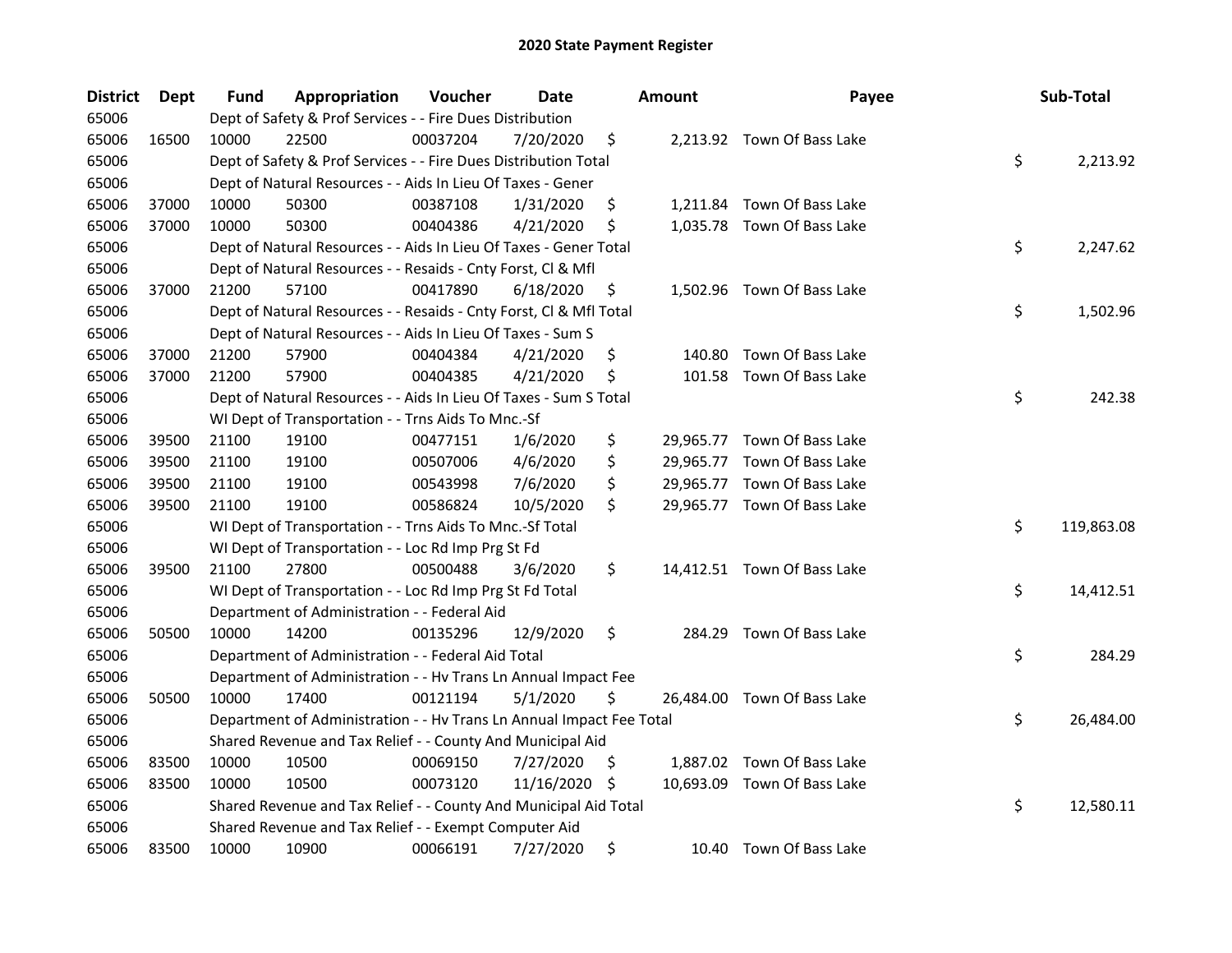| <b>District</b> | Dept  | Fund  | Appropriation                                                        | Voucher  | <b>Date</b> | <b>Amount</b> | Payee                       | Sub-Total        |
|-----------------|-------|-------|----------------------------------------------------------------------|----------|-------------|---------------|-----------------------------|------------------|
| 65006           |       |       | Dept of Safety & Prof Services - - Fire Dues Distribution            |          |             |               |                             |                  |
| 65006           | 16500 | 10000 | 22500                                                                | 00037204 | 7/20/2020   | \$            | 2,213.92 Town Of Bass Lake  |                  |
| 65006           |       |       | Dept of Safety & Prof Services - - Fire Dues Distribution Total      |          |             |               |                             | \$<br>2,213.92   |
| 65006           |       |       | Dept of Natural Resources - - Aids In Lieu Of Taxes - Gener          |          |             |               |                             |                  |
| 65006           | 37000 | 10000 | 50300                                                                | 00387108 | 1/31/2020   | \$            | 1,211.84 Town Of Bass Lake  |                  |
| 65006           | 37000 | 10000 | 50300                                                                | 00404386 | 4/21/2020   | \$            | 1,035.78 Town Of Bass Lake  |                  |
| 65006           |       |       | Dept of Natural Resources - - Aids In Lieu Of Taxes - Gener Total    |          |             |               |                             | \$<br>2,247.62   |
| 65006           |       |       | Dept of Natural Resources - - Resaids - Cnty Forst, Cl & Mfl         |          |             |               |                             |                  |
| 65006           | 37000 | 21200 | 57100                                                                | 00417890 | 6/18/2020   | \$            | 1,502.96 Town Of Bass Lake  |                  |
| 65006           |       |       | Dept of Natural Resources - - Resaids - Cnty Forst, Cl & Mfl Total   |          |             |               |                             | \$<br>1,502.96   |
| 65006           |       |       | Dept of Natural Resources - - Aids In Lieu Of Taxes - Sum S          |          |             |               |                             |                  |
| 65006           | 37000 | 21200 | 57900                                                                | 00404384 | 4/21/2020   | \$<br>140.80  | Town Of Bass Lake           |                  |
| 65006           | 37000 | 21200 | 57900                                                                | 00404385 | 4/21/2020   | \$<br>101.58  | Town Of Bass Lake           |                  |
| 65006           |       |       | Dept of Natural Resources - - Aids In Lieu Of Taxes - Sum S Total    |          |             |               |                             | \$<br>242.38     |
| 65006           |       |       | WI Dept of Transportation - - Trns Aids To Mnc.-Sf                   |          |             |               |                             |                  |
| 65006           | 39500 | 21100 | 19100                                                                | 00477151 | 1/6/2020    | \$            | 29,965.77 Town Of Bass Lake |                  |
| 65006           | 39500 | 21100 | 19100                                                                | 00507006 | 4/6/2020    | \$            | 29,965.77 Town Of Bass Lake |                  |
| 65006           | 39500 | 21100 | 19100                                                                | 00543998 | 7/6/2020    | \$            | 29,965.77 Town Of Bass Lake |                  |
| 65006           | 39500 | 21100 | 19100                                                                | 00586824 | 10/5/2020   | \$            | 29,965.77 Town Of Bass Lake |                  |
| 65006           |       |       | WI Dept of Transportation - - Trns Aids To Mnc.-Sf Total             |          |             |               |                             | \$<br>119,863.08 |
| 65006           |       |       | WI Dept of Transportation - - Loc Rd Imp Prg St Fd                   |          |             |               |                             |                  |
| 65006           | 39500 | 21100 | 27800                                                                | 00500488 | 3/6/2020    | \$            | 14,412.51 Town Of Bass Lake |                  |
| 65006           |       |       | WI Dept of Transportation - - Loc Rd Imp Prg St Fd Total             |          |             |               |                             | \$<br>14,412.51  |
| 65006           |       |       | Department of Administration - - Federal Aid                         |          |             |               |                             |                  |
| 65006           | 50500 | 10000 | 14200                                                                | 00135296 | 12/9/2020   | \$            | 284.29 Town Of Bass Lake    |                  |
| 65006           |       |       | Department of Administration - - Federal Aid Total                   |          |             |               |                             | \$<br>284.29     |
| 65006           |       |       | Department of Administration - - Hv Trans Ln Annual Impact Fee       |          |             |               |                             |                  |
| 65006           | 50500 | 10000 | 17400                                                                | 00121194 | 5/1/2020    | \$            | 26,484.00 Town Of Bass Lake |                  |
| 65006           |       |       | Department of Administration - - Hv Trans Ln Annual Impact Fee Total |          |             |               |                             | \$<br>26,484.00  |
| 65006           |       |       | Shared Revenue and Tax Relief - - County And Municipal Aid           |          |             |               |                             |                  |
| 65006           | 83500 | 10000 | 10500                                                                | 00069150 | 7/27/2020   | \$            | 1,887.02 Town Of Bass Lake  |                  |
| 65006           | 83500 | 10000 | 10500                                                                | 00073120 | 11/16/2020  | \$            | 10,693.09 Town Of Bass Lake |                  |
| 65006           |       |       | Shared Revenue and Tax Relief - - County And Municipal Aid Total     |          |             |               |                             | \$<br>12,580.11  |
| 65006           |       |       | Shared Revenue and Tax Relief - - Exempt Computer Aid                |          |             |               |                             |                  |
| 65006           | 83500 | 10000 | 10900                                                                | 00066191 | 7/27/2020   | \$            | 10.40 Town Of Bass Lake     |                  |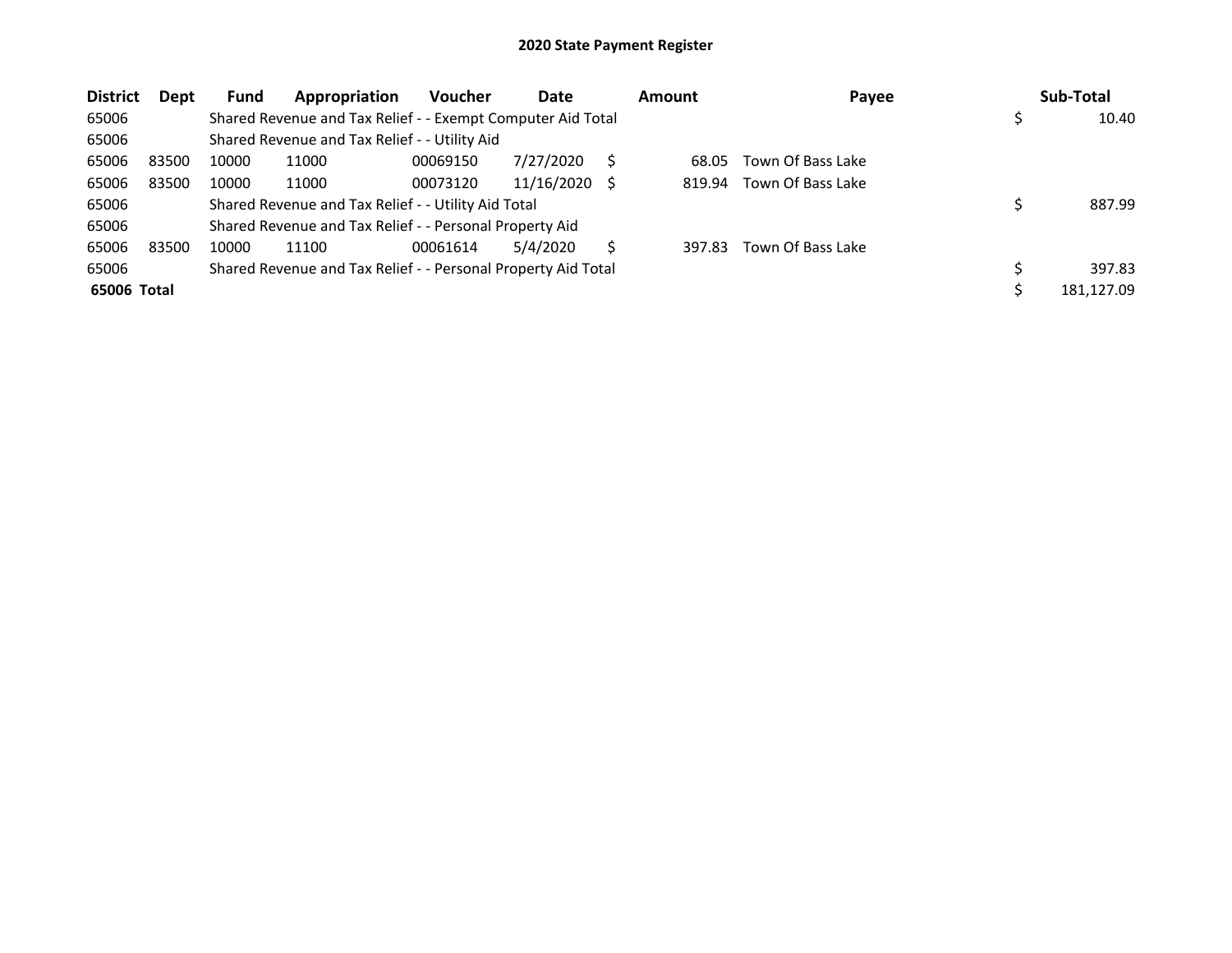| <b>District</b> | Dept  | Fund  | Appropriation                                                 | Voucher  | Date       | <b>Amount</b> | Payee             | Sub-Total  |
|-----------------|-------|-------|---------------------------------------------------------------|----------|------------|---------------|-------------------|------------|
| 65006           |       |       | Shared Revenue and Tax Relief - - Exempt Computer Aid Total   |          |            |               |                   | 10.40      |
| 65006           |       |       | Shared Revenue and Tax Relief - - Utility Aid                 |          |            |               |                   |            |
| 65006           | 83500 | 10000 | 11000                                                         | 00069150 | 7/27/2020  | 68.05         | Town Of Bass Lake |            |
| 65006           | 83500 | 10000 | 11000                                                         | 00073120 | 11/16/2020 | 819.94        | Town Of Bass Lake |            |
| 65006           |       |       | Shared Revenue and Tax Relief - - Utility Aid Total           |          |            |               |                   | 887.99     |
| 65006           |       |       | Shared Revenue and Tax Relief - - Personal Property Aid       |          |            |               |                   |            |
| 65006           | 83500 | 10000 | 11100                                                         | 00061614 | 5/4/2020   | 397.83        | Town Of Bass Lake |            |
| 65006           |       |       | Shared Revenue and Tax Relief - - Personal Property Aid Total |          |            |               |                   | 397.83     |
| 65006 Total     |       |       |                                                               |          |            |               |                   | 181.127.09 |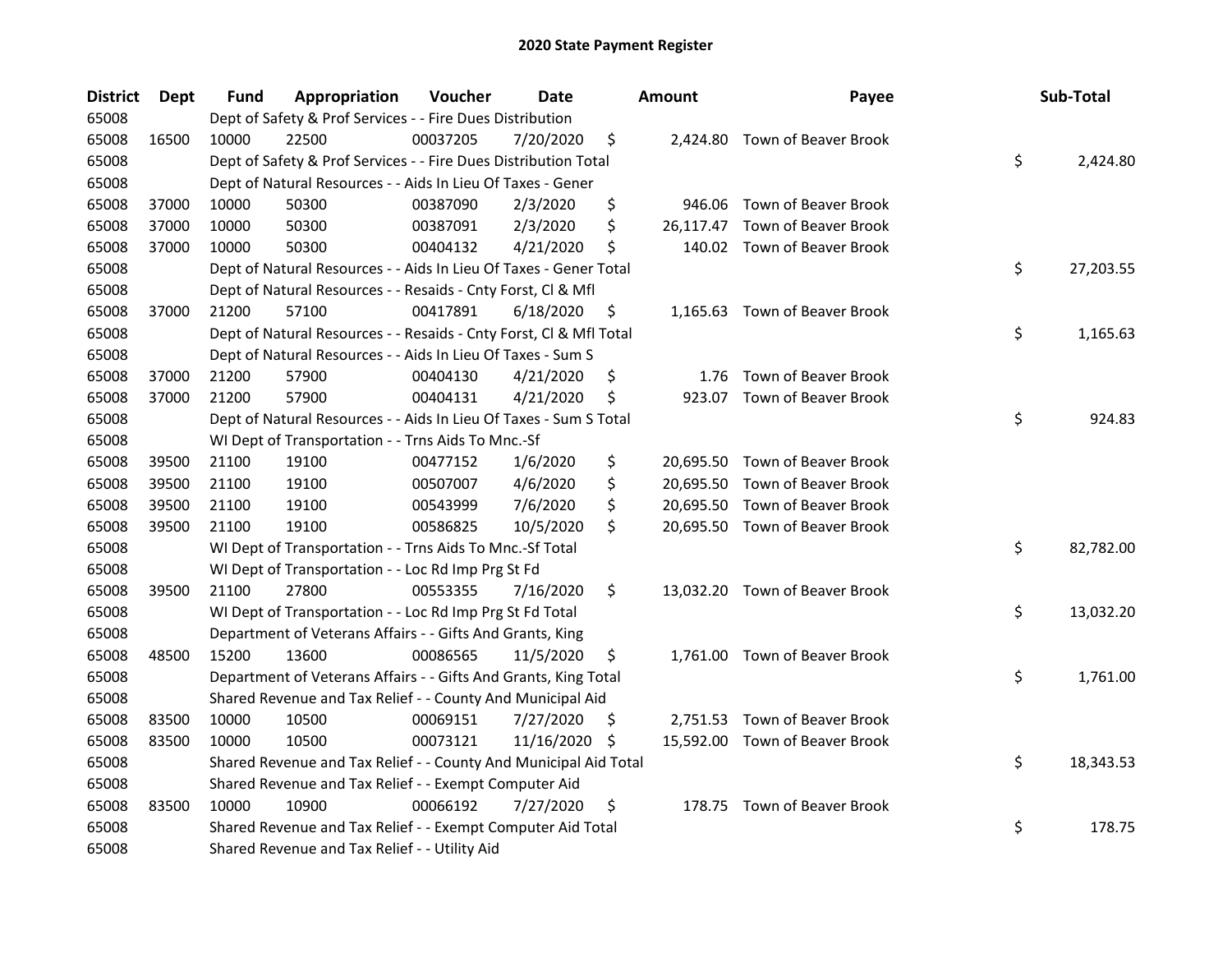| <b>District</b> | <b>Dept</b> | Fund  | Appropriation                                                      | Voucher  | <b>Date</b>   |     | <b>Amount</b> | Payee                          | Sub-Total       |
|-----------------|-------------|-------|--------------------------------------------------------------------|----------|---------------|-----|---------------|--------------------------------|-----------------|
| 65008           |             |       | Dept of Safety & Prof Services - - Fire Dues Distribution          |          |               |     |               |                                |                 |
| 65008           | 16500       | 10000 | 22500                                                              | 00037205 | 7/20/2020     | \$  |               | 2,424.80 Town of Beaver Brook  |                 |
| 65008           |             |       | Dept of Safety & Prof Services - - Fire Dues Distribution Total    |          |               |     |               |                                | \$<br>2,424.80  |
| 65008           |             |       | Dept of Natural Resources - - Aids In Lieu Of Taxes - Gener        |          |               |     |               |                                |                 |
| 65008           | 37000       | 10000 | 50300                                                              | 00387090 | 2/3/2020      | \$  |               | 946.06 Town of Beaver Brook    |                 |
| 65008           | 37000       | 10000 | 50300                                                              | 00387091 | 2/3/2020      | \$  |               | 26,117.47 Town of Beaver Brook |                 |
| 65008           | 37000       | 10000 | 50300                                                              | 00404132 | 4/21/2020     | \$  |               | 140.02 Town of Beaver Brook    |                 |
| 65008           |             |       | Dept of Natural Resources - - Aids In Lieu Of Taxes - Gener Total  |          |               |     |               |                                | \$<br>27,203.55 |
| 65008           |             |       | Dept of Natural Resources - - Resaids - Cnty Forst, Cl & Mfl       |          |               |     |               |                                |                 |
| 65008           | 37000       | 21200 | 57100                                                              | 00417891 | 6/18/2020     | \$  |               | 1,165.63 Town of Beaver Brook  |                 |
| 65008           |             |       | Dept of Natural Resources - - Resaids - Cnty Forst, Cl & Mfl Total |          |               |     |               |                                | \$<br>1,165.63  |
| 65008           |             |       | Dept of Natural Resources - - Aids In Lieu Of Taxes - Sum S        |          |               |     |               |                                |                 |
| 65008           | 37000       | 21200 | 57900                                                              | 00404130 | 4/21/2020     | \$  | 1.76          | Town of Beaver Brook           |                 |
| 65008           | 37000       | 21200 | 57900                                                              | 00404131 | 4/21/2020     | \$  |               | 923.07 Town of Beaver Brook    |                 |
| 65008           |             |       | Dept of Natural Resources - - Aids In Lieu Of Taxes - Sum S Total  |          |               |     |               |                                | \$<br>924.83    |
| 65008           |             |       | WI Dept of Transportation - - Trns Aids To Mnc.-Sf                 |          |               |     |               |                                |                 |
| 65008           | 39500       | 21100 | 19100                                                              | 00477152 | 1/6/2020      | \$  |               | 20,695.50 Town of Beaver Brook |                 |
| 65008           | 39500       | 21100 | 19100                                                              | 00507007 | 4/6/2020      | \$  |               | 20,695.50 Town of Beaver Brook |                 |
| 65008           | 39500       | 21100 | 19100                                                              | 00543999 | 7/6/2020      | \$  |               | 20,695.50 Town of Beaver Brook |                 |
| 65008           | 39500       | 21100 | 19100                                                              | 00586825 | 10/5/2020     | \$  |               | 20,695.50 Town of Beaver Brook |                 |
| 65008           |             |       | WI Dept of Transportation - - Trns Aids To Mnc.-Sf Total           |          |               |     |               |                                | \$<br>82,782.00 |
| 65008           |             |       | WI Dept of Transportation - - Loc Rd Imp Prg St Fd                 |          |               |     |               |                                |                 |
| 65008           | 39500       | 21100 | 27800                                                              | 00553355 | 7/16/2020     | \$  |               | 13,032.20 Town of Beaver Brook |                 |
| 65008           |             |       | WI Dept of Transportation - - Loc Rd Imp Prg St Fd Total           |          |               |     |               |                                | \$<br>13,032.20 |
| 65008           |             |       | Department of Veterans Affairs - - Gifts And Grants, King          |          |               |     |               |                                |                 |
| 65008           | 48500       | 15200 | 13600                                                              | 00086565 | 11/5/2020     | \$. |               | 1,761.00 Town of Beaver Brook  |                 |
| 65008           |             |       | Department of Veterans Affairs - - Gifts And Grants, King Total    |          |               |     |               |                                | \$<br>1,761.00  |
| 65008           |             |       | Shared Revenue and Tax Relief - - County And Municipal Aid         |          |               |     |               |                                |                 |
| 65008           | 83500       | 10000 | 10500                                                              | 00069151 | 7/27/2020     | S.  |               | 2,751.53 Town of Beaver Brook  |                 |
| 65008           | 83500       | 10000 | 10500                                                              | 00073121 | 11/16/2020 \$ |     |               | 15,592.00 Town of Beaver Brook |                 |
| 65008           |             |       | Shared Revenue and Tax Relief - - County And Municipal Aid Total   |          |               |     |               |                                | \$<br>18,343.53 |
| 65008           |             |       | Shared Revenue and Tax Relief - - Exempt Computer Aid              |          |               |     |               |                                |                 |
| 65008           | 83500       | 10000 | 10900                                                              | 00066192 | 7/27/2020     | \$  |               | 178.75 Town of Beaver Brook    |                 |
| 65008           |             |       | Shared Revenue and Tax Relief - - Exempt Computer Aid Total        |          |               |     |               |                                | \$<br>178.75    |
| 65008           |             |       | Shared Revenue and Tax Relief - - Utility Aid                      |          |               |     |               |                                |                 |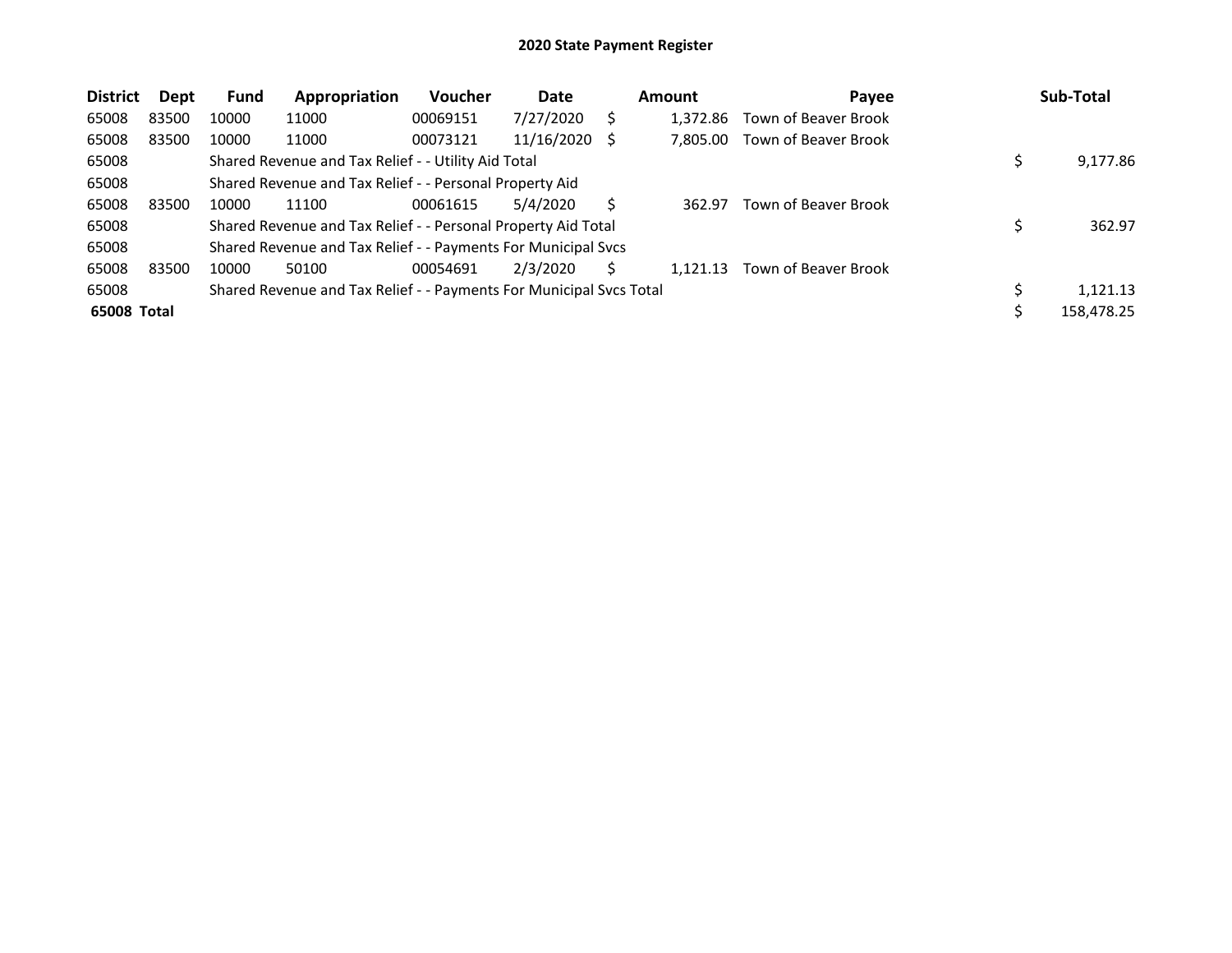| <b>District</b> | Dept  | <b>Fund</b> | Appropriation                                                       | <b>Voucher</b> | Date       |    | <b>Amount</b> | Payee                | Sub-Total  |
|-----------------|-------|-------------|---------------------------------------------------------------------|----------------|------------|----|---------------|----------------------|------------|
| 65008           | 83500 | 10000       | 11000                                                               | 00069151       | 7/27/2020  |    | 1.372.86      | Town of Beaver Brook |            |
| 65008           | 83500 | 10000       | 11000                                                               | 00073121       | 11/16/2020 | -S | 7.805.00      | Town of Beaver Brook |            |
| 65008           |       |             | Shared Revenue and Tax Relief - - Utility Aid Total                 |                |            |    |               |                      | 9,177.86   |
| 65008           |       |             | Shared Revenue and Tax Relief - - Personal Property Aid             |                |            |    |               |                      |            |
| 65008           | 83500 | 10000       | 11100                                                               | 00061615       | 5/4/2020   |    | 362.97        | Town of Beaver Brook |            |
| 65008           |       |             | Shared Revenue and Tax Relief - - Personal Property Aid Total       |                |            |    |               |                      | 362.97     |
| 65008           |       |             | Shared Revenue and Tax Relief - - Payments For Municipal Svcs       |                |            |    |               |                      |            |
| 65008           | 83500 | 10000       | 50100                                                               | 00054691       | 2/3/2020   |    | 1.121.13      | Town of Beaver Brook |            |
| 65008           |       |             | Shared Revenue and Tax Relief - - Payments For Municipal Svcs Total |                |            |    |               |                      | 1,121.13   |
| 65008 Total     |       |             |                                                                     |                |            |    |               |                      | 158,478.25 |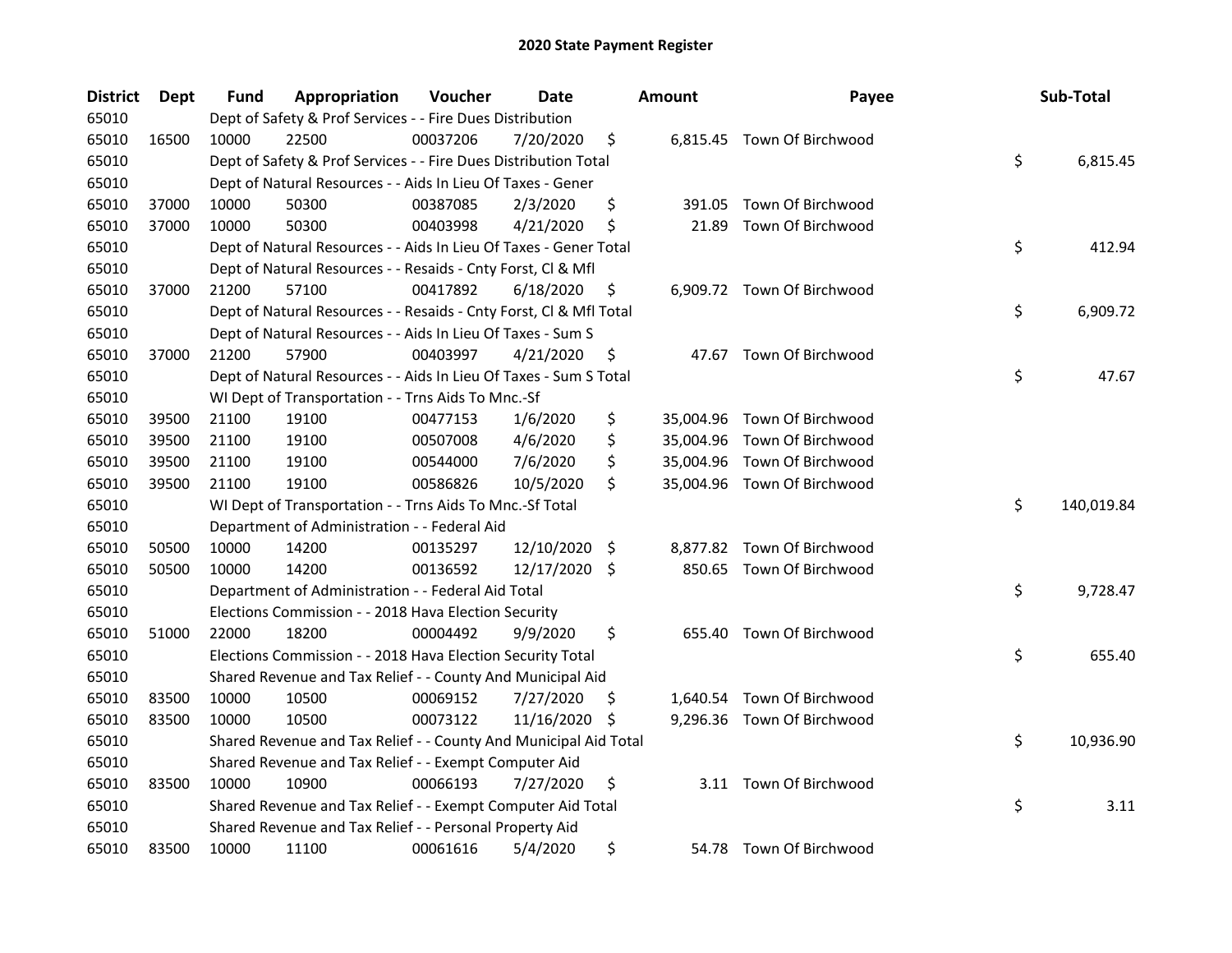| <b>District</b> | Dept  | Fund  | Appropriation                                                      | Voucher  | Date          |     | <b>Amount</b> | Payee                       | Sub-Total        |
|-----------------|-------|-------|--------------------------------------------------------------------|----------|---------------|-----|---------------|-----------------------------|------------------|
| 65010           |       |       | Dept of Safety & Prof Services - - Fire Dues Distribution          |          |               |     |               |                             |                  |
| 65010           | 16500 | 10000 | 22500                                                              | 00037206 | 7/20/2020     | \$  |               | 6,815.45 Town Of Birchwood  |                  |
| 65010           |       |       | Dept of Safety & Prof Services - - Fire Dues Distribution Total    |          |               |     |               |                             | \$<br>6,815.45   |
| 65010           |       |       | Dept of Natural Resources - - Aids In Lieu Of Taxes - Gener        |          |               |     |               |                             |                  |
| 65010           | 37000 | 10000 | 50300                                                              | 00387085 | 2/3/2020      | \$  | 391.05        | Town Of Birchwood           |                  |
| 65010           | 37000 | 10000 | 50300                                                              | 00403998 | 4/21/2020     | \$  | 21.89         | Town Of Birchwood           |                  |
| 65010           |       |       | Dept of Natural Resources - - Aids In Lieu Of Taxes - Gener Total  |          |               |     |               |                             | \$<br>412.94     |
| 65010           |       |       | Dept of Natural Resources - - Resaids - Cnty Forst, Cl & Mfl       |          |               |     |               |                             |                  |
| 65010           | 37000 | 21200 | 57100                                                              | 00417892 | 6/18/2020     | \$  |               | 6,909.72 Town Of Birchwood  |                  |
| 65010           |       |       | Dept of Natural Resources - - Resaids - Cnty Forst, Cl & Mfl Total |          |               |     |               |                             | \$<br>6,909.72   |
| 65010           |       |       | Dept of Natural Resources - - Aids In Lieu Of Taxes - Sum S        |          |               |     |               |                             |                  |
| 65010           | 37000 | 21200 | 57900                                                              | 00403997 | 4/21/2020     | \$  |               | 47.67 Town Of Birchwood     |                  |
| 65010           |       |       | Dept of Natural Resources - - Aids In Lieu Of Taxes - Sum S Total  |          |               |     |               |                             | \$<br>47.67      |
| 65010           |       |       | WI Dept of Transportation - - Trns Aids To Mnc.-Sf                 |          |               |     |               |                             |                  |
| 65010           | 39500 | 21100 | 19100                                                              | 00477153 | 1/6/2020      | \$  |               | 35,004.96 Town Of Birchwood |                  |
| 65010           | 39500 | 21100 | 19100                                                              | 00507008 | 4/6/2020      | \$  |               | 35,004.96 Town Of Birchwood |                  |
| 65010           | 39500 | 21100 | 19100                                                              | 00544000 | 7/6/2020      | \$  |               | 35,004.96 Town Of Birchwood |                  |
| 65010           | 39500 | 21100 | 19100                                                              | 00586826 | 10/5/2020     | \$  |               | 35,004.96 Town Of Birchwood |                  |
| 65010           |       |       | WI Dept of Transportation - - Trns Aids To Mnc.-Sf Total           |          |               |     |               |                             | \$<br>140,019.84 |
| 65010           |       |       | Department of Administration - - Federal Aid                       |          |               |     |               |                             |                  |
| 65010           | 50500 | 10000 | 14200                                                              | 00135297 | 12/10/2020    | \$  |               | 8,877.82 Town Of Birchwood  |                  |
| 65010           | 50500 | 10000 | 14200                                                              | 00136592 | 12/17/2020 \$ |     |               | 850.65 Town Of Birchwood    |                  |
| 65010           |       |       | Department of Administration - - Federal Aid Total                 |          |               |     |               |                             | \$<br>9,728.47   |
| 65010           |       |       | Elections Commission - - 2018 Hava Election Security               |          |               |     |               |                             |                  |
| 65010           | 51000 | 22000 | 18200                                                              | 00004492 | 9/9/2020      | \$  |               | 655.40 Town Of Birchwood    |                  |
| 65010           |       |       | Elections Commission - - 2018 Hava Election Security Total         |          |               |     |               |                             | \$<br>655.40     |
| 65010           |       |       | Shared Revenue and Tax Relief - - County And Municipal Aid         |          |               |     |               |                             |                  |
| 65010           | 83500 | 10000 | 10500                                                              | 00069152 | 7/27/2020     | \$. |               | 1,640.54 Town Of Birchwood  |                  |
| 65010           | 83500 | 10000 | 10500                                                              | 00073122 | 11/16/2020    | S.  |               | 9,296.36 Town Of Birchwood  |                  |
| 65010           |       |       | Shared Revenue and Tax Relief - - County And Municipal Aid Total   |          |               |     |               |                             | \$<br>10,936.90  |
| 65010           |       |       | Shared Revenue and Tax Relief - - Exempt Computer Aid              |          |               |     |               |                             |                  |
| 65010           | 83500 | 10000 | 10900                                                              | 00066193 | 7/27/2020     | \$  |               | 3.11 Town Of Birchwood      |                  |
| 65010           |       |       | Shared Revenue and Tax Relief - - Exempt Computer Aid Total        |          |               |     |               |                             | \$<br>3.11       |
| 65010           |       |       | Shared Revenue and Tax Relief - - Personal Property Aid            |          |               |     |               |                             |                  |
| 65010           | 83500 | 10000 | 11100                                                              | 00061616 | 5/4/2020      | \$  |               | 54.78 Town Of Birchwood     |                  |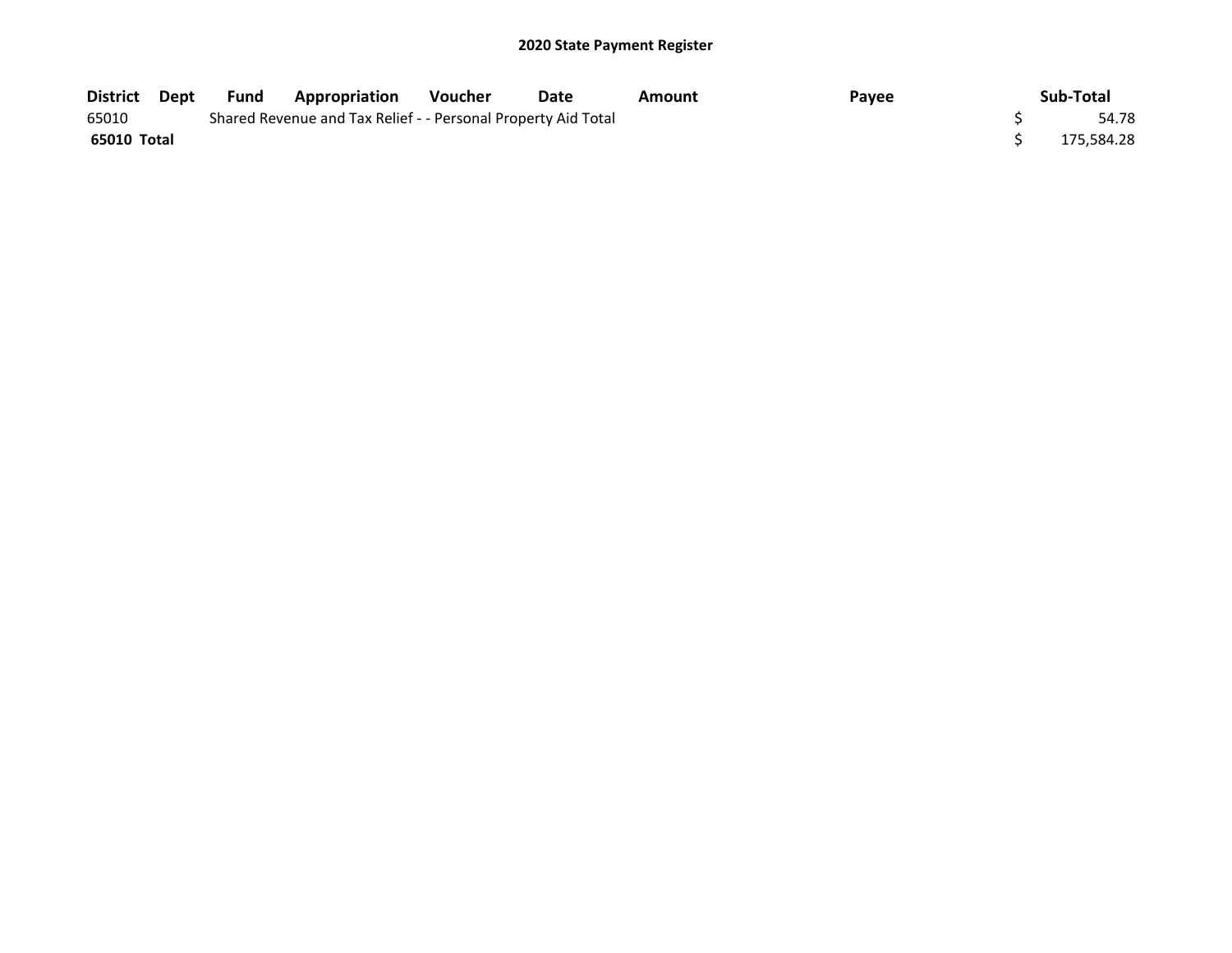| District Dept | Fund | <b>Appropriation</b>                                          | Voucher | Date | Amount | Payee | Sub-Total  |
|---------------|------|---------------------------------------------------------------|---------|------|--------|-------|------------|
| 65010         |      | Shared Revenue and Tax Relief - - Personal Property Aid Total |         |      |        |       | 54.78      |
| 65010 Total   |      |                                                               |         |      |        |       | 175.584.28 |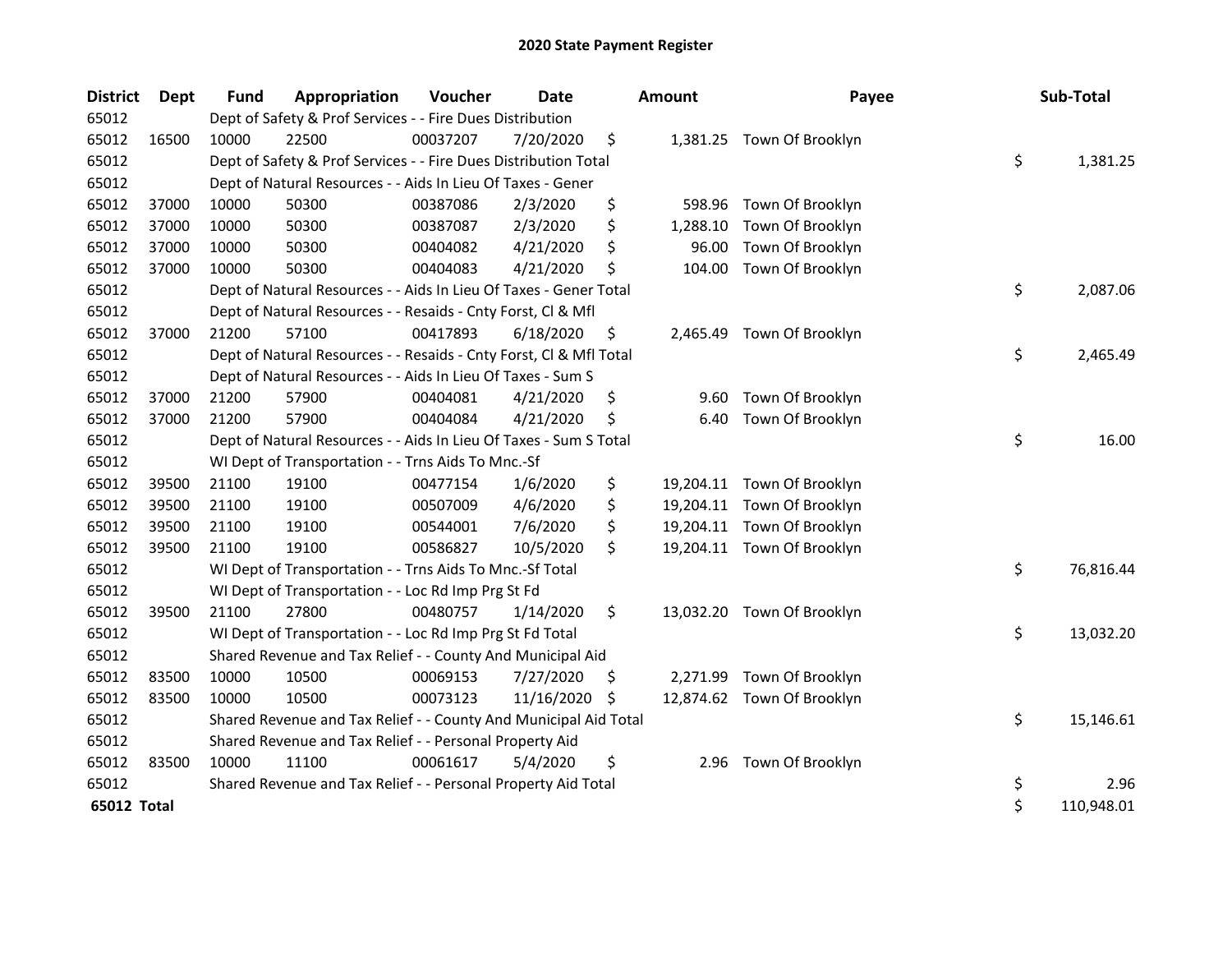| <b>District</b> | Dept  | <b>Fund</b> | Appropriation                                                      | Voucher  | <b>Date</b> |    | <b>Amount</b> | Payee                      | Sub-Total        |
|-----------------|-------|-------------|--------------------------------------------------------------------|----------|-------------|----|---------------|----------------------------|------------------|
| 65012           |       |             | Dept of Safety & Prof Services - - Fire Dues Distribution          |          |             |    |               |                            |                  |
| 65012           | 16500 | 10000       | 22500                                                              | 00037207 | 7/20/2020   | \$ |               | 1,381.25 Town Of Brooklyn  |                  |
| 65012           |       |             | Dept of Safety & Prof Services - - Fire Dues Distribution Total    |          |             |    |               |                            | \$<br>1,381.25   |
| 65012           |       |             | Dept of Natural Resources - - Aids In Lieu Of Taxes - Gener        |          |             |    |               |                            |                  |
| 65012           | 37000 | 10000       | 50300                                                              | 00387086 | 2/3/2020    | \$ | 598.96        | Town Of Brooklyn           |                  |
| 65012           | 37000 | 10000       | 50300                                                              | 00387087 | 2/3/2020    | \$ | 1,288.10      | Town Of Brooklyn           |                  |
| 65012           | 37000 | 10000       | 50300                                                              | 00404082 | 4/21/2020   | \$ | 96.00         | Town Of Brooklyn           |                  |
| 65012           | 37000 | 10000       | 50300                                                              | 00404083 | 4/21/2020   | \$ | 104.00        | Town Of Brooklyn           |                  |
| 65012           |       |             | Dept of Natural Resources - - Aids In Lieu Of Taxes - Gener Total  |          |             |    |               |                            | \$<br>2,087.06   |
| 65012           |       |             | Dept of Natural Resources - - Resaids - Cnty Forst, Cl & Mfl       |          |             |    |               |                            |                  |
| 65012           | 37000 | 21200       | 57100                                                              | 00417893 | 6/18/2020   | \$ | 2,465.49      | Town Of Brooklyn           |                  |
| 65012           |       |             | Dept of Natural Resources - - Resaids - Cnty Forst, Cl & Mfl Total |          |             |    |               |                            | \$<br>2,465.49   |
| 65012           |       |             | Dept of Natural Resources - - Aids In Lieu Of Taxes - Sum S        |          |             |    |               |                            |                  |
| 65012           | 37000 | 21200       | 57900                                                              | 00404081 | 4/21/2020   | \$ | 9.60          | Town Of Brooklyn           |                  |
| 65012           | 37000 | 21200       | 57900                                                              | 00404084 | 4/21/2020   | \$ | 6.40          | Town Of Brooklyn           |                  |
| 65012           |       |             | Dept of Natural Resources - - Aids In Lieu Of Taxes - Sum S Total  |          |             |    |               |                            | \$<br>16.00      |
| 65012           |       |             | WI Dept of Transportation - - Trns Aids To Mnc.-Sf                 |          |             |    |               |                            |                  |
| 65012           | 39500 | 21100       | 19100                                                              | 00477154 | 1/6/2020    | \$ |               | 19,204.11 Town Of Brooklyn |                  |
| 65012           | 39500 | 21100       | 19100                                                              | 00507009 | 4/6/2020    | \$ |               | 19,204.11 Town Of Brooklyn |                  |
| 65012           | 39500 | 21100       | 19100                                                              | 00544001 | 7/6/2020    | \$ |               | 19,204.11 Town Of Brooklyn |                  |
| 65012           | 39500 | 21100       | 19100                                                              | 00586827 | 10/5/2020   | \$ |               | 19,204.11 Town Of Brooklyn |                  |
| 65012           |       |             | WI Dept of Transportation - - Trns Aids To Mnc.-Sf Total           |          |             |    |               |                            | \$<br>76,816.44  |
| 65012           |       |             | WI Dept of Transportation - - Loc Rd Imp Prg St Fd                 |          |             |    |               |                            |                  |
| 65012           | 39500 | 21100       | 27800                                                              | 00480757 | 1/14/2020   | \$ |               | 13,032.20 Town Of Brooklyn |                  |
| 65012           |       |             | WI Dept of Transportation - - Loc Rd Imp Prg St Fd Total           |          |             |    |               |                            | \$<br>13,032.20  |
| 65012           |       |             | Shared Revenue and Tax Relief - - County And Municipal Aid         |          |             |    |               |                            |                  |
| 65012           | 83500 | 10000       | 10500                                                              | 00069153 | 7/27/2020   | \$ | 2,271.99      | Town Of Brooklyn           |                  |
| 65012           | 83500 | 10000       | 10500                                                              | 00073123 | 11/16/2020  | -S |               | 12,874.62 Town Of Brooklyn |                  |
| 65012           |       |             | Shared Revenue and Tax Relief - - County And Municipal Aid Total   |          |             |    |               |                            | \$<br>15,146.61  |
| 65012           |       |             | Shared Revenue and Tax Relief - - Personal Property Aid            |          |             |    |               |                            |                  |
| 65012           | 83500 | 10000       | 11100                                                              | 00061617 | 5/4/2020    | \$ |               | 2.96 Town Of Brooklyn      |                  |
| 65012           |       |             | Shared Revenue and Tax Relief - - Personal Property Aid Total      |          |             |    |               |                            | \$<br>2.96       |
| 65012 Total     |       |             |                                                                    |          |             |    |               |                            | \$<br>110,948.01 |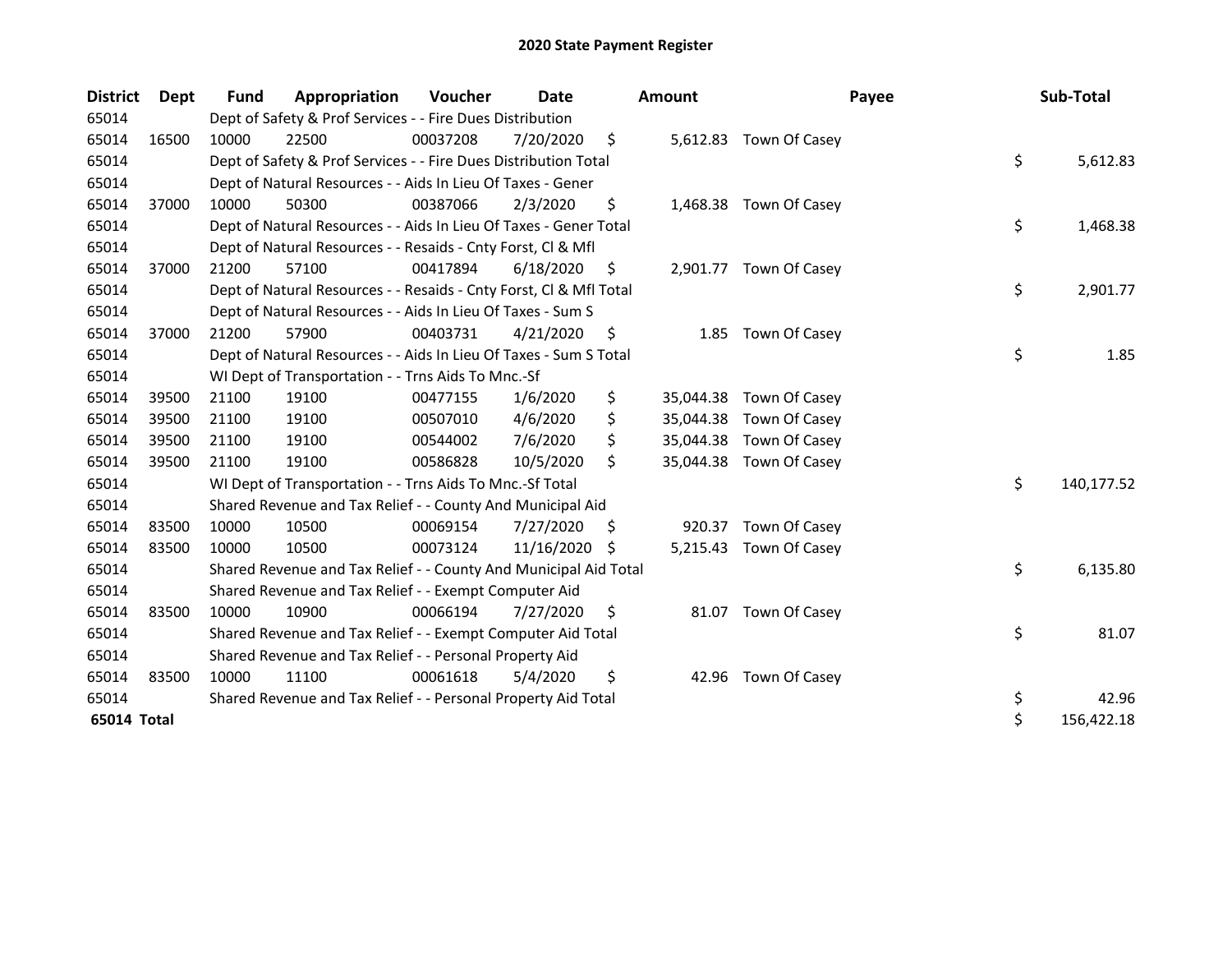| <b>District</b> | <b>Dept</b> | Fund  | Appropriation                                                      | Voucher  | <b>Date</b> |    | <b>Amount</b> | Payee                   | Sub-Total        |
|-----------------|-------------|-------|--------------------------------------------------------------------|----------|-------------|----|---------------|-------------------------|------------------|
| 65014           |             |       | Dept of Safety & Prof Services - - Fire Dues Distribution          |          |             |    |               |                         |                  |
| 65014           | 16500       | 10000 | 22500                                                              | 00037208 | 7/20/2020   | \$ |               | 5,612.83 Town Of Casey  |                  |
| 65014           |             |       | Dept of Safety & Prof Services - - Fire Dues Distribution Total    |          |             |    |               |                         | \$<br>5,612.83   |
| 65014           |             |       | Dept of Natural Resources - - Aids In Lieu Of Taxes - Gener        |          |             |    |               |                         |                  |
| 65014           | 37000       | 10000 | 50300                                                              | 00387066 | 2/3/2020    | \$ |               | 1,468.38 Town Of Casey  |                  |
| 65014           |             |       | Dept of Natural Resources - - Aids In Lieu Of Taxes - Gener Total  |          |             |    |               |                         | \$<br>1,468.38   |
| 65014           |             |       | Dept of Natural Resources - - Resaids - Cnty Forst, CI & Mfl       |          |             |    |               |                         |                  |
| 65014           | 37000       | 21200 | 57100                                                              | 00417894 | 6/18/2020   | \$ |               | 2,901.77 Town Of Casey  |                  |
| 65014           |             |       | Dept of Natural Resources - - Resaids - Cnty Forst, Cl & Mfl Total |          |             |    |               |                         | \$<br>2,901.77   |
| 65014           |             |       | Dept of Natural Resources - - Aids In Lieu Of Taxes - Sum S        |          |             |    |               |                         |                  |
| 65014           | 37000       | 21200 | 57900                                                              | 00403731 | 4/21/2020   | \$ | 1.85          | Town Of Casey           |                  |
| 65014           |             |       | Dept of Natural Resources - - Aids In Lieu Of Taxes - Sum S Total  |          |             |    |               |                         | \$<br>1.85       |
| 65014           |             |       | WI Dept of Transportation - - Trns Aids To Mnc.-Sf                 |          |             |    |               |                         |                  |
| 65014           | 39500       | 21100 | 19100                                                              | 00477155 | 1/6/2020    | \$ | 35,044.38     | Town Of Casey           |                  |
| 65014           | 39500       | 21100 | 19100                                                              | 00507010 | 4/6/2020    | \$ | 35,044.38     | Town Of Casey           |                  |
| 65014           | 39500       | 21100 | 19100                                                              | 00544002 | 7/6/2020    | \$ | 35,044.38     | Town Of Casey           |                  |
| 65014           | 39500       | 21100 | 19100                                                              | 00586828 | 10/5/2020   | \$ |               | 35,044.38 Town Of Casey |                  |
| 65014           |             |       | WI Dept of Transportation - - Trns Aids To Mnc.-Sf Total           |          |             |    |               |                         | \$<br>140,177.52 |
| 65014           |             |       | Shared Revenue and Tax Relief - - County And Municipal Aid         |          |             |    |               |                         |                  |
| 65014           | 83500       | 10000 | 10500                                                              | 00069154 | 7/27/2020   | S  | 920.37        | Town Of Casey           |                  |
| 65014           | 83500       | 10000 | 10500                                                              | 00073124 | 11/16/2020  | S  |               | 5,215.43 Town Of Casey  |                  |
| 65014           |             |       | Shared Revenue and Tax Relief - - County And Municipal Aid Total   |          |             |    |               |                         | \$<br>6,135.80   |
| 65014           |             |       | Shared Revenue and Tax Relief - - Exempt Computer Aid              |          |             |    |               |                         |                  |
| 65014           | 83500       | 10000 | 10900                                                              | 00066194 | 7/27/2020   | \$ |               | 81.07 Town Of Casey     |                  |
| 65014           |             |       | Shared Revenue and Tax Relief - - Exempt Computer Aid Total        |          |             |    |               |                         | \$<br>81.07      |
| 65014           |             |       | Shared Revenue and Tax Relief - - Personal Property Aid            |          |             |    |               |                         |                  |
| 65014           | 83500       | 10000 | 11100                                                              | 00061618 | 5/4/2020    | \$ | 42.96         | Town Of Casey           |                  |
| 65014           |             |       | Shared Revenue and Tax Relief - - Personal Property Aid Total      |          |             |    |               |                         | \$<br>42.96      |
| 65014 Total     |             |       |                                                                    |          |             |    |               |                         | \$<br>156,422.18 |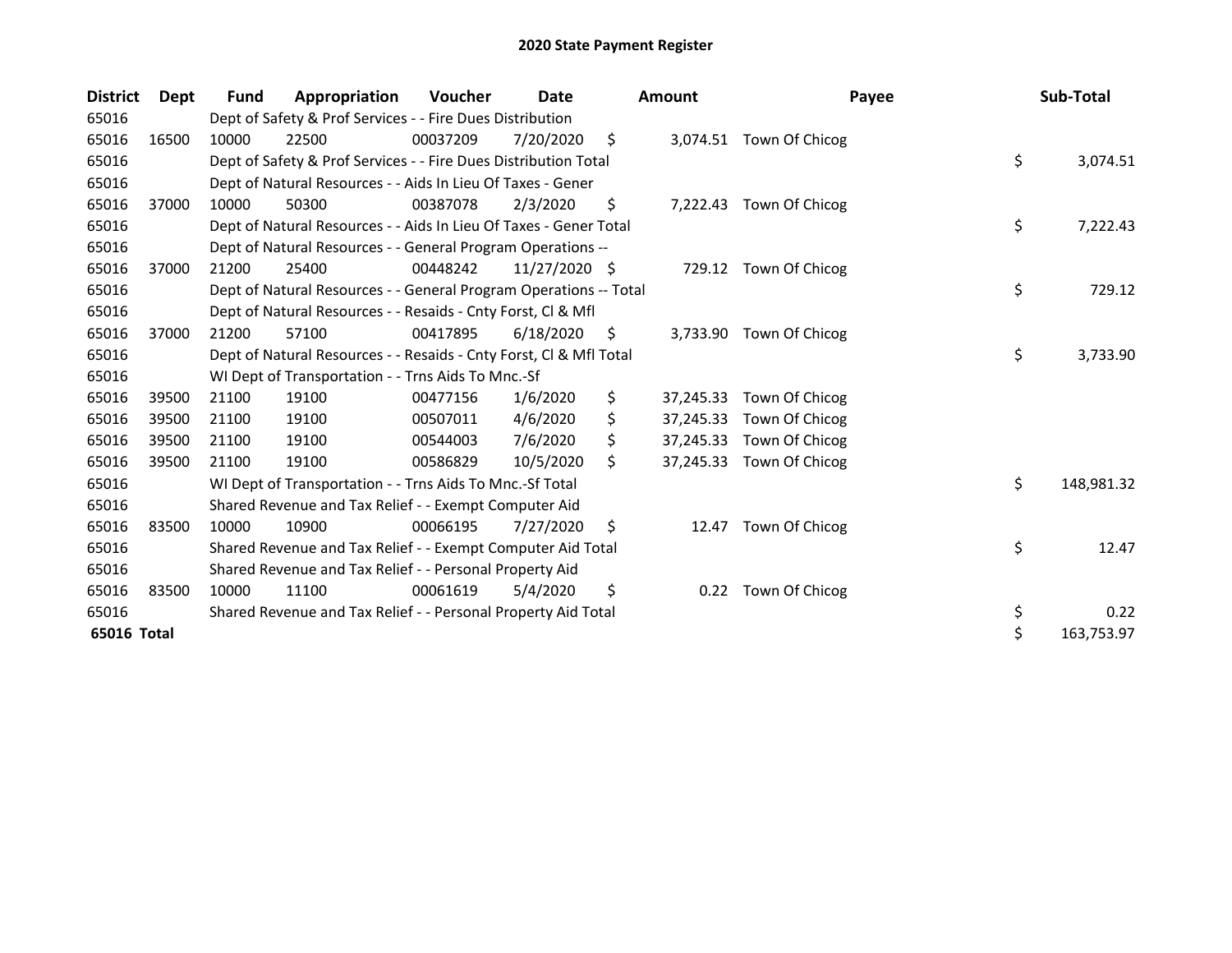| <b>District</b> | <b>Dept</b> | <b>Fund</b> | Appropriation                                                      | Voucher  | Date          |     | Amount    | Payee                    | Sub-Total        |
|-----------------|-------------|-------------|--------------------------------------------------------------------|----------|---------------|-----|-----------|--------------------------|------------------|
| 65016           |             |             | Dept of Safety & Prof Services - - Fire Dues Distribution          |          |               |     |           |                          |                  |
| 65016           | 16500       | 10000       | 22500                                                              | 00037209 | 7/20/2020     | \$  |           | 3,074.51 Town Of Chicog  |                  |
| 65016           |             |             | Dept of Safety & Prof Services - - Fire Dues Distribution Total    |          |               |     |           |                          | \$<br>3,074.51   |
| 65016           |             |             | Dept of Natural Resources - - Aids In Lieu Of Taxes - Gener        |          |               |     |           |                          |                  |
| 65016           | 37000       | 10000       | 50300                                                              | 00387078 | 2/3/2020      | \$  |           | 7,222.43 Town Of Chicog  |                  |
| 65016           |             |             | Dept of Natural Resources - - Aids In Lieu Of Taxes - Gener Total  |          |               |     |           |                          | \$<br>7,222.43   |
| 65016           |             |             | Dept of Natural Resources - - General Program Operations --        |          |               |     |           |                          |                  |
| 65016           | 37000       | 21200       | 25400                                                              | 00448242 | 11/27/2020 \$ |     |           | 729.12 Town Of Chicog    |                  |
| 65016           |             |             | Dept of Natural Resources - - General Program Operations -- Total  |          |               |     |           |                          | \$<br>729.12     |
| 65016           |             |             | Dept of Natural Resources - - Resaids - Cnty Forst, CI & Mfl       |          |               |     |           |                          |                  |
| 65016           | 37000       | 21200       | 57100                                                              | 00417895 | 6/18/2020     | \$. |           | 3,733.90 Town Of Chicog  |                  |
| 65016           |             |             | Dept of Natural Resources - - Resaids - Cnty Forst, CI & Mfl Total |          |               |     |           |                          | \$<br>3,733.90   |
| 65016           |             |             | WI Dept of Transportation - - Trns Aids To Mnc.-Sf                 |          |               |     |           |                          |                  |
| 65016           | 39500       | 21100       | 19100                                                              | 00477156 | 1/6/2020      | \$  | 37,245.33 | Town Of Chicog           |                  |
| 65016           | 39500       | 21100       | 19100                                                              | 00507011 | 4/6/2020      |     |           | 37,245.33 Town Of Chicog |                  |
| 65016           | 39500       | 21100       | 19100                                                              | 00544003 | 7/6/2020      |     |           | 37,245.33 Town Of Chicog |                  |
| 65016           | 39500       | 21100       | 19100                                                              | 00586829 | 10/5/2020     | \$  |           | 37,245.33 Town Of Chicog |                  |
| 65016           |             |             | WI Dept of Transportation - - Trns Aids To Mnc.-Sf Total           |          |               |     |           |                          | \$<br>148,981.32 |
| 65016           |             |             | Shared Revenue and Tax Relief - - Exempt Computer Aid              |          |               |     |           |                          |                  |
| 65016           | 83500       | 10000       | 10900                                                              | 00066195 | 7/27/2020     | \$. | 12.47     | Town Of Chicog           |                  |
| 65016           |             |             | Shared Revenue and Tax Relief - - Exempt Computer Aid Total        |          |               |     |           |                          | \$<br>12.47      |
| 65016           |             |             | Shared Revenue and Tax Relief - - Personal Property Aid            |          |               |     |           |                          |                  |
| 65016           | 83500       | 10000       | 11100                                                              | 00061619 | 5/4/2020      | \$  | 0.22      | Town Of Chicog           |                  |
| 65016           |             |             | Shared Revenue and Tax Relief - - Personal Property Aid Total      |          |               |     |           |                          | \$<br>0.22       |
| 65016 Total     |             |             |                                                                    |          |               |     |           |                          | \$<br>163,753.97 |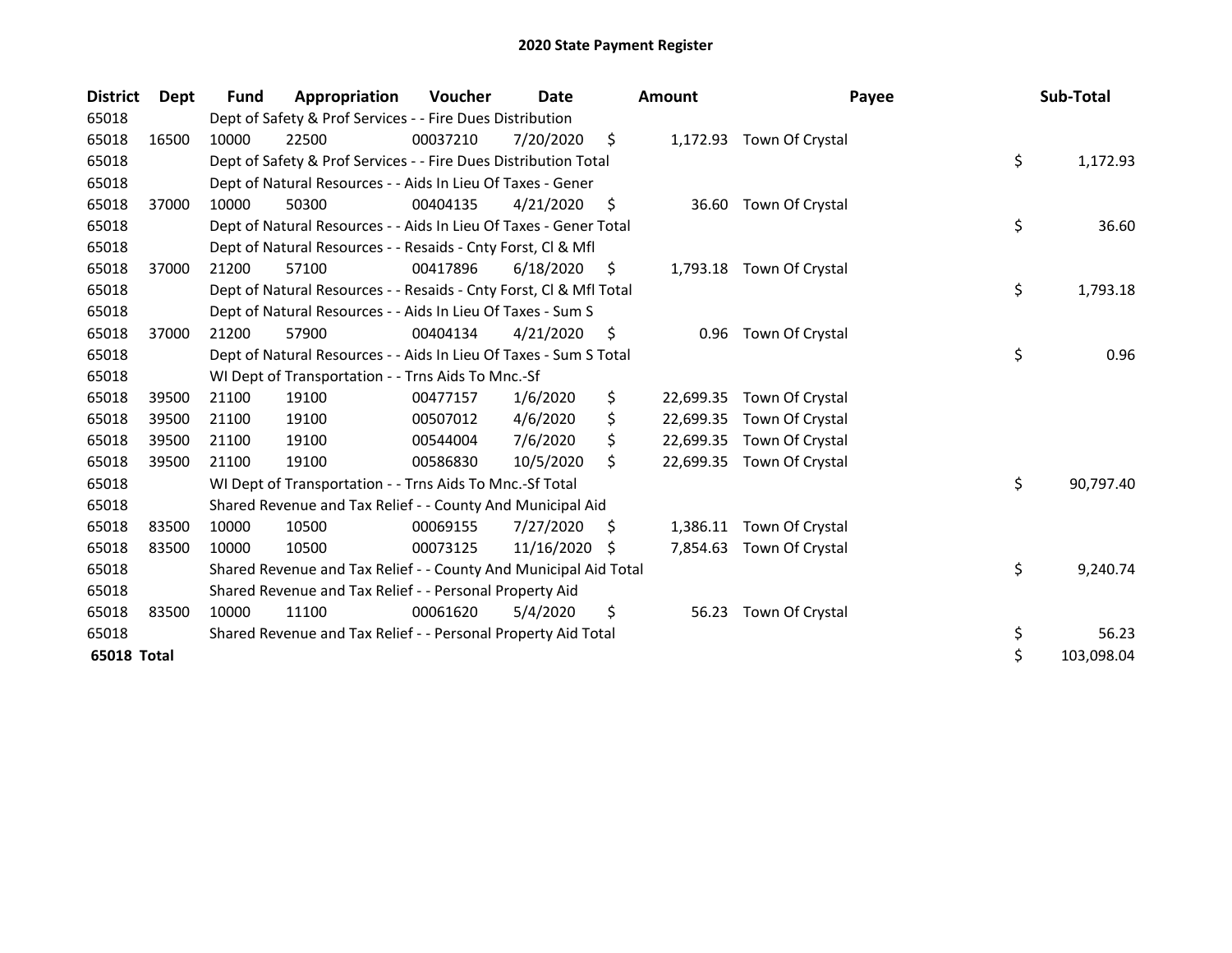| <b>District</b>    | <b>Dept</b> | <b>Fund</b> | Appropriation                                                      | Voucher  | Date       |     | <b>Amount</b> | Payee                     | Sub-Total        |
|--------------------|-------------|-------------|--------------------------------------------------------------------|----------|------------|-----|---------------|---------------------------|------------------|
| 65018              |             |             | Dept of Safety & Prof Services - - Fire Dues Distribution          |          |            |     |               |                           |                  |
| 65018              | 16500       | 10000       | 22500                                                              | 00037210 | 7/20/2020  | \$  |               | 1,172.93 Town Of Crystal  |                  |
| 65018              |             |             | Dept of Safety & Prof Services - - Fire Dues Distribution Total    |          |            |     |               |                           | \$<br>1,172.93   |
| 65018              |             |             | Dept of Natural Resources - - Aids In Lieu Of Taxes - Gener        |          |            |     |               |                           |                  |
| 65018              | 37000       | 10000       | 50300                                                              | 00404135 | 4/21/2020  | S.  | 36.60         | Town Of Crystal           |                  |
| 65018              |             |             | Dept of Natural Resources - - Aids In Lieu Of Taxes - Gener Total  |          |            |     |               |                           | \$<br>36.60      |
| 65018              |             |             | Dept of Natural Resources - - Resaids - Cnty Forst, Cl & Mfl       |          |            |     |               |                           |                  |
| 65018              | 37000       | 21200       | 57100                                                              | 00417896 | 6/18/2020  | \$. |               | 1,793.18 Town Of Crystal  |                  |
| 65018              |             |             | Dept of Natural Resources - - Resaids - Cnty Forst, CI & Mfl Total |          |            |     |               |                           | \$<br>1,793.18   |
| 65018              |             |             | Dept of Natural Resources - - Aids In Lieu Of Taxes - Sum S        |          |            |     |               |                           |                  |
| 65018              | 37000       | 21200       | 57900                                                              | 00404134 | 4/21/2020  | \$  | 0.96          | Town Of Crystal           |                  |
| 65018              |             |             | Dept of Natural Resources - - Aids In Lieu Of Taxes - Sum S Total  |          |            |     |               |                           | \$<br>0.96       |
| 65018              |             |             | WI Dept of Transportation - - Trns Aids To Mnc.-Sf                 |          |            |     |               |                           |                  |
| 65018              | 39500       | 21100       | 19100                                                              | 00477157 | 1/6/2020   | \$  | 22,699.35     | Town Of Crystal           |                  |
| 65018              | 39500       | 21100       | 19100                                                              | 00507012 | 4/6/2020   | \$  | 22,699.35     | Town Of Crystal           |                  |
| 65018              | 39500       | 21100       | 19100                                                              | 00544004 | 7/6/2020   | \$  |               | 22,699.35 Town Of Crystal |                  |
| 65018              | 39500       | 21100       | 19100                                                              | 00586830 | 10/5/2020  | \$  |               | 22,699.35 Town Of Crystal |                  |
| 65018              |             |             | WI Dept of Transportation - - Trns Aids To Mnc.-Sf Total           |          |            |     |               |                           | \$<br>90,797.40  |
| 65018              |             |             | Shared Revenue and Tax Relief - - County And Municipal Aid         |          |            |     |               |                           |                  |
| 65018              | 83500       | 10000       | 10500                                                              | 00069155 | 7/27/2020  | S   | 1,386.11      | Town Of Crystal           |                  |
| 65018              | 83500       | 10000       | 10500                                                              | 00073125 | 11/16/2020 | -S  | 7,854.63      | Town Of Crystal           |                  |
| 65018              |             |             | Shared Revenue and Tax Relief - - County And Municipal Aid Total   |          |            |     |               |                           | \$<br>9,240.74   |
| 65018              |             |             | Shared Revenue and Tax Relief - - Personal Property Aid            |          |            |     |               |                           |                  |
| 65018              | 83500       | 10000       | 11100                                                              | 00061620 | 5/4/2020   | \$  | 56.23         | Town Of Crystal           |                  |
| 65018              |             |             | Shared Revenue and Tax Relief - - Personal Property Aid Total      |          |            |     |               |                           | \$<br>56.23      |
| <b>65018 Total</b> |             |             |                                                                    |          |            |     |               |                           | \$<br>103,098.04 |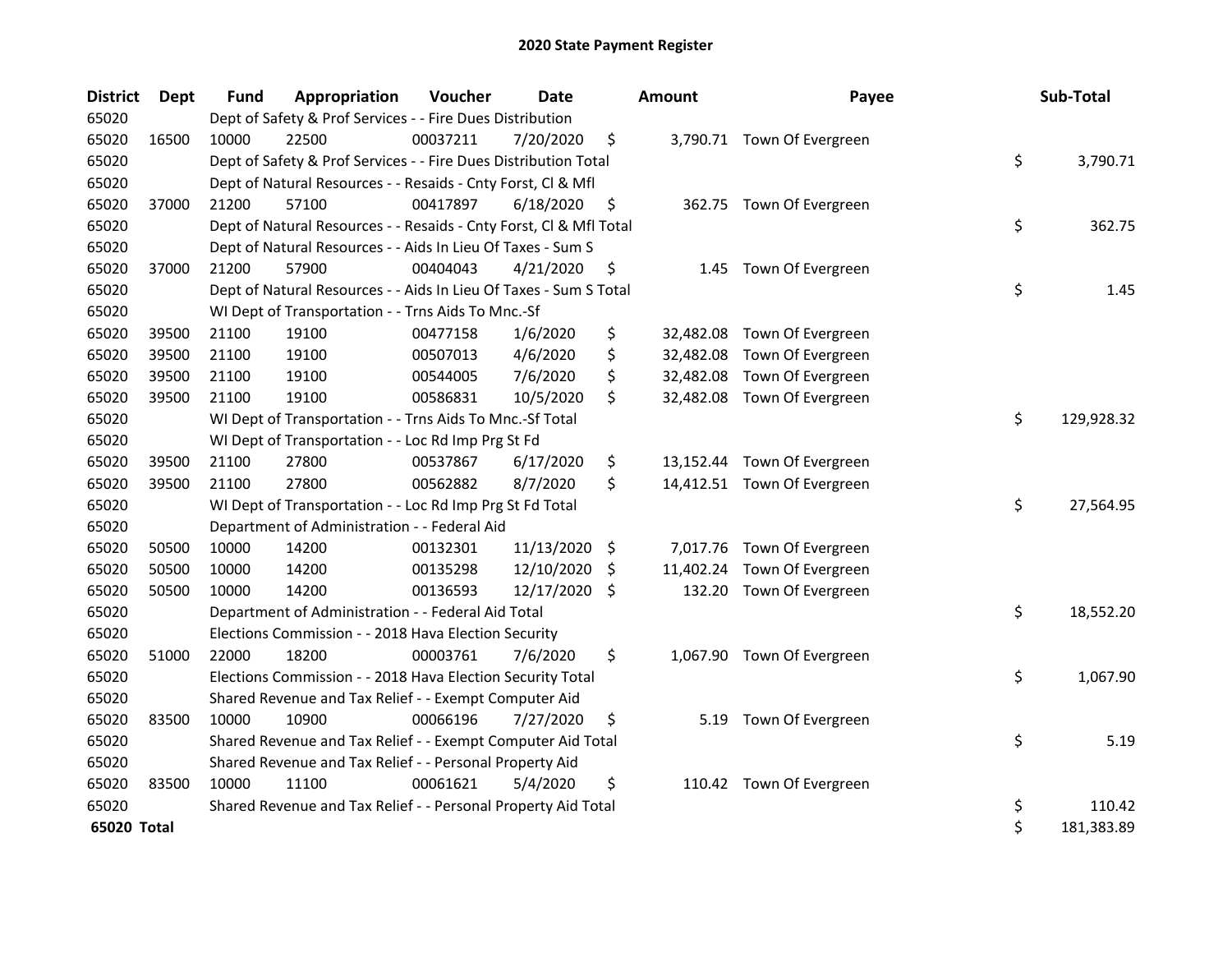| <b>District</b> | <b>Dept</b> | Fund  | Appropriation                                                      | Voucher  | <b>Date</b> |    | <b>Amount</b> | Payee                       | Sub-Total        |
|-----------------|-------------|-------|--------------------------------------------------------------------|----------|-------------|----|---------------|-----------------------------|------------------|
| 65020           |             |       | Dept of Safety & Prof Services - - Fire Dues Distribution          |          |             |    |               |                             |                  |
| 65020           | 16500       | 10000 | 22500                                                              | 00037211 | 7/20/2020   | \$ |               | 3,790.71 Town Of Evergreen  |                  |
| 65020           |             |       | Dept of Safety & Prof Services - - Fire Dues Distribution Total    |          |             |    |               |                             | \$<br>3,790.71   |
| 65020           |             |       | Dept of Natural Resources - - Resaids - Cnty Forst, Cl & Mfl       |          |             |    |               |                             |                  |
| 65020           | 37000       | 21200 | 57100                                                              | 00417897 | 6/18/2020   | \$ |               | 362.75 Town Of Evergreen    |                  |
| 65020           |             |       | Dept of Natural Resources - - Resaids - Cnty Forst, Cl & Mfl Total |          |             |    |               |                             | \$<br>362.75     |
| 65020           |             |       | Dept of Natural Resources - - Aids In Lieu Of Taxes - Sum S        |          |             |    |               |                             |                  |
| 65020           | 37000       | 21200 | 57900                                                              | 00404043 | 4/21/2020   | \$ | 1.45          | Town Of Evergreen           |                  |
| 65020           |             |       | Dept of Natural Resources - - Aids In Lieu Of Taxes - Sum S Total  |          |             |    |               |                             | \$<br>1.45       |
| 65020           |             |       | WI Dept of Transportation - - Trns Aids To Mnc.-Sf                 |          |             |    |               |                             |                  |
| 65020           | 39500       | 21100 | 19100                                                              | 00477158 | 1/6/2020    | \$ | 32,482.08     | Town Of Evergreen           |                  |
| 65020           | 39500       | 21100 | 19100                                                              | 00507013 | 4/6/2020    | \$ |               | 32,482.08 Town Of Evergreen |                  |
| 65020           | 39500       | 21100 | 19100                                                              | 00544005 | 7/6/2020    | \$ |               | 32,482.08 Town Of Evergreen |                  |
| 65020           | 39500       | 21100 | 19100                                                              | 00586831 | 10/5/2020   | \$ |               | 32,482.08 Town Of Evergreen |                  |
| 65020           |             |       | WI Dept of Transportation - - Trns Aids To Mnc.-Sf Total           |          |             |    |               |                             | \$<br>129,928.32 |
| 65020           |             |       | WI Dept of Transportation - - Loc Rd Imp Prg St Fd                 |          |             |    |               |                             |                  |
| 65020           | 39500       | 21100 | 27800                                                              | 00537867 | 6/17/2020   | \$ |               | 13,152.44 Town Of Evergreen |                  |
| 65020           | 39500       | 21100 | 27800                                                              | 00562882 | 8/7/2020    | \$ |               | 14,412.51 Town Of Evergreen |                  |
| 65020           |             |       | WI Dept of Transportation - - Loc Rd Imp Prg St Fd Total           |          |             |    |               |                             | \$<br>27,564.95  |
| 65020           |             |       | Department of Administration - - Federal Aid                       |          |             |    |               |                             |                  |
| 65020           | 50500       | 10000 | 14200                                                              | 00132301 | 11/13/2020  | \$ | 7,017.76      | Town Of Evergreen           |                  |
| 65020           | 50500       | 10000 | 14200                                                              | 00135298 | 12/10/2020  | -S | 11,402.24     | Town Of Evergreen           |                  |
| 65020           | 50500       | 10000 | 14200                                                              | 00136593 | 12/17/2020  | Ŝ. | 132.20        | Town Of Evergreen           |                  |
| 65020           |             |       | Department of Administration - - Federal Aid Total                 |          |             |    |               |                             | \$<br>18,552.20  |
| 65020           |             |       | Elections Commission - - 2018 Hava Election Security               |          |             |    |               |                             |                  |
| 65020           | 51000       | 22000 | 18200                                                              | 00003761 | 7/6/2020    | \$ |               | 1,067.90 Town Of Evergreen  |                  |
| 65020           |             |       | Elections Commission - - 2018 Hava Election Security Total         |          |             |    |               |                             | \$<br>1,067.90   |
| 65020           |             |       | Shared Revenue and Tax Relief - - Exempt Computer Aid              |          |             |    |               |                             |                  |
| 65020           | 83500       | 10000 | 10900                                                              | 00066196 | 7/27/2020   | \$ | 5.19          | Town Of Evergreen           |                  |
| 65020           |             |       | Shared Revenue and Tax Relief - - Exempt Computer Aid Total        |          |             |    |               |                             | \$<br>5.19       |
| 65020           |             |       | Shared Revenue and Tax Relief - - Personal Property Aid            |          |             |    |               |                             |                  |
| 65020           | 83500       | 10000 | 11100                                                              | 00061621 | 5/4/2020    | \$ |               | 110.42 Town Of Evergreen    |                  |
| 65020           |             |       | Shared Revenue and Tax Relief - - Personal Property Aid Total      |          |             |    |               |                             | \$<br>110.42     |
| 65020 Total     |             |       |                                                                    |          |             |    |               |                             | \$<br>181,383.89 |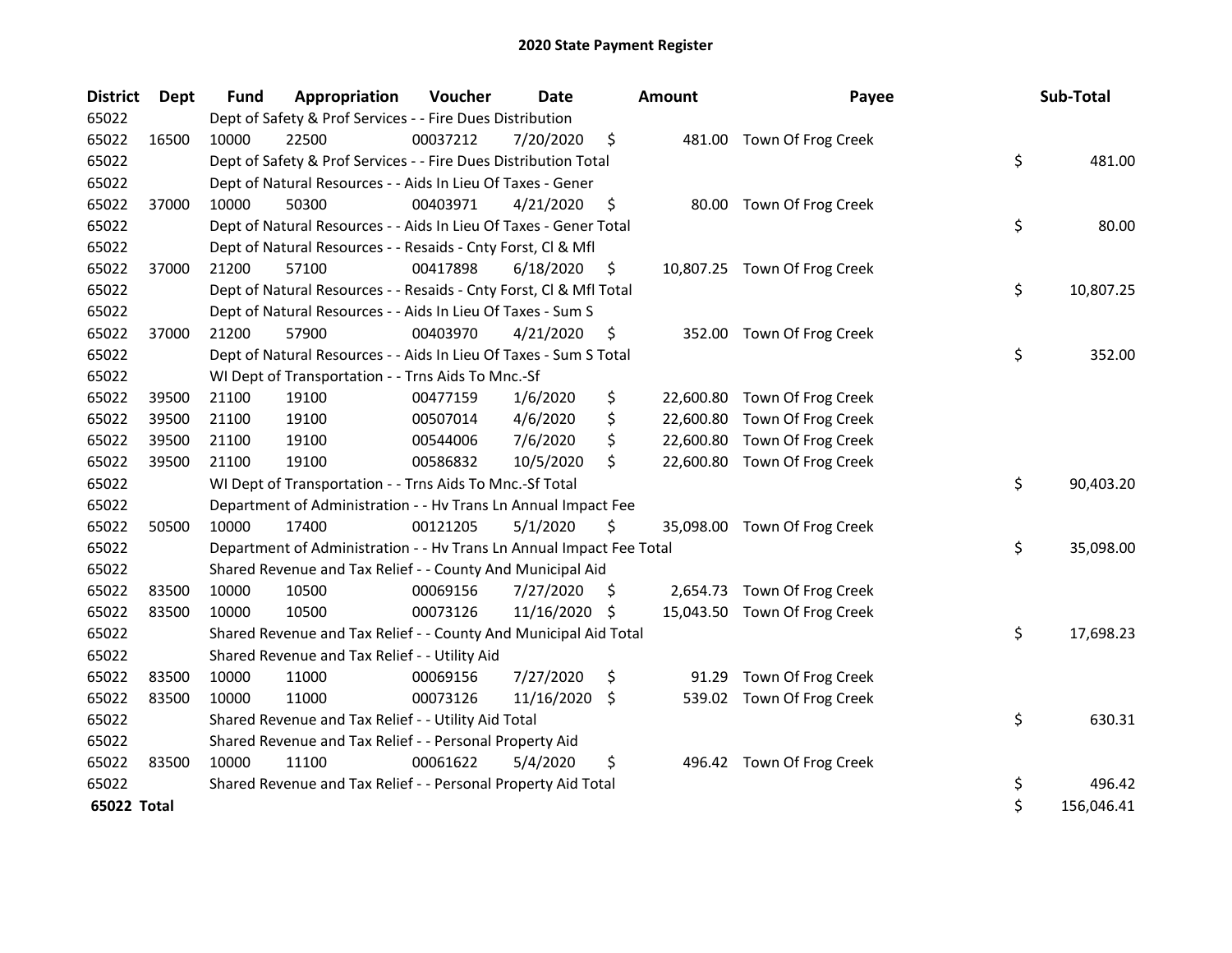| <b>District</b> | <b>Dept</b> | <b>Fund</b> | Appropriation                                                        | Voucher  | Date       |     | <b>Amount</b> | Payee                        | Sub-Total        |
|-----------------|-------------|-------------|----------------------------------------------------------------------|----------|------------|-----|---------------|------------------------------|------------------|
| 65022           |             |             | Dept of Safety & Prof Services - - Fire Dues Distribution            |          |            |     |               |                              |                  |
| 65022           | 16500       | 10000       | 22500                                                                | 00037212 | 7/20/2020  | \$  |               | 481.00 Town Of Frog Creek    |                  |
| 65022           |             |             | Dept of Safety & Prof Services - - Fire Dues Distribution Total      |          |            |     |               |                              | \$<br>481.00     |
| 65022           |             |             | Dept of Natural Resources - - Aids In Lieu Of Taxes - Gener          |          |            |     |               |                              |                  |
| 65022           | 37000       | 10000       | 50300                                                                | 00403971 | 4/21/2020  | \$  | 80.00         | Town Of Frog Creek           |                  |
| 65022           |             |             | Dept of Natural Resources - - Aids In Lieu Of Taxes - Gener Total    |          |            |     |               |                              | \$<br>80.00      |
| 65022           |             |             | Dept of Natural Resources - - Resaids - Cnty Forst, Cl & Mfl         |          |            |     |               |                              |                  |
| 65022           | 37000       | 21200       | 57100                                                                | 00417898 | 6/18/2020  | \$  |               | 10,807.25 Town Of Frog Creek |                  |
| 65022           |             |             | Dept of Natural Resources - - Resaids - Cnty Forst, Cl & Mfl Total   |          |            |     |               |                              | \$<br>10,807.25  |
| 65022           |             |             | Dept of Natural Resources - - Aids In Lieu Of Taxes - Sum S          |          |            |     |               |                              |                  |
| 65022           | 37000       | 21200       | 57900                                                                | 00403970 | 4/21/2020  | \$. |               | 352.00 Town Of Frog Creek    |                  |
| 65022           |             |             | Dept of Natural Resources - - Aids In Lieu Of Taxes - Sum S Total    |          |            |     |               |                              | \$<br>352.00     |
| 65022           |             |             | WI Dept of Transportation - - Trns Aids To Mnc.-Sf                   |          |            |     |               |                              |                  |
| 65022           | 39500       | 21100       | 19100                                                                | 00477159 | 1/6/2020   | \$  |               | 22,600.80 Town Of Frog Creek |                  |
| 65022           | 39500       | 21100       | 19100                                                                | 00507014 | 4/6/2020   | \$  | 22,600.80     | Town Of Frog Creek           |                  |
| 65022           | 39500       | 21100       | 19100                                                                | 00544006 | 7/6/2020   | \$  |               | 22,600.80 Town Of Frog Creek |                  |
| 65022           | 39500       | 21100       | 19100                                                                | 00586832 | 10/5/2020  | \$  |               | 22,600.80 Town Of Frog Creek |                  |
| 65022           |             |             | WI Dept of Transportation - - Trns Aids To Mnc.-Sf Total             |          |            |     |               |                              | \$<br>90,403.20  |
| 65022           |             |             | Department of Administration - - Hv Trans Ln Annual Impact Fee       |          |            |     |               |                              |                  |
| 65022           | 50500       | 10000       | 17400                                                                | 00121205 | 5/1/2020   | \$  |               | 35,098.00 Town Of Frog Creek |                  |
| 65022           |             |             | Department of Administration - - Hv Trans Ln Annual Impact Fee Total |          |            |     |               |                              | \$<br>35,098.00  |
| 65022           |             |             | Shared Revenue and Tax Relief - - County And Municipal Aid           |          |            |     |               |                              |                  |
| 65022           | 83500       | 10000       | 10500                                                                | 00069156 | 7/27/2020  | \$. |               | 2,654.73 Town Of Frog Creek  |                  |
| 65022           | 83500       | 10000       | 10500                                                                | 00073126 | 11/16/2020 | \$  |               | 15,043.50 Town Of Frog Creek |                  |
| 65022           |             |             | Shared Revenue and Tax Relief - - County And Municipal Aid Total     |          |            |     |               |                              | \$<br>17,698.23  |
| 65022           |             |             | Shared Revenue and Tax Relief - - Utility Aid                        |          |            |     |               |                              |                  |
| 65022           | 83500       | 10000       | 11000                                                                | 00069156 | 7/27/2020  | \$  | 91.29         | Town Of Frog Creek           |                  |
| 65022           | 83500       | 10000       | 11000                                                                | 00073126 | 11/16/2020 | \$  |               | 539.02 Town Of Frog Creek    |                  |
| 65022           |             |             | Shared Revenue and Tax Relief - - Utility Aid Total                  |          |            |     |               |                              | \$<br>630.31     |
| 65022           |             |             | Shared Revenue and Tax Relief - - Personal Property Aid              |          |            |     |               |                              |                  |
| 65022           | 83500       | 10000       | 11100                                                                | 00061622 | 5/4/2020   | \$  |               | 496.42 Town Of Frog Creek    |                  |
| 65022           |             |             | Shared Revenue and Tax Relief - - Personal Property Aid Total        |          |            |     |               |                              | \$<br>496.42     |
| 65022 Total     |             |             |                                                                      |          |            |     |               |                              | \$<br>156,046.41 |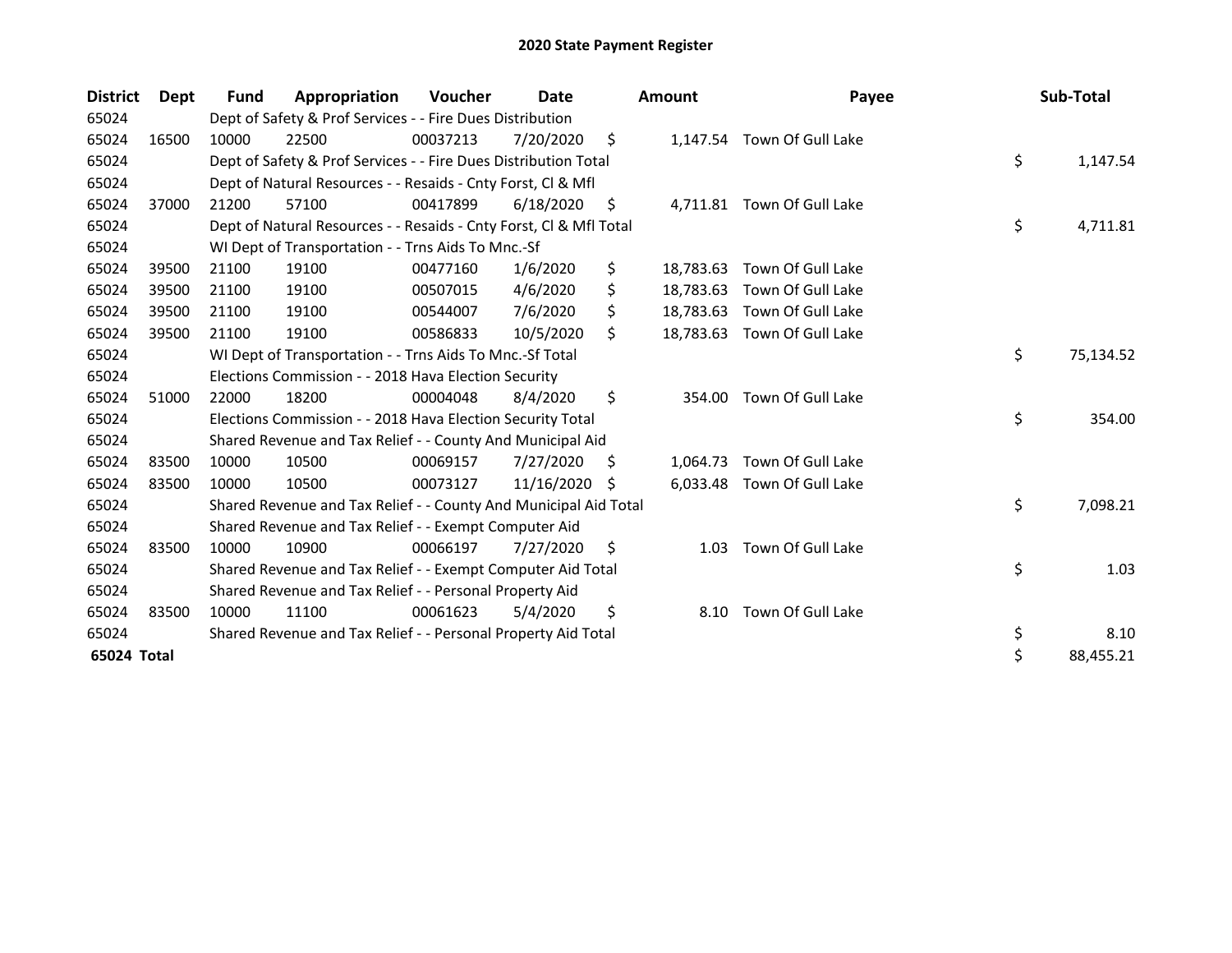| <b>District</b> | Dept  | Fund  | Appropriation                                                      | Voucher  | Date       |     | <b>Amount</b> | Payee                      | Sub-Total       |
|-----------------|-------|-------|--------------------------------------------------------------------|----------|------------|-----|---------------|----------------------------|-----------------|
| 65024           |       |       | Dept of Safety & Prof Services - - Fire Dues Distribution          |          |            |     |               |                            |                 |
| 65024           | 16500 | 10000 | 22500                                                              | 00037213 | 7/20/2020  | \$  |               | 1,147.54 Town Of Gull Lake |                 |
| 65024           |       |       | Dept of Safety & Prof Services - - Fire Dues Distribution Total    |          |            |     |               |                            | \$<br>1,147.54  |
| 65024           |       |       | Dept of Natural Resources - - Resaids - Cnty Forst, CI & Mfl       |          |            |     |               |                            |                 |
| 65024           | 37000 | 21200 | 57100                                                              | 00417899 | 6/18/2020  | S   |               | 4,711.81 Town Of Gull Lake |                 |
| 65024           |       |       | Dept of Natural Resources - - Resaids - Cnty Forst, CI & Mfl Total |          |            |     |               |                            | \$<br>4,711.81  |
| 65024           |       |       | WI Dept of Transportation - - Trns Aids To Mnc.-Sf                 |          |            |     |               |                            |                 |
| 65024           | 39500 | 21100 | 19100                                                              | 00477160 | 1/6/2020   | \$  | 18,783.63     | Town Of Gull Lake          |                 |
| 65024           | 39500 | 21100 | 19100                                                              | 00507015 | 4/6/2020   | \$  | 18,783.63     | Town Of Gull Lake          |                 |
| 65024           | 39500 | 21100 | 19100                                                              | 00544007 | 7/6/2020   | \$  | 18,783.63     | Town Of Gull Lake          |                 |
| 65024           | 39500 | 21100 | 19100                                                              | 00586833 | 10/5/2020  | \$  | 18,783.63     | Town Of Gull Lake          |                 |
| 65024           |       |       | WI Dept of Transportation - - Trns Aids To Mnc.-Sf Total           |          |            |     |               |                            | \$<br>75,134.52 |
| 65024           |       |       | Elections Commission - - 2018 Hava Election Security               |          |            |     |               |                            |                 |
| 65024           | 51000 | 22000 | 18200                                                              | 00004048 | 8/4/2020   | \$  | 354.00        | Town Of Gull Lake          |                 |
| 65024           |       |       | Elections Commission - - 2018 Hava Election Security Total         |          |            |     |               |                            | \$<br>354.00    |
| 65024           |       |       | Shared Revenue and Tax Relief - - County And Municipal Aid         |          |            |     |               |                            |                 |
| 65024           | 83500 | 10000 | 10500                                                              | 00069157 | 7/27/2020  | \$  | 1,064.73      | Town Of Gull Lake          |                 |
| 65024           | 83500 | 10000 | 10500                                                              | 00073127 | 11/16/2020 | S.  |               | 6,033.48 Town Of Gull Lake |                 |
| 65024           |       |       | Shared Revenue and Tax Relief - - County And Municipal Aid Total   |          |            |     |               |                            | \$<br>7,098.21  |
| 65024           |       |       | Shared Revenue and Tax Relief - - Exempt Computer Aid              |          |            |     |               |                            |                 |
| 65024           | 83500 | 10000 | 10900                                                              | 00066197 | 7/27/2020  | \$. | 1.03          | Town Of Gull Lake          |                 |
| 65024           |       |       | Shared Revenue and Tax Relief - - Exempt Computer Aid Total        |          |            |     |               |                            | \$<br>1.03      |
| 65024           |       |       | Shared Revenue and Tax Relief - - Personal Property Aid            |          |            |     |               |                            |                 |
| 65024           | 83500 | 10000 | 11100                                                              | 00061623 | 5/4/2020   | \$  | 8.10          | Town Of Gull Lake          |                 |
| 65024           |       |       | Shared Revenue and Tax Relief - - Personal Property Aid Total      |          |            |     |               |                            | \$<br>8.10      |
| 65024 Total     |       |       |                                                                    |          |            |     |               |                            | \$<br>88,455.21 |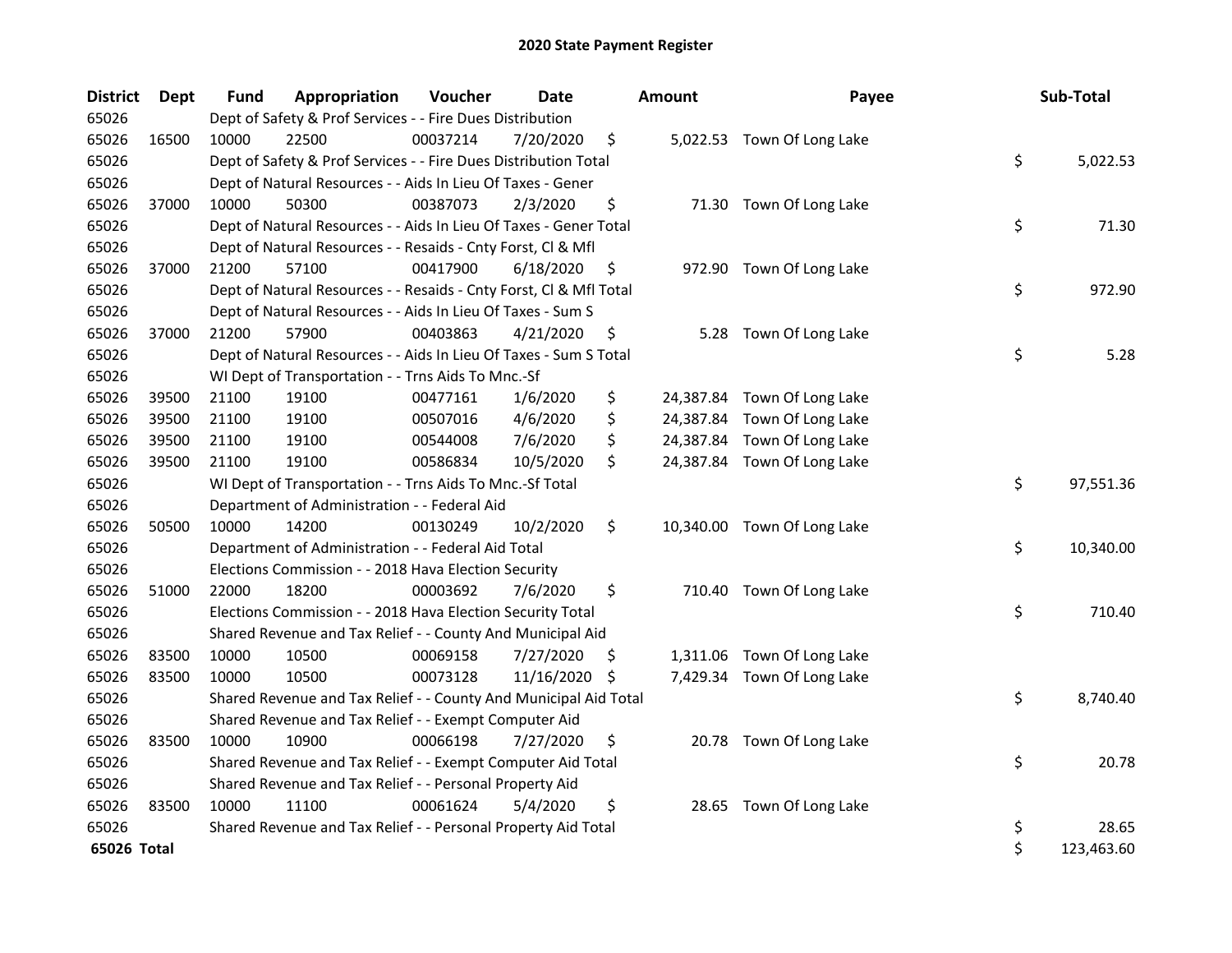| <b>District</b> | Dept  | <b>Fund</b> | Appropriation                                                      | Voucher  | <b>Date</b>   |     | <b>Amount</b> | Payee                       | Sub-Total        |
|-----------------|-------|-------------|--------------------------------------------------------------------|----------|---------------|-----|---------------|-----------------------------|------------------|
| 65026           |       |             | Dept of Safety & Prof Services - - Fire Dues Distribution          |          |               |     |               |                             |                  |
| 65026           | 16500 | 10000       | 22500                                                              | 00037214 | 7/20/2020     | \$  |               | 5,022.53 Town Of Long Lake  |                  |
| 65026           |       |             | Dept of Safety & Prof Services - - Fire Dues Distribution Total    |          |               |     |               |                             | \$<br>5,022.53   |
| 65026           |       |             | Dept of Natural Resources - - Aids In Lieu Of Taxes - Gener        |          |               |     |               |                             |                  |
| 65026           | 37000 | 10000       | 50300                                                              | 00387073 | 2/3/2020      | \$  |               | 71.30 Town Of Long Lake     |                  |
| 65026           |       |             | Dept of Natural Resources - - Aids In Lieu Of Taxes - Gener Total  |          |               |     |               |                             | \$<br>71.30      |
| 65026           |       |             | Dept of Natural Resources - - Resaids - Cnty Forst, Cl & Mfl       |          |               |     |               |                             |                  |
| 65026           | 37000 | 21200       | 57100                                                              | 00417900 | 6/18/2020     | \$  |               | 972.90 Town Of Long Lake    |                  |
| 65026           |       |             | Dept of Natural Resources - - Resaids - Cnty Forst, Cl & Mfl Total |          |               |     |               |                             | \$<br>972.90     |
| 65026           |       |             | Dept of Natural Resources - - Aids In Lieu Of Taxes - Sum S        |          |               |     |               |                             |                  |
| 65026           | 37000 | 21200       | 57900                                                              | 00403863 | 4/21/2020     | \$  |               | 5.28 Town Of Long Lake      |                  |
| 65026           |       |             | Dept of Natural Resources - - Aids In Lieu Of Taxes - Sum S Total  |          |               |     |               |                             | \$<br>5.28       |
| 65026           |       |             | WI Dept of Transportation - - Trns Aids To Mnc.-Sf                 |          |               |     |               |                             |                  |
| 65026           | 39500 | 21100       | 19100                                                              | 00477161 | 1/6/2020      | \$  |               | 24,387.84 Town Of Long Lake |                  |
| 65026           | 39500 | 21100       | 19100                                                              | 00507016 | 4/6/2020      | \$  |               | 24,387.84 Town Of Long Lake |                  |
| 65026           | 39500 | 21100       | 19100                                                              | 00544008 | 7/6/2020      | \$  |               | 24,387.84 Town Of Long Lake |                  |
| 65026           | 39500 | 21100       | 19100                                                              | 00586834 | 10/5/2020     | \$  |               | 24,387.84 Town Of Long Lake |                  |
| 65026           |       |             | WI Dept of Transportation - - Trns Aids To Mnc.-Sf Total           |          |               |     |               |                             | \$<br>97,551.36  |
| 65026           |       |             | Department of Administration - - Federal Aid                       |          |               |     |               |                             |                  |
| 65026           | 50500 | 10000       | 14200                                                              | 00130249 | 10/2/2020     | \$  |               | 10,340.00 Town Of Long Lake |                  |
| 65026           |       |             | Department of Administration - - Federal Aid Total                 |          |               |     |               |                             | \$<br>10,340.00  |
| 65026           |       |             | Elections Commission - - 2018 Hava Election Security               |          |               |     |               |                             |                  |
| 65026           | 51000 | 22000       | 18200                                                              | 00003692 | 7/6/2020      | \$  |               | 710.40 Town Of Long Lake    |                  |
| 65026           |       |             | Elections Commission - - 2018 Hava Election Security Total         |          |               |     |               |                             | \$<br>710.40     |
| 65026           |       |             | Shared Revenue and Tax Relief - - County And Municipal Aid         |          |               |     |               |                             |                  |
| 65026           | 83500 | 10000       | 10500                                                              | 00069158 | 7/27/2020     | \$. |               | 1,311.06 Town Of Long Lake  |                  |
| 65026           | 83500 | 10000       | 10500                                                              | 00073128 | 11/16/2020 \$ |     |               | 7,429.34 Town Of Long Lake  |                  |
| 65026           |       |             | Shared Revenue and Tax Relief - - County And Municipal Aid Total   |          |               |     |               |                             | \$<br>8,740.40   |
| 65026           |       |             | Shared Revenue and Tax Relief - - Exempt Computer Aid              |          |               |     |               |                             |                  |
| 65026           | 83500 | 10000       | 10900                                                              | 00066198 | 7/27/2020     | \$  |               | 20.78 Town Of Long Lake     |                  |
| 65026           |       |             | Shared Revenue and Tax Relief - - Exempt Computer Aid Total        |          |               |     |               |                             | \$<br>20.78      |
| 65026           |       |             | Shared Revenue and Tax Relief - - Personal Property Aid            |          |               |     |               |                             |                  |
| 65026           | 83500 | 10000       | 11100                                                              | 00061624 | 5/4/2020      | \$  | 28.65         | Town Of Long Lake           |                  |
| 65026           |       |             | Shared Revenue and Tax Relief - - Personal Property Aid Total      |          |               |     |               |                             | \$<br>28.65      |
| 65026 Total     |       |             |                                                                    |          |               |     |               |                             | \$<br>123,463.60 |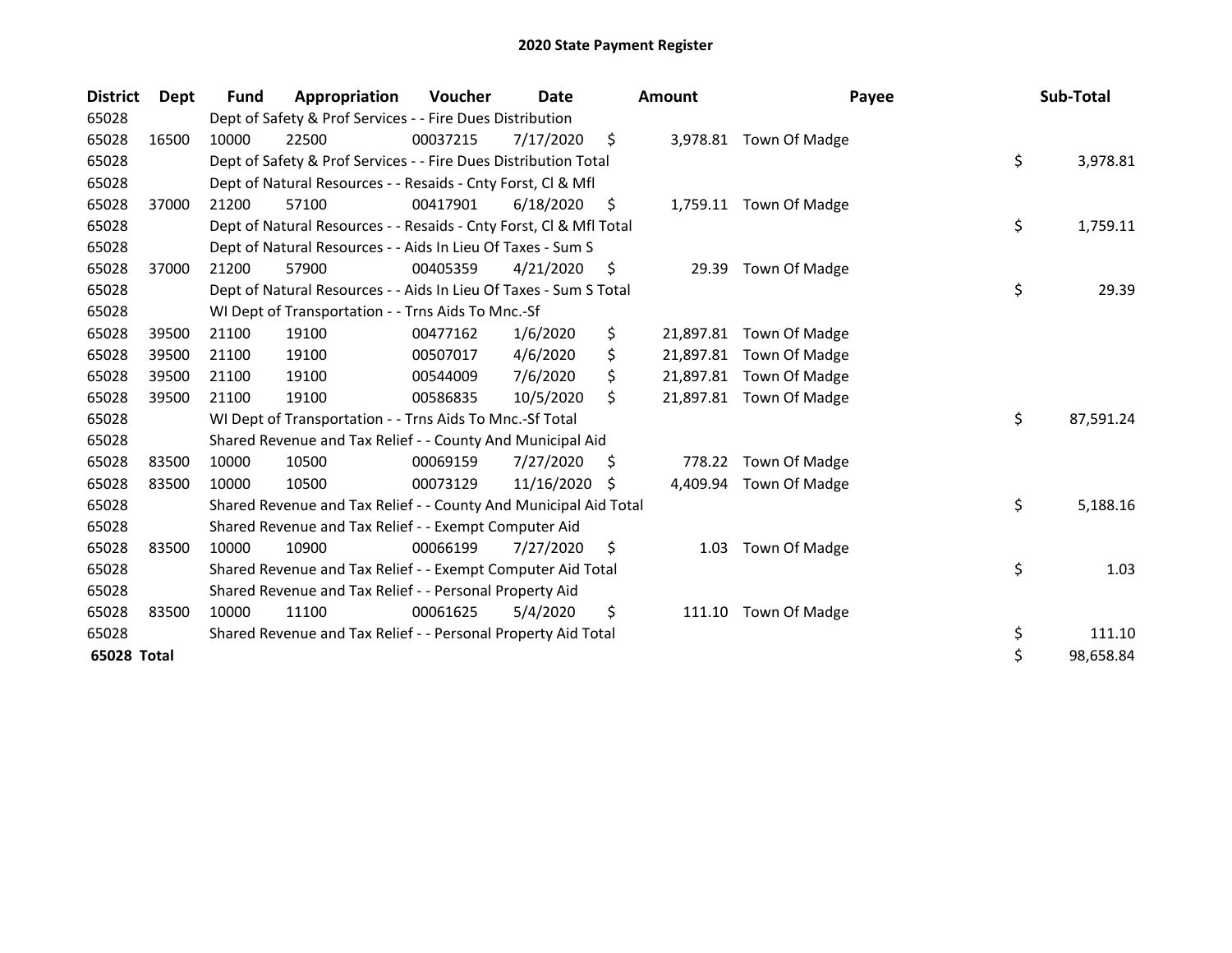| <b>District</b> | Dept  | Fund  | Appropriation                                                      | Voucher  | Date       |     | Amount    | Payee                   | Sub-Total       |
|-----------------|-------|-------|--------------------------------------------------------------------|----------|------------|-----|-----------|-------------------------|-----------------|
| 65028           |       |       | Dept of Safety & Prof Services - - Fire Dues Distribution          |          |            |     |           |                         |                 |
| 65028           | 16500 | 10000 | 22500                                                              | 00037215 | 7/17/2020  | \$  |           | 3,978.81 Town Of Madge  |                 |
| 65028           |       |       | Dept of Safety & Prof Services - - Fire Dues Distribution Total    |          |            |     |           |                         | \$<br>3,978.81  |
| 65028           |       |       | Dept of Natural Resources - - Resaids - Cnty Forst, CI & Mfl       |          |            |     |           |                         |                 |
| 65028           | 37000 | 21200 | 57100                                                              | 00417901 | 6/18/2020  | \$. |           | 1,759.11 Town Of Madge  |                 |
| 65028           |       |       | Dept of Natural Resources - - Resaids - Cnty Forst, CI & Mfl Total |          |            |     |           |                         | \$<br>1,759.11  |
| 65028           |       |       | Dept of Natural Resources - - Aids In Lieu Of Taxes - Sum S        |          |            |     |           |                         |                 |
| 65028           | 37000 | 21200 | 57900                                                              | 00405359 | 4/21/2020  | \$, | 29.39     | Town Of Madge           |                 |
| 65028           |       |       | Dept of Natural Resources - - Aids In Lieu Of Taxes - Sum S Total  |          |            |     |           |                         | \$<br>29.39     |
| 65028           |       |       | WI Dept of Transportation - - Trns Aids To Mnc.-Sf                 |          |            |     |           |                         |                 |
| 65028           | 39500 | 21100 | 19100                                                              | 00477162 | 1/6/2020   | \$  | 21,897.81 | Town Of Madge           |                 |
| 65028           | 39500 | 21100 | 19100                                                              | 00507017 | 4/6/2020   | \$  |           | 21,897.81 Town Of Madge |                 |
| 65028           | 39500 | 21100 | 19100                                                              | 00544009 | 7/6/2020   |     |           | 21,897.81 Town Of Madge |                 |
| 65028           | 39500 | 21100 | 19100                                                              | 00586835 | 10/5/2020  | Ŝ.  |           | 21,897.81 Town Of Madge |                 |
| 65028           |       |       | WI Dept of Transportation - - Trns Aids To Mnc.-Sf Total           |          |            |     |           |                         | \$<br>87,591.24 |
| 65028           |       |       | Shared Revenue and Tax Relief - - County And Municipal Aid         |          |            |     |           |                         |                 |
| 65028           | 83500 | 10000 | 10500                                                              | 00069159 | 7/27/2020  | \$  | 778.22    | Town Of Madge           |                 |
| 65028           | 83500 | 10000 | 10500                                                              | 00073129 | 11/16/2020 | S   | 4,409.94  | Town Of Madge           |                 |
| 65028           |       |       | Shared Revenue and Tax Relief - - County And Municipal Aid Total   |          |            |     |           |                         | \$<br>5,188.16  |
| 65028           |       |       | Shared Revenue and Tax Relief - - Exempt Computer Aid              |          |            |     |           |                         |                 |
| 65028           | 83500 | 10000 | 10900                                                              | 00066199 | 7/27/2020  | \$, | 1.03      | Town Of Madge           |                 |
| 65028           |       |       | Shared Revenue and Tax Relief - - Exempt Computer Aid Total        |          |            |     |           |                         | \$<br>1.03      |
| 65028           |       |       | Shared Revenue and Tax Relief - - Personal Property Aid            |          |            |     |           |                         |                 |
| 65028           | 83500 | 10000 | 11100                                                              | 00061625 | 5/4/2020   | \$  | 111.10    | Town Of Madge           |                 |
| 65028           |       |       | Shared Revenue and Tax Relief - - Personal Property Aid Total      |          |            |     |           |                         | \$<br>111.10    |
| 65028 Total     |       |       |                                                                    |          |            |     |           |                         | \$<br>98,658.84 |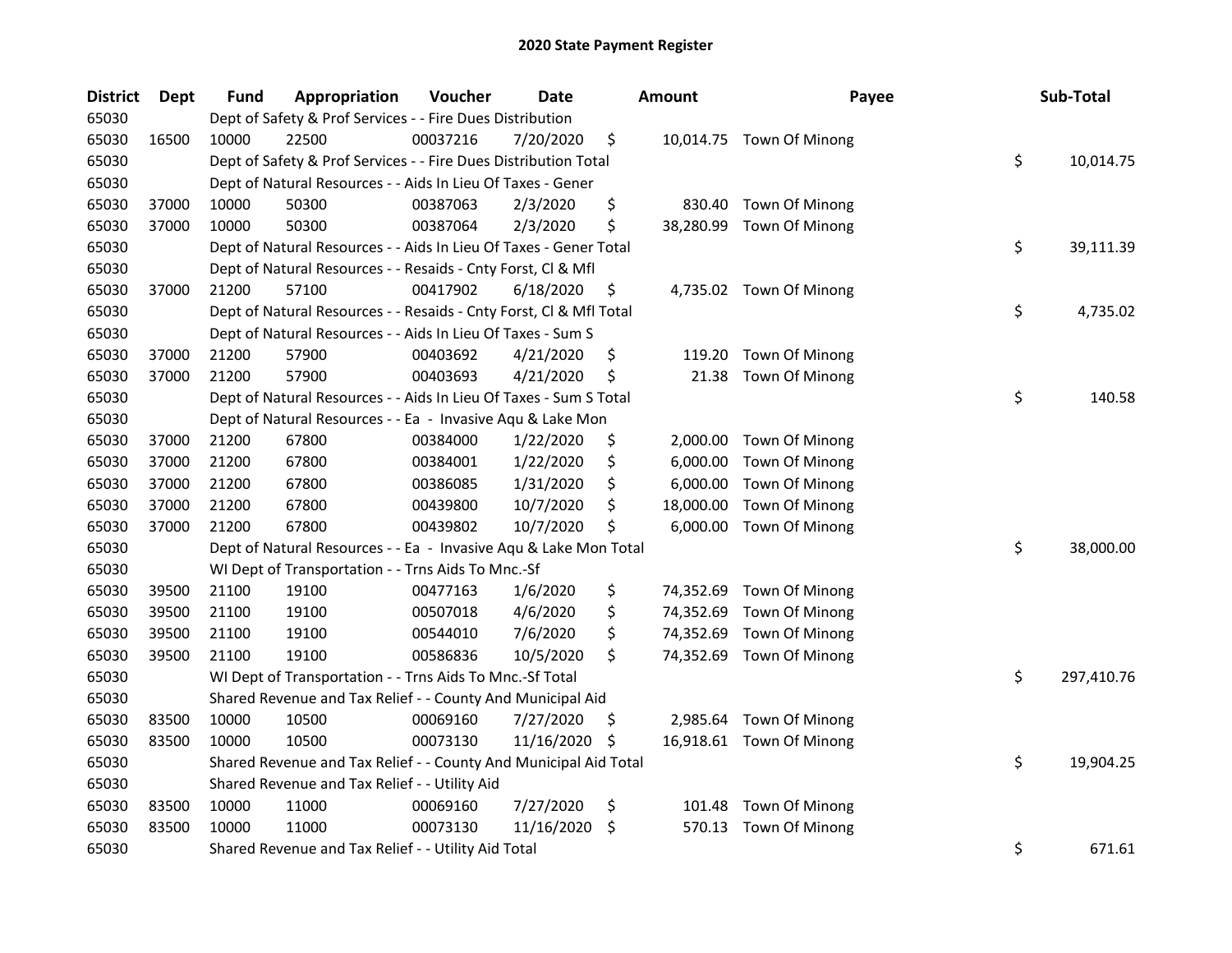| <b>District</b> | Dept  | Fund  | Appropriation                                                      | Voucher  | <b>Date</b> |     | Amount    | Payee                    | Sub-Total        |
|-----------------|-------|-------|--------------------------------------------------------------------|----------|-------------|-----|-----------|--------------------------|------------------|
| 65030           |       |       | Dept of Safety & Prof Services - - Fire Dues Distribution          |          |             |     |           |                          |                  |
| 65030           | 16500 | 10000 | 22500                                                              | 00037216 | 7/20/2020   | \$  |           | 10,014.75 Town Of Minong |                  |
| 65030           |       |       | Dept of Safety & Prof Services - - Fire Dues Distribution Total    |          |             |     |           |                          | \$<br>10,014.75  |
| 65030           |       |       | Dept of Natural Resources - - Aids In Lieu Of Taxes - Gener        |          |             |     |           |                          |                  |
| 65030           | 37000 | 10000 | 50300                                                              | 00387063 | 2/3/2020    | \$  | 830.40    | Town Of Minong           |                  |
| 65030           | 37000 | 10000 | 50300                                                              | 00387064 | 2/3/2020    | \$  | 38,280.99 | Town Of Minong           |                  |
| 65030           |       |       | Dept of Natural Resources - - Aids In Lieu Of Taxes - Gener Total  |          |             |     |           |                          | \$<br>39,111.39  |
| 65030           |       |       | Dept of Natural Resources - - Resaids - Cnty Forst, Cl & Mfl       |          |             |     |           |                          |                  |
| 65030           | 37000 | 21200 | 57100                                                              | 00417902 | 6/18/2020   | \$  |           | 4,735.02 Town Of Minong  |                  |
| 65030           |       |       | Dept of Natural Resources - - Resaids - Cnty Forst, Cl & Mfl Total |          |             |     |           |                          | \$<br>4,735.02   |
| 65030           |       |       | Dept of Natural Resources - - Aids In Lieu Of Taxes - Sum S        |          |             |     |           |                          |                  |
| 65030           | 37000 | 21200 | 57900                                                              | 00403692 | 4/21/2020   | \$  | 119.20    | Town Of Minong           |                  |
| 65030           | 37000 | 21200 | 57900                                                              | 00403693 | 4/21/2020   | \$  | 21.38     | Town Of Minong           |                  |
| 65030           |       |       | Dept of Natural Resources - - Aids In Lieu Of Taxes - Sum S Total  |          |             |     |           |                          | \$<br>140.58     |
| 65030           |       |       | Dept of Natural Resources - - Ea - Invasive Aqu & Lake Mon         |          |             |     |           |                          |                  |
| 65030           | 37000 | 21200 | 67800                                                              | 00384000 | 1/22/2020   | \$  | 2,000.00  | Town Of Minong           |                  |
| 65030           | 37000 | 21200 | 67800                                                              | 00384001 | 1/22/2020   | \$  | 6,000.00  | Town Of Minong           |                  |
| 65030           | 37000 | 21200 | 67800                                                              | 00386085 | 1/31/2020   | \$  | 6,000.00  | Town Of Minong           |                  |
| 65030           | 37000 | 21200 | 67800                                                              | 00439800 | 10/7/2020   | \$  | 18,000.00 | Town Of Minong           |                  |
| 65030           | 37000 | 21200 | 67800                                                              | 00439802 | 10/7/2020   | \$  | 6,000.00  | Town Of Minong           |                  |
| 65030           |       |       | Dept of Natural Resources - - Ea - Invasive Aqu & Lake Mon Total   |          |             |     |           |                          | \$<br>38,000.00  |
| 65030           |       |       | WI Dept of Transportation - - Trns Aids To Mnc.-Sf                 |          |             |     |           |                          |                  |
| 65030           | 39500 | 21100 | 19100                                                              | 00477163 | 1/6/2020    | \$  | 74,352.69 | Town Of Minong           |                  |
| 65030           | 39500 | 21100 | 19100                                                              | 00507018 | 4/6/2020    | \$  | 74,352.69 | Town Of Minong           |                  |
| 65030           | 39500 | 21100 | 19100                                                              | 00544010 | 7/6/2020    | \$  | 74,352.69 | Town Of Minong           |                  |
| 65030           | 39500 | 21100 | 19100                                                              | 00586836 | 10/5/2020   | \$  |           | 74,352.69 Town Of Minong |                  |
| 65030           |       |       | WI Dept of Transportation - - Trns Aids To Mnc.-Sf Total           |          |             |     |           |                          | \$<br>297,410.76 |
| 65030           |       |       | Shared Revenue and Tax Relief - - County And Municipal Aid         |          |             |     |           |                          |                  |
| 65030           | 83500 | 10000 | 10500                                                              | 00069160 | 7/27/2020   | \$. |           | 2,985.64 Town Of Minong  |                  |
| 65030           | 83500 | 10000 | 10500                                                              | 00073130 | 11/16/2020  | \$. |           | 16,918.61 Town Of Minong |                  |
| 65030           |       |       | Shared Revenue and Tax Relief - - County And Municipal Aid Total   |          |             |     |           |                          | \$<br>19,904.25  |
| 65030           |       |       | Shared Revenue and Tax Relief - - Utility Aid                      |          |             |     |           |                          |                  |
| 65030           | 83500 | 10000 | 11000                                                              | 00069160 | 7/27/2020   | \$  | 101.48    | Town Of Minong           |                  |
| 65030           | 83500 | 10000 | 11000                                                              | 00073130 | 11/16/2020  | \$  | 570.13    | Town Of Minong           |                  |
| 65030           |       |       | Shared Revenue and Tax Relief - - Utility Aid Total                |          |             |     |           |                          | \$<br>671.61     |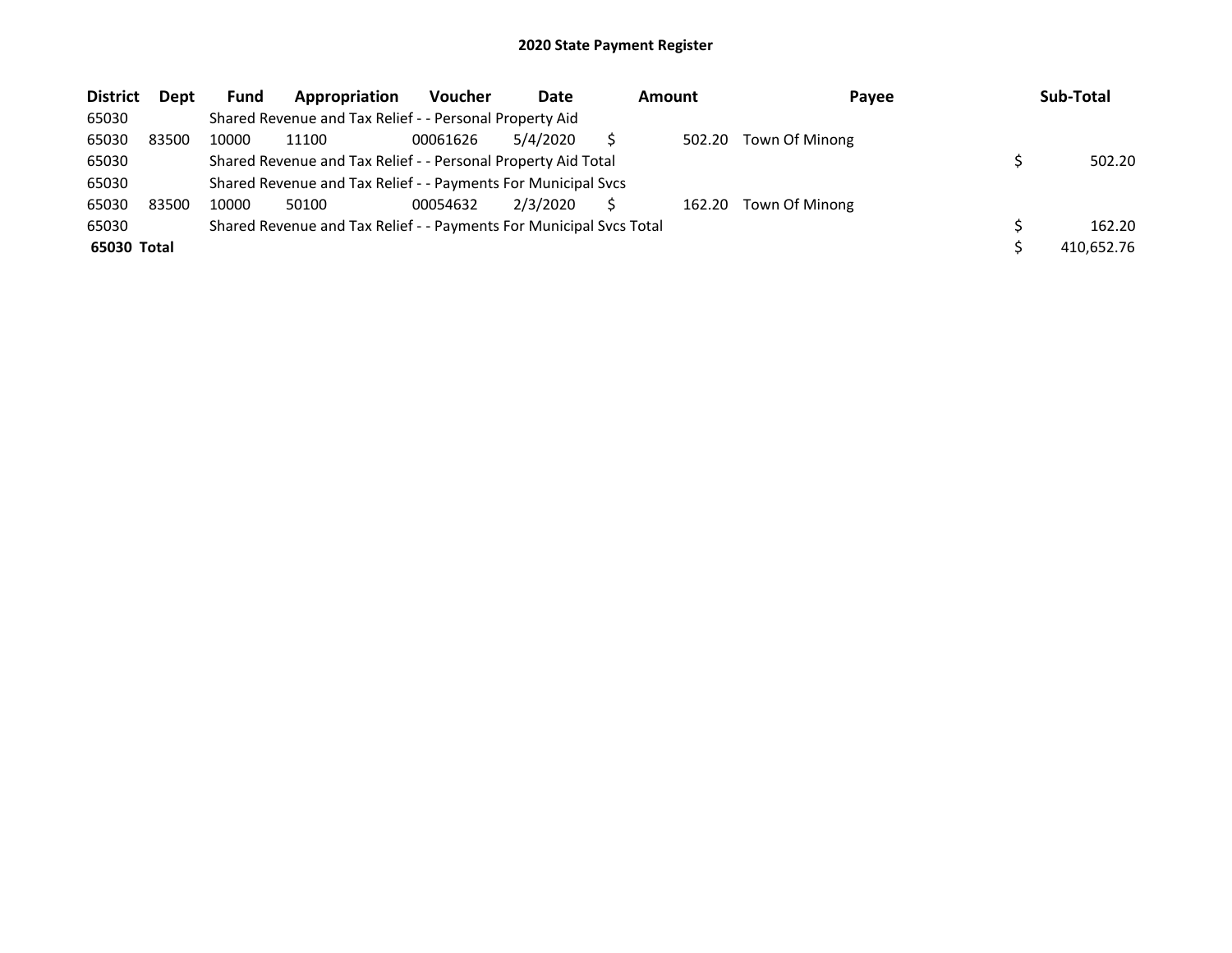| <b>District</b> | <b>Dept</b> | <b>Fund</b> | Appropriation                                                       | <b>Voucher</b> | Date     | <b>Amount</b> | Payee          | Sub-Total  |
|-----------------|-------------|-------------|---------------------------------------------------------------------|----------------|----------|---------------|----------------|------------|
| 65030           |             |             | Shared Revenue and Tax Relief - - Personal Property Aid             |                |          |               |                |            |
| 65030           | 83500       | 10000       | 11100                                                               | 00061626       | 5/4/2020 | 502.20        | Town Of Minong |            |
| 65030           |             |             | Shared Revenue and Tax Relief - - Personal Property Aid Total       |                |          |               |                | 502.20     |
| 65030           |             |             | Shared Revenue and Tax Relief - - Payments For Municipal Svcs       |                |          |               |                |            |
| 65030           | 83500       | 10000       | 50100                                                               | 00054632       | 2/3/2020 | 162.20        | Town Of Minong |            |
| 65030           |             |             | Shared Revenue and Tax Relief - - Payments For Municipal Svcs Total |                |          |               |                | 162.20     |
| 65030 Total     |             |             |                                                                     |                |          |               |                | 410,652.76 |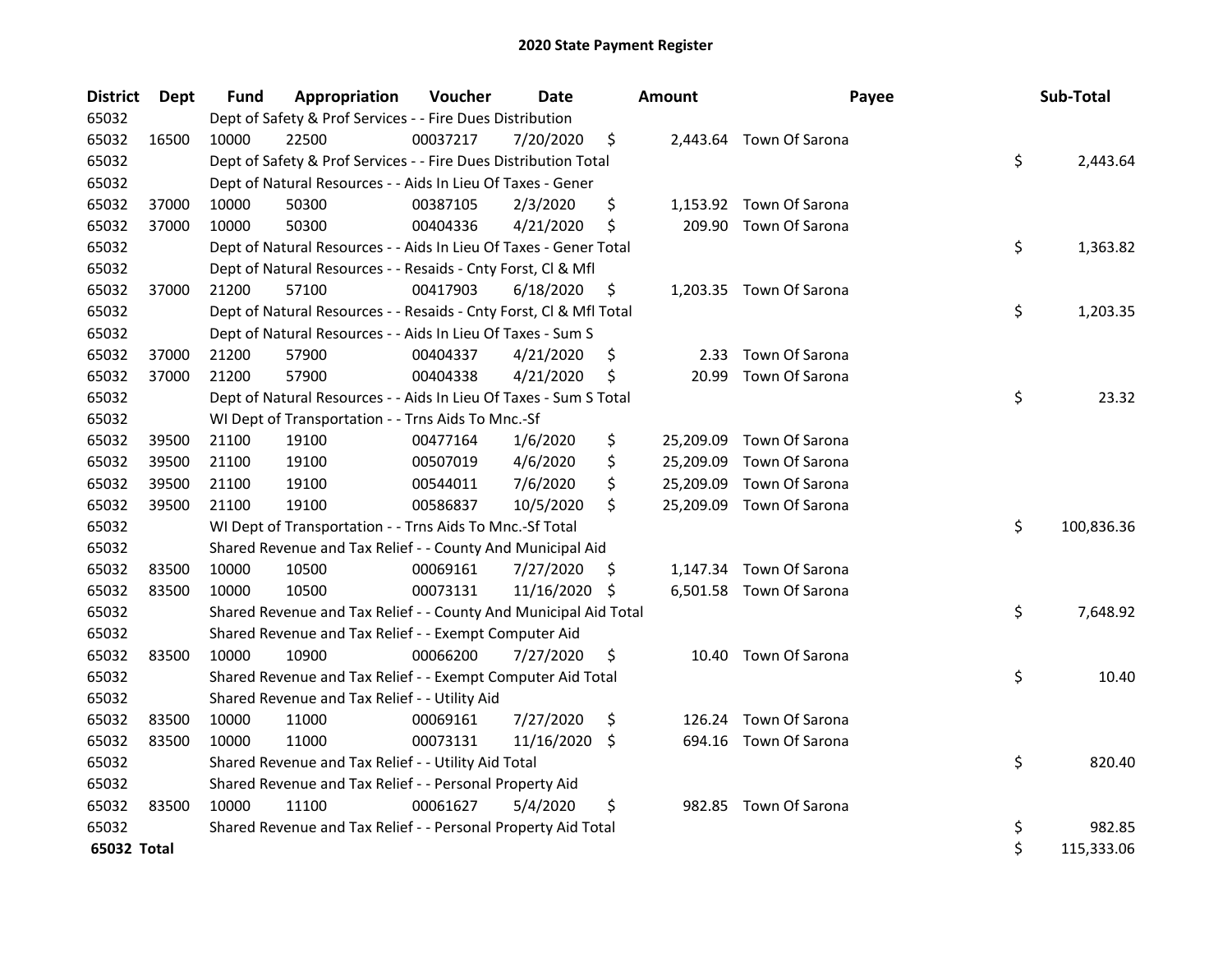| <b>District</b> | Dept  | <b>Fund</b> | Appropriation                                                      | Voucher  | <b>Date</b> |     | <b>Amount</b> | Payee                    | Sub-Total        |
|-----------------|-------|-------------|--------------------------------------------------------------------|----------|-------------|-----|---------------|--------------------------|------------------|
| 65032           |       |             | Dept of Safety & Prof Services - - Fire Dues Distribution          |          |             |     |               |                          |                  |
| 65032           | 16500 | 10000       | 22500                                                              | 00037217 | 7/20/2020   | \$  |               | 2,443.64 Town Of Sarona  |                  |
| 65032           |       |             | Dept of Safety & Prof Services - - Fire Dues Distribution Total    |          |             |     |               |                          | \$<br>2,443.64   |
| 65032           |       |             | Dept of Natural Resources - - Aids In Lieu Of Taxes - Gener        |          |             |     |               |                          |                  |
| 65032           | 37000 | 10000       | 50300                                                              | 00387105 | 2/3/2020    | \$  |               | 1,153.92 Town Of Sarona  |                  |
| 65032           | 37000 | 10000       | 50300                                                              | 00404336 | 4/21/2020   | \$  | 209.90        | Town Of Sarona           |                  |
| 65032           |       |             | Dept of Natural Resources - - Aids In Lieu Of Taxes - Gener Total  |          |             |     |               |                          | \$<br>1,363.82   |
| 65032           |       |             | Dept of Natural Resources - - Resaids - Cnty Forst, Cl & Mfl       |          |             |     |               |                          |                  |
| 65032           | 37000 | 21200       | 57100                                                              | 00417903 | 6/18/2020   | \$  |               | 1,203.35 Town Of Sarona  |                  |
| 65032           |       |             | Dept of Natural Resources - - Resaids - Cnty Forst, Cl & Mfl Total |          |             |     |               |                          | \$<br>1,203.35   |
| 65032           |       |             | Dept of Natural Resources - - Aids In Lieu Of Taxes - Sum S        |          |             |     |               |                          |                  |
| 65032           | 37000 | 21200       | 57900                                                              | 00404337 | 4/21/2020   | \$  | 2.33          | Town Of Sarona           |                  |
| 65032           | 37000 | 21200       | 57900                                                              | 00404338 | 4/21/2020   | \$  | 20.99         | Town Of Sarona           |                  |
| 65032           |       |             | Dept of Natural Resources - - Aids In Lieu Of Taxes - Sum S Total  |          |             |     |               |                          | \$<br>23.32      |
| 65032           |       |             | WI Dept of Transportation - - Trns Aids To Mnc.-Sf                 |          |             |     |               |                          |                  |
| 65032           | 39500 | 21100       | 19100                                                              | 00477164 | 1/6/2020    | \$  | 25,209.09     | Town Of Sarona           |                  |
| 65032           | 39500 | 21100       | 19100                                                              | 00507019 | 4/6/2020    | \$  | 25,209.09     | Town Of Sarona           |                  |
| 65032           | 39500 | 21100       | 19100                                                              | 00544011 | 7/6/2020    | \$  | 25,209.09     | Town Of Sarona           |                  |
| 65032           | 39500 | 21100       | 19100                                                              | 00586837 | 10/5/2020   | \$  |               | 25,209.09 Town Of Sarona |                  |
| 65032           |       |             | WI Dept of Transportation - - Trns Aids To Mnc.-Sf Total           |          |             |     |               |                          | \$<br>100,836.36 |
| 65032           |       |             | Shared Revenue and Tax Relief - - County And Municipal Aid         |          |             |     |               |                          |                  |
| 65032           | 83500 | 10000       | 10500                                                              | 00069161 | 7/27/2020   | \$. |               | 1,147.34 Town Of Sarona  |                  |
| 65032           | 83500 | 10000       | 10500                                                              | 00073131 | 11/16/2020  | \$  |               | 6,501.58 Town Of Sarona  |                  |
| 65032           |       |             | Shared Revenue and Tax Relief - - County And Municipal Aid Total   |          |             |     |               |                          | \$<br>7,648.92   |
| 65032           |       |             | Shared Revenue and Tax Relief - - Exempt Computer Aid              |          |             |     |               |                          |                  |
| 65032           | 83500 | 10000       | 10900                                                              | 00066200 | 7/27/2020   | \$  |               | 10.40 Town Of Sarona     |                  |
| 65032           |       |             | Shared Revenue and Tax Relief - - Exempt Computer Aid Total        |          |             |     |               |                          | \$<br>10.40      |
| 65032           |       |             | Shared Revenue and Tax Relief - - Utility Aid                      |          |             |     |               |                          |                  |
| 65032           | 83500 | 10000       | 11000                                                              | 00069161 | 7/27/2020   | \$  |               | 126.24 Town Of Sarona    |                  |
| 65032           | 83500 | 10000       | 11000                                                              | 00073131 | 11/16/2020  | \$  | 694.16        | Town Of Sarona           |                  |
| 65032           |       |             | Shared Revenue and Tax Relief - - Utility Aid Total                |          |             |     |               |                          | \$<br>820.40     |
| 65032           |       |             | Shared Revenue and Tax Relief - - Personal Property Aid            |          |             |     |               |                          |                  |
| 65032           | 83500 | 10000       | 11100                                                              | 00061627 | 5/4/2020    | \$  |               | 982.85 Town Of Sarona    |                  |
| 65032           |       |             | Shared Revenue and Tax Relief - - Personal Property Aid Total      |          |             |     |               |                          | \$<br>982.85     |
| 65032 Total     |       |             |                                                                    |          |             |     |               |                          | \$<br>115,333.06 |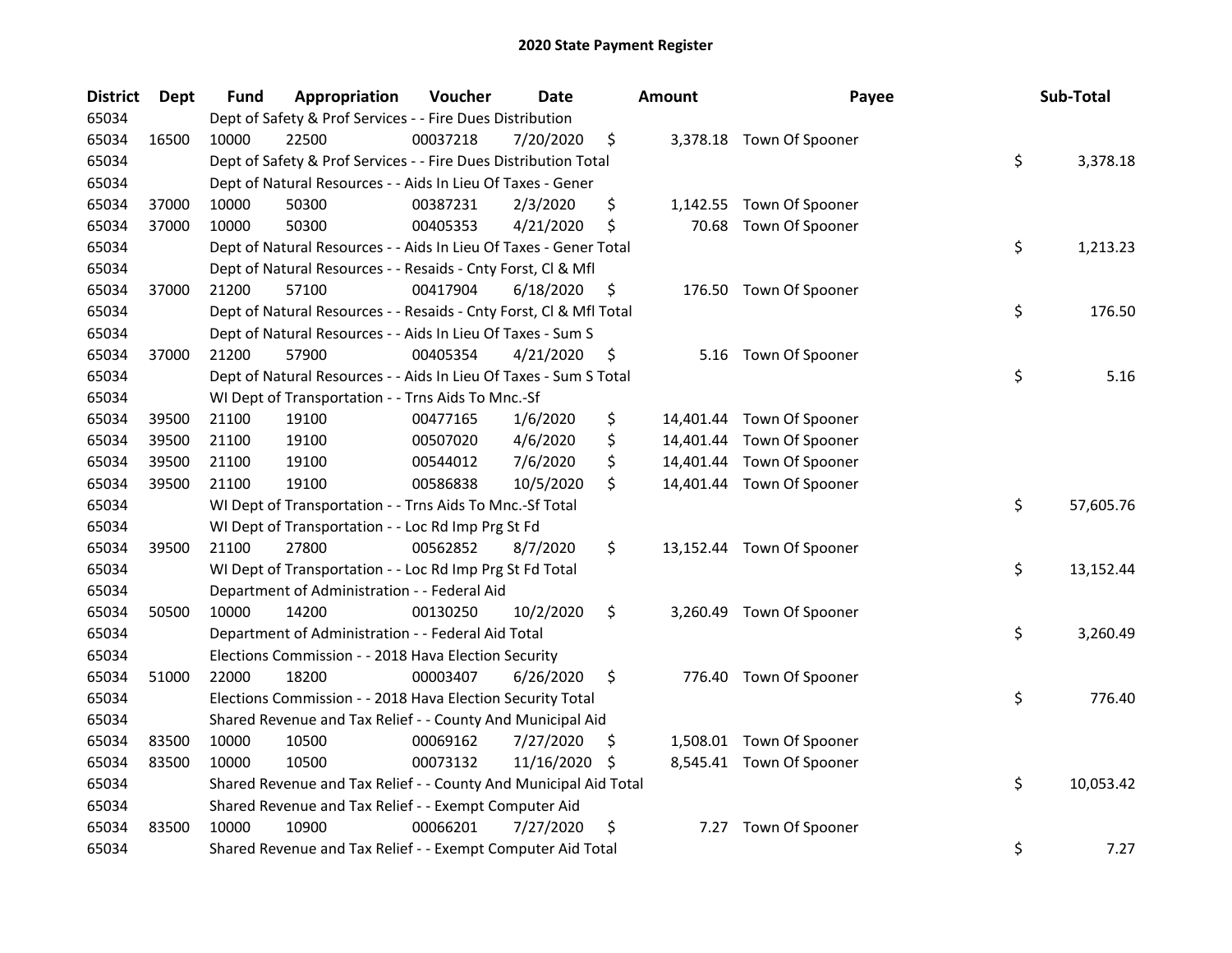| <b>District</b> | <b>Dept</b> | Fund  | Appropriation                                                      | Voucher  | <b>Date</b> |     | <b>Amount</b> | Payee                     | Sub-Total       |
|-----------------|-------------|-------|--------------------------------------------------------------------|----------|-------------|-----|---------------|---------------------------|-----------------|
| 65034           |             |       | Dept of Safety & Prof Services - - Fire Dues Distribution          |          |             |     |               |                           |                 |
| 65034           | 16500       | 10000 | 22500                                                              | 00037218 | 7/20/2020   | \$  |               | 3,378.18 Town Of Spooner  |                 |
| 65034           |             |       | Dept of Safety & Prof Services - - Fire Dues Distribution Total    |          |             |     |               |                           | \$<br>3,378.18  |
| 65034           |             |       | Dept of Natural Resources - - Aids In Lieu Of Taxes - Gener        |          |             |     |               |                           |                 |
| 65034           | 37000       | 10000 | 50300                                                              | 00387231 | 2/3/2020    | \$  |               | 1,142.55 Town Of Spooner  |                 |
| 65034           | 37000       | 10000 | 50300                                                              | 00405353 | 4/21/2020   | \$  | 70.68         | Town Of Spooner           |                 |
| 65034           |             |       | Dept of Natural Resources - - Aids In Lieu Of Taxes - Gener Total  |          |             |     |               |                           | \$<br>1,213.23  |
| 65034           |             |       | Dept of Natural Resources - - Resaids - Cnty Forst, Cl & Mfl       |          |             |     |               |                           |                 |
| 65034           | 37000       | 21200 | 57100                                                              | 00417904 | 6/18/2020   | \$  |               | 176.50 Town Of Spooner    |                 |
| 65034           |             |       | Dept of Natural Resources - - Resaids - Cnty Forst, Cl & Mfl Total |          |             |     |               |                           | \$<br>176.50    |
| 65034           |             |       | Dept of Natural Resources - - Aids In Lieu Of Taxes - Sum S        |          |             |     |               |                           |                 |
| 65034           | 37000       | 21200 | 57900                                                              | 00405354 | 4/21/2020   | \$  |               | 5.16 Town Of Spooner      |                 |
| 65034           |             |       | Dept of Natural Resources - - Aids In Lieu Of Taxes - Sum S Total  |          |             |     |               |                           | \$<br>5.16      |
| 65034           |             |       | WI Dept of Transportation - - Trns Aids To Mnc.-Sf                 |          |             |     |               |                           |                 |
| 65034           | 39500       | 21100 | 19100                                                              | 00477165 | 1/6/2020    | \$  |               | 14,401.44 Town Of Spooner |                 |
| 65034           | 39500       | 21100 | 19100                                                              | 00507020 | 4/6/2020    | \$  |               | 14,401.44 Town Of Spooner |                 |
| 65034           | 39500       | 21100 | 19100                                                              | 00544012 | 7/6/2020    | \$  |               | 14,401.44 Town Of Spooner |                 |
| 65034           | 39500       | 21100 | 19100                                                              | 00586838 | 10/5/2020   | \$  |               | 14,401.44 Town Of Spooner |                 |
| 65034           |             |       | WI Dept of Transportation - - Trns Aids To Mnc.-Sf Total           |          |             |     |               |                           | \$<br>57,605.76 |
| 65034           |             |       | WI Dept of Transportation - - Loc Rd Imp Prg St Fd                 |          |             |     |               |                           |                 |
| 65034           | 39500       | 21100 | 27800                                                              | 00562852 | 8/7/2020    | \$  |               | 13,152.44 Town Of Spooner |                 |
| 65034           |             |       | WI Dept of Transportation - - Loc Rd Imp Prg St Fd Total           |          |             |     |               |                           | \$<br>13,152.44 |
| 65034           |             |       | Department of Administration - - Federal Aid                       |          |             |     |               |                           |                 |
| 65034           | 50500       | 10000 | 14200                                                              | 00130250 | 10/2/2020   | \$  |               | 3,260.49 Town Of Spooner  |                 |
| 65034           |             |       | Department of Administration - - Federal Aid Total                 |          |             |     |               |                           | \$<br>3,260.49  |
| 65034           |             |       | Elections Commission - - 2018 Hava Election Security               |          |             |     |               |                           |                 |
| 65034           | 51000       | 22000 | 18200                                                              | 00003407 | 6/26/2020   | \$  |               | 776.40 Town Of Spooner    |                 |
| 65034           |             |       | Elections Commission - - 2018 Hava Election Security Total         |          |             |     |               |                           | \$<br>776.40    |
| 65034           |             |       | Shared Revenue and Tax Relief - - County And Municipal Aid         |          |             |     |               |                           |                 |
| 65034           | 83500       | 10000 | 10500                                                              | 00069162 | 7/27/2020   | \$  |               | 1,508.01 Town Of Spooner  |                 |
| 65034           | 83500       | 10000 | 10500                                                              | 00073132 | 11/16/2020  | \$. |               | 8,545.41 Town Of Spooner  |                 |
| 65034           |             |       | Shared Revenue and Tax Relief - - County And Municipal Aid Total   |          |             |     |               |                           | \$<br>10,053.42 |
| 65034           |             |       | Shared Revenue and Tax Relief - - Exempt Computer Aid              |          |             |     |               |                           |                 |
| 65034           | 83500       | 10000 | 10900                                                              | 00066201 | 7/27/2020   | \$  | 7.27          | Town Of Spooner           |                 |
| 65034           |             |       | Shared Revenue and Tax Relief - - Exempt Computer Aid Total        |          |             |     |               |                           | \$<br>7.27      |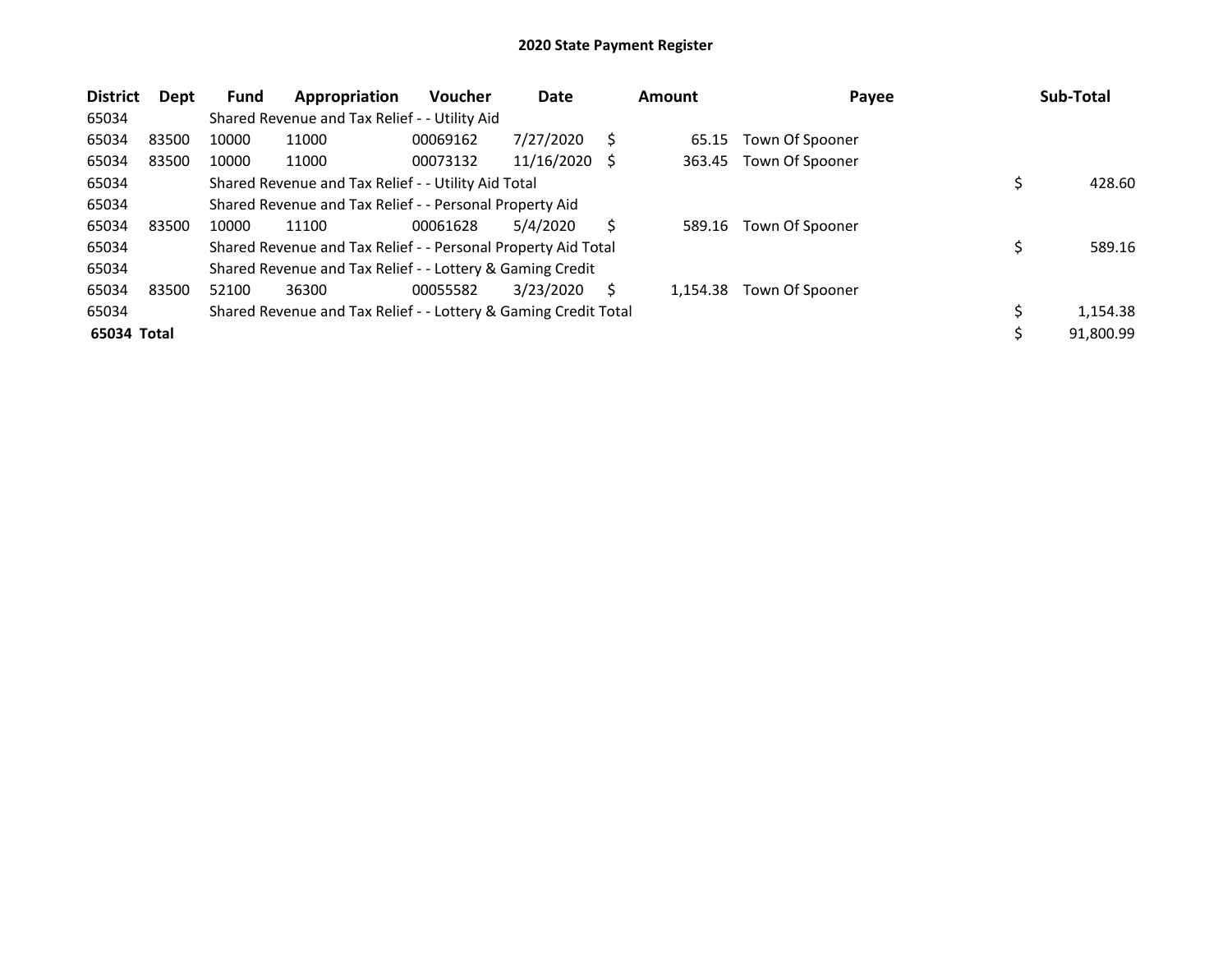| <b>District</b> | Dept  | <b>Fund</b> | Appropriation                                                   | <b>Voucher</b> | Date       |     | <b>Amount</b> | Payee           | Sub-Total      |
|-----------------|-------|-------------|-----------------------------------------------------------------|----------------|------------|-----|---------------|-----------------|----------------|
| 65034           |       |             | Shared Revenue and Tax Relief - - Utility Aid                   |                |            |     |               |                 |                |
| 65034           | 83500 | 10000       | 11000                                                           | 00069162       | 7/27/2020  | S   | 65.15         | Town Of Spooner |                |
| 65034           | 83500 | 10000       | 11000                                                           | 00073132       | 11/16/2020 | - S | 363.45        | Town Of Spooner |                |
| 65034           |       |             | Shared Revenue and Tax Relief - - Utility Aid Total             |                |            |     |               |                 | 428.60         |
| 65034           |       |             | Shared Revenue and Tax Relief - - Personal Property Aid         |                |            |     |               |                 |                |
| 65034           | 83500 | 10000       | 11100                                                           | 00061628       | 5/4/2020   | S   | 589.16        | Town Of Spooner |                |
| 65034           |       |             | Shared Revenue and Tax Relief - - Personal Property Aid Total   |                |            |     |               |                 | 589.16         |
| 65034           |       |             | Shared Revenue and Tax Relief - - Lottery & Gaming Credit       |                |            |     |               |                 |                |
| 65034           | 83500 | 52100       | 36300                                                           | 00055582       | 3/23/2020  | S   | 1.154.38      | Town Of Spooner |                |
| 65034           |       |             | Shared Revenue and Tax Relief - - Lottery & Gaming Credit Total |                |            |     |               |                 | \$<br>1,154.38 |
| 65034 Total     |       |             |                                                                 |                |            |     |               |                 | 91,800.99      |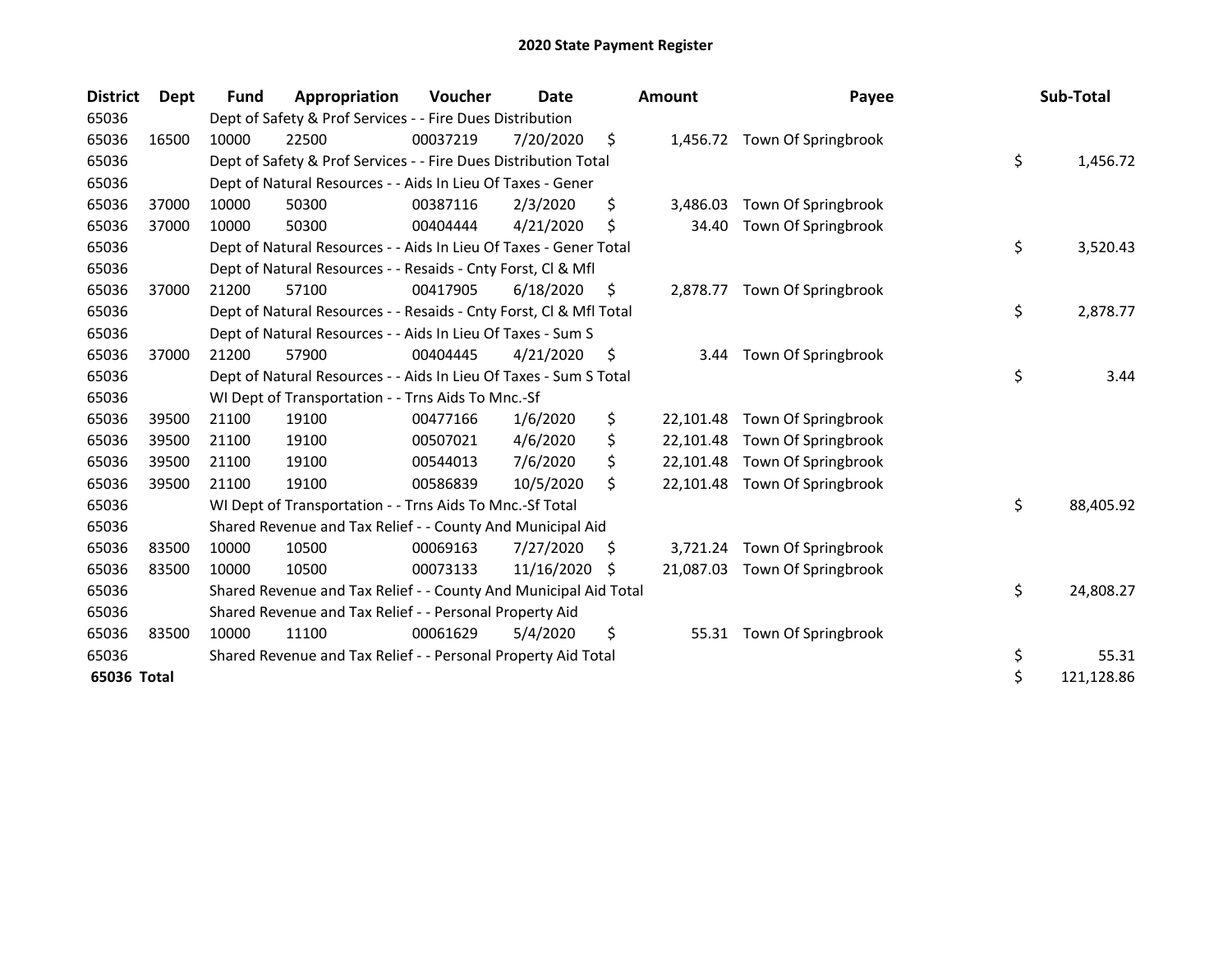| <b>District</b> | Dept  | <b>Fund</b> | Appropriation                                                      | Voucher  | Date       |     | <b>Amount</b> | Payee                         | Sub-Total        |
|-----------------|-------|-------------|--------------------------------------------------------------------|----------|------------|-----|---------------|-------------------------------|------------------|
| 65036           |       |             | Dept of Safety & Prof Services - - Fire Dues Distribution          |          |            |     |               |                               |                  |
| 65036           | 16500 | 10000       | 22500                                                              | 00037219 | 7/20/2020  | \$  |               | 1,456.72 Town Of Springbrook  |                  |
| 65036           |       |             | Dept of Safety & Prof Services - - Fire Dues Distribution Total    |          |            |     |               |                               | \$<br>1,456.72   |
| 65036           |       |             | Dept of Natural Resources - - Aids In Lieu Of Taxes - Gener        |          |            |     |               |                               |                  |
| 65036           | 37000 | 10000       | 50300                                                              | 00387116 | 2/3/2020   | \$  | 3,486.03      | Town Of Springbrook           |                  |
| 65036           | 37000 | 10000       | 50300                                                              | 00404444 | 4/21/2020  | \$  | 34.40         | Town Of Springbrook           |                  |
| 65036           |       |             | Dept of Natural Resources - - Aids In Lieu Of Taxes - Gener Total  |          |            |     |               |                               | \$<br>3,520.43   |
| 65036           |       |             | Dept of Natural Resources - - Resaids - Cnty Forst, Cl & Mfl       |          |            |     |               |                               |                  |
| 65036           | 37000 | 21200       | 57100                                                              | 00417905 | 6/18/2020  | S   | 2,878.77      | Town Of Springbrook           |                  |
| 65036           |       |             | Dept of Natural Resources - - Resaids - Cnty Forst, Cl & Mfl Total |          |            |     |               |                               | \$<br>2,878.77   |
| 65036           |       |             | Dept of Natural Resources - - Aids In Lieu Of Taxes - Sum S        |          |            |     |               |                               |                  |
| 65036           | 37000 | 21200       | 57900                                                              | 00404445 | 4/21/2020  | S   | 3.44          | Town Of Springbrook           |                  |
| 65036           |       |             | Dept of Natural Resources - - Aids In Lieu Of Taxes - Sum S Total  |          |            |     |               |                               | \$<br>3.44       |
| 65036           |       |             | WI Dept of Transportation - - Trns Aids To Mnc.-Sf                 |          |            |     |               |                               |                  |
| 65036           | 39500 | 21100       | 19100                                                              | 00477166 | 1/6/2020   | \$  | 22,101.48     | Town Of Springbrook           |                  |
| 65036           | 39500 | 21100       | 19100                                                              | 00507021 | 4/6/2020   | \$  | 22,101.48     | Town Of Springbrook           |                  |
| 65036           | 39500 | 21100       | 19100                                                              | 00544013 | 7/6/2020   | \$  | 22.101.48     | Town Of Springbrook           |                  |
| 65036           | 39500 | 21100       | 19100                                                              | 00586839 | 10/5/2020  | \$  |               | 22,101.48 Town Of Springbrook |                  |
| 65036           |       |             | WI Dept of Transportation - - Trns Aids To Mnc.-Sf Total           |          |            |     |               |                               | \$<br>88,405.92  |
| 65036           |       |             | Shared Revenue and Tax Relief - - County And Municipal Aid         |          |            |     |               |                               |                  |
| 65036           | 83500 | 10000       | 10500                                                              | 00069163 | 7/27/2020  | \$. | 3,721.24      | Town Of Springbrook           |                  |
| 65036           | 83500 | 10000       | 10500                                                              | 00073133 | 11/16/2020 | Ŝ.  | 21.087.03     | Town Of Springbrook           |                  |
| 65036           |       |             | Shared Revenue and Tax Relief - - County And Municipal Aid Total   |          |            |     |               |                               | \$<br>24,808.27  |
| 65036           |       |             | Shared Revenue and Tax Relief - - Personal Property Aid            |          |            |     |               |                               |                  |
| 65036           | 83500 | 10000       | 11100                                                              | 00061629 | 5/4/2020   | \$  | 55.31         | Town Of Springbrook           |                  |
| 65036           |       |             | Shared Revenue and Tax Relief - - Personal Property Aid Total      |          |            |     |               |                               | \$<br>55.31      |
| 65036 Total     |       |             |                                                                    |          |            |     |               |                               | \$<br>121,128.86 |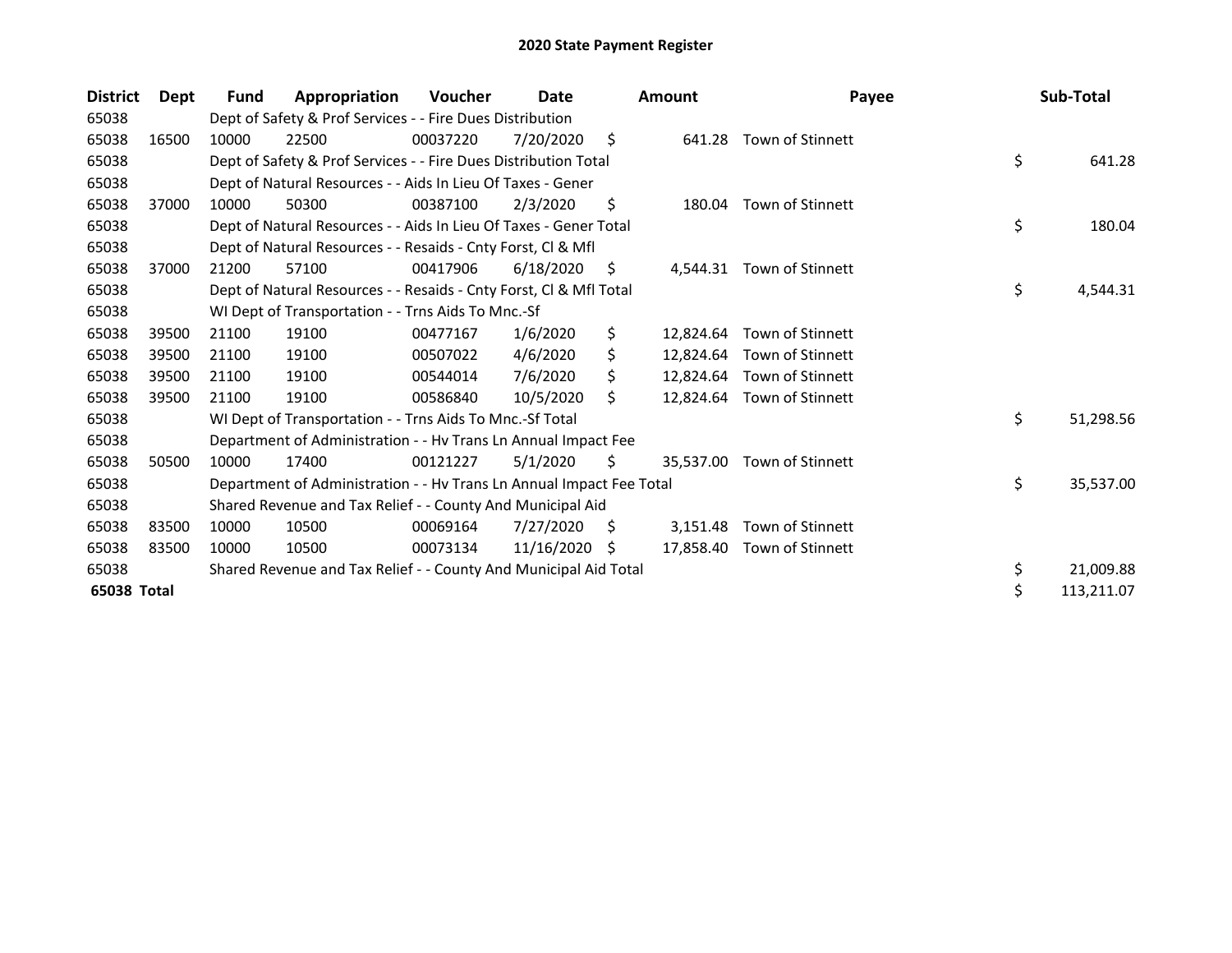| <b>District</b> | Dept  | Fund  | Appropriation                                                        | Voucher  | Date       |    | <b>Amount</b> | Payee                      | Sub-Total        |
|-----------------|-------|-------|----------------------------------------------------------------------|----------|------------|----|---------------|----------------------------|------------------|
| 65038           |       |       | Dept of Safety & Prof Services - - Fire Dues Distribution            |          |            |    |               |                            |                  |
| 65038           | 16500 | 10000 | 22500                                                                | 00037220 | 7/20/2020  | \$ | 641.28        | Town of Stinnett           |                  |
| 65038           |       |       | Dept of Safety & Prof Services - - Fire Dues Distribution Total      |          |            |    |               |                            | \$<br>641.28     |
| 65038           |       |       | Dept of Natural Resources - - Aids In Lieu Of Taxes - Gener          |          |            |    |               |                            |                  |
| 65038           | 37000 | 10000 | 50300                                                                | 00387100 | 2/3/2020   | \$ |               | 180.04 Town of Stinnett    |                  |
| 65038           |       |       | Dept of Natural Resources - - Aids In Lieu Of Taxes - Gener Total    |          |            |    |               |                            | \$<br>180.04     |
| 65038           |       |       | Dept of Natural Resources - - Resaids - Cnty Forst, CI & Mfl         |          |            |    |               |                            |                  |
| 65038           | 37000 | 21200 | 57100                                                                | 00417906 | 6/18/2020  | S. | 4,544.31      | Town of Stinnett           |                  |
| 65038           |       |       | Dept of Natural Resources - - Resaids - Cnty Forst, Cl & Mfl Total   |          |            |    |               |                            | \$<br>4,544.31   |
| 65038           |       |       | WI Dept of Transportation - - Trns Aids To Mnc.-Sf                   |          |            |    |               |                            |                  |
| 65038           | 39500 | 21100 | 19100                                                                | 00477167 | 1/6/2020   | \$ |               | 12,824.64 Town of Stinnett |                  |
| 65038           | 39500 | 21100 | 19100                                                                | 00507022 | 4/6/2020   | \$ |               | 12,824.64 Town of Stinnett |                  |
| 65038           | 39500 | 21100 | 19100                                                                | 00544014 | 7/6/2020   | Ś. |               | 12,824.64 Town of Stinnett |                  |
| 65038           | 39500 | 21100 | 19100                                                                | 00586840 | 10/5/2020  | Ś. |               | 12,824.64 Town of Stinnett |                  |
| 65038           |       |       | WI Dept of Transportation - - Trns Aids To Mnc.-Sf Total             |          |            |    |               |                            | \$<br>51,298.56  |
| 65038           |       |       | Department of Administration - - Hv Trans Ln Annual Impact Fee       |          |            |    |               |                            |                  |
| 65038           | 50500 | 10000 | 17400                                                                | 00121227 | 5/1/2020   | \$ | 35,537.00     | Town of Stinnett           |                  |
| 65038           |       |       | Department of Administration - - Hv Trans Ln Annual Impact Fee Total |          |            |    |               |                            | \$<br>35,537.00  |
| 65038           |       |       | Shared Revenue and Tax Relief - - County And Municipal Aid           |          |            |    |               |                            |                  |
| 65038           | 83500 | 10000 | 10500                                                                | 00069164 | 7/27/2020  | S. | 3,151.48      | Town of Stinnett           |                  |
| 65038           | 83500 | 10000 | 10500                                                                | 00073134 | 11/16/2020 | -S |               | 17,858.40 Town of Stinnett |                  |
| 65038           |       |       | Shared Revenue and Tax Relief - - County And Municipal Aid Total     |          |            |    |               |                            | \$<br>21,009.88  |
| 65038 Total     |       |       |                                                                      |          |            |    |               |                            | \$<br>113,211.07 |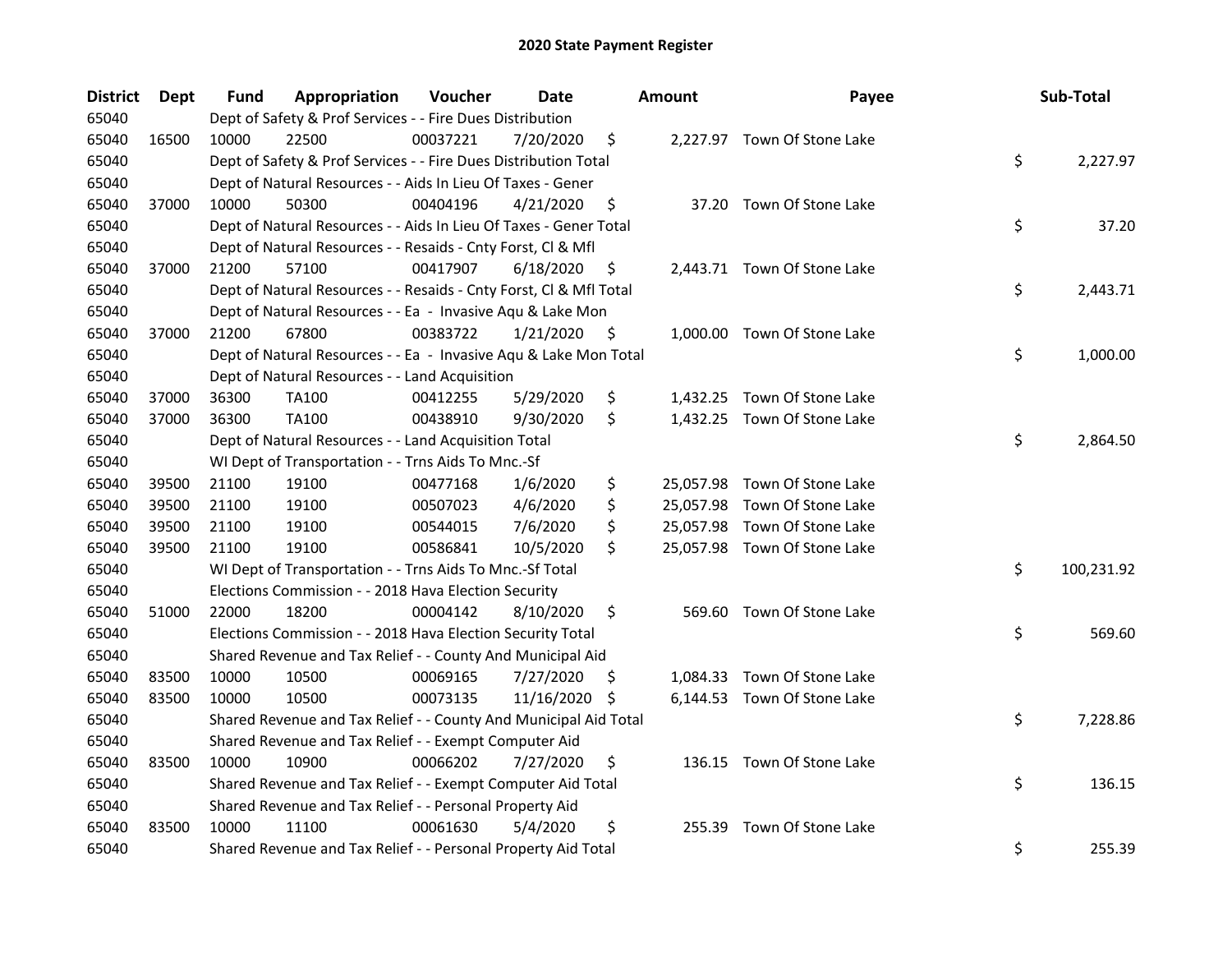| <b>District</b> | Dept  | Fund  | Appropriation                                                      | Voucher  | <b>Date</b> |     | <b>Amount</b> | Payee                        | Sub-Total        |
|-----------------|-------|-------|--------------------------------------------------------------------|----------|-------------|-----|---------------|------------------------------|------------------|
| 65040           |       |       | Dept of Safety & Prof Services - - Fire Dues Distribution          |          |             |     |               |                              |                  |
| 65040           | 16500 | 10000 | 22500                                                              | 00037221 | 7/20/2020   | \$  |               | 2,227.97 Town Of Stone Lake  |                  |
| 65040           |       |       | Dept of Safety & Prof Services - - Fire Dues Distribution Total    |          |             |     |               |                              | \$<br>2,227.97   |
| 65040           |       |       | Dept of Natural Resources - - Aids In Lieu Of Taxes - Gener        |          |             |     |               |                              |                  |
| 65040           | 37000 | 10000 | 50300                                                              | 00404196 | 4/21/2020   | \$  |               | 37.20 Town Of Stone Lake     |                  |
| 65040           |       |       | Dept of Natural Resources - - Aids In Lieu Of Taxes - Gener Total  |          |             |     |               |                              | \$<br>37.20      |
| 65040           |       |       | Dept of Natural Resources - - Resaids - Cnty Forst, Cl & Mfl       |          |             |     |               |                              |                  |
| 65040           | 37000 | 21200 | 57100                                                              | 00417907 | 6/18/2020   | \$  |               | 2,443.71 Town Of Stone Lake  |                  |
| 65040           |       |       | Dept of Natural Resources - - Resaids - Cnty Forst, Cl & Mfl Total |          |             |     |               |                              | \$<br>2,443.71   |
| 65040           |       |       | Dept of Natural Resources - - Ea - Invasive Aqu & Lake Mon         |          |             |     |               |                              |                  |
| 65040           | 37000 | 21200 | 67800                                                              | 00383722 | 1/21/2020   | \$  |               | 1,000.00 Town Of Stone Lake  |                  |
| 65040           |       |       | Dept of Natural Resources - - Ea - Invasive Aqu & Lake Mon Total   |          |             |     |               |                              | \$<br>1,000.00   |
| 65040           |       |       | Dept of Natural Resources - - Land Acquisition                     |          |             |     |               |                              |                  |
| 65040           | 37000 | 36300 | <b>TA100</b>                                                       | 00412255 | 5/29/2020   | \$  | 1,432.25      | Town Of Stone Lake           |                  |
| 65040           | 37000 | 36300 | TA100                                                              | 00438910 | 9/30/2020   | \$  |               | 1,432.25 Town Of Stone Lake  |                  |
| 65040           |       |       | Dept of Natural Resources - - Land Acquisition Total               |          |             |     |               |                              | \$<br>2,864.50   |
| 65040           |       |       | WI Dept of Transportation - - Trns Aids To Mnc.-Sf                 |          |             |     |               |                              |                  |
| 65040           | 39500 | 21100 | 19100                                                              | 00477168 | 1/6/2020    | \$  |               | 25,057.98 Town Of Stone Lake |                  |
| 65040           | 39500 | 21100 | 19100                                                              | 00507023 | 4/6/2020    | \$  |               | 25,057.98 Town Of Stone Lake |                  |
| 65040           | 39500 | 21100 | 19100                                                              | 00544015 | 7/6/2020    | \$  |               | 25,057.98 Town Of Stone Lake |                  |
| 65040           | 39500 | 21100 | 19100                                                              | 00586841 | 10/5/2020   | \$  |               | 25,057.98 Town Of Stone Lake |                  |
| 65040           |       |       | WI Dept of Transportation - - Trns Aids To Mnc.-Sf Total           |          |             |     |               |                              | \$<br>100,231.92 |
| 65040           |       |       | Elections Commission - - 2018 Hava Election Security               |          |             |     |               |                              |                  |
| 65040           | 51000 | 22000 | 18200                                                              | 00004142 | 8/10/2020   | \$  |               | 569.60 Town Of Stone Lake    |                  |
| 65040           |       |       | Elections Commission - - 2018 Hava Election Security Total         |          |             |     |               |                              | \$<br>569.60     |
| 65040           |       |       | Shared Revenue and Tax Relief - - County And Municipal Aid         |          |             |     |               |                              |                  |
| 65040           | 83500 | 10000 | 10500                                                              | 00069165 | 7/27/2020   | \$. |               | 1,084.33 Town Of Stone Lake  |                  |
| 65040           | 83500 | 10000 | 10500                                                              | 00073135 | 11/16/2020  | \$  |               | 6,144.53 Town Of Stone Lake  |                  |
| 65040           |       |       | Shared Revenue and Tax Relief - - County And Municipal Aid Total   |          |             |     |               |                              | \$<br>7,228.86   |
| 65040           |       |       | Shared Revenue and Tax Relief - - Exempt Computer Aid              |          |             |     |               |                              |                  |
| 65040           | 83500 | 10000 | 10900                                                              | 00066202 | 7/27/2020   | \$  |               | 136.15 Town Of Stone Lake    |                  |
| 65040           |       |       | Shared Revenue and Tax Relief - - Exempt Computer Aid Total        |          |             |     |               |                              | \$<br>136.15     |
| 65040           |       |       | Shared Revenue and Tax Relief - - Personal Property Aid            |          |             |     |               |                              |                  |
| 65040           | 83500 | 10000 | 11100                                                              | 00061630 | 5/4/2020    | \$  | 255.39        | Town Of Stone Lake           |                  |
| 65040           |       |       | Shared Revenue and Tax Relief - - Personal Property Aid Total      |          |             |     |               |                              | \$<br>255.39     |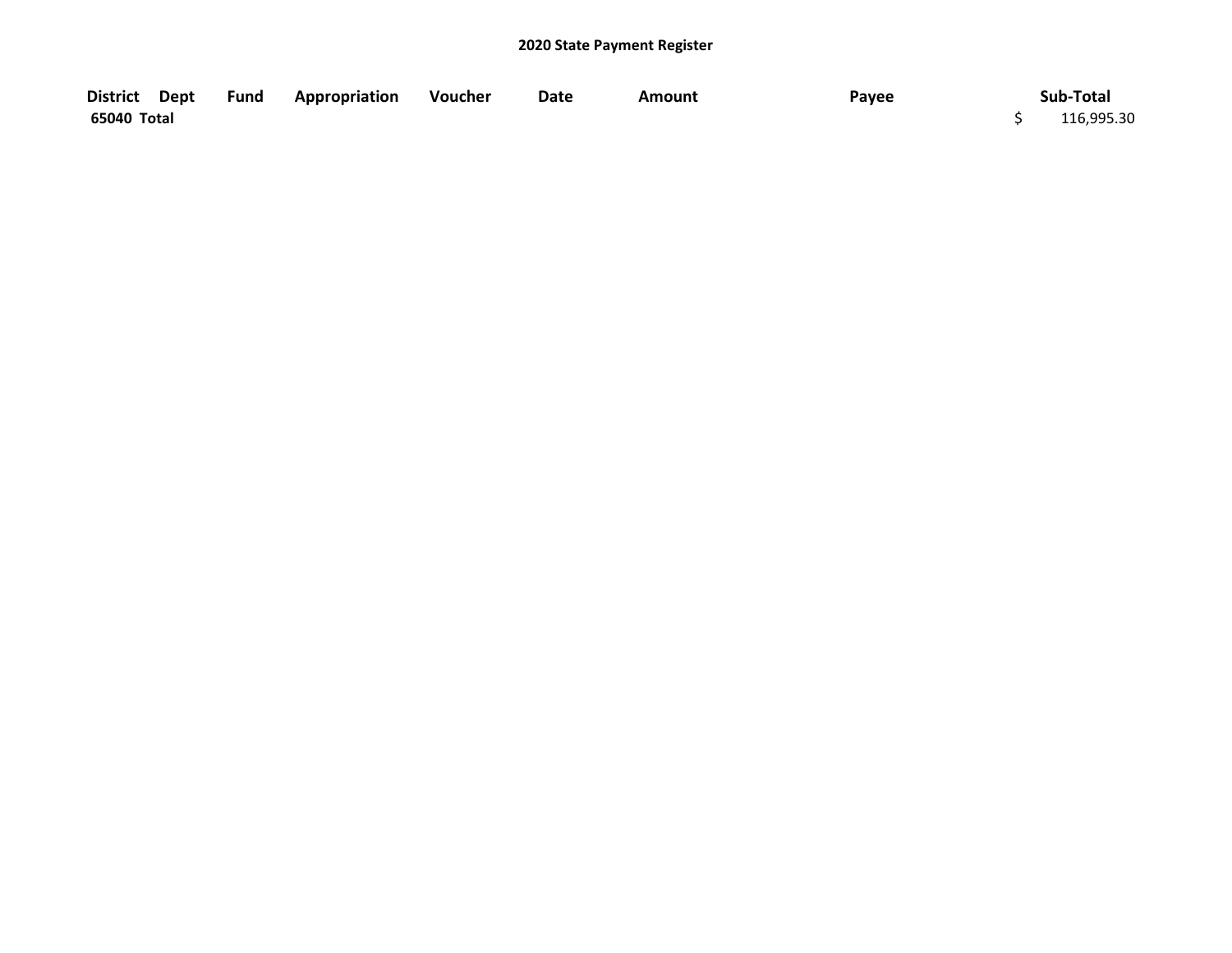| District Dept | Fund | <b>Appropriation</b> | Voucher | Date | Amount | Payee | Sub-Total  |
|---------------|------|----------------------|---------|------|--------|-------|------------|
| 65040 Total   |      |                      |         |      |        |       | 116,995.30 |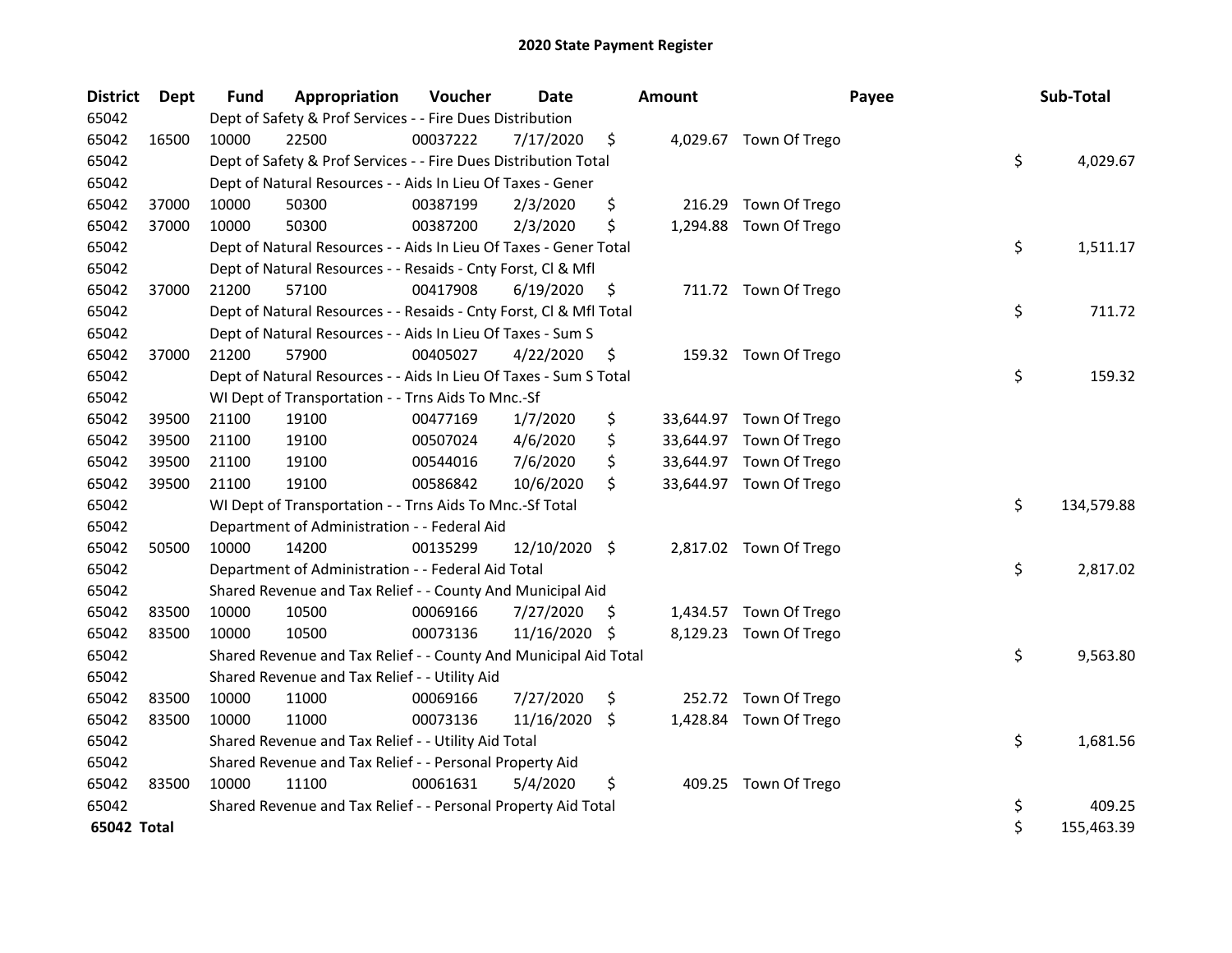| <b>District</b> | Dept  | <b>Fund</b> | Appropriation                                                      | Voucher  | <b>Date</b>   |     | <b>Amount</b> | Payee                   | Sub-Total        |
|-----------------|-------|-------------|--------------------------------------------------------------------|----------|---------------|-----|---------------|-------------------------|------------------|
| 65042           |       |             | Dept of Safety & Prof Services - - Fire Dues Distribution          |          |               |     |               |                         |                  |
| 65042           | 16500 | 10000       | 22500                                                              | 00037222 | 7/17/2020     | \$  |               | 4,029.67 Town Of Trego  |                  |
| 65042           |       |             | Dept of Safety & Prof Services - - Fire Dues Distribution Total    |          |               |     |               |                         | \$<br>4,029.67   |
| 65042           |       |             | Dept of Natural Resources - - Aids In Lieu Of Taxes - Gener        |          |               |     |               |                         |                  |
| 65042           | 37000 | 10000       | 50300                                                              | 00387199 | 2/3/2020      | \$  | 216.29        | Town Of Trego           |                  |
| 65042           | 37000 | 10000       | 50300                                                              | 00387200 | 2/3/2020      | \$  |               | 1,294.88 Town Of Trego  |                  |
| 65042           |       |             | Dept of Natural Resources - - Aids In Lieu Of Taxes - Gener Total  |          |               |     |               |                         | \$<br>1,511.17   |
| 65042           |       |             | Dept of Natural Resources - - Resaids - Cnty Forst, Cl & Mfl       |          |               |     |               |                         |                  |
| 65042           | 37000 | 21200       | 57100                                                              | 00417908 | 6/19/2020     | \$, |               | 711.72 Town Of Trego    |                  |
| 65042           |       |             | Dept of Natural Resources - - Resaids - Cnty Forst, Cl & Mfl Total |          |               |     |               |                         | \$<br>711.72     |
| 65042           |       |             | Dept of Natural Resources - - Aids In Lieu Of Taxes - Sum S        |          |               |     |               |                         |                  |
| 65042           | 37000 | 21200       | 57900                                                              | 00405027 | 4/22/2020     | \$  |               | 159.32 Town Of Trego    |                  |
| 65042           |       |             | Dept of Natural Resources - - Aids In Lieu Of Taxes - Sum S Total  |          |               |     |               |                         | \$<br>159.32     |
| 65042           |       |             | WI Dept of Transportation - - Trns Aids To Mnc.-Sf                 |          |               |     |               |                         |                  |
| 65042           | 39500 | 21100       | 19100                                                              | 00477169 | 1/7/2020      | \$  |               | 33,644.97 Town Of Trego |                  |
| 65042           | 39500 | 21100       | 19100                                                              | 00507024 | 4/6/2020      | \$  |               | 33,644.97 Town Of Trego |                  |
| 65042           | 39500 | 21100       | 19100                                                              | 00544016 | 7/6/2020      | \$  |               | 33,644.97 Town Of Trego |                  |
| 65042           | 39500 | 21100       | 19100                                                              | 00586842 | 10/6/2020     | \$  |               | 33,644.97 Town Of Trego |                  |
| 65042           |       |             | WI Dept of Transportation - - Trns Aids To Mnc.-Sf Total           |          |               |     |               |                         | \$<br>134,579.88 |
| 65042           |       |             | Department of Administration - - Federal Aid                       |          |               |     |               |                         |                  |
| 65042           | 50500 | 10000       | 14200                                                              | 00135299 | 12/10/2020 \$ |     |               | 2,817.02 Town Of Trego  |                  |
| 65042           |       |             | Department of Administration - - Federal Aid Total                 |          |               |     |               |                         | \$<br>2,817.02   |
| 65042           |       |             | Shared Revenue and Tax Relief - - County And Municipal Aid         |          |               |     |               |                         |                  |
| 65042           | 83500 | 10000       | 10500                                                              | 00069166 | 7/27/2020     | \$. |               | 1,434.57 Town Of Trego  |                  |
| 65042           | 83500 | 10000       | 10500                                                              | 00073136 | 11/16/2020 \$ |     |               | 8,129.23 Town Of Trego  |                  |
| 65042           |       |             | Shared Revenue and Tax Relief - - County And Municipal Aid Total   |          |               |     |               |                         | \$<br>9,563.80   |
| 65042           |       |             | Shared Revenue and Tax Relief - - Utility Aid                      |          |               |     |               |                         |                  |
| 65042           | 83500 | 10000       | 11000                                                              | 00069166 | 7/27/2020     | \$  |               | 252.72 Town Of Trego    |                  |
| 65042           | 83500 | 10000       | 11000                                                              | 00073136 | 11/16/2020    | S.  |               | 1,428.84 Town Of Trego  |                  |
| 65042           |       |             | Shared Revenue and Tax Relief - - Utility Aid Total                |          |               |     |               |                         | \$<br>1,681.56   |
| 65042           |       |             | Shared Revenue and Tax Relief - - Personal Property Aid            |          |               |     |               |                         |                  |
| 65042           | 83500 | 10000       | 11100                                                              | 00061631 | 5/4/2020      | \$  |               | 409.25 Town Of Trego    |                  |
| 65042           |       |             | Shared Revenue and Tax Relief - - Personal Property Aid Total      |          |               |     |               |                         | \$<br>409.25     |
| 65042 Total     |       |             |                                                                    |          |               |     |               |                         | \$<br>155,463.39 |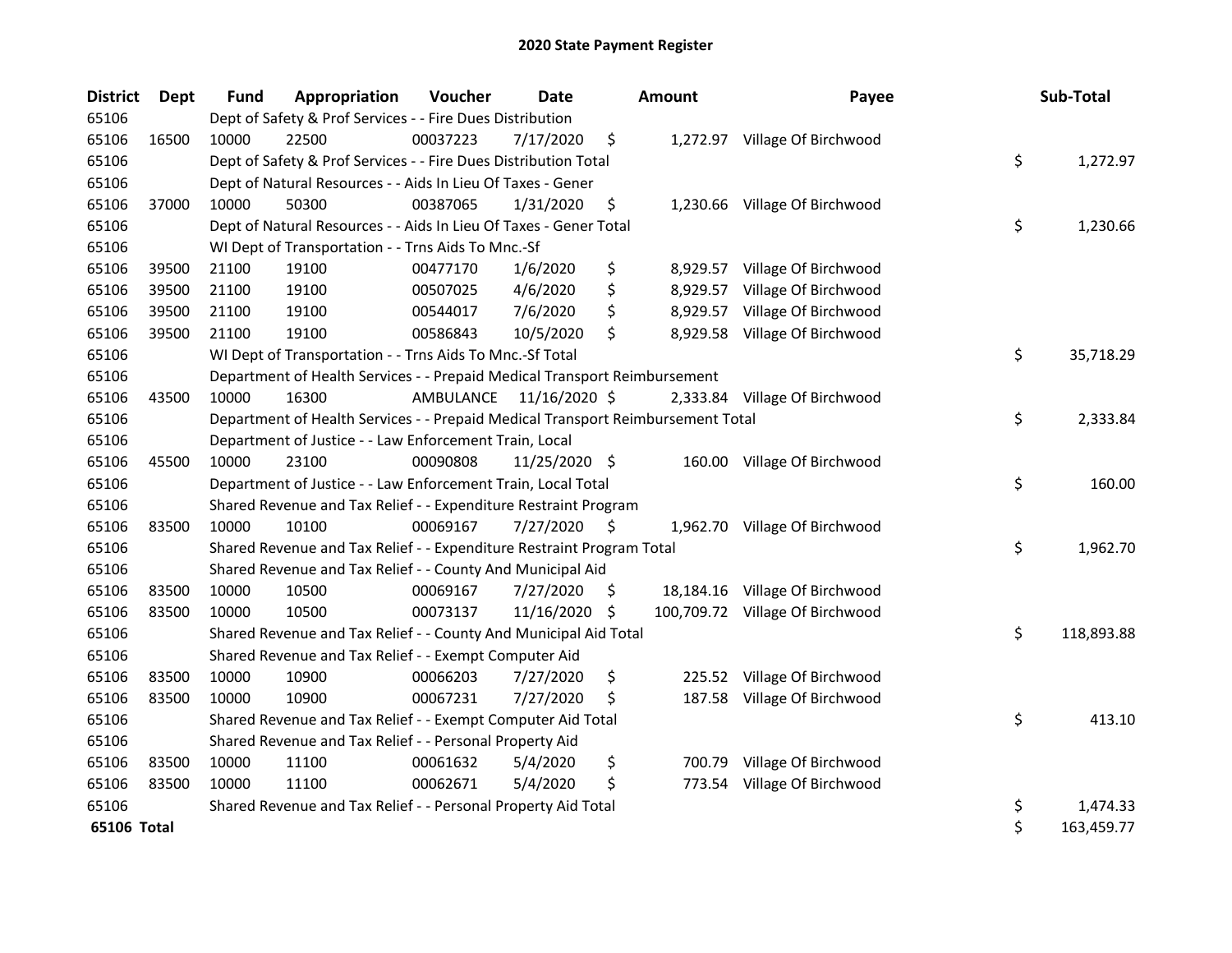| <b>District</b> | Dept  | Fund  | Appropriation                                                                   | Voucher  | <b>Date</b>             |     | <b>Amount</b> | Payee                           | Sub-Total        |
|-----------------|-------|-------|---------------------------------------------------------------------------------|----------|-------------------------|-----|---------------|---------------------------------|------------------|
| 65106           |       |       | Dept of Safety & Prof Services - - Fire Dues Distribution                       |          |                         |     |               |                                 |                  |
| 65106           | 16500 | 10000 | 22500                                                                           | 00037223 | 7/17/2020               | \$  |               | 1,272.97 Village Of Birchwood   |                  |
| 65106           |       |       | Dept of Safety & Prof Services - - Fire Dues Distribution Total                 |          |                         |     |               |                                 | \$<br>1,272.97   |
| 65106           |       |       | Dept of Natural Resources - - Aids In Lieu Of Taxes - Gener                     |          |                         |     |               |                                 |                  |
| 65106           | 37000 | 10000 | 50300                                                                           | 00387065 | 1/31/2020               | \$  |               | 1,230.66 Village Of Birchwood   |                  |
| 65106           |       |       | Dept of Natural Resources - - Aids In Lieu Of Taxes - Gener Total               |          |                         |     |               |                                 | \$<br>1,230.66   |
| 65106           |       |       | WI Dept of Transportation - - Trns Aids To Mnc.-Sf                              |          |                         |     |               |                                 |                  |
| 65106           | 39500 | 21100 | 19100                                                                           | 00477170 | 1/6/2020                | \$  | 8,929.57      | Village Of Birchwood            |                  |
| 65106           | 39500 | 21100 | 19100                                                                           | 00507025 | 4/6/2020                | \$  | 8,929.57      | Village Of Birchwood            |                  |
| 65106           | 39500 | 21100 | 19100                                                                           | 00544017 | 7/6/2020                | \$  | 8,929.57      | Village Of Birchwood            |                  |
| 65106           | 39500 | 21100 | 19100                                                                           | 00586843 | 10/5/2020               | \$  | 8,929.58      | Village Of Birchwood            |                  |
| 65106           |       |       | WI Dept of Transportation - - Trns Aids To Mnc.-Sf Total                        |          |                         |     |               |                                 | \$<br>35,718.29  |
| 65106           |       |       | Department of Health Services - - Prepaid Medical Transport Reimbursement       |          |                         |     |               |                                 |                  |
| 65106           | 43500 | 10000 | 16300                                                                           |          | AMBULANCE 11/16/2020 \$ |     |               | 2,333.84 Village Of Birchwood   |                  |
| 65106           |       |       | Department of Health Services - - Prepaid Medical Transport Reimbursement Total |          |                         |     |               |                                 | \$<br>2,333.84   |
| 65106           |       |       | Department of Justice - - Law Enforcement Train, Local                          |          |                         |     |               |                                 |                  |
| 65106           | 45500 | 10000 | 23100                                                                           | 00090808 | 11/25/2020 \$           |     |               | 160.00 Village Of Birchwood     |                  |
| 65106           |       |       | Department of Justice - - Law Enforcement Train, Local Total                    |          |                         |     |               |                                 | \$<br>160.00     |
| 65106           |       |       | Shared Revenue and Tax Relief - - Expenditure Restraint Program                 |          |                         |     |               |                                 |                  |
| 65106           | 83500 | 10000 | 10100                                                                           | 00069167 | 7/27/2020               | \$  |               | 1,962.70 Village Of Birchwood   |                  |
| 65106           |       |       | Shared Revenue and Tax Relief - - Expenditure Restraint Program Total           |          |                         |     |               |                                 | \$<br>1,962.70   |
| 65106           |       |       | Shared Revenue and Tax Relief - - County And Municipal Aid                      |          |                         |     |               |                                 |                  |
| 65106           | 83500 | 10000 | 10500                                                                           | 00069167 | 7/27/2020               | \$. |               | 18,184.16 Village Of Birchwood  |                  |
| 65106           | 83500 | 10000 | 10500                                                                           | 00073137 | 11/16/2020              | \$  |               | 100,709.72 Village Of Birchwood |                  |
| 65106           |       |       | Shared Revenue and Tax Relief - - County And Municipal Aid Total                |          |                         |     |               |                                 | \$<br>118,893.88 |
| 65106           |       |       | Shared Revenue and Tax Relief - - Exempt Computer Aid                           |          |                         |     |               |                                 |                  |
| 65106           | 83500 | 10000 | 10900                                                                           | 00066203 | 7/27/2020               | \$  |               | 225.52 Village Of Birchwood     |                  |
| 65106           | 83500 | 10000 | 10900                                                                           | 00067231 | 7/27/2020               | \$  |               | 187.58 Village Of Birchwood     |                  |
| 65106           |       |       | Shared Revenue and Tax Relief - - Exempt Computer Aid Total                     |          |                         |     |               |                                 | \$<br>413.10     |
| 65106           |       |       | Shared Revenue and Tax Relief - - Personal Property Aid                         |          |                         |     |               |                                 |                  |
| 65106           | 83500 | 10000 | 11100                                                                           | 00061632 | 5/4/2020                | \$  | 700.79        | Village Of Birchwood            |                  |
| 65106           | 83500 | 10000 | 11100                                                                           | 00062671 | 5/4/2020                | \$  |               | 773.54 Village Of Birchwood     |                  |
| 65106           |       |       | Shared Revenue and Tax Relief - - Personal Property Aid Total                   |          |                         |     |               |                                 | \$<br>1,474.33   |
| 65106 Total     |       |       |                                                                                 |          |                         |     |               |                                 | \$<br>163,459.77 |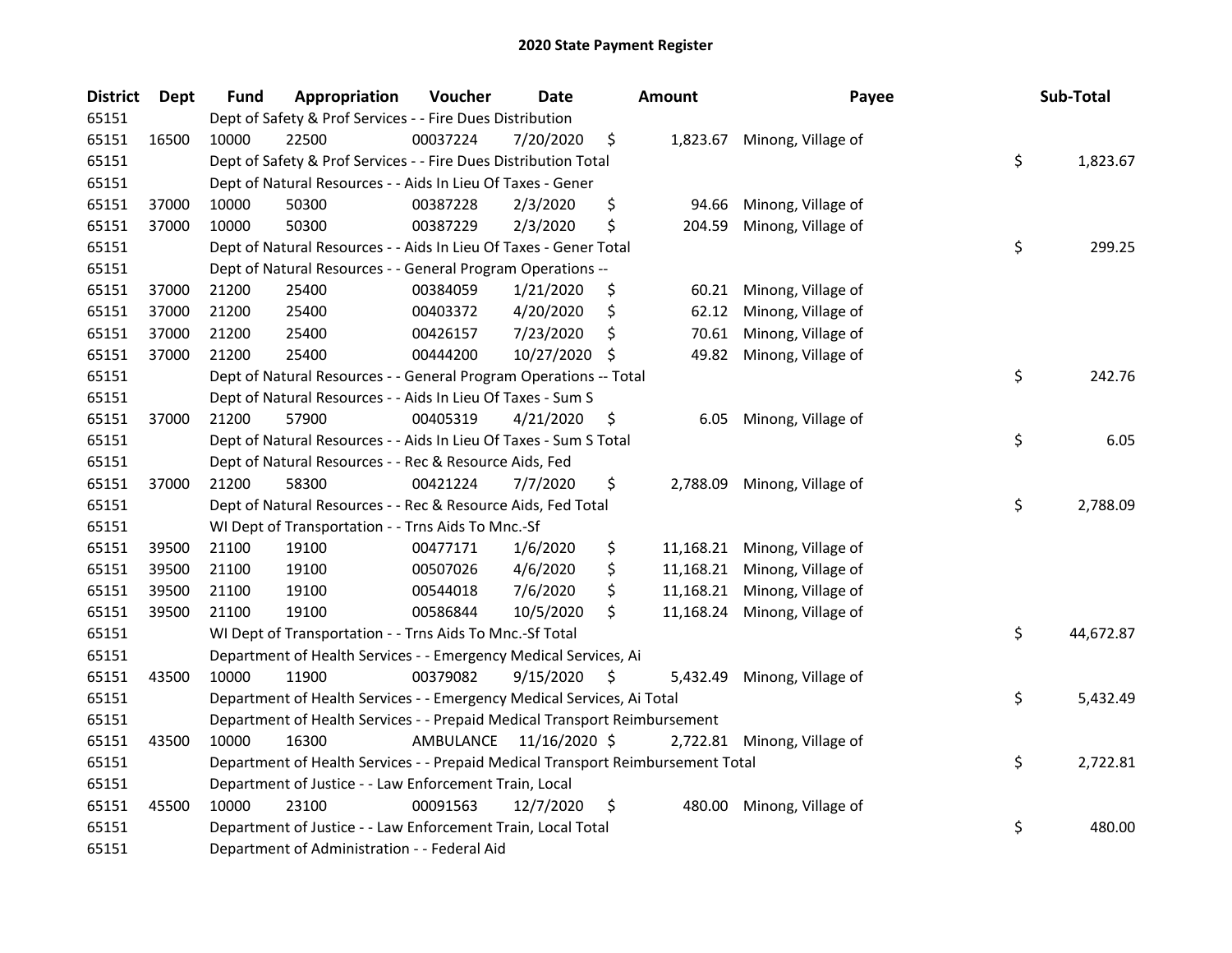| <b>District</b> | Dept  | <b>Fund</b> | Appropriation                                                                   | Voucher   | <b>Date</b>   |     | <b>Amount</b> | Payee                        | Sub-Total       |
|-----------------|-------|-------------|---------------------------------------------------------------------------------|-----------|---------------|-----|---------------|------------------------------|-----------------|
| 65151           |       |             | Dept of Safety & Prof Services - - Fire Dues Distribution                       |           |               |     |               |                              |                 |
| 65151           | 16500 | 10000       | 22500                                                                           | 00037224  | 7/20/2020     | \$  |               | 1,823.67 Minong, Village of  |                 |
| 65151           |       |             | Dept of Safety & Prof Services - - Fire Dues Distribution Total                 |           |               |     |               |                              | \$<br>1,823.67  |
| 65151           |       |             | Dept of Natural Resources - - Aids In Lieu Of Taxes - Gener                     |           |               |     |               |                              |                 |
| 65151           | 37000 | 10000       | 50300                                                                           | 00387228  | 2/3/2020      | \$  | 94.66         | Minong, Village of           |                 |
| 65151           | 37000 | 10000       | 50300                                                                           | 00387229  | 2/3/2020      | \$  | 204.59        | Minong, Village of           |                 |
| 65151           |       |             | Dept of Natural Resources - - Aids In Lieu Of Taxes - Gener Total               |           |               |     |               |                              | \$<br>299.25    |
| 65151           |       |             | Dept of Natural Resources - - General Program Operations --                     |           |               |     |               |                              |                 |
| 65151           | 37000 | 21200       | 25400                                                                           | 00384059  | 1/21/2020     | \$  |               | 60.21 Minong, Village of     |                 |
| 65151           | 37000 | 21200       | 25400                                                                           | 00403372  | 4/20/2020     | \$  | 62.12         | Minong, Village of           |                 |
| 65151           | 37000 | 21200       | 25400                                                                           | 00426157  | 7/23/2020     | \$  | 70.61         | Minong, Village of           |                 |
| 65151           | 37000 | 21200       | 25400                                                                           | 00444200  | 10/27/2020    | \$. | 49.82         | Minong, Village of           |                 |
| 65151           |       |             | Dept of Natural Resources - - General Program Operations -- Total               |           |               |     |               |                              | \$<br>242.76    |
| 65151           |       |             | Dept of Natural Resources - - Aids In Lieu Of Taxes - Sum S                     |           |               |     |               |                              |                 |
| 65151           | 37000 | 21200       | 57900                                                                           | 00405319  | 4/21/2020     | \$  | 6.05          | Minong, Village of           |                 |
| 65151           |       |             | Dept of Natural Resources - - Aids In Lieu Of Taxes - Sum S Total               |           |               |     |               |                              | \$<br>6.05      |
| 65151           |       |             | Dept of Natural Resources - - Rec & Resource Aids, Fed                          |           |               |     |               |                              |                 |
| 65151           | 37000 | 21200       | 58300                                                                           | 00421224  | 7/7/2020      | \$  | 2,788.09      | Minong, Village of           |                 |
| 65151           |       |             | Dept of Natural Resources - - Rec & Resource Aids, Fed Total                    |           |               |     |               |                              | \$<br>2,788.09  |
| 65151           |       |             | WI Dept of Transportation - - Trns Aids To Mnc.-Sf                              |           |               |     |               |                              |                 |
| 65151           | 39500 | 21100       | 19100                                                                           | 00477171  | 1/6/2020      | \$  |               | 11,168.21 Minong, Village of |                 |
| 65151           | 39500 | 21100       | 19100                                                                           | 00507026  | 4/6/2020      | \$  |               | 11,168.21 Minong, Village of |                 |
| 65151           | 39500 | 21100       | 19100                                                                           | 00544018  | 7/6/2020      | \$  |               | 11,168.21 Minong, Village of |                 |
| 65151           | 39500 | 21100       | 19100                                                                           | 00586844  | 10/5/2020     | \$  |               | 11,168.24 Minong, Village of |                 |
| 65151           |       |             | WI Dept of Transportation - - Trns Aids To Mnc.-Sf Total                        |           |               |     |               |                              | \$<br>44,672.87 |
| 65151           |       |             | Department of Health Services - - Emergency Medical Services, Ai                |           |               |     |               |                              |                 |
| 65151           | 43500 | 10000       | 11900                                                                           | 00379082  | 9/15/2020     | \$  | 5,432.49      | Minong, Village of           |                 |
| 65151           |       |             | Department of Health Services - - Emergency Medical Services, Ai Total          |           |               |     |               |                              | \$<br>5,432.49  |
| 65151           |       |             | Department of Health Services - - Prepaid Medical Transport Reimbursement       |           |               |     |               |                              |                 |
| 65151           | 43500 | 10000       | 16300                                                                           | AMBULANCE | 11/16/2020 \$ |     |               | 2,722.81 Minong, Village of  |                 |
| 65151           |       |             | Department of Health Services - - Prepaid Medical Transport Reimbursement Total |           |               |     |               |                              | \$<br>2,722.81  |
| 65151           |       |             | Department of Justice - - Law Enforcement Train, Local                          |           |               |     |               |                              |                 |
| 65151           | 45500 | 10000       | 23100                                                                           | 00091563  | 12/7/2020     | \$  | 480.00        | Minong, Village of           |                 |
| 65151           |       |             | Department of Justice - - Law Enforcement Train, Local Total                    |           |               |     |               |                              | \$<br>480.00    |
| 65151           |       |             | Department of Administration - - Federal Aid                                    |           |               |     |               |                              |                 |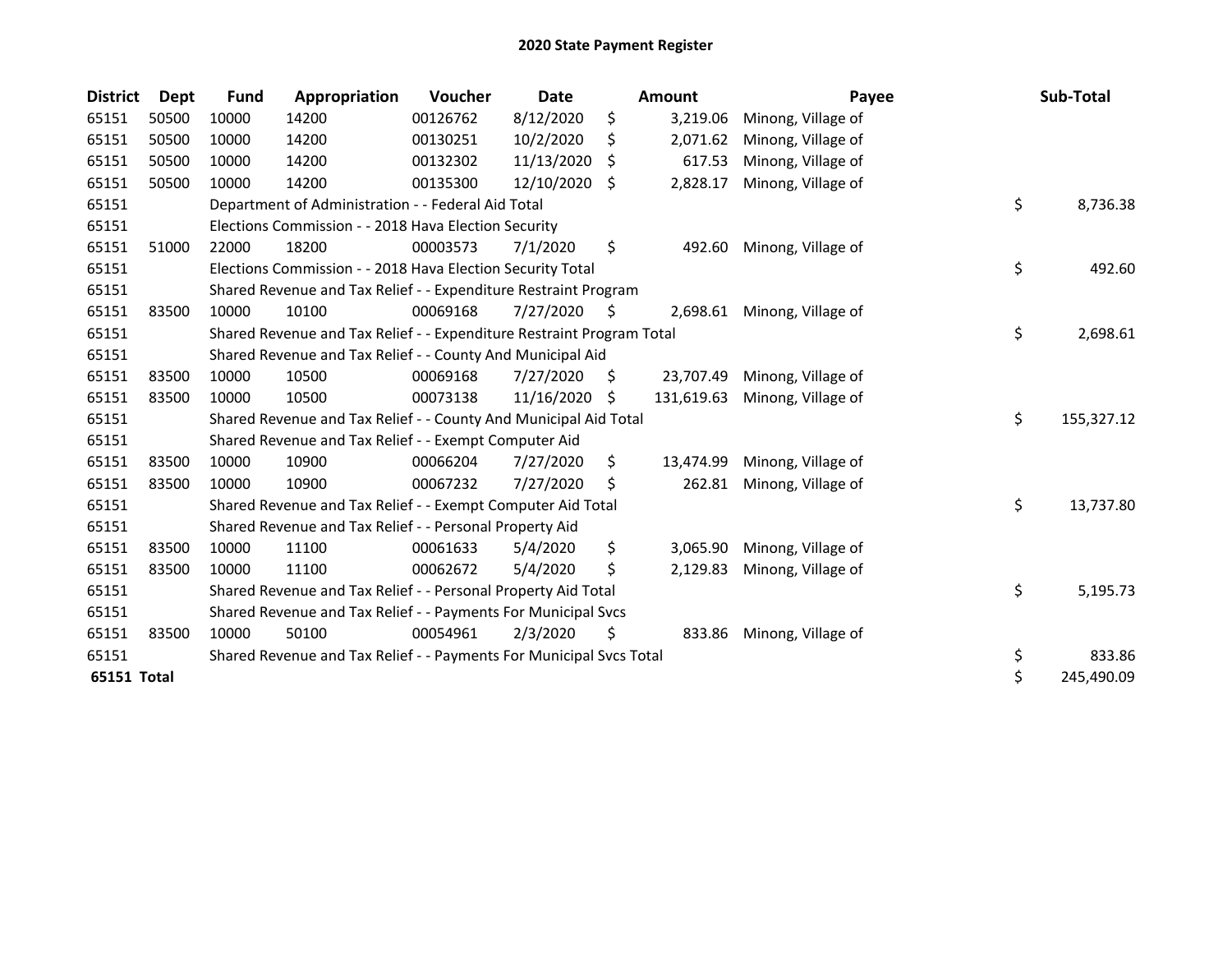| <b>District</b> | Dept  | <b>Fund</b> | Appropriation                                                         | Voucher  | <b>Date</b> |     | <b>Amount</b> | Payee              | Sub-Total        |
|-----------------|-------|-------------|-----------------------------------------------------------------------|----------|-------------|-----|---------------|--------------------|------------------|
| 65151           | 50500 | 10000       | 14200                                                                 | 00126762 | 8/12/2020   | \$  | 3,219.06      | Minong, Village of |                  |
| 65151           | 50500 | 10000       | 14200                                                                 | 00130251 | 10/2/2020   | \$  | 2,071.62      | Minong, Village of |                  |
| 65151           | 50500 | 10000       | 14200                                                                 | 00132302 | 11/13/2020  | S   | 617.53        | Minong, Village of |                  |
| 65151           | 50500 | 10000       | 14200                                                                 | 00135300 | 12/10/2020  | \$  | 2,828.17      | Minong, Village of |                  |
| 65151           |       |             | Department of Administration - - Federal Aid Total                    |          |             |     |               |                    | \$<br>8,736.38   |
| 65151           |       |             | Elections Commission - - 2018 Hava Election Security                  |          |             |     |               |                    |                  |
| 65151           | 51000 | 22000       | 18200                                                                 | 00003573 | 7/1/2020    | \$  | 492.60        | Minong, Village of |                  |
| 65151           |       |             | Elections Commission - - 2018 Hava Election Security Total            |          |             |     |               |                    | \$<br>492.60     |
| 65151           |       |             | Shared Revenue and Tax Relief - - Expenditure Restraint Program       |          |             |     |               |                    |                  |
| 65151           | 83500 | 10000       | 10100                                                                 | 00069168 | 7/27/2020   | \$. | 2,698.61      | Minong, Village of |                  |
| 65151           |       |             | Shared Revenue and Tax Relief - - Expenditure Restraint Program Total |          |             |     |               |                    | \$<br>2,698.61   |
| 65151           |       |             | Shared Revenue and Tax Relief - - County And Municipal Aid            |          |             |     |               |                    |                  |
| 65151           | 83500 | 10000       | 10500                                                                 | 00069168 | 7/27/2020   | \$. | 23,707.49     | Minong, Village of |                  |
| 65151           | 83500 | 10000       | 10500                                                                 | 00073138 | 11/16/2020  | S   | 131,619.63    | Minong, Village of |                  |
| 65151           |       |             | Shared Revenue and Tax Relief - - County And Municipal Aid Total      |          |             |     |               |                    | \$<br>155,327.12 |
| 65151           |       |             | Shared Revenue and Tax Relief - - Exempt Computer Aid                 |          |             |     |               |                    |                  |
| 65151           | 83500 | 10000       | 10900                                                                 | 00066204 | 7/27/2020   | \$  | 13,474.99     | Minong, Village of |                  |
| 65151           | 83500 | 10000       | 10900                                                                 | 00067232 | 7/27/2020   | S   | 262.81        | Minong, Village of |                  |
| 65151           |       |             | Shared Revenue and Tax Relief - - Exempt Computer Aid Total           |          |             |     |               |                    | \$<br>13,737.80  |
| 65151           |       |             | Shared Revenue and Tax Relief - - Personal Property Aid               |          |             |     |               |                    |                  |
| 65151           | 83500 | 10000       | 11100                                                                 | 00061633 | 5/4/2020    | \$  | 3,065.90      | Minong, Village of |                  |
| 65151           | 83500 | 10000       | 11100                                                                 | 00062672 | 5/4/2020    | \$  | 2,129.83      | Minong, Village of |                  |
| 65151           |       |             | Shared Revenue and Tax Relief - - Personal Property Aid Total         |          |             |     |               |                    | \$<br>5,195.73   |
| 65151           |       |             | Shared Revenue and Tax Relief - - Payments For Municipal Svcs         |          |             |     |               |                    |                  |
| 65151           | 83500 | 10000       | 50100                                                                 | 00054961 | 2/3/2020    | \$  | 833.86        | Minong, Village of |                  |
| 65151           |       |             | Shared Revenue and Tax Relief - - Payments For Municipal Svcs Total   |          |             |     |               |                    | \$<br>833.86     |
| 65151 Total     |       |             |                                                                       |          |             |     |               |                    | \$<br>245,490.09 |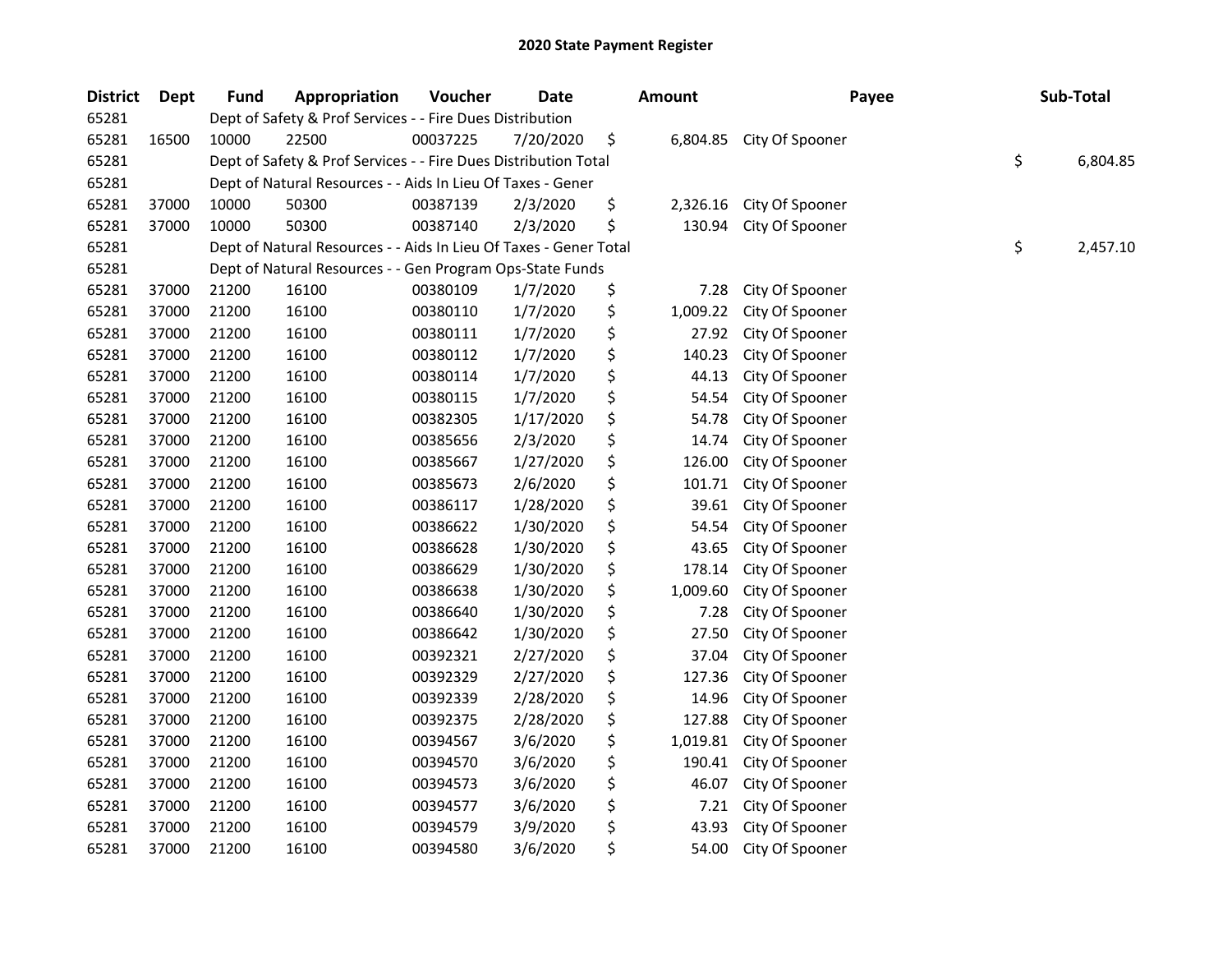| <b>District</b> | <b>Dept</b> | <b>Fund</b> | Appropriation                                                     | Voucher  | <b>Date</b> | <b>Amount</b>  | Payee           | Sub-Total      |
|-----------------|-------------|-------------|-------------------------------------------------------------------|----------|-------------|----------------|-----------------|----------------|
| 65281           |             |             | Dept of Safety & Prof Services - - Fire Dues Distribution         |          |             |                |                 |                |
| 65281           | 16500       | 10000       | 22500                                                             | 00037225 | 7/20/2020   | \$<br>6,804.85 | City Of Spooner |                |
| 65281           |             |             | Dept of Safety & Prof Services - - Fire Dues Distribution Total   |          |             |                |                 | \$<br>6,804.85 |
| 65281           |             |             | Dept of Natural Resources - - Aids In Lieu Of Taxes - Gener       |          |             |                |                 |                |
| 65281           | 37000       | 10000       | 50300                                                             | 00387139 | 2/3/2020    | \$<br>2,326.16 | City Of Spooner |                |
| 65281           | 37000       | 10000       | 50300                                                             | 00387140 | 2/3/2020    | \$<br>130.94   | City Of Spooner |                |
| 65281           |             |             | Dept of Natural Resources - - Aids In Lieu Of Taxes - Gener Total |          |             |                |                 | \$<br>2,457.10 |
| 65281           |             |             | Dept of Natural Resources - - Gen Program Ops-State Funds         |          |             |                |                 |                |
| 65281           | 37000       | 21200       | 16100                                                             | 00380109 | 1/7/2020    | \$<br>7.28     | City Of Spooner |                |
| 65281           | 37000       | 21200       | 16100                                                             | 00380110 | 1/7/2020    | \$<br>1,009.22 | City Of Spooner |                |
| 65281           | 37000       | 21200       | 16100                                                             | 00380111 | 1/7/2020    | \$<br>27.92    | City Of Spooner |                |
| 65281           | 37000       | 21200       | 16100                                                             | 00380112 | 1/7/2020    | \$<br>140.23   | City Of Spooner |                |
| 65281           | 37000       | 21200       | 16100                                                             | 00380114 | 1/7/2020    | \$<br>44.13    | City Of Spooner |                |
| 65281           | 37000       | 21200       | 16100                                                             | 00380115 | 1/7/2020    | \$<br>54.54    | City Of Spooner |                |
| 65281           | 37000       | 21200       | 16100                                                             | 00382305 | 1/17/2020   | \$<br>54.78    | City Of Spooner |                |
| 65281           | 37000       | 21200       | 16100                                                             | 00385656 | 2/3/2020    | \$<br>14.74    | City Of Spooner |                |
| 65281           | 37000       | 21200       | 16100                                                             | 00385667 | 1/27/2020   | \$<br>126.00   | City Of Spooner |                |
| 65281           | 37000       | 21200       | 16100                                                             | 00385673 | 2/6/2020    | \$<br>101.71   | City Of Spooner |                |
| 65281           | 37000       | 21200       | 16100                                                             | 00386117 | 1/28/2020   | \$<br>39.61    | City Of Spooner |                |
| 65281           | 37000       | 21200       | 16100                                                             | 00386622 | 1/30/2020   | \$<br>54.54    | City Of Spooner |                |
| 65281           | 37000       | 21200       | 16100                                                             | 00386628 | 1/30/2020   | \$<br>43.65    | City Of Spooner |                |
| 65281           | 37000       | 21200       | 16100                                                             | 00386629 | 1/30/2020   | \$<br>178.14   | City Of Spooner |                |
| 65281           | 37000       | 21200       | 16100                                                             | 00386638 | 1/30/2020   | \$<br>1,009.60 | City Of Spooner |                |
| 65281           | 37000       | 21200       | 16100                                                             | 00386640 | 1/30/2020   | \$<br>7.28     | City Of Spooner |                |
| 65281           | 37000       | 21200       | 16100                                                             | 00386642 | 1/30/2020   | \$<br>27.50    | City Of Spooner |                |
| 65281           | 37000       | 21200       | 16100                                                             | 00392321 | 2/27/2020   | \$<br>37.04    | City Of Spooner |                |
| 65281           | 37000       | 21200       | 16100                                                             | 00392329 | 2/27/2020   | \$<br>127.36   | City Of Spooner |                |
| 65281           | 37000       | 21200       | 16100                                                             | 00392339 | 2/28/2020   | \$<br>14.96    | City Of Spooner |                |
| 65281           | 37000       | 21200       | 16100                                                             | 00392375 | 2/28/2020   | \$<br>127.88   | City Of Spooner |                |
| 65281           | 37000       | 21200       | 16100                                                             | 00394567 | 3/6/2020    | \$<br>1,019.81 | City Of Spooner |                |
| 65281           | 37000       | 21200       | 16100                                                             | 00394570 | 3/6/2020    | \$<br>190.41   | City Of Spooner |                |
| 65281           | 37000       | 21200       | 16100                                                             | 00394573 | 3/6/2020    | \$<br>46.07    | City Of Spooner |                |
| 65281           | 37000       | 21200       | 16100                                                             | 00394577 | 3/6/2020    | \$<br>7.21     | City Of Spooner |                |
| 65281           | 37000       | 21200       | 16100                                                             | 00394579 | 3/9/2020    | \$<br>43.93    | City Of Spooner |                |
| 65281           | 37000       | 21200       | 16100                                                             | 00394580 | 3/6/2020    | \$<br>54.00    | City Of Spooner |                |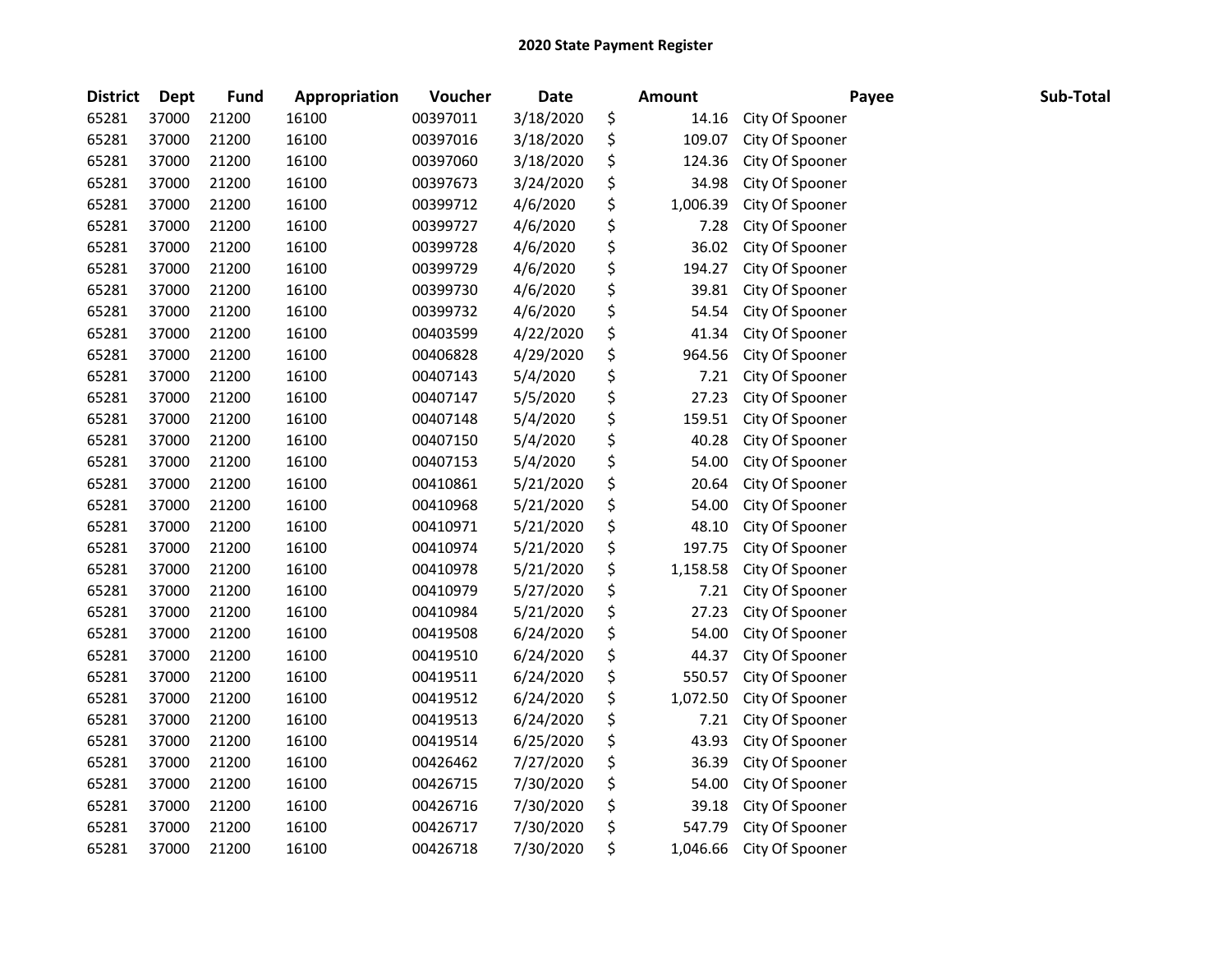| <b>District</b> | <b>Dept</b> | <b>Fund</b> | Appropriation | Voucher  | <b>Date</b> | <b>Amount</b>  | Payee           | Sub-Total |
|-----------------|-------------|-------------|---------------|----------|-------------|----------------|-----------------|-----------|
| 65281           | 37000       | 21200       | 16100         | 00397011 | 3/18/2020   | \$<br>14.16    | City Of Spooner |           |
| 65281           | 37000       | 21200       | 16100         | 00397016 | 3/18/2020   | \$<br>109.07   | City Of Spooner |           |
| 65281           | 37000       | 21200       | 16100         | 00397060 | 3/18/2020   | \$<br>124.36   | City Of Spooner |           |
| 65281           | 37000       | 21200       | 16100         | 00397673 | 3/24/2020   | \$<br>34.98    | City Of Spooner |           |
| 65281           | 37000       | 21200       | 16100         | 00399712 | 4/6/2020    | \$<br>1,006.39 | City Of Spooner |           |
| 65281           | 37000       | 21200       | 16100         | 00399727 | 4/6/2020    | \$<br>7.28     | City Of Spooner |           |
| 65281           | 37000       | 21200       | 16100         | 00399728 | 4/6/2020    | \$<br>36.02    | City Of Spooner |           |
| 65281           | 37000       | 21200       | 16100         | 00399729 | 4/6/2020    | \$<br>194.27   | City Of Spooner |           |
| 65281           | 37000       | 21200       | 16100         | 00399730 | 4/6/2020    | \$<br>39.81    | City Of Spooner |           |
| 65281           | 37000       | 21200       | 16100         | 00399732 | 4/6/2020    | \$<br>54.54    | City Of Spooner |           |
| 65281           | 37000       | 21200       | 16100         | 00403599 | 4/22/2020   | \$<br>41.34    | City Of Spooner |           |
| 65281           | 37000       | 21200       | 16100         | 00406828 | 4/29/2020   | \$<br>964.56   | City Of Spooner |           |
| 65281           | 37000       | 21200       | 16100         | 00407143 | 5/4/2020    | \$<br>7.21     | City Of Spooner |           |
| 65281           | 37000       | 21200       | 16100         | 00407147 | 5/5/2020    | \$<br>27.23    | City Of Spooner |           |
| 65281           | 37000       | 21200       | 16100         | 00407148 | 5/4/2020    | \$<br>159.51   | City Of Spooner |           |
| 65281           | 37000       | 21200       | 16100         | 00407150 | 5/4/2020    | \$<br>40.28    | City Of Spooner |           |
| 65281           | 37000       | 21200       | 16100         | 00407153 | 5/4/2020    | \$<br>54.00    | City Of Spooner |           |
| 65281           | 37000       | 21200       | 16100         | 00410861 | 5/21/2020   | \$<br>20.64    | City Of Spooner |           |
| 65281           | 37000       | 21200       | 16100         | 00410968 | 5/21/2020   | \$<br>54.00    | City Of Spooner |           |
| 65281           | 37000       | 21200       | 16100         | 00410971 | 5/21/2020   | \$<br>48.10    | City Of Spooner |           |
| 65281           | 37000       | 21200       | 16100         | 00410974 | 5/21/2020   | \$<br>197.75   | City Of Spooner |           |
| 65281           | 37000       | 21200       | 16100         | 00410978 | 5/21/2020   | \$<br>1,158.58 | City Of Spooner |           |
| 65281           | 37000       | 21200       | 16100         | 00410979 | 5/27/2020   | \$<br>7.21     | City Of Spooner |           |
| 65281           | 37000       | 21200       | 16100         | 00410984 | 5/21/2020   | \$<br>27.23    | City Of Spooner |           |
| 65281           | 37000       | 21200       | 16100         | 00419508 | 6/24/2020   | \$<br>54.00    | City Of Spooner |           |
| 65281           | 37000       | 21200       | 16100         | 00419510 | 6/24/2020   | \$<br>44.37    | City Of Spooner |           |
| 65281           | 37000       | 21200       | 16100         | 00419511 | 6/24/2020   | \$<br>550.57   | City Of Spooner |           |
| 65281           | 37000       | 21200       | 16100         | 00419512 | 6/24/2020   | \$<br>1,072.50 | City Of Spooner |           |
| 65281           | 37000       | 21200       | 16100         | 00419513 | 6/24/2020   | \$<br>7.21     | City Of Spooner |           |
| 65281           | 37000       | 21200       | 16100         | 00419514 | 6/25/2020   | \$<br>43.93    | City Of Spooner |           |
| 65281           | 37000       | 21200       | 16100         | 00426462 | 7/27/2020   | \$<br>36.39    | City Of Spooner |           |
| 65281           | 37000       | 21200       | 16100         | 00426715 | 7/30/2020   | \$<br>54.00    | City Of Spooner |           |
| 65281           | 37000       | 21200       | 16100         | 00426716 | 7/30/2020   | \$<br>39.18    | City Of Spooner |           |
| 65281           | 37000       | 21200       | 16100         | 00426717 | 7/30/2020   | \$<br>547.79   | City Of Spooner |           |
| 65281           | 37000       | 21200       | 16100         | 00426718 | 7/30/2020   | \$<br>1,046.66 | City Of Spooner |           |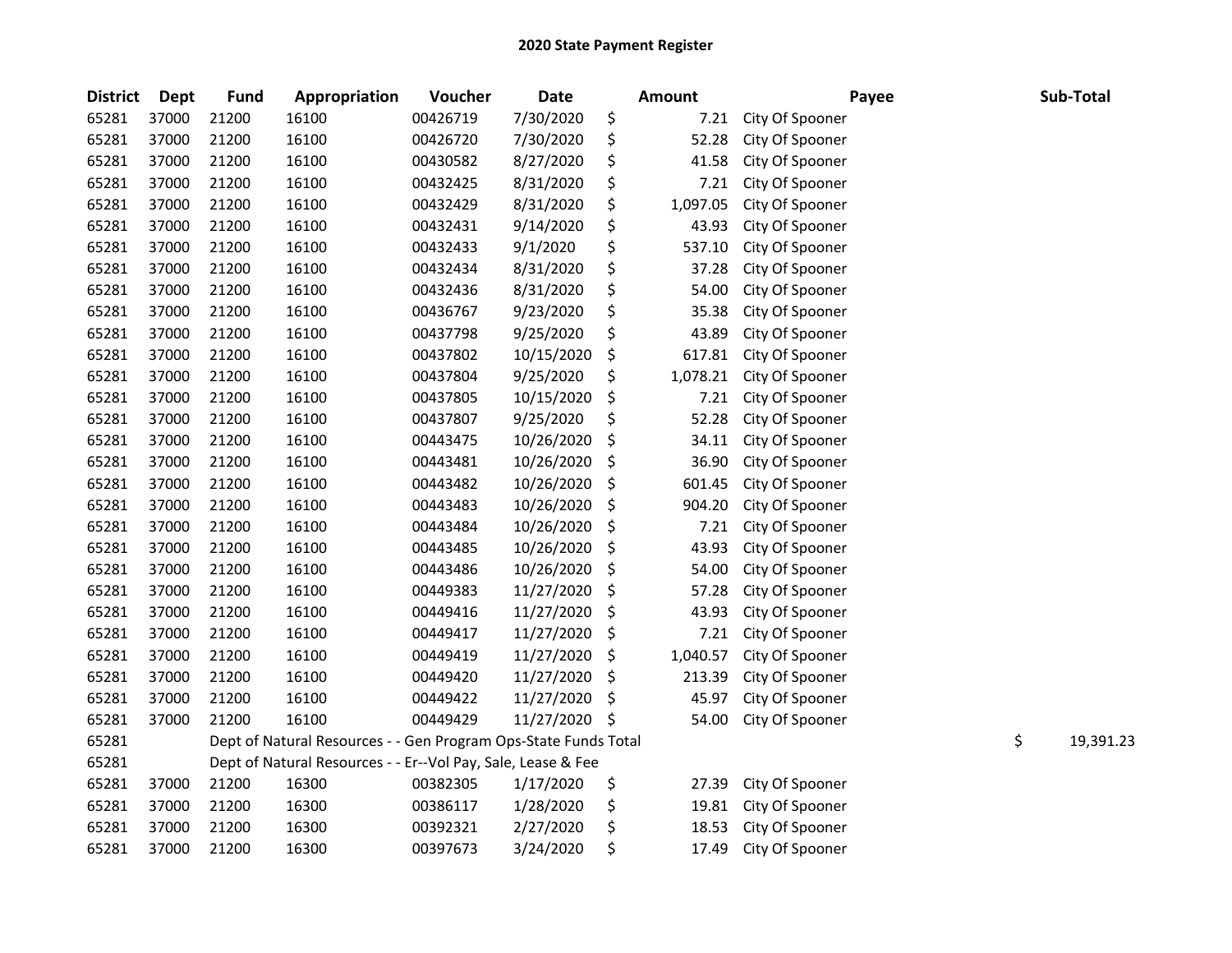| <b>District</b> | Dept  | <b>Fund</b> | Appropriation                                                   | Voucher  | <b>Date</b> |     | <b>Amount</b> |                 | Payee | Sub-Total       |
|-----------------|-------|-------------|-----------------------------------------------------------------|----------|-------------|-----|---------------|-----------------|-------|-----------------|
| 65281           | 37000 | 21200       | 16100                                                           | 00426719 | 7/30/2020   | \$  | 7.21          | City Of Spooner |       |                 |
| 65281           | 37000 | 21200       | 16100                                                           | 00426720 | 7/30/2020   | \$  | 52.28         | City Of Spooner |       |                 |
| 65281           | 37000 | 21200       | 16100                                                           | 00430582 | 8/27/2020   | \$  | 41.58         | City Of Spooner |       |                 |
| 65281           | 37000 | 21200       | 16100                                                           | 00432425 | 8/31/2020   | \$  | 7.21          | City Of Spooner |       |                 |
| 65281           | 37000 | 21200       | 16100                                                           | 00432429 | 8/31/2020   | \$  | 1,097.05      | City Of Spooner |       |                 |
| 65281           | 37000 | 21200       | 16100                                                           | 00432431 | 9/14/2020   | \$  | 43.93         | City Of Spooner |       |                 |
| 65281           | 37000 | 21200       | 16100                                                           | 00432433 | 9/1/2020    | \$  | 537.10        | City Of Spooner |       |                 |
| 65281           | 37000 | 21200       | 16100                                                           | 00432434 | 8/31/2020   | \$  | 37.28         | City Of Spooner |       |                 |
| 65281           | 37000 | 21200       | 16100                                                           | 00432436 | 8/31/2020   | \$  | 54.00         | City Of Spooner |       |                 |
| 65281           | 37000 | 21200       | 16100                                                           | 00436767 | 9/23/2020   | \$  | 35.38         | City Of Spooner |       |                 |
| 65281           | 37000 | 21200       | 16100                                                           | 00437798 | 9/25/2020   | \$  | 43.89         | City Of Spooner |       |                 |
| 65281           | 37000 | 21200       | 16100                                                           | 00437802 | 10/15/2020  | \$  | 617.81        | City Of Spooner |       |                 |
| 65281           | 37000 | 21200       | 16100                                                           | 00437804 | 9/25/2020   | \$  | 1,078.21      | City Of Spooner |       |                 |
| 65281           | 37000 | 21200       | 16100                                                           | 00437805 | 10/15/2020  | \$  | 7.21          | City Of Spooner |       |                 |
| 65281           | 37000 | 21200       | 16100                                                           | 00437807 | 9/25/2020   | \$  | 52.28         | City Of Spooner |       |                 |
| 65281           | 37000 | 21200       | 16100                                                           | 00443475 | 10/26/2020  | \$  | 34.11         | City Of Spooner |       |                 |
| 65281           | 37000 | 21200       | 16100                                                           | 00443481 | 10/26/2020  | \$  | 36.90         | City Of Spooner |       |                 |
| 65281           | 37000 | 21200       | 16100                                                           | 00443482 | 10/26/2020  | \$  | 601.45        | City Of Spooner |       |                 |
| 65281           | 37000 | 21200       | 16100                                                           | 00443483 | 10/26/2020  | \$  | 904.20        | City Of Spooner |       |                 |
| 65281           | 37000 | 21200       | 16100                                                           | 00443484 | 10/26/2020  | \$  | 7.21          | City Of Spooner |       |                 |
| 65281           | 37000 | 21200       | 16100                                                           | 00443485 | 10/26/2020  | \$  | 43.93         | City Of Spooner |       |                 |
| 65281           | 37000 | 21200       | 16100                                                           | 00443486 | 10/26/2020  | \$  | 54.00         | City Of Spooner |       |                 |
| 65281           | 37000 | 21200       | 16100                                                           | 00449383 | 11/27/2020  | \$  | 57.28         | City Of Spooner |       |                 |
| 65281           | 37000 | 21200       | 16100                                                           | 00449416 | 11/27/2020  | \$  | 43.93         | City Of Spooner |       |                 |
| 65281           | 37000 | 21200       | 16100                                                           | 00449417 | 11/27/2020  | \$  | 7.21          | City Of Spooner |       |                 |
| 65281           | 37000 | 21200       | 16100                                                           | 00449419 | 11/27/2020  | \$  | 1,040.57      | City Of Spooner |       |                 |
| 65281           | 37000 | 21200       | 16100                                                           | 00449420 | 11/27/2020  | \$  | 213.39        | City Of Spooner |       |                 |
| 65281           | 37000 | 21200       | 16100                                                           | 00449422 | 11/27/2020  | \$  | 45.97         | City Of Spooner |       |                 |
| 65281           | 37000 | 21200       | 16100                                                           | 00449429 | 11/27/2020  | -\$ | 54.00         | City Of Spooner |       |                 |
| 65281           |       |             | Dept of Natural Resources - - Gen Program Ops-State Funds Total |          |             |     |               |                 |       | \$<br>19,391.23 |
| 65281           |       |             | Dept of Natural Resources - - Er--Vol Pay, Sale, Lease & Fee    |          |             |     |               |                 |       |                 |
| 65281           | 37000 | 21200       | 16300                                                           | 00382305 | 1/17/2020   | \$  | 27.39         | City Of Spooner |       |                 |
| 65281           | 37000 | 21200       | 16300                                                           | 00386117 | 1/28/2020   | \$  | 19.81         | City Of Spooner |       |                 |
| 65281           | 37000 | 21200       | 16300                                                           | 00392321 | 2/27/2020   | \$  | 18.53         | City Of Spooner |       |                 |
| 65281           | 37000 | 21200       | 16300                                                           | 00397673 | 3/24/2020   | \$  | 17.49         | City Of Spooner |       |                 |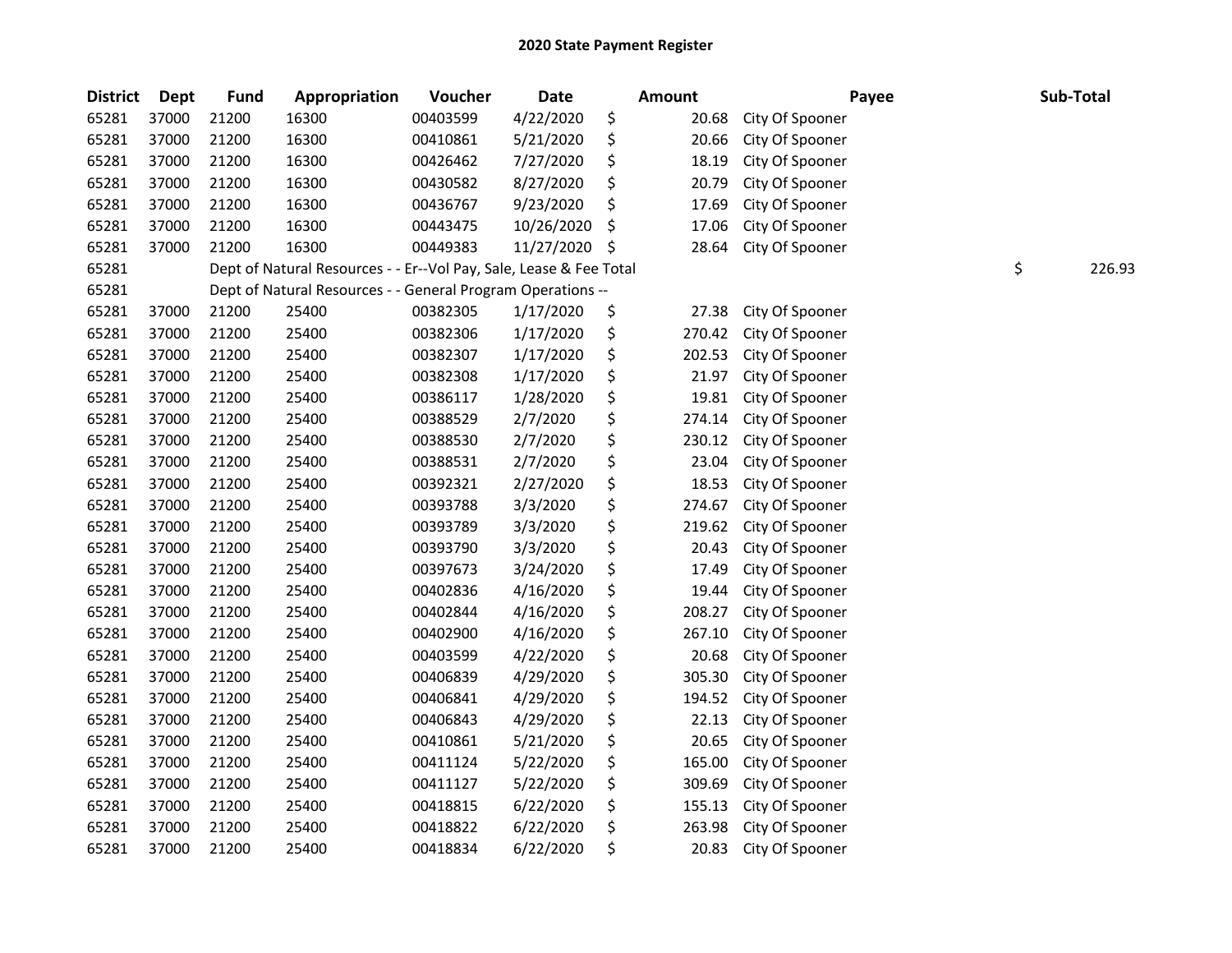| <b>District</b> | <b>Dept</b> | Fund  | Appropriation                                                      | Voucher  | <b>Date</b> | Amount       | Payee           | Sub-Total    |
|-----------------|-------------|-------|--------------------------------------------------------------------|----------|-------------|--------------|-----------------|--------------|
| 65281           | 37000       | 21200 | 16300                                                              | 00403599 | 4/22/2020   | \$<br>20.68  | City Of Spooner |              |
| 65281           | 37000       | 21200 | 16300                                                              | 00410861 | 5/21/2020   | \$<br>20.66  | City Of Spooner |              |
| 65281           | 37000       | 21200 | 16300                                                              | 00426462 | 7/27/2020   | \$<br>18.19  | City Of Spooner |              |
| 65281           | 37000       | 21200 | 16300                                                              | 00430582 | 8/27/2020   | \$<br>20.79  | City Of Spooner |              |
| 65281           | 37000       | 21200 | 16300                                                              | 00436767 | 9/23/2020   | \$<br>17.69  | City Of Spooner |              |
| 65281           | 37000       | 21200 | 16300                                                              | 00443475 | 10/26/2020  | \$<br>17.06  | City Of Spooner |              |
| 65281           | 37000       | 21200 | 16300                                                              | 00449383 | 11/27/2020  | \$<br>28.64  | City Of Spooner |              |
| 65281           |             |       | Dept of Natural Resources - - Er--Vol Pay, Sale, Lease & Fee Total |          |             |              |                 | \$<br>226.93 |
| 65281           |             |       | Dept of Natural Resources - - General Program Operations --        |          |             |              |                 |              |
| 65281           | 37000       | 21200 | 25400                                                              | 00382305 | 1/17/2020   | \$<br>27.38  | City Of Spooner |              |
| 65281           | 37000       | 21200 | 25400                                                              | 00382306 | 1/17/2020   | \$<br>270.42 | City Of Spooner |              |
| 65281           | 37000       | 21200 | 25400                                                              | 00382307 | 1/17/2020   | \$<br>202.53 | City Of Spooner |              |
| 65281           | 37000       | 21200 | 25400                                                              | 00382308 | 1/17/2020   | \$<br>21.97  | City Of Spooner |              |
| 65281           | 37000       | 21200 | 25400                                                              | 00386117 | 1/28/2020   | \$<br>19.81  | City Of Spooner |              |
| 65281           | 37000       | 21200 | 25400                                                              | 00388529 | 2/7/2020    | \$<br>274.14 | City Of Spooner |              |
| 65281           | 37000       | 21200 | 25400                                                              | 00388530 | 2/7/2020    | \$<br>230.12 | City Of Spooner |              |
| 65281           | 37000       | 21200 | 25400                                                              | 00388531 | 2/7/2020    | \$<br>23.04  | City Of Spooner |              |
| 65281           | 37000       | 21200 | 25400                                                              | 00392321 | 2/27/2020   | \$<br>18.53  | City Of Spooner |              |
| 65281           | 37000       | 21200 | 25400                                                              | 00393788 | 3/3/2020    | \$<br>274.67 | City Of Spooner |              |
| 65281           | 37000       | 21200 | 25400                                                              | 00393789 | 3/3/2020    | \$<br>219.62 | City Of Spooner |              |
| 65281           | 37000       | 21200 | 25400                                                              | 00393790 | 3/3/2020    | \$<br>20.43  | City Of Spooner |              |
| 65281           | 37000       | 21200 | 25400                                                              | 00397673 | 3/24/2020   | \$<br>17.49  | City Of Spooner |              |
| 65281           | 37000       | 21200 | 25400                                                              | 00402836 | 4/16/2020   | \$<br>19.44  | City Of Spooner |              |
| 65281           | 37000       | 21200 | 25400                                                              | 00402844 | 4/16/2020   | \$<br>208.27 | City Of Spooner |              |
| 65281           | 37000       | 21200 | 25400                                                              | 00402900 | 4/16/2020   | \$<br>267.10 | City Of Spooner |              |
| 65281           | 37000       | 21200 | 25400                                                              | 00403599 | 4/22/2020   | \$<br>20.68  | City Of Spooner |              |
| 65281           | 37000       | 21200 | 25400                                                              | 00406839 | 4/29/2020   | \$<br>305.30 | City Of Spooner |              |
| 65281           | 37000       | 21200 | 25400                                                              | 00406841 | 4/29/2020   | \$<br>194.52 | City Of Spooner |              |
| 65281           | 37000       | 21200 | 25400                                                              | 00406843 | 4/29/2020   | \$<br>22.13  | City Of Spooner |              |
| 65281           | 37000       | 21200 | 25400                                                              | 00410861 | 5/21/2020   | \$<br>20.65  | City Of Spooner |              |
| 65281           | 37000       | 21200 | 25400                                                              | 00411124 | 5/22/2020   | \$<br>165.00 | City Of Spooner |              |
| 65281           | 37000       | 21200 | 25400                                                              | 00411127 | 5/22/2020   | \$<br>309.69 | City Of Spooner |              |
| 65281           | 37000       | 21200 | 25400                                                              | 00418815 | 6/22/2020   | \$<br>155.13 | City Of Spooner |              |
| 65281           | 37000       | 21200 | 25400                                                              | 00418822 | 6/22/2020   | \$<br>263.98 | City Of Spooner |              |
| 65281           | 37000       | 21200 | 25400                                                              | 00418834 | 6/22/2020   | \$<br>20.83  | City Of Spooner |              |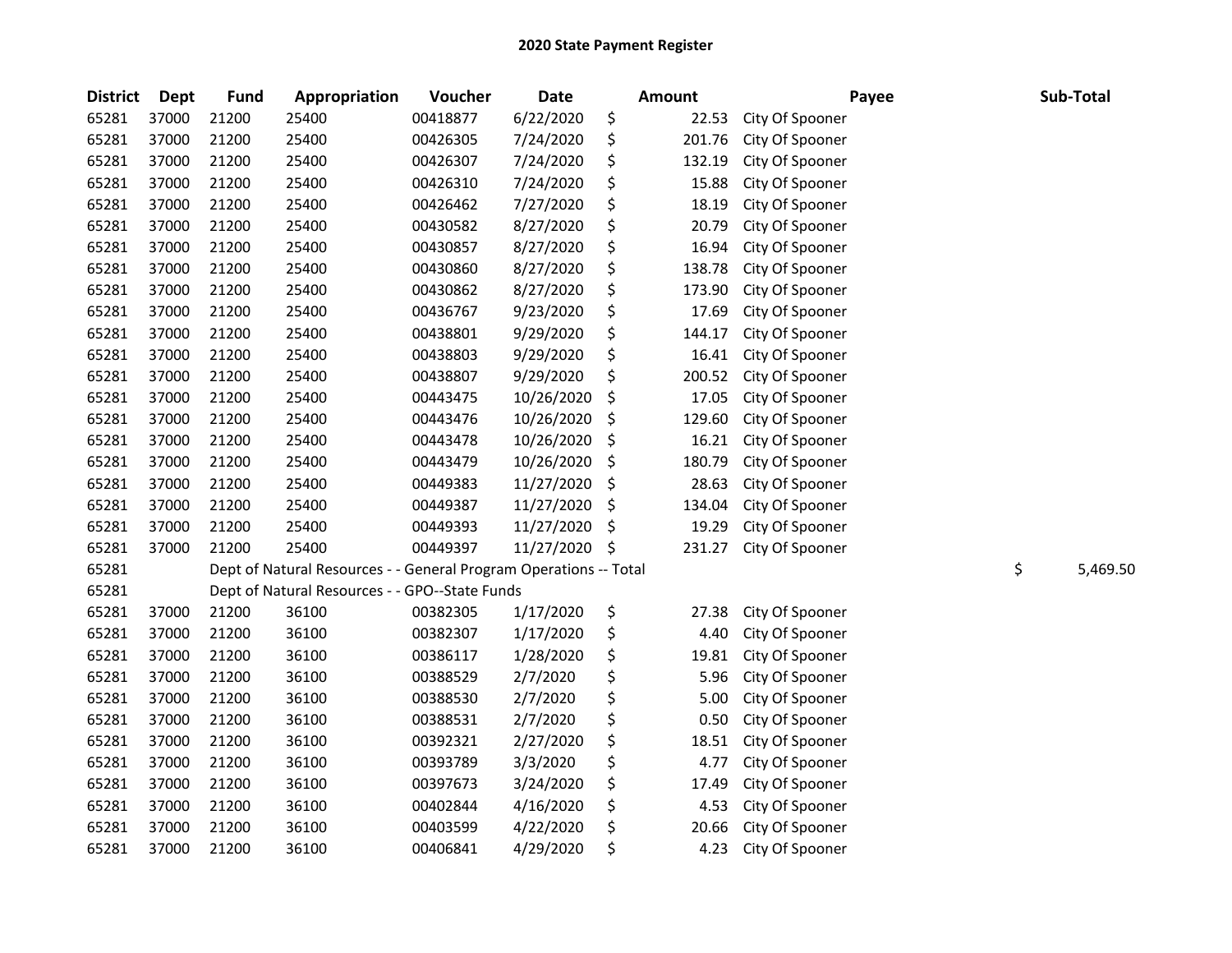| <b>District</b> | <b>Dept</b> | <b>Fund</b> | Appropriation                                                     | Voucher  | <b>Date</b> | <b>Amount</b> | Payee           | Sub-Total      |
|-----------------|-------------|-------------|-------------------------------------------------------------------|----------|-------------|---------------|-----------------|----------------|
| 65281           | 37000       | 21200       | 25400                                                             | 00418877 | 6/22/2020   | \$<br>22.53   | City Of Spooner |                |
| 65281           | 37000       | 21200       | 25400                                                             | 00426305 | 7/24/2020   | \$<br>201.76  | City Of Spooner |                |
| 65281           | 37000       | 21200       | 25400                                                             | 00426307 | 7/24/2020   | \$<br>132.19  | City Of Spooner |                |
| 65281           | 37000       | 21200       | 25400                                                             | 00426310 | 7/24/2020   | \$<br>15.88   | City Of Spooner |                |
| 65281           | 37000       | 21200       | 25400                                                             | 00426462 | 7/27/2020   | \$<br>18.19   | City Of Spooner |                |
| 65281           | 37000       | 21200       | 25400                                                             | 00430582 | 8/27/2020   | \$<br>20.79   | City Of Spooner |                |
| 65281           | 37000       | 21200       | 25400                                                             | 00430857 | 8/27/2020   | \$<br>16.94   | City Of Spooner |                |
| 65281           | 37000       | 21200       | 25400                                                             | 00430860 | 8/27/2020   | \$<br>138.78  | City Of Spooner |                |
| 65281           | 37000       | 21200       | 25400                                                             | 00430862 | 8/27/2020   | \$<br>173.90  | City Of Spooner |                |
| 65281           | 37000       | 21200       | 25400                                                             | 00436767 | 9/23/2020   | \$<br>17.69   | City Of Spooner |                |
| 65281           | 37000       | 21200       | 25400                                                             | 00438801 | 9/29/2020   | \$<br>144.17  | City Of Spooner |                |
| 65281           | 37000       | 21200       | 25400                                                             | 00438803 | 9/29/2020   | \$<br>16.41   | City Of Spooner |                |
| 65281           | 37000       | 21200       | 25400                                                             | 00438807 | 9/29/2020   | \$<br>200.52  | City Of Spooner |                |
| 65281           | 37000       | 21200       | 25400                                                             | 00443475 | 10/26/2020  | \$<br>17.05   | City Of Spooner |                |
| 65281           | 37000       | 21200       | 25400                                                             | 00443476 | 10/26/2020  | \$<br>129.60  | City Of Spooner |                |
| 65281           | 37000       | 21200       | 25400                                                             | 00443478 | 10/26/2020  | \$<br>16.21   | City Of Spooner |                |
| 65281           | 37000       | 21200       | 25400                                                             | 00443479 | 10/26/2020  | \$<br>180.79  | City Of Spooner |                |
| 65281           | 37000       | 21200       | 25400                                                             | 00449383 | 11/27/2020  | \$<br>28.63   | City Of Spooner |                |
| 65281           | 37000       | 21200       | 25400                                                             | 00449387 | 11/27/2020  | \$<br>134.04  | City Of Spooner |                |
| 65281           | 37000       | 21200       | 25400                                                             | 00449393 | 11/27/2020  | \$<br>19.29   | City Of Spooner |                |
| 65281           | 37000       | 21200       | 25400                                                             | 00449397 | 11/27/2020  | \$<br>231.27  | City Of Spooner |                |
| 65281           |             |             | Dept of Natural Resources - - General Program Operations -- Total |          |             |               |                 | \$<br>5,469.50 |
| 65281           |             |             | Dept of Natural Resources - - GPO--State Funds                    |          |             |               |                 |                |
| 65281           | 37000       | 21200       | 36100                                                             | 00382305 | 1/17/2020   | \$<br>27.38   | City Of Spooner |                |
| 65281           | 37000       | 21200       | 36100                                                             | 00382307 | 1/17/2020   | \$<br>4.40    | City Of Spooner |                |
| 65281           | 37000       | 21200       | 36100                                                             | 00386117 | 1/28/2020   | \$<br>19.81   | City Of Spooner |                |
| 65281           | 37000       | 21200       | 36100                                                             | 00388529 | 2/7/2020    | \$<br>5.96    | City Of Spooner |                |
| 65281           | 37000       | 21200       | 36100                                                             | 00388530 | 2/7/2020    | \$<br>5.00    | City Of Spooner |                |
| 65281           | 37000       | 21200       | 36100                                                             | 00388531 | 2/7/2020    | \$<br>0.50    | City Of Spooner |                |
| 65281           | 37000       | 21200       | 36100                                                             | 00392321 | 2/27/2020   | \$<br>18.51   | City Of Spooner |                |
| 65281           | 37000       | 21200       | 36100                                                             | 00393789 | 3/3/2020    | \$<br>4.77    | City Of Spooner |                |
| 65281           | 37000       | 21200       | 36100                                                             | 00397673 | 3/24/2020   | \$<br>17.49   | City Of Spooner |                |
| 65281           | 37000       | 21200       | 36100                                                             | 00402844 | 4/16/2020   | \$<br>4.53    | City Of Spooner |                |
| 65281           | 37000       | 21200       | 36100                                                             | 00403599 | 4/22/2020   | \$<br>20.66   | City Of Spooner |                |
| 65281           | 37000       | 21200       | 36100                                                             | 00406841 | 4/29/2020   | \$<br>4.23    | City Of Spooner |                |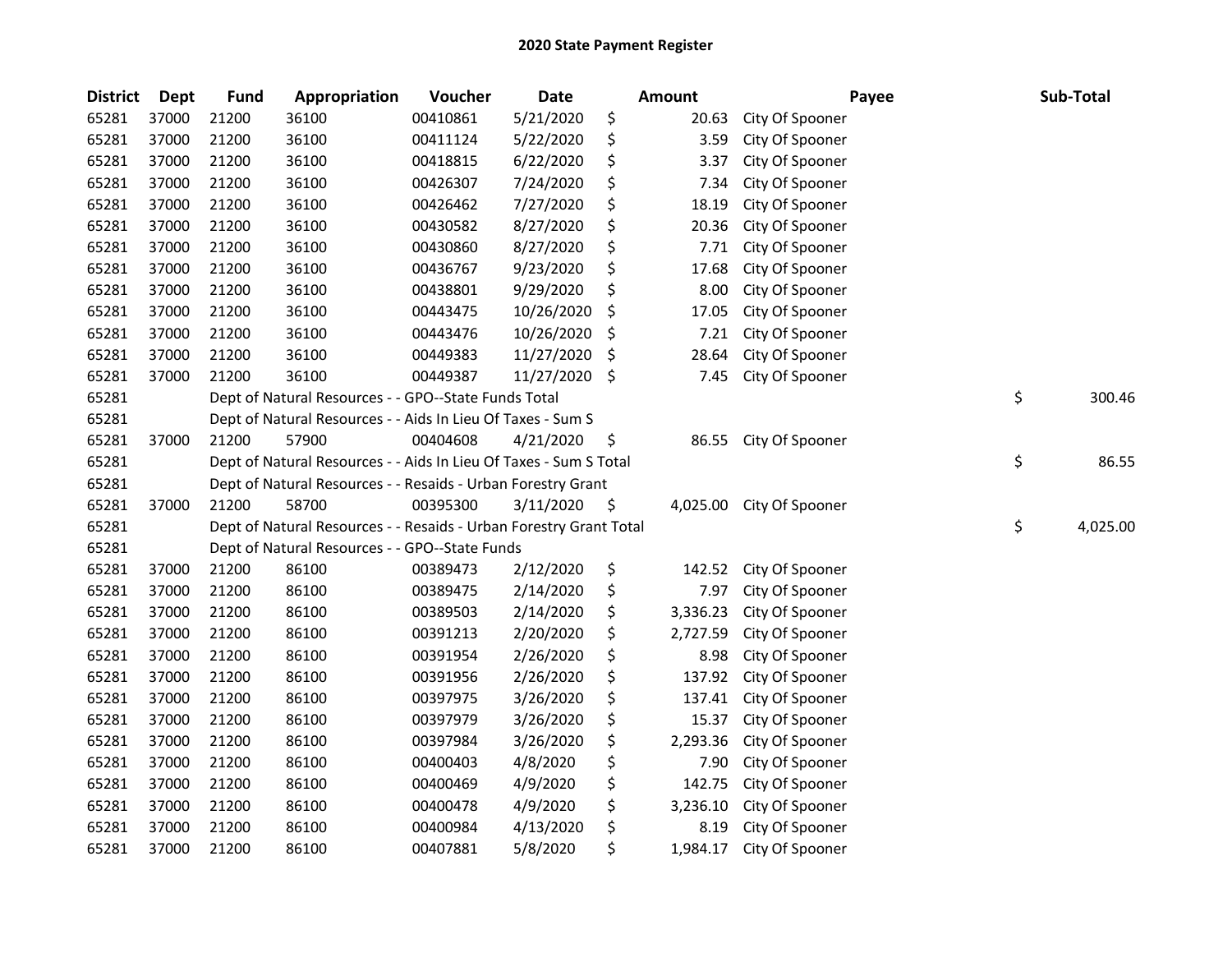| <b>District</b> | <b>Dept</b> | <b>Fund</b> | Appropriation                                                      | Voucher  | <b>Date</b> | Amount         | Payee           | Sub-Total      |
|-----------------|-------------|-------------|--------------------------------------------------------------------|----------|-------------|----------------|-----------------|----------------|
| 65281           | 37000       | 21200       | 36100                                                              | 00410861 | 5/21/2020   | \$<br>20.63    | City Of Spooner |                |
| 65281           | 37000       | 21200       | 36100                                                              | 00411124 | 5/22/2020   | \$<br>3.59     | City Of Spooner |                |
| 65281           | 37000       | 21200       | 36100                                                              | 00418815 | 6/22/2020   | \$<br>3.37     | City Of Spooner |                |
| 65281           | 37000       | 21200       | 36100                                                              | 00426307 | 7/24/2020   | \$<br>7.34     | City Of Spooner |                |
| 65281           | 37000       | 21200       | 36100                                                              | 00426462 | 7/27/2020   | \$<br>18.19    | City Of Spooner |                |
| 65281           | 37000       | 21200       | 36100                                                              | 00430582 | 8/27/2020   | \$<br>20.36    | City Of Spooner |                |
| 65281           | 37000       | 21200       | 36100                                                              | 00430860 | 8/27/2020   | \$<br>7.71     | City Of Spooner |                |
| 65281           | 37000       | 21200       | 36100                                                              | 00436767 | 9/23/2020   | \$<br>17.68    | City Of Spooner |                |
| 65281           | 37000       | 21200       | 36100                                                              | 00438801 | 9/29/2020   | \$<br>8.00     | City Of Spooner |                |
| 65281           | 37000       | 21200       | 36100                                                              | 00443475 | 10/26/2020  | \$<br>17.05    | City Of Spooner |                |
| 65281           | 37000       | 21200       | 36100                                                              | 00443476 | 10/26/2020  | \$<br>7.21     | City Of Spooner |                |
| 65281           | 37000       | 21200       | 36100                                                              | 00449383 | 11/27/2020  | \$<br>28.64    | City Of Spooner |                |
| 65281           | 37000       | 21200       | 36100                                                              | 00449387 | 11/27/2020  | \$<br>7.45     | City Of Spooner |                |
| 65281           |             |             | Dept of Natural Resources - - GPO--State Funds Total               |          |             |                |                 | \$<br>300.46   |
| 65281           |             |             | Dept of Natural Resources - - Aids In Lieu Of Taxes - Sum S        |          |             |                |                 |                |
| 65281           | 37000       | 21200       | 57900                                                              | 00404608 | 4/21/2020   | \$<br>86.55    | City Of Spooner |                |
| 65281           |             |             | Dept of Natural Resources - - Aids In Lieu Of Taxes - Sum S Total  |          |             |                |                 | \$<br>86.55    |
| 65281           |             |             | Dept of Natural Resources - - Resaids - Urban Forestry Grant       |          |             |                |                 |                |
| 65281           | 37000       | 21200       | 58700                                                              | 00395300 | 3/11/2020   | \$<br>4,025.00 | City Of Spooner |                |
| 65281           |             |             | Dept of Natural Resources - - Resaids - Urban Forestry Grant Total |          |             |                |                 | \$<br>4,025.00 |
| 65281           |             |             | Dept of Natural Resources - - GPO--State Funds                     |          |             |                |                 |                |
| 65281           | 37000       | 21200       | 86100                                                              | 00389473 | 2/12/2020   | \$<br>142.52   | City Of Spooner |                |
| 65281           | 37000       | 21200       | 86100                                                              | 00389475 | 2/14/2020   | \$<br>7.97     | City Of Spooner |                |
| 65281           | 37000       | 21200       | 86100                                                              | 00389503 | 2/14/2020   | \$<br>3,336.23 | City Of Spooner |                |
| 65281           | 37000       | 21200       | 86100                                                              | 00391213 | 2/20/2020   | \$<br>2,727.59 | City Of Spooner |                |
| 65281           | 37000       | 21200       | 86100                                                              | 00391954 | 2/26/2020   | \$<br>8.98     | City Of Spooner |                |
| 65281           | 37000       | 21200       | 86100                                                              | 00391956 | 2/26/2020   | \$<br>137.92   | City Of Spooner |                |
| 65281           | 37000       | 21200       | 86100                                                              | 00397975 | 3/26/2020   | \$<br>137.41   | City Of Spooner |                |
| 65281           | 37000       | 21200       | 86100                                                              | 00397979 | 3/26/2020   | \$<br>15.37    | City Of Spooner |                |
| 65281           | 37000       | 21200       | 86100                                                              | 00397984 | 3/26/2020   | \$<br>2,293.36 | City Of Spooner |                |
| 65281           | 37000       | 21200       | 86100                                                              | 00400403 | 4/8/2020    | \$<br>7.90     | City Of Spooner |                |
| 65281           | 37000       | 21200       | 86100                                                              | 00400469 | 4/9/2020    | \$<br>142.75   | City Of Spooner |                |
| 65281           | 37000       | 21200       | 86100                                                              | 00400478 | 4/9/2020    | \$<br>3,236.10 | City Of Spooner |                |
| 65281           | 37000       | 21200       | 86100                                                              | 00400984 | 4/13/2020   | \$<br>8.19     | City Of Spooner |                |
| 65281           | 37000       | 21200       | 86100                                                              | 00407881 | 5/8/2020    | \$<br>1,984.17 | City Of Spooner |                |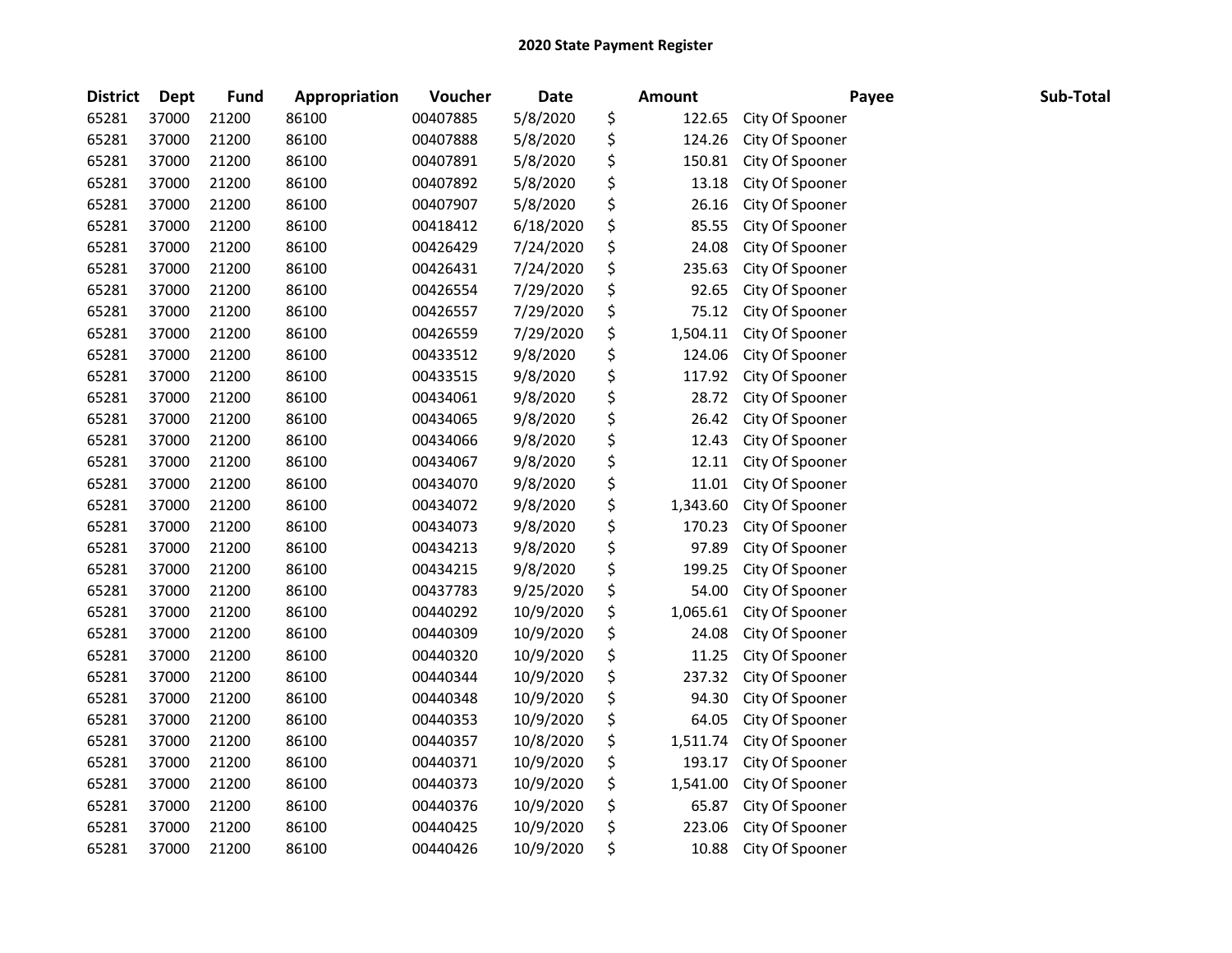| <b>District</b> | <b>Dept</b> | <b>Fund</b> | Appropriation | Voucher  | <b>Date</b> | <b>Amount</b>  | Payee           | Sub-Total |
|-----------------|-------------|-------------|---------------|----------|-------------|----------------|-----------------|-----------|
| 65281           | 37000       | 21200       | 86100         | 00407885 | 5/8/2020    | \$<br>122.65   | City Of Spooner |           |
| 65281           | 37000       | 21200       | 86100         | 00407888 | 5/8/2020    | \$<br>124.26   | City Of Spooner |           |
| 65281           | 37000       | 21200       | 86100         | 00407891 | 5/8/2020    | \$<br>150.81   | City Of Spooner |           |
| 65281           | 37000       | 21200       | 86100         | 00407892 | 5/8/2020    | \$<br>13.18    | City Of Spooner |           |
| 65281           | 37000       | 21200       | 86100         | 00407907 | 5/8/2020    | \$<br>26.16    | City Of Spooner |           |
| 65281           | 37000       | 21200       | 86100         | 00418412 | 6/18/2020   | \$<br>85.55    | City Of Spooner |           |
| 65281           | 37000       | 21200       | 86100         | 00426429 | 7/24/2020   | \$<br>24.08    | City Of Spooner |           |
| 65281           | 37000       | 21200       | 86100         | 00426431 | 7/24/2020   | \$<br>235.63   | City Of Spooner |           |
| 65281           | 37000       | 21200       | 86100         | 00426554 | 7/29/2020   | \$<br>92.65    | City Of Spooner |           |
| 65281           | 37000       | 21200       | 86100         | 00426557 | 7/29/2020   | \$<br>75.12    | City Of Spooner |           |
| 65281           | 37000       | 21200       | 86100         | 00426559 | 7/29/2020   | \$<br>1,504.11 | City Of Spooner |           |
| 65281           | 37000       | 21200       | 86100         | 00433512 | 9/8/2020    | \$<br>124.06   | City Of Spooner |           |
| 65281           | 37000       | 21200       | 86100         | 00433515 | 9/8/2020    | \$<br>117.92   | City Of Spooner |           |
| 65281           | 37000       | 21200       | 86100         | 00434061 | 9/8/2020    | \$<br>28.72    | City Of Spooner |           |
| 65281           | 37000       | 21200       | 86100         | 00434065 | 9/8/2020    | \$<br>26.42    | City Of Spooner |           |
| 65281           | 37000       | 21200       | 86100         | 00434066 | 9/8/2020    | \$<br>12.43    | City Of Spooner |           |
| 65281           | 37000       | 21200       | 86100         | 00434067 | 9/8/2020    | \$<br>12.11    | City Of Spooner |           |
| 65281           | 37000       | 21200       | 86100         | 00434070 | 9/8/2020    | \$<br>11.01    | City Of Spooner |           |
| 65281           | 37000       | 21200       | 86100         | 00434072 | 9/8/2020    | \$<br>1,343.60 | City Of Spooner |           |
| 65281           | 37000       | 21200       | 86100         | 00434073 | 9/8/2020    | \$<br>170.23   | City Of Spooner |           |
| 65281           | 37000       | 21200       | 86100         | 00434213 | 9/8/2020    | \$<br>97.89    | City Of Spooner |           |
| 65281           | 37000       | 21200       | 86100         | 00434215 | 9/8/2020    | \$<br>199.25   | City Of Spooner |           |
| 65281           | 37000       | 21200       | 86100         | 00437783 | 9/25/2020   | \$<br>54.00    | City Of Spooner |           |
| 65281           | 37000       | 21200       | 86100         | 00440292 | 10/9/2020   | \$<br>1,065.61 | City Of Spooner |           |
| 65281           | 37000       | 21200       | 86100         | 00440309 | 10/9/2020   | \$<br>24.08    | City Of Spooner |           |
| 65281           | 37000       | 21200       | 86100         | 00440320 | 10/9/2020   | \$<br>11.25    | City Of Spooner |           |
| 65281           | 37000       | 21200       | 86100         | 00440344 | 10/9/2020   | \$<br>237.32   | City Of Spooner |           |
| 65281           | 37000       | 21200       | 86100         | 00440348 | 10/9/2020   | \$<br>94.30    | City Of Spooner |           |
| 65281           | 37000       | 21200       | 86100         | 00440353 | 10/9/2020   | \$<br>64.05    | City Of Spooner |           |
| 65281           | 37000       | 21200       | 86100         | 00440357 | 10/8/2020   | \$<br>1,511.74 | City Of Spooner |           |
| 65281           | 37000       | 21200       | 86100         | 00440371 | 10/9/2020   | \$<br>193.17   | City Of Spooner |           |
| 65281           | 37000       | 21200       | 86100         | 00440373 | 10/9/2020   | \$<br>1,541.00 | City Of Spooner |           |
| 65281           | 37000       | 21200       | 86100         | 00440376 | 10/9/2020   | \$<br>65.87    | City Of Spooner |           |
| 65281           | 37000       | 21200       | 86100         | 00440425 | 10/9/2020   | \$<br>223.06   | City Of Spooner |           |
| 65281           | 37000       | 21200       | 86100         | 00440426 | 10/9/2020   | \$<br>10.88    | City Of Spooner |           |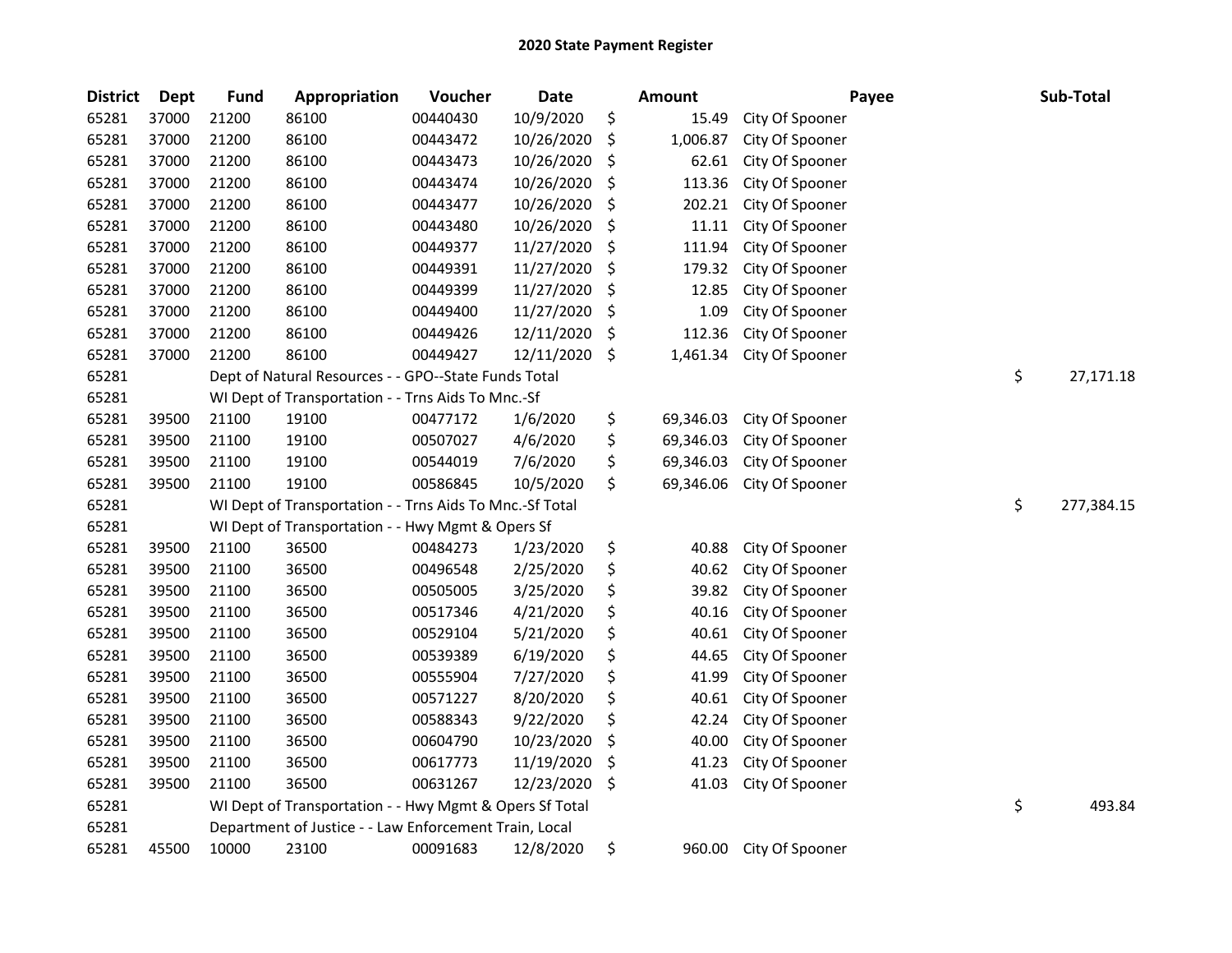| <b>District</b> | <b>Dept</b> | <b>Fund</b> | Appropriation                                            | Voucher  | <b>Date</b> | Amount          | Payee           | Sub-Total        |
|-----------------|-------------|-------------|----------------------------------------------------------|----------|-------------|-----------------|-----------------|------------------|
| 65281           | 37000       | 21200       | 86100                                                    | 00440430 | 10/9/2020   | \$<br>15.49     | City Of Spooner |                  |
| 65281           | 37000       | 21200       | 86100                                                    | 00443472 | 10/26/2020  | \$<br>1,006.87  | City Of Spooner |                  |
| 65281           | 37000       | 21200       | 86100                                                    | 00443473 | 10/26/2020  | \$<br>62.61     | City Of Spooner |                  |
| 65281           | 37000       | 21200       | 86100                                                    | 00443474 | 10/26/2020  | \$<br>113.36    | City Of Spooner |                  |
| 65281           | 37000       | 21200       | 86100                                                    | 00443477 | 10/26/2020  | \$<br>202.21    | City Of Spooner |                  |
| 65281           | 37000       | 21200       | 86100                                                    | 00443480 | 10/26/2020  | \$<br>11.11     | City Of Spooner |                  |
| 65281           | 37000       | 21200       | 86100                                                    | 00449377 | 11/27/2020  | \$<br>111.94    | City Of Spooner |                  |
| 65281           | 37000       | 21200       | 86100                                                    | 00449391 | 11/27/2020  | \$<br>179.32    | City Of Spooner |                  |
| 65281           | 37000       | 21200       | 86100                                                    | 00449399 | 11/27/2020  | \$<br>12.85     | City Of Spooner |                  |
| 65281           | 37000       | 21200       | 86100                                                    | 00449400 | 11/27/2020  | \$<br>1.09      | City Of Spooner |                  |
| 65281           | 37000       | 21200       | 86100                                                    | 00449426 | 12/11/2020  | \$<br>112.36    | City Of Spooner |                  |
| 65281           | 37000       | 21200       | 86100                                                    | 00449427 | 12/11/2020  | \$<br>1,461.34  | City Of Spooner |                  |
| 65281           |             |             | Dept of Natural Resources - - GPO--State Funds Total     |          |             |                 |                 | \$<br>27,171.18  |
| 65281           |             |             | WI Dept of Transportation - - Trns Aids To Mnc.-Sf       |          |             |                 |                 |                  |
| 65281           | 39500       | 21100       | 19100                                                    | 00477172 | 1/6/2020    | \$<br>69,346.03 | City Of Spooner |                  |
| 65281           | 39500       | 21100       | 19100                                                    | 00507027 | 4/6/2020    | \$<br>69,346.03 | City Of Spooner |                  |
| 65281           | 39500       | 21100       | 19100                                                    | 00544019 | 7/6/2020    | \$<br>69,346.03 | City Of Spooner |                  |
| 65281           | 39500       | 21100       | 19100                                                    | 00586845 | 10/5/2020   | \$<br>69,346.06 | City Of Spooner |                  |
| 65281           |             |             | WI Dept of Transportation - - Trns Aids To Mnc.-Sf Total |          |             |                 |                 | \$<br>277,384.15 |
| 65281           |             |             | WI Dept of Transportation - - Hwy Mgmt & Opers Sf        |          |             |                 |                 |                  |
| 65281           | 39500       | 21100       | 36500                                                    | 00484273 | 1/23/2020   | \$<br>40.88     | City Of Spooner |                  |
| 65281           | 39500       | 21100       | 36500                                                    | 00496548 | 2/25/2020   | \$<br>40.62     | City Of Spooner |                  |
| 65281           | 39500       | 21100       | 36500                                                    | 00505005 | 3/25/2020   | \$<br>39.82     | City Of Spooner |                  |
| 65281           | 39500       | 21100       | 36500                                                    | 00517346 | 4/21/2020   | \$<br>40.16     | City Of Spooner |                  |
| 65281           | 39500       | 21100       | 36500                                                    | 00529104 | 5/21/2020   | \$<br>40.61     | City Of Spooner |                  |
| 65281           | 39500       | 21100       | 36500                                                    | 00539389 | 6/19/2020   | \$<br>44.65     | City Of Spooner |                  |
| 65281           | 39500       | 21100       | 36500                                                    | 00555904 | 7/27/2020   | \$<br>41.99     | City Of Spooner |                  |
| 65281           | 39500       | 21100       | 36500                                                    | 00571227 | 8/20/2020   | \$<br>40.61     | City Of Spooner |                  |
| 65281           | 39500       | 21100       | 36500                                                    | 00588343 | 9/22/2020   | \$<br>42.24     | City Of Spooner |                  |
| 65281           | 39500       | 21100       | 36500                                                    | 00604790 | 10/23/2020  | \$<br>40.00     | City Of Spooner |                  |
| 65281           | 39500       | 21100       | 36500                                                    | 00617773 | 11/19/2020  | \$<br>41.23     | City Of Spooner |                  |
| 65281           | 39500       | 21100       | 36500                                                    | 00631267 | 12/23/2020  | \$<br>41.03     | City Of Spooner |                  |
| 65281           |             |             | WI Dept of Transportation - - Hwy Mgmt & Opers Sf Total  |          |             |                 |                 | \$<br>493.84     |
| 65281           |             |             | Department of Justice - - Law Enforcement Train, Local   |          |             |                 |                 |                  |
| 65281           | 45500       | 10000       | 23100                                                    | 00091683 | 12/8/2020   | \$<br>960.00    | City Of Spooner |                  |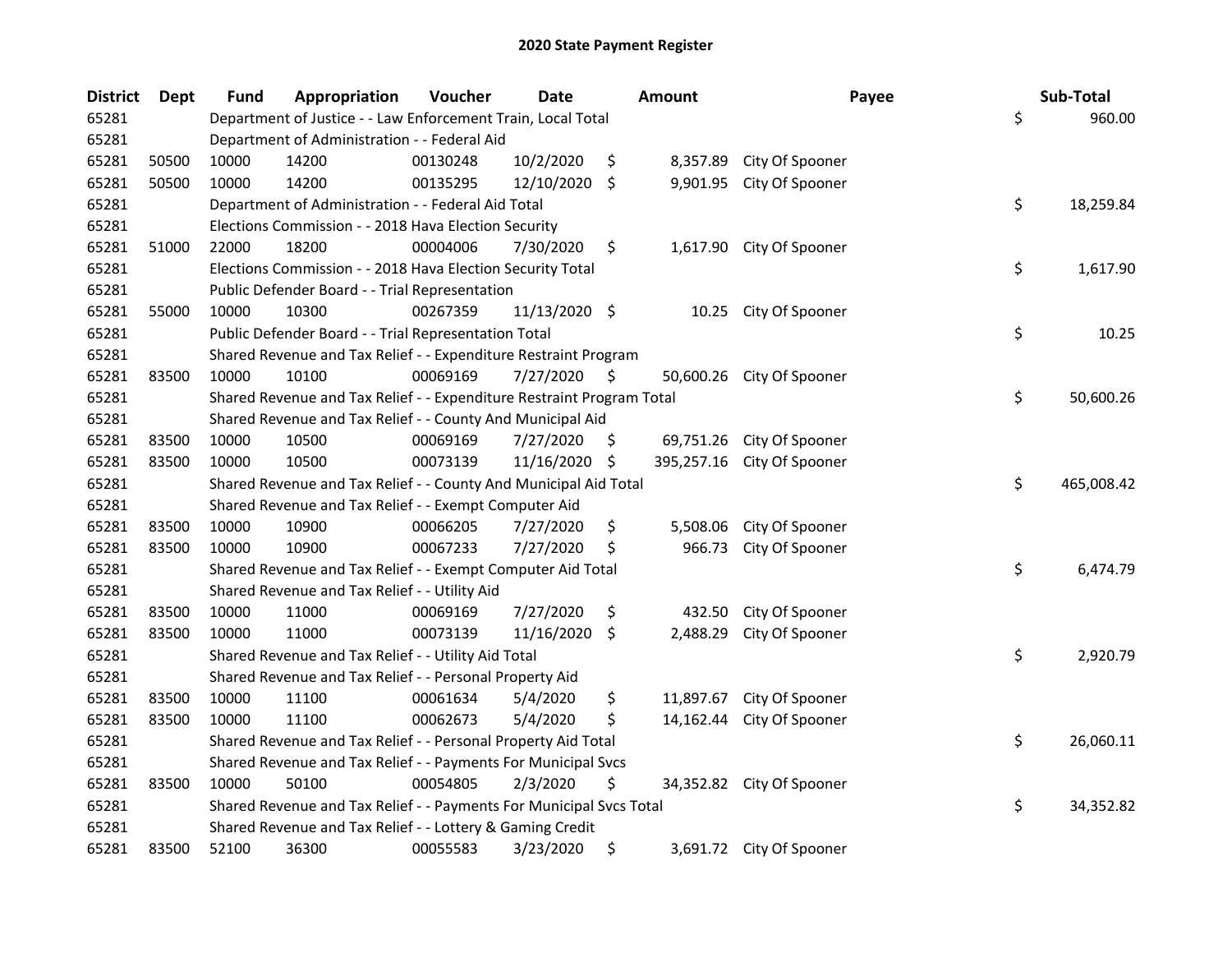| <b>District</b> | Dept  | <b>Fund</b> | Appropriation                                                         | Voucher  | <b>Date</b>   |         | <b>Amount</b> | Payee                     | Sub-Total        |
|-----------------|-------|-------------|-----------------------------------------------------------------------|----------|---------------|---------|---------------|---------------------------|------------------|
| 65281           |       |             | Department of Justice - - Law Enforcement Train, Local Total          |          |               |         |               |                           | \$<br>960.00     |
| 65281           |       |             | Department of Administration - - Federal Aid                          |          |               |         |               |                           |                  |
| 65281           | 50500 | 10000       | 14200                                                                 | 00130248 | 10/2/2020     | \$      | 8,357.89      | City Of Spooner           |                  |
| 65281           | 50500 | 10000       | 14200                                                                 | 00135295 | 12/10/2020    | \$      | 9,901.95      | City Of Spooner           |                  |
| 65281           |       |             | Department of Administration - - Federal Aid Total                    |          |               |         |               |                           | \$<br>18,259.84  |
| 65281           |       |             | Elections Commission - - 2018 Hava Election Security                  |          |               |         |               |                           |                  |
| 65281           | 51000 | 22000       | 18200                                                                 | 00004006 | 7/30/2020     | \$      |               | 1,617.90 City Of Spooner  |                  |
| 65281           |       |             | Elections Commission - - 2018 Hava Election Security Total            |          |               |         |               |                           | \$<br>1,617.90   |
| 65281           |       |             | Public Defender Board - - Trial Representation                        |          |               |         |               |                           |                  |
| 65281           | 55000 | 10000       | 10300                                                                 | 00267359 | 11/13/2020 \$ |         | 10.25         | City Of Spooner           |                  |
| 65281           |       |             | Public Defender Board - - Trial Representation Total                  |          |               |         |               |                           | \$<br>10.25      |
| 65281           |       |             | Shared Revenue and Tax Relief - - Expenditure Restraint Program       |          |               |         |               |                           |                  |
| 65281           | 83500 | 10000       | 10100                                                                 | 00069169 | 7/27/2020     | \$.     | 50,600.26     | City Of Spooner           |                  |
| 65281           |       |             | Shared Revenue and Tax Relief - - Expenditure Restraint Program Total |          |               |         |               |                           | \$<br>50,600.26  |
| 65281           |       |             | Shared Revenue and Tax Relief - - County And Municipal Aid            |          |               |         |               |                           |                  |
| 65281           | 83500 | 10000       | 10500                                                                 | 00069169 | 7/27/2020     | \$      | 69,751.26     | City Of Spooner           |                  |
| 65281           | 83500 | 10000       | 10500                                                                 | 00073139 | 11/16/2020    | -S      | 395,257.16    | City Of Spooner           |                  |
| 65281           |       |             | Shared Revenue and Tax Relief - - County And Municipal Aid Total      |          |               |         |               |                           | \$<br>465,008.42 |
| 65281           |       |             | Shared Revenue and Tax Relief - - Exempt Computer Aid                 |          |               |         |               |                           |                  |
| 65281           | 83500 | 10000       | 10900                                                                 | 00066205 | 7/27/2020     | \$      | 5,508.06      | City Of Spooner           |                  |
| 65281           | 83500 | 10000       | 10900                                                                 | 00067233 | 7/27/2020     | \$      | 966.73        | City Of Spooner           |                  |
| 65281           |       |             | Shared Revenue and Tax Relief - - Exempt Computer Aid Total           |          |               |         |               |                           | \$<br>6,474.79   |
| 65281           |       |             | Shared Revenue and Tax Relief - - Utility Aid                         |          |               |         |               |                           |                  |
| 65281           | 83500 | 10000       | 11000                                                                 | 00069169 | 7/27/2020     | \$      | 432.50        | City Of Spooner           |                  |
| 65281           | 83500 | 10000       | 11000                                                                 | 00073139 | 11/16/2020    | $\zeta$ | 2,488.29      | City Of Spooner           |                  |
| 65281           |       |             | Shared Revenue and Tax Relief - - Utility Aid Total                   |          |               |         |               |                           | \$<br>2,920.79   |
| 65281           |       |             | Shared Revenue and Tax Relief - - Personal Property Aid               |          |               |         |               |                           |                  |
| 65281           | 83500 | 10000       | 11100                                                                 | 00061634 | 5/4/2020      | \$      | 11,897.67     | City Of Spooner           |                  |
| 65281           | 83500 | 10000       | 11100                                                                 | 00062673 | 5/4/2020      | \$      | 14,162.44     | City Of Spooner           |                  |
| 65281           |       |             | Shared Revenue and Tax Relief - - Personal Property Aid Total         |          |               |         |               |                           | \$<br>26,060.11  |
| 65281           |       |             | Shared Revenue and Tax Relief - - Payments For Municipal Svcs         |          |               |         |               |                           |                  |
| 65281           | 83500 | 10000       | 50100                                                                 | 00054805 | 2/3/2020      | \$      |               | 34,352.82 City Of Spooner |                  |
| 65281           |       |             | Shared Revenue and Tax Relief - - Payments For Municipal Svcs Total   |          |               |         |               |                           | \$<br>34,352.82  |
| 65281           |       |             | Shared Revenue and Tax Relief - - Lottery & Gaming Credit             |          |               |         |               |                           |                  |
| 65281           | 83500 | 52100       | 36300                                                                 | 00055583 | 3/23/2020     | \$      |               | 3,691.72 City Of Spooner  |                  |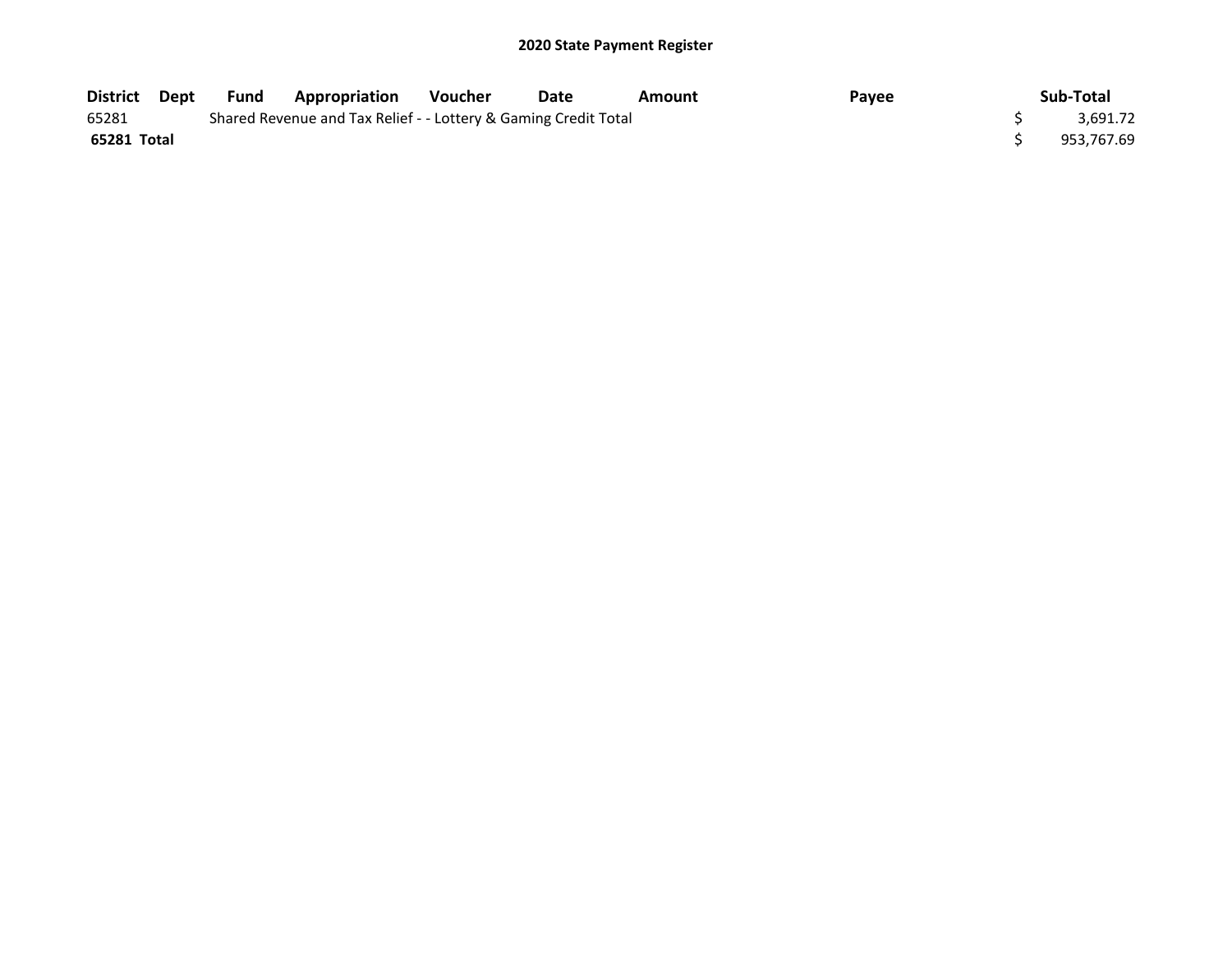| District Dept | Fund | <b>Appropriation</b>                                            | <b>Voucher</b> | Date | Amount | Payee | Sub-Total  |
|---------------|------|-----------------------------------------------------------------|----------------|------|--------|-------|------------|
| 65281         |      | Shared Revenue and Tax Relief - - Lottery & Gaming Credit Total |                |      |        |       | 3.691.72   |
| 65281 Total   |      |                                                                 |                |      |        |       | 953.767.69 |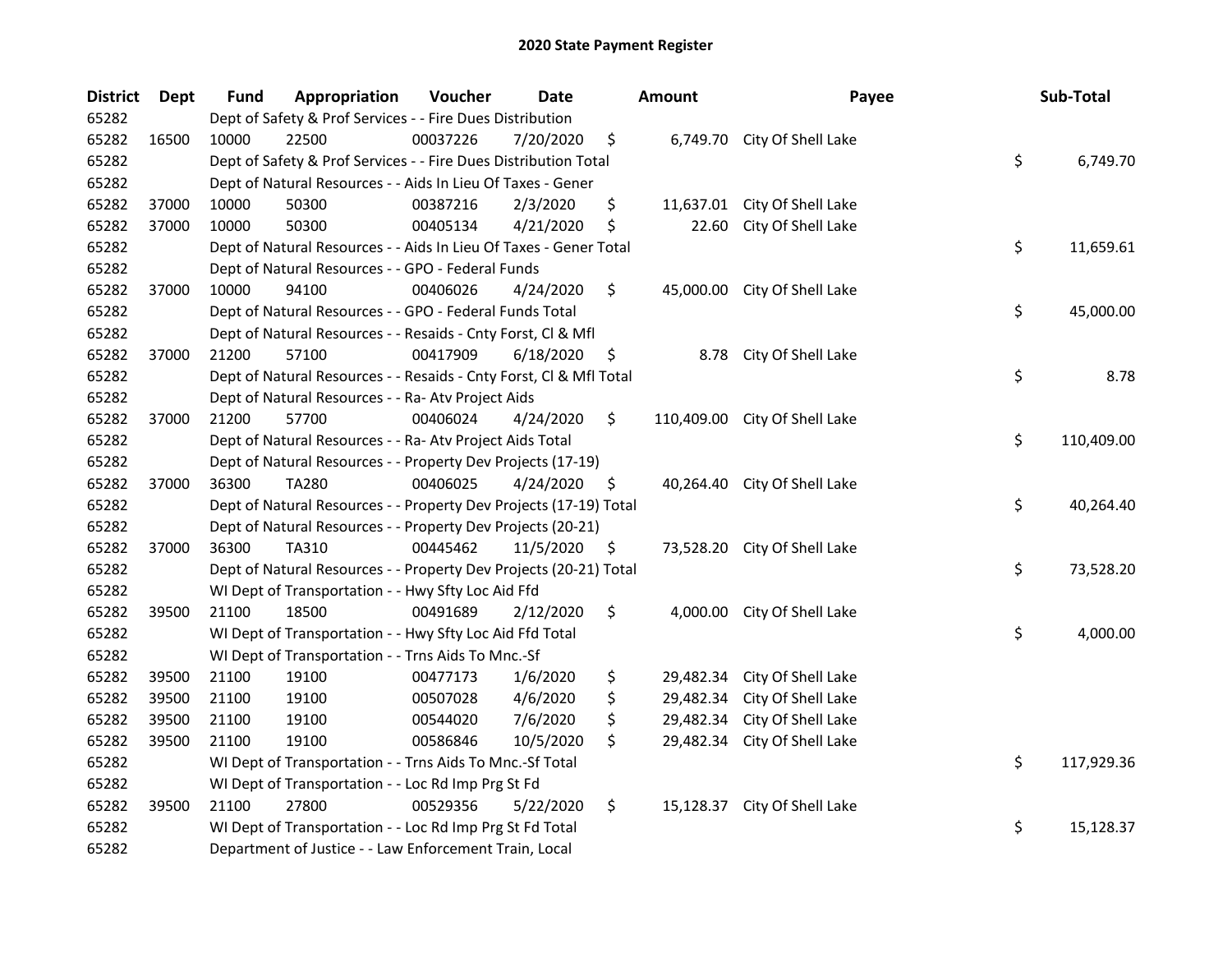| <b>District</b> | <b>Dept</b> | <b>Fund</b> | Appropriation                                                         | Voucher  | <b>Date</b> |    | <b>Amount</b> | Payee                        |    | Sub-Total  |
|-----------------|-------------|-------------|-----------------------------------------------------------------------|----------|-------------|----|---------------|------------------------------|----|------------|
| 65282           |             |             | Dept of Safety & Prof Services - - Fire Dues Distribution             |          |             |    |               |                              |    |            |
| 65282           | 16500       | 10000       | 22500                                                                 | 00037226 | 7/20/2020   | \$ |               | 6,749.70 City Of Shell Lake  |    |            |
| 65282           |             |             | \$<br>Dept of Safety & Prof Services - - Fire Dues Distribution Total |          |             |    |               |                              |    |            |
| 65282           |             |             | Dept of Natural Resources - - Aids In Lieu Of Taxes - Gener           |          |             |    |               |                              |    |            |
| 65282           | 37000       | 10000       | 50300                                                                 | 00387216 | 2/3/2020    | \$ | 11,637.01     | City Of Shell Lake           |    |            |
| 65282           | 37000       | 10000       | 50300                                                                 | 00405134 | 4/21/2020   | \$ | 22.60         | City Of Shell Lake           |    |            |
| 65282           |             |             | Dept of Natural Resources - - Aids In Lieu Of Taxes - Gener Total     |          |             |    |               |                              | \$ | 11,659.61  |
| 65282           |             |             | Dept of Natural Resources - - GPO - Federal Funds                     |          |             |    |               |                              |    |            |
| 65282           | 37000       | 10000       | 94100                                                                 | 00406026 | 4/24/2020   | \$ |               | 45,000.00 City Of Shell Lake |    |            |
| 65282           |             |             | Dept of Natural Resources - - GPO - Federal Funds Total               |          |             |    |               |                              | \$ | 45,000.00  |
| 65282           |             |             | Dept of Natural Resources - - Resaids - Cnty Forst, Cl & Mfl          |          |             |    |               |                              |    |            |
| 65282           | 37000       | 21200       | 57100                                                                 | 00417909 | 6/18/2020   | \$ | 8.78          | City Of Shell Lake           |    |            |
| 65282           |             |             | Dept of Natural Resources - - Resaids - Cnty Forst, Cl & Mfl Total    |          |             |    |               |                              | \$ | 8.78       |
| 65282           |             |             | Dept of Natural Resources - - Ra- Atv Project Aids                    |          |             |    |               |                              |    |            |
| 65282           | 37000       | 21200       | 57700                                                                 | 00406024 | 4/24/2020   | \$ | 110,409.00    | City Of Shell Lake           |    |            |
| 65282           |             |             | Dept of Natural Resources - - Ra- Atv Project Aids Total              |          |             |    |               |                              | \$ | 110,409.00 |
| 65282           |             |             | Dept of Natural Resources - - Property Dev Projects (17-19)           |          |             |    |               |                              |    |            |
| 65282           | 37000       | 36300       | <b>TA280</b>                                                          | 00406025 | 4/24/2020   | \$ | 40,264.40     | City Of Shell Lake           |    |            |
| 65282           |             |             | Dept of Natural Resources - - Property Dev Projects (17-19) Total     |          |             |    |               |                              | \$ | 40,264.40  |
| 65282           |             |             | Dept of Natural Resources - - Property Dev Projects (20-21)           |          |             |    |               |                              |    |            |
| 65282           | 37000       | 36300       | TA310                                                                 | 00445462 | 11/5/2020   | \$ | 73,528.20     | City Of Shell Lake           |    |            |
| 65282           |             |             | Dept of Natural Resources - - Property Dev Projects (20-21) Total     |          |             |    |               |                              | \$ | 73,528.20  |
| 65282           |             |             | WI Dept of Transportation - - Hwy Sfty Loc Aid Ffd                    |          |             |    |               |                              |    |            |
| 65282           | 39500       | 21100       | 18500                                                                 | 00491689 | 2/12/2020   | \$ | 4,000.00      | City Of Shell Lake           |    |            |
| 65282           |             |             | WI Dept of Transportation - - Hwy Sfty Loc Aid Ffd Total              |          |             |    |               |                              | \$ | 4,000.00   |
| 65282           |             |             | WI Dept of Transportation - - Trns Aids To Mnc.-Sf                    |          |             |    |               |                              |    |            |
| 65282           | 39500       | 21100       | 19100                                                                 | 00477173 | 1/6/2020    | \$ | 29,482.34     | City Of Shell Lake           |    |            |
| 65282           | 39500       | 21100       | 19100                                                                 | 00507028 | 4/6/2020    | \$ | 29,482.34     | City Of Shell Lake           |    |            |
| 65282           | 39500       | 21100       | 19100                                                                 | 00544020 | 7/6/2020    | \$ | 29,482.34     | City Of Shell Lake           |    |            |
| 65282           | 39500       | 21100       | 19100                                                                 | 00586846 | 10/5/2020   | \$ | 29,482.34     | City Of Shell Lake           |    |            |
| 65282           |             |             | WI Dept of Transportation - - Trns Aids To Mnc.-Sf Total              |          |             |    |               |                              | \$ | 117,929.36 |
| 65282           |             |             | WI Dept of Transportation - - Loc Rd Imp Prg St Fd                    |          |             |    |               |                              |    |            |
| 65282           | 39500       | 21100       | 27800                                                                 | 00529356 | 5/22/2020   | \$ | 15,128.37     | City Of Shell Lake           |    |            |
| 65282           |             |             | WI Dept of Transportation - - Loc Rd Imp Prg St Fd Total              |          |             |    |               |                              | \$ | 15,128.37  |
| 65282           |             |             | Department of Justice - - Law Enforcement Train, Local                |          |             |    |               |                              |    |            |